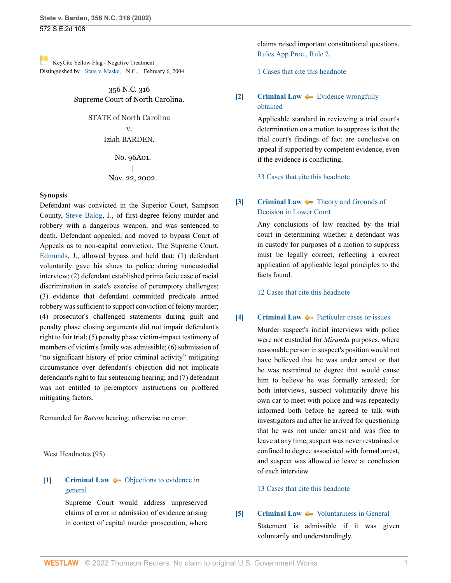[K](https://1.next.westlaw.com/Link/RelatedInformation/Flag?documentGuid=I9826d0aa03dc11da9439b076ef9ec4de&transitionType=Document&originationContext=docHeaderFlag&Rank=0&ppcid=6d449fd648f441f6acc44b6374a1657c&contextData=(sc.FindAndPrintPortal) )eyCite Yellow Flag - Negative Treatment Distinguished by [State v. Maske,](https://www.westlaw.com/Document/I9826d0aa03dc11da9439b076ef9ec4de/View/FullText.html?navigationPath=RelatedInfo%2Fv4%2Fkeycite%2Fnav%2F%3Fguid%3DI9826d0aa03dc11da9439b076ef9ec4de%26ss%3D2002740429%26ds%3D2004116624%26origDocGuid%3DIa3aa668203d211da83e7e9deff98dc6f&listSource=RelatedInfo&list=NegativeCitingReferences&rank=0&ppcid=6d449fd648f441f6acc44b6374a1657c&originationContext=docHeader&transitionType=NegativeTreatment&contextData=%28sc.FindAndPrintPortal%29&VR=3.0&RS=cblt1.0 ) N.C., February 6, 2004

> 356 N.C. 316 Supreme Court of North Carolina.

> > STATE of North Carolina v.

### Iziah BARDEN.

No. 96A01. | Nov. 22, 2002.

### **Synopsis**

Defendant was convicted in the Superior Court, Sampson County, [Steve Balog](http://www.westlaw.com/Link/Document/FullText?findType=h&pubNum=176284&cite=0157923101&originatingDoc=Ia3aa668203d211da83e7e9deff98dc6f&refType=RQ&originationContext=document&vr=3.0&rs=cblt1.0&transitionType=DocumentItem&contextData=(sc.FindAndPrintPortal)), J., of first-degree felony murder and robbery with a dangerous weapon, and was sentenced to death. Defendant appealed, and moved to bypass Court of Appeals as to non-capital conviction. The Supreme Court, [Edmunds,](http://www.westlaw.com/Link/Document/FullText?findType=h&pubNum=176284&cite=0126614401&originatingDoc=Ia3aa668203d211da83e7e9deff98dc6f&refType=RQ&originationContext=document&vr=3.0&rs=cblt1.0&transitionType=DocumentItem&contextData=(sc.FindAndPrintPortal)) J., allowed bypass and held that: (1) defendant voluntarily gave his shoes to police during noncustodial interview; (2) defendant established prima facie case of racial discrimination in state's exercise of peremptory challenges; (3) evidence that defendant committed predicate armed robbery was sufficient to support conviction of felony murder; (4) prosecutor's challenged statements during guilt and penalty phase closing arguments did not impair defendant's right to fair trial; (5) penalty phase victim-impact testimony of members of victim's family was admissible; (6) submission of "no significant history of prior criminal activity" mitigating circumstance over defendant's objection did not implicate defendant's right to fair sentencing hearing; and (7) defendant was not entitled to peremptory instructions on proffered mitigating factors.

Remanded for *Batson* hearing; otherwise no error.

West Headnotes (95)

## <span id="page-0-0"></span>**[\[1\]](#page-15-0) [Criminal Law](http://www.westlaw.com/Browse/Home/KeyNumber/110/View.html?docGuid=Ia3aa668203d211da83e7e9deff98dc6f&originationContext=document&vr=3.0&rs=cblt1.0&transitionType=DocumentItem&contextData=(sc.FindAndPrintPortal))**  $\bullet\bullet$  [Objections to evidence in](http://www.westlaw.com/Browse/Home/KeyNumber/110k1036.1(1)/View.html?docGuid=Ia3aa668203d211da83e7e9deff98dc6f&originationContext=document&vr=3.0&rs=cblt1.0&transitionType=DocumentItem&contextData=(sc.FindAndPrintPortal)) [general](http://www.westlaw.com/Browse/Home/KeyNumber/110k1036.1(1)/View.html?docGuid=Ia3aa668203d211da83e7e9deff98dc6f&originationContext=document&vr=3.0&rs=cblt1.0&transitionType=DocumentItem&contextData=(sc.FindAndPrintPortal))

Supreme Court would address unpreserved claims of error in admission of evidence arising in context of capital murder prosecution, where

claims raised important constitutional questions. [Rules App.Proc., Rule 2.](http://www.westlaw.com/Link/Document/FullText?findType=L&pubNum=1006366&cite=NCRRAPAPPR2&originatingDoc=Ia3aa668203d211da83e7e9deff98dc6f&refType=LQ&originationContext=document&vr=3.0&rs=cblt1.0&transitionType=DocumentItem&contextData=(sc.FindAndPrintPortal))

[1 Cases that cite this headnote](http://www.westlaw.com/Link/RelatedInformation/DocHeadnoteLink?docGuid=Ia3aa668203d211da83e7e9deff98dc6f&headnoteId=200274042900120190625003639&originationContext=document&vr=3.0&rs=cblt1.0&transitionType=CitingReferences&contextData=(sc.FindAndPrintPortal))

## <span id="page-0-1"></span>**[\[2\]](#page-15-1) [Criminal Law](http://www.westlaw.com/Browse/Home/KeyNumber/110/View.html?docGuid=Ia3aa668203d211da83e7e9deff98dc6f&originationContext=document&vr=3.0&rs=cblt1.0&transitionType=DocumentItem&contextData=(sc.FindAndPrintPortal))**  $\bullet$  **[Evidence wrongfully](http://www.westlaw.com/Browse/Home/KeyNumber/110k1158.12/View.html?docGuid=Ia3aa668203d211da83e7e9deff98dc6f&originationContext=document&vr=3.0&rs=cblt1.0&transitionType=DocumentItem&contextData=(sc.FindAndPrintPortal))** [obtained](http://www.westlaw.com/Browse/Home/KeyNumber/110k1158.12/View.html?docGuid=Ia3aa668203d211da83e7e9deff98dc6f&originationContext=document&vr=3.0&rs=cblt1.0&transitionType=DocumentItem&contextData=(sc.FindAndPrintPortal))

Applicable standard in reviewing a trial court's determination on a motion to suppress is that the trial court's findings of fact are conclusive on appeal if supported by competent evidence, even if the evidence is conflicting.

[33 Cases that cite this headnote](http://www.westlaw.com/Link/RelatedInformation/DocHeadnoteLink?docGuid=Ia3aa668203d211da83e7e9deff98dc6f&headnoteId=200274042900220190625003639&originationContext=document&vr=3.0&rs=cblt1.0&transitionType=CitingReferences&contextData=(sc.FindAndPrintPortal))

## <span id="page-0-2"></span>**[\[3\]](#page-15-2) [Criminal Law](http://www.westlaw.com/Browse/Home/KeyNumber/110/View.html?docGuid=Ia3aa668203d211da83e7e9deff98dc6f&originationContext=document&vr=3.0&rs=cblt1.0&transitionType=DocumentItem&contextData=(sc.FindAndPrintPortal))**  $\rightarrow$  [Theory and Grounds of](http://www.westlaw.com/Browse/Home/KeyNumber/110XXIV(L)5/View.html?docGuid=Ia3aa668203d211da83e7e9deff98dc6f&originationContext=document&vr=3.0&rs=cblt1.0&transitionType=DocumentItem&contextData=(sc.FindAndPrintPortal)) [Decision in Lower Court](http://www.westlaw.com/Browse/Home/KeyNumber/110XXIV(L)5/View.html?docGuid=Ia3aa668203d211da83e7e9deff98dc6f&originationContext=document&vr=3.0&rs=cblt1.0&transitionType=DocumentItem&contextData=(sc.FindAndPrintPortal))

Any conclusions of law reached by the trial court in determining whether a defendant was in custody for purposes of a motion to suppress must be legally correct, reflecting a correct application of applicable legal principles to the facts found.

[12 Cases that cite this headnote](http://www.westlaw.com/Link/RelatedInformation/DocHeadnoteLink?docGuid=Ia3aa668203d211da83e7e9deff98dc6f&headnoteId=200274042900320190625003639&originationContext=document&vr=3.0&rs=cblt1.0&transitionType=CitingReferences&contextData=(sc.FindAndPrintPortal))

### <span id="page-0-3"></span>**[\[4\]](#page-18-0) [Criminal Law](http://www.westlaw.com/Browse/Home/KeyNumber/110/View.html?docGuid=Ia3aa668203d211da83e7e9deff98dc6f&originationContext=document&vr=3.0&rs=cblt1.0&transitionType=DocumentItem&contextData=(sc.FindAndPrintPortal))**  $\blacklozenge$  **[Particular cases or issues](http://www.westlaw.com/Browse/Home/KeyNumber/110k411.24/View.html?docGuid=Ia3aa668203d211da83e7e9deff98dc6f&originationContext=document&vr=3.0&rs=cblt1.0&transitionType=DocumentItem&contextData=(sc.FindAndPrintPortal))**

Murder suspect's initial interviews with police were not custodial for *Miranda* purposes, where reasonable person in suspect's position would not have believed that he was under arrest or that he was restrained to degree that would cause him to believe he was formally arrested; for both interviews, suspect voluntarily drove his own car to meet with police and was repeatedly informed both before he agreed to talk with investigators and after he arrived for questioning that he was not under arrest and was free to leave at any time, suspect was never restrained or confined to degree associated with formal arrest, and suspect was allowed to leave at conclusion of each interview.

### [13 Cases that cite this headnote](http://www.westlaw.com/Link/RelatedInformation/DocHeadnoteLink?docGuid=Ia3aa668203d211da83e7e9deff98dc6f&headnoteId=200274042900420190625003639&originationContext=document&vr=3.0&rs=cblt1.0&transitionType=CitingReferences&contextData=(sc.FindAndPrintPortal))

### <span id="page-0-4"></span>**[\[5\]](#page-18-1) [Criminal Law](http://www.westlaw.com/Browse/Home/KeyNumber/110/View.html?docGuid=Ia3aa668203d211da83e7e9deff98dc6f&originationContext=document&vr=3.0&rs=cblt1.0&transitionType=DocumentItem&contextData=(sc.FindAndPrintPortal))**  $\bullet\bullet$  [Voluntariness in General](http://www.westlaw.com/Browse/Home/KeyNumber/110XVII(M)9/View.html?docGuid=Ia3aa668203d211da83e7e9deff98dc6f&originationContext=document&vr=3.0&rs=cblt1.0&transitionType=DocumentItem&contextData=(sc.FindAndPrintPortal))

Statement is admissible if it was given voluntarily and understandingly.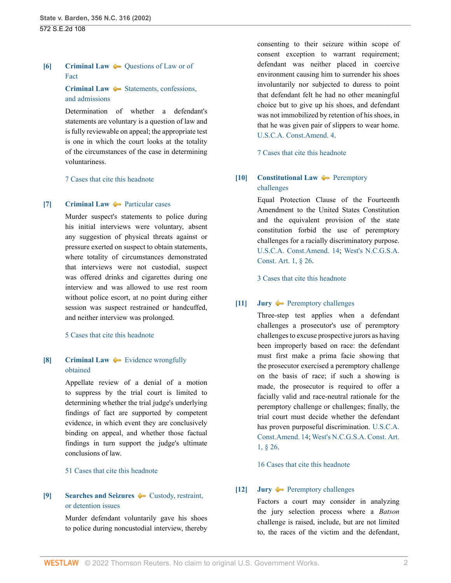## <span id="page-1-0"></span>**[\[6\]](#page-18-2) [Criminal Law](http://www.westlaw.com/Browse/Home/KeyNumber/110/View.html?docGuid=Ia3aa668203d211da83e7e9deff98dc6f&originationContext=document&vr=3.0&rs=cblt1.0&transitionType=DocumentItem&contextData=(sc.FindAndPrintPortal))**  $\rightarrow$  [Questions of Law or of](http://www.westlaw.com/Browse/Home/KeyNumber/110k733/View.html?docGuid=Ia3aa668203d211da83e7e9deff98dc6f&originationContext=document&vr=3.0&rs=cblt1.0&transitionType=DocumentItem&contextData=(sc.FindAndPrintPortal)) [Fact](http://www.westlaw.com/Browse/Home/KeyNumber/110k733/View.html?docGuid=Ia3aa668203d211da83e7e9deff98dc6f&originationContext=document&vr=3.0&rs=cblt1.0&transitionType=DocumentItem&contextData=(sc.FindAndPrintPortal))

## **[Criminal Law](http://www.westlaw.com/Browse/Home/KeyNumber/110/View.html?docGuid=Ia3aa668203d211da83e7e9deff98dc6f&originationContext=document&vr=3.0&rs=cblt1.0&transitionType=DocumentItem&contextData=(sc.FindAndPrintPortal))**  $\blacklozenge$  [Statements, confessions,](http://www.westlaw.com/Browse/Home/KeyNumber/110k1134.49(3)/View.html?docGuid=Ia3aa668203d211da83e7e9deff98dc6f&originationContext=document&vr=3.0&rs=cblt1.0&transitionType=DocumentItem&contextData=(sc.FindAndPrintPortal)) [and admissions](http://www.westlaw.com/Browse/Home/KeyNumber/110k1134.49(3)/View.html?docGuid=Ia3aa668203d211da83e7e9deff98dc6f&originationContext=document&vr=3.0&rs=cblt1.0&transitionType=DocumentItem&contextData=(sc.FindAndPrintPortal))

Determination of whether a defendant's statements are voluntary is a question of law and is fully reviewable on appeal; the appropriate test is one in which the court looks at the totality of the circumstances of the case in determining voluntariness.

### [7 Cases that cite this headnote](http://www.westlaw.com/Link/RelatedInformation/DocHeadnoteLink?docGuid=Ia3aa668203d211da83e7e9deff98dc6f&headnoteId=200274042900620190625003639&originationContext=document&vr=3.0&rs=cblt1.0&transitionType=CitingReferences&contextData=(sc.FindAndPrintPortal))

### <span id="page-1-1"></span>**[\[7\]](#page-19-0) [Criminal Law](http://www.westlaw.com/Browse/Home/KeyNumber/110/View.html?docGuid=Ia3aa668203d211da83e7e9deff98dc6f&originationContext=document&vr=3.0&rs=cblt1.0&transitionType=DocumentItem&contextData=(sc.FindAndPrintPortal))**  $\rightarrow$  [Particular cases](http://www.westlaw.com/Browse/Home/KeyNumber/110k410.78/View.html?docGuid=Ia3aa668203d211da83e7e9deff98dc6f&originationContext=document&vr=3.0&rs=cblt1.0&transitionType=DocumentItem&contextData=(sc.FindAndPrintPortal))

Murder suspect's statements to police during his initial interviews were voluntary, absent any suggestion of physical threats against or pressure exerted on suspect to obtain statements, where totality of circumstances demonstrated that interviews were not custodial, suspect was offered drinks and cigarettes during one interview and was allowed to use rest room without police escort, at no point during either session was suspect restrained or handcuffed, and neither interview was prolonged.

### [5 Cases that cite this headnote](http://www.westlaw.com/Link/RelatedInformation/DocHeadnoteLink?docGuid=Ia3aa668203d211da83e7e9deff98dc6f&headnoteId=200274042900720190625003639&originationContext=document&vr=3.0&rs=cblt1.0&transitionType=CitingReferences&contextData=(sc.FindAndPrintPortal))

# <span id="page-1-2"></span>**[\[8\]](#page-19-1) [Criminal Law](http://www.westlaw.com/Browse/Home/KeyNumber/110/View.html?docGuid=Ia3aa668203d211da83e7e9deff98dc6f&originationContext=document&vr=3.0&rs=cblt1.0&transitionType=DocumentItem&contextData=(sc.FindAndPrintPortal))**  $\blacktriangleright$  [Evidence wrongfully](http://www.westlaw.com/Browse/Home/KeyNumber/110k1158.12/View.html?docGuid=Ia3aa668203d211da83e7e9deff98dc6f&originationContext=document&vr=3.0&rs=cblt1.0&transitionType=DocumentItem&contextData=(sc.FindAndPrintPortal)) [obtained](http://www.westlaw.com/Browse/Home/KeyNumber/110k1158.12/View.html?docGuid=Ia3aa668203d211da83e7e9deff98dc6f&originationContext=document&vr=3.0&rs=cblt1.0&transitionType=DocumentItem&contextData=(sc.FindAndPrintPortal))

Appellate review of a denial of a motion to suppress by the trial court is limited to determining whether the trial judge's underlying findings of fact are supported by competent evidence, in which event they are conclusively binding on appeal, and whether those factual findings in turn support the judge's ultimate conclusions of law.

#### [51 Cases that cite this headnote](http://www.westlaw.com/Link/RelatedInformation/DocHeadnoteLink?docGuid=Ia3aa668203d211da83e7e9deff98dc6f&headnoteId=200274042900820190625003639&originationContext=document&vr=3.0&rs=cblt1.0&transitionType=CitingReferences&contextData=(sc.FindAndPrintPortal))

## <span id="page-1-3"></span>**[\[9\]](#page-20-0) [Searches and Seizures](http://www.westlaw.com/Browse/Home/KeyNumber/349/View.html?docGuid=Ia3aa668203d211da83e7e9deff98dc6f&originationContext=document&vr=3.0&rs=cblt1.0&transitionType=DocumentItem&contextData=(sc.FindAndPrintPortal))**  $\blacklozenge$  [Custody, restraint,](http://www.westlaw.com/Browse/Home/KeyNumber/349k184/View.html?docGuid=Ia3aa668203d211da83e7e9deff98dc6f&originationContext=document&vr=3.0&rs=cblt1.0&transitionType=DocumentItem&contextData=(sc.FindAndPrintPortal)) [or detention issues](http://www.westlaw.com/Browse/Home/KeyNumber/349k184/View.html?docGuid=Ia3aa668203d211da83e7e9deff98dc6f&originationContext=document&vr=3.0&rs=cblt1.0&transitionType=DocumentItem&contextData=(sc.FindAndPrintPortal))

Murder defendant voluntarily gave his shoes to police during noncustodial interview, thereby

consenting to their seizure within scope of consent exception to warrant requirement; defendant was neither placed in coercive environment causing him to surrender his shoes involuntarily nor subjected to duress to point that defendant felt he had no other meaningful choice but to give up his shoes, and defendant was not immobilized by retention of his shoes, in that he was given pair of slippers to wear home. [U.S.C.A. Const.Amend. 4.](http://www.westlaw.com/Link/Document/FullText?findType=L&pubNum=1000583&cite=USCOAMENDIV&originatingDoc=Ia3aa668203d211da83e7e9deff98dc6f&refType=LQ&originationContext=document&vr=3.0&rs=cblt1.0&transitionType=DocumentItem&contextData=(sc.FindAndPrintPortal))

[7 Cases that cite this headnote](http://www.westlaw.com/Link/RelatedInformation/DocHeadnoteLink?docGuid=Ia3aa668203d211da83e7e9deff98dc6f&headnoteId=200274042900920190625003639&originationContext=document&vr=3.0&rs=cblt1.0&transitionType=CitingReferences&contextData=(sc.FindAndPrintPortal))

## <span id="page-1-4"></span>**[\[10\]](#page-20-1) [Constitutional Law](http://www.westlaw.com/Browse/Home/KeyNumber/92/View.html?docGuid=Ia3aa668203d211da83e7e9deff98dc6f&originationContext=document&vr=3.0&rs=cblt1.0&transitionType=DocumentItem&contextData=(sc.FindAndPrintPortal)) [Peremptory](http://www.westlaw.com/Browse/Home/KeyNumber/92k3309/View.html?docGuid=Ia3aa668203d211da83e7e9deff98dc6f&originationContext=document&vr=3.0&rs=cblt1.0&transitionType=DocumentItem&contextData=(sc.FindAndPrintPortal))** [challenges](http://www.westlaw.com/Browse/Home/KeyNumber/92k3309/View.html?docGuid=Ia3aa668203d211da83e7e9deff98dc6f&originationContext=document&vr=3.0&rs=cblt1.0&transitionType=DocumentItem&contextData=(sc.FindAndPrintPortal))

Equal Protection Clause of the Fourteenth Amendment to the United States Constitution and the equivalent provision of the state constitution forbid the use of peremptory challenges for a racially discriminatory purpose. [U.S.C.A. Const.Amend. 14;](http://www.westlaw.com/Link/Document/FullText?findType=L&pubNum=1000583&cite=USCOAMENDXIV&originatingDoc=Ia3aa668203d211da83e7e9deff98dc6f&refType=LQ&originationContext=document&vr=3.0&rs=cblt1.0&transitionType=DocumentItem&contextData=(sc.FindAndPrintPortal)) [West's N.C.G.S.A.](http://www.westlaw.com/Link/Document/FullText?findType=L&pubNum=1000037&cite=NCCNART1S26&originatingDoc=Ia3aa668203d211da83e7e9deff98dc6f&refType=LQ&originationContext=document&vr=3.0&rs=cblt1.0&transitionType=DocumentItem&contextData=(sc.FindAndPrintPortal)) [Const. Art. 1, § 26.](http://www.westlaw.com/Link/Document/FullText?findType=L&pubNum=1000037&cite=NCCNART1S26&originatingDoc=Ia3aa668203d211da83e7e9deff98dc6f&refType=LQ&originationContext=document&vr=3.0&rs=cblt1.0&transitionType=DocumentItem&contextData=(sc.FindAndPrintPortal))

[3 Cases that cite this headnote](http://www.westlaw.com/Link/RelatedInformation/DocHeadnoteLink?docGuid=Ia3aa668203d211da83e7e9deff98dc6f&headnoteId=200274042901020190625003639&originationContext=document&vr=3.0&rs=cblt1.0&transitionType=CitingReferences&contextData=(sc.FindAndPrintPortal))

### <span id="page-1-5"></span>**[\[11\]](#page-20-2) [Jury](http://www.westlaw.com/Browse/Home/KeyNumber/230/View.html?docGuid=Ia3aa668203d211da83e7e9deff98dc6f&originationContext=document&vr=3.0&rs=cblt1.0&transitionType=DocumentItem&contextData=(sc.FindAndPrintPortal))**  $\rightarrow$  [Peremptory challenges](http://www.westlaw.com/Browse/Home/KeyNumber/230k33(5.15)/View.html?docGuid=Ia3aa668203d211da83e7e9deff98dc6f&originationContext=document&vr=3.0&rs=cblt1.0&transitionType=DocumentItem&contextData=(sc.FindAndPrintPortal))

Three-step test applies when a defendant challenges a prosecutor's use of peremptory challenges to excuse prospective jurors as having been improperly based on race: the defendant must first make a prima facie showing that the prosecutor exercised a peremptory challenge on the basis of race; if such a showing is made, the prosecutor is required to offer a facially valid and race-neutral rationale for the peremptory challenge or challenges; finally, the trial court must decide whether the defendant has proven purposeful discrimination. [U.S.C.A.](http://www.westlaw.com/Link/Document/FullText?findType=L&pubNum=1000583&cite=USCOAMENDXIV&originatingDoc=Ia3aa668203d211da83e7e9deff98dc6f&refType=LQ&originationContext=document&vr=3.0&rs=cblt1.0&transitionType=DocumentItem&contextData=(sc.FindAndPrintPortal)) [Const.Amend. 14](http://www.westlaw.com/Link/Document/FullText?findType=L&pubNum=1000583&cite=USCOAMENDXIV&originatingDoc=Ia3aa668203d211da83e7e9deff98dc6f&refType=LQ&originationContext=document&vr=3.0&rs=cblt1.0&transitionType=DocumentItem&contextData=(sc.FindAndPrintPortal)); [West's N.C.G.S.A. Const. Art.](http://www.westlaw.com/Link/Document/FullText?findType=L&pubNum=1000037&cite=NCCNART1S26&originatingDoc=Ia3aa668203d211da83e7e9deff98dc6f&refType=LQ&originationContext=document&vr=3.0&rs=cblt1.0&transitionType=DocumentItem&contextData=(sc.FindAndPrintPortal)) [1, § 26](http://www.westlaw.com/Link/Document/FullText?findType=L&pubNum=1000037&cite=NCCNART1S26&originatingDoc=Ia3aa668203d211da83e7e9deff98dc6f&refType=LQ&originationContext=document&vr=3.0&rs=cblt1.0&transitionType=DocumentItem&contextData=(sc.FindAndPrintPortal)).

[16 Cases that cite this headnote](http://www.westlaw.com/Link/RelatedInformation/DocHeadnoteLink?docGuid=Ia3aa668203d211da83e7e9deff98dc6f&headnoteId=200274042901120190625003639&originationContext=document&vr=3.0&rs=cblt1.0&transitionType=CitingReferences&contextData=(sc.FindAndPrintPortal))

### <span id="page-1-6"></span>**[\[12\]](#page-20-3) [Jury](http://www.westlaw.com/Browse/Home/KeyNumber/230/View.html?docGuid=Ia3aa668203d211da83e7e9deff98dc6f&originationContext=document&vr=3.0&rs=cblt1.0&transitionType=DocumentItem&contextData=(sc.FindAndPrintPortal))**  $\rightarrow$  [Peremptory challenges](http://www.westlaw.com/Browse/Home/KeyNumber/230k33(5.15)/View.html?docGuid=Ia3aa668203d211da83e7e9deff98dc6f&originationContext=document&vr=3.0&rs=cblt1.0&transitionType=DocumentItem&contextData=(sc.FindAndPrintPortal))

Factors a court may consider in analyzing the jury selection process where a *Batson* challenge is raised, include, but are not limited to, the races of the victim and the defendant,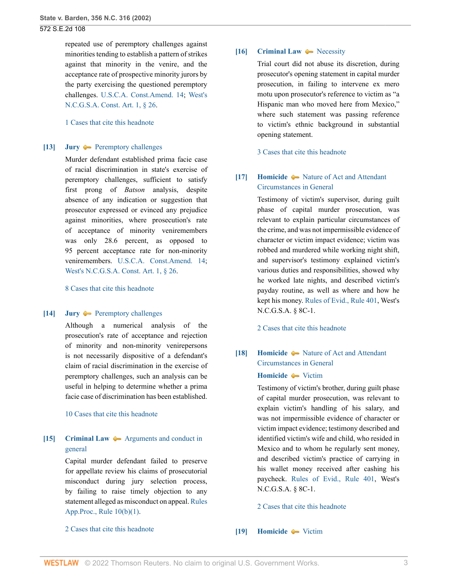repeated use of peremptory challenges against minorities tending to establish a pattern of strikes against that minority in the venire, and the acceptance rate of prospective minority jurors by the party exercising the questioned peremptory challenges. [U.S.C.A. Const.Amend. 14](http://www.westlaw.com/Link/Document/FullText?findType=L&pubNum=1000583&cite=USCOAMENDXIV&originatingDoc=Ia3aa668203d211da83e7e9deff98dc6f&refType=LQ&originationContext=document&vr=3.0&rs=cblt1.0&transitionType=DocumentItem&contextData=(sc.FindAndPrintPortal)); [West's](http://www.westlaw.com/Link/Document/FullText?findType=L&pubNum=1000037&cite=NCCNART1S26&originatingDoc=Ia3aa668203d211da83e7e9deff98dc6f&refType=LQ&originationContext=document&vr=3.0&rs=cblt1.0&transitionType=DocumentItem&contextData=(sc.FindAndPrintPortal)) [N.C.G.S.A. Const. Art. 1, § 26.](http://www.westlaw.com/Link/Document/FullText?findType=L&pubNum=1000037&cite=NCCNART1S26&originatingDoc=Ia3aa668203d211da83e7e9deff98dc6f&refType=LQ&originationContext=document&vr=3.0&rs=cblt1.0&transitionType=DocumentItem&contextData=(sc.FindAndPrintPortal))

[1 Cases that cite this headnote](http://www.westlaw.com/Link/RelatedInformation/DocHeadnoteLink?docGuid=Ia3aa668203d211da83e7e9deff98dc6f&headnoteId=200274042901220190625003639&originationContext=document&vr=3.0&rs=cblt1.0&transitionType=CitingReferences&contextData=(sc.FindAndPrintPortal))

#### <span id="page-2-0"></span>**[\[13\]](#page-21-0) [Jury](http://www.westlaw.com/Browse/Home/KeyNumber/230/View.html?docGuid=Ia3aa668203d211da83e7e9deff98dc6f&originationContext=document&vr=3.0&rs=cblt1.0&transitionType=DocumentItem&contextData=(sc.FindAndPrintPortal)) —** [Peremptory challenges](http://www.westlaw.com/Browse/Home/KeyNumber/230k33(5.15)/View.html?docGuid=Ia3aa668203d211da83e7e9deff98dc6f&originationContext=document&vr=3.0&rs=cblt1.0&transitionType=DocumentItem&contextData=(sc.FindAndPrintPortal))

Murder defendant established prima facie case of racial discrimination in state's exercise of peremptory challenges, sufficient to satisfy first prong of *Batson* analysis, despite absence of any indication or suggestion that prosecutor expressed or evinced any prejudice against minorities, where prosecution's rate of acceptance of minority veniremembers was only 28.6 percent, as opposed to 95 percent acceptance rate for non-minority veniremembers. [U.S.C.A. Const.Amend. 14;](http://www.westlaw.com/Link/Document/FullText?findType=L&pubNum=1000583&cite=USCOAMENDXIV&originatingDoc=Ia3aa668203d211da83e7e9deff98dc6f&refType=LQ&originationContext=document&vr=3.0&rs=cblt1.0&transitionType=DocumentItem&contextData=(sc.FindAndPrintPortal)) [West's N.C.G.S.A. Const. Art. 1, § 26](http://www.westlaw.com/Link/Document/FullText?findType=L&pubNum=1000037&cite=NCCNART1S26&originatingDoc=Ia3aa668203d211da83e7e9deff98dc6f&refType=LQ&originationContext=document&vr=3.0&rs=cblt1.0&transitionType=DocumentItem&contextData=(sc.FindAndPrintPortal)).

[8 Cases that cite this headnote](http://www.westlaw.com/Link/RelatedInformation/DocHeadnoteLink?docGuid=Ia3aa668203d211da83e7e9deff98dc6f&headnoteId=200274042901320190625003639&originationContext=document&vr=3.0&rs=cblt1.0&transitionType=CitingReferences&contextData=(sc.FindAndPrintPortal))

### <span id="page-2-1"></span>**[\[14\]](#page-21-1) [Jury](http://www.westlaw.com/Browse/Home/KeyNumber/230/View.html?docGuid=Ia3aa668203d211da83e7e9deff98dc6f&originationContext=document&vr=3.0&rs=cblt1.0&transitionType=DocumentItem&contextData=(sc.FindAndPrintPortal))**  $\rightarrow$  [Peremptory challenges](http://www.westlaw.com/Browse/Home/KeyNumber/230k33(5.15)/View.html?docGuid=Ia3aa668203d211da83e7e9deff98dc6f&originationContext=document&vr=3.0&rs=cblt1.0&transitionType=DocumentItem&contextData=(sc.FindAndPrintPortal))

Although a numerical analysis of the prosecution's rate of acceptance and rejection of minority and non-minority venirepersons is not necessarily dispositive of a defendant's claim of racial discrimination in the exercise of peremptory challenges, such an analysis can be useful in helping to determine whether a prima facie case of discrimination has been established.

[10 Cases that cite this headnote](http://www.westlaw.com/Link/RelatedInformation/DocHeadnoteLink?docGuid=Ia3aa668203d211da83e7e9deff98dc6f&headnoteId=200274042901420190625003639&originationContext=document&vr=3.0&rs=cblt1.0&transitionType=CitingReferences&contextData=(sc.FindAndPrintPortal))

## <span id="page-2-2"></span>**[\[15\]](#page-22-0) [Criminal Law](http://www.westlaw.com/Browse/Home/KeyNumber/110/View.html?docGuid=Ia3aa668203d211da83e7e9deff98dc6f&originationContext=document&vr=3.0&rs=cblt1.0&transitionType=DocumentItem&contextData=(sc.FindAndPrintPortal))**  $\rightarrow$  [Arguments and conduct in](http://www.westlaw.com/Browse/Home/KeyNumber/110k1037.1(1)/View.html?docGuid=Ia3aa668203d211da83e7e9deff98dc6f&originationContext=document&vr=3.0&rs=cblt1.0&transitionType=DocumentItem&contextData=(sc.FindAndPrintPortal)) [general](http://www.westlaw.com/Browse/Home/KeyNumber/110k1037.1(1)/View.html?docGuid=Ia3aa668203d211da83e7e9deff98dc6f&originationContext=document&vr=3.0&rs=cblt1.0&transitionType=DocumentItem&contextData=(sc.FindAndPrintPortal))

Capital murder defendant failed to preserve for appellate review his claims of prosecutorial misconduct during jury selection process, by failing to raise timely objection to any statement alleged as misconduct on appeal. [Rules](http://www.westlaw.com/Link/Document/FullText?findType=L&pubNum=1006366&cite=NCRRAPAPPR10&originatingDoc=Ia3aa668203d211da83e7e9deff98dc6f&refType=LQ&originationContext=document&vr=3.0&rs=cblt1.0&transitionType=DocumentItem&contextData=(sc.FindAndPrintPortal)) [App.Proc., Rule 10\(b\)\(1\).](http://www.westlaw.com/Link/Document/FullText?findType=L&pubNum=1006366&cite=NCRRAPAPPR10&originatingDoc=Ia3aa668203d211da83e7e9deff98dc6f&refType=LQ&originationContext=document&vr=3.0&rs=cblt1.0&transitionType=DocumentItem&contextData=(sc.FindAndPrintPortal))

### [2 Cases that cite this headnote](http://www.westlaw.com/Link/RelatedInformation/DocHeadnoteLink?docGuid=Ia3aa668203d211da83e7e9deff98dc6f&headnoteId=200274042901520190625003639&originationContext=document&vr=3.0&rs=cblt1.0&transitionType=CitingReferences&contextData=(sc.FindAndPrintPortal))

### <span id="page-2-3"></span>**[\[16\]](#page-22-1) [Criminal Law](http://www.westlaw.com/Browse/Home/KeyNumber/110/View.html?docGuid=Ia3aa668203d211da83e7e9deff98dc6f&originationContext=document&vr=3.0&rs=cblt1.0&transitionType=DocumentItem&contextData=(sc.FindAndPrintPortal))**  $\blacktriangleright$  [Necessity](http://www.westlaw.com/Browse/Home/KeyNumber/110k2186/View.html?docGuid=Ia3aa668203d211da83e7e9deff98dc6f&originationContext=document&vr=3.0&rs=cblt1.0&transitionType=DocumentItem&contextData=(sc.FindAndPrintPortal))

Trial court did not abuse its discretion, during prosecutor's opening statement in capital murder prosecution, in failing to intervene ex mero motu upon prosecutor's reference to victim as "a Hispanic man who moved here from Mexico," where such statement was passing reference to victim's ethnic background in substantial opening statement.

[3 Cases that cite this headnote](http://www.westlaw.com/Link/RelatedInformation/DocHeadnoteLink?docGuid=Ia3aa668203d211da83e7e9deff98dc6f&headnoteId=200274042901620190625003639&originationContext=document&vr=3.0&rs=cblt1.0&transitionType=CitingReferences&contextData=(sc.FindAndPrintPortal))

## <span id="page-2-4"></span>**[\[17\]](#page-22-2) [Homicide](http://www.westlaw.com/Browse/Home/KeyNumber/203/View.html?docGuid=Ia3aa668203d211da83e7e9deff98dc6f&originationContext=document&vr=3.0&rs=cblt1.0&transitionType=DocumentItem&contextData=(sc.FindAndPrintPortal))**  $\blacklozenge$  **[Nature of Act and Attendant](http://www.westlaw.com/Browse/Home/KeyNumber/203k974/View.html?docGuid=Ia3aa668203d211da83e7e9deff98dc6f&originationContext=document&vr=3.0&rs=cblt1.0&transitionType=DocumentItem&contextData=(sc.FindAndPrintPortal))** [Circumstances in General](http://www.westlaw.com/Browse/Home/KeyNumber/203k974/View.html?docGuid=Ia3aa668203d211da83e7e9deff98dc6f&originationContext=document&vr=3.0&rs=cblt1.0&transitionType=DocumentItem&contextData=(sc.FindAndPrintPortal))

Testimony of victim's supervisor, during guilt phase of capital murder prosecution, was relevant to explain particular circumstances of the crime, and was not impermissible evidence of character or victim impact evidence; victim was robbed and murdered while working night shift, and supervisor's testimony explained victim's various duties and responsibilities, showed why he worked late nights, and described victim's payday routine, as well as where and how he kept his money. [Rules of Evid., Rule 401](http://www.westlaw.com/Link/Document/FullText?findType=L&pubNum=1000710&cite=NCSTEVS8C-1R401&originatingDoc=Ia3aa668203d211da83e7e9deff98dc6f&refType=LQ&originationContext=document&vr=3.0&rs=cblt1.0&transitionType=DocumentItem&contextData=(sc.FindAndPrintPortal)), West's N.C.G.S.A. § 8C-1.

[2 Cases that cite this headnote](http://www.westlaw.com/Link/RelatedInformation/DocHeadnoteLink?docGuid=Ia3aa668203d211da83e7e9deff98dc6f&headnoteId=200274042901720190625003639&originationContext=document&vr=3.0&rs=cblt1.0&transitionType=CitingReferences&contextData=(sc.FindAndPrintPortal))

# <span id="page-2-5"></span>**[\[18\]](#page-24-0) [Homicide](http://www.westlaw.com/Browse/Home/KeyNumber/203/View.html?docGuid=Ia3aa668203d211da83e7e9deff98dc6f&originationContext=document&vr=3.0&rs=cblt1.0&transitionType=DocumentItem&contextData=(sc.FindAndPrintPortal))**  $\blacktriangleright$  [Nature of Act and Attendant](http://www.westlaw.com/Browse/Home/KeyNumber/203k974/View.html?docGuid=Ia3aa668203d211da83e7e9deff98dc6f&originationContext=document&vr=3.0&rs=cblt1.0&transitionType=DocumentItem&contextData=(sc.FindAndPrintPortal)) [Circumstances in General](http://www.westlaw.com/Browse/Home/KeyNumber/203k974/View.html?docGuid=Ia3aa668203d211da83e7e9deff98dc6f&originationContext=document&vr=3.0&rs=cblt1.0&transitionType=DocumentItem&contextData=(sc.FindAndPrintPortal))

### **[Homicide](http://www.westlaw.com/Browse/Home/KeyNumber/203/View.html?docGuid=Ia3aa668203d211da83e7e9deff98dc6f&originationContext=document&vr=3.0&rs=cblt1.0&transitionType=DocumentItem&contextData=(sc.FindAndPrintPortal))**  $\rightarrow$  [Victim](http://www.westlaw.com/Browse/Home/KeyNumber/203k997/View.html?docGuid=Ia3aa668203d211da83e7e9deff98dc6f&originationContext=document&vr=3.0&rs=cblt1.0&transitionType=DocumentItem&contextData=(sc.FindAndPrintPortal))

Testimony of victim's brother, during guilt phase of capital murder prosecution, was relevant to explain victim's handling of his salary, and was not impermissible evidence of character or victim impact evidence; testimony described and identified victim's wife and child, who resided in Mexico and to whom he regularly sent money, and described victim's practice of carrying in his wallet money received after cashing his paycheck. [Rules of Evid., Rule 401,](http://www.westlaw.com/Link/Document/FullText?findType=L&pubNum=1000710&cite=NCSTEVS8C-1R401&originatingDoc=Ia3aa668203d211da83e7e9deff98dc6f&refType=LQ&originationContext=document&vr=3.0&rs=cblt1.0&transitionType=DocumentItem&contextData=(sc.FindAndPrintPortal)) West's N.C.G.S.A. § 8C-1.

[2 Cases that cite this headnote](http://www.westlaw.com/Link/RelatedInformation/DocHeadnoteLink?docGuid=Ia3aa668203d211da83e7e9deff98dc6f&headnoteId=200274042901820190625003639&originationContext=document&vr=3.0&rs=cblt1.0&transitionType=CitingReferences&contextData=(sc.FindAndPrintPortal))

### <span id="page-2-6"></span>**[\[19\]](#page-24-1) [Homicide](http://www.westlaw.com/Browse/Home/KeyNumber/203/View.html?docGuid=Ia3aa668203d211da83e7e9deff98dc6f&originationContext=document&vr=3.0&rs=cblt1.0&transitionType=DocumentItem&contextData=(sc.FindAndPrintPortal))** [Victim](http://www.westlaw.com/Browse/Home/KeyNumber/203k997/View.html?docGuid=Ia3aa668203d211da83e7e9deff98dc6f&originationContext=document&vr=3.0&rs=cblt1.0&transitionType=DocumentItem&contextData=(sc.FindAndPrintPortal))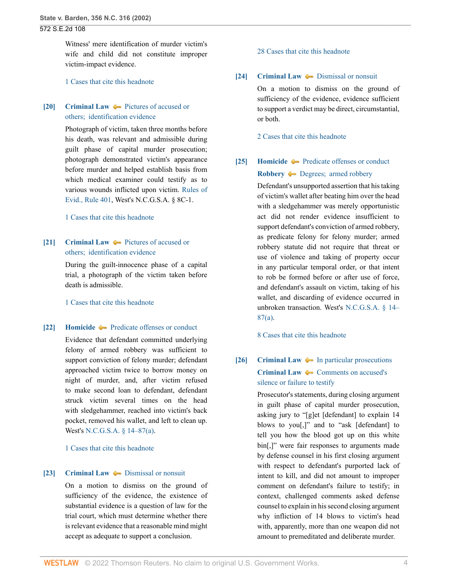Witness' mere identification of murder victim's wife and child did not constitute improper victim-impact evidence.

[1 Cases that cite this headnote](http://www.westlaw.com/Link/RelatedInformation/DocHeadnoteLink?docGuid=Ia3aa668203d211da83e7e9deff98dc6f&headnoteId=200274042901920190625003639&originationContext=document&vr=3.0&rs=cblt1.0&transitionType=CitingReferences&contextData=(sc.FindAndPrintPortal))

## <span id="page-3-0"></span>**[\[20\]](#page-24-2) [Criminal Law](http://www.westlaw.com/Browse/Home/KeyNumber/110/View.html?docGuid=Ia3aa668203d211da83e7e9deff98dc6f&originationContext=document&vr=3.0&rs=cblt1.0&transitionType=DocumentItem&contextData=(sc.FindAndPrintPortal))**  $\rightarrow$  [Pictures of accused or](http://www.westlaw.com/Browse/Home/KeyNumber/110k438(3)/View.html?docGuid=Ia3aa668203d211da83e7e9deff98dc6f&originationContext=document&vr=3.0&rs=cblt1.0&transitionType=DocumentItem&contextData=(sc.FindAndPrintPortal)) [others;  identification evidence](http://www.westlaw.com/Browse/Home/KeyNumber/110k438(3)/View.html?docGuid=Ia3aa668203d211da83e7e9deff98dc6f&originationContext=document&vr=3.0&rs=cblt1.0&transitionType=DocumentItem&contextData=(sc.FindAndPrintPortal))

Photograph of victim, taken three months before his death, was relevant and admissible during guilt phase of capital murder prosecution; photograph demonstrated victim's appearance before murder and helped establish basis from which medical examiner could testify as to various wounds inflicted upon victim. [Rules of](http://www.westlaw.com/Link/Document/FullText?findType=L&pubNum=1000710&cite=NCSTEVS8C-1R401&originatingDoc=Ia3aa668203d211da83e7e9deff98dc6f&refType=LQ&originationContext=document&vr=3.0&rs=cblt1.0&transitionType=DocumentItem&contextData=(sc.FindAndPrintPortal)) [Evid., Rule 401](http://www.westlaw.com/Link/Document/FullText?findType=L&pubNum=1000710&cite=NCSTEVS8C-1R401&originatingDoc=Ia3aa668203d211da83e7e9deff98dc6f&refType=LQ&originationContext=document&vr=3.0&rs=cblt1.0&transitionType=DocumentItem&contextData=(sc.FindAndPrintPortal)), West's N.C.G.S.A. § 8C-1.

[1 Cases that cite this headnote](http://www.westlaw.com/Link/RelatedInformation/DocHeadnoteLink?docGuid=Ia3aa668203d211da83e7e9deff98dc6f&headnoteId=200274042902020190625003639&originationContext=document&vr=3.0&rs=cblt1.0&transitionType=CitingReferences&contextData=(sc.FindAndPrintPortal))

# <span id="page-3-1"></span>**[\[21\]](#page-24-3) [Criminal Law](http://www.westlaw.com/Browse/Home/KeyNumber/110/View.html?docGuid=Ia3aa668203d211da83e7e9deff98dc6f&originationContext=document&vr=3.0&rs=cblt1.0&transitionType=DocumentItem&contextData=(sc.FindAndPrintPortal))**  $\blacktriangleright$  [Pictures of accused or](http://www.westlaw.com/Browse/Home/KeyNumber/110k438(3)/View.html?docGuid=Ia3aa668203d211da83e7e9deff98dc6f&originationContext=document&vr=3.0&rs=cblt1.0&transitionType=DocumentItem&contextData=(sc.FindAndPrintPortal)) [others;  identification evidence](http://www.westlaw.com/Browse/Home/KeyNumber/110k438(3)/View.html?docGuid=Ia3aa668203d211da83e7e9deff98dc6f&originationContext=document&vr=3.0&rs=cblt1.0&transitionType=DocumentItem&contextData=(sc.FindAndPrintPortal))

During the guilt-innocence phase of a capital trial, a photograph of the victim taken before death is admissible.

[1 Cases that cite this headnote](http://www.westlaw.com/Link/RelatedInformation/DocHeadnoteLink?docGuid=Ia3aa668203d211da83e7e9deff98dc6f&headnoteId=200274042902120190625003639&originationContext=document&vr=3.0&rs=cblt1.0&transitionType=CitingReferences&contextData=(sc.FindAndPrintPortal))

### <span id="page-3-2"></span>**[\[22\]](#page-25-0) [Homicide](http://www.westlaw.com/Browse/Home/KeyNumber/203/View.html?docGuid=Ia3aa668203d211da83e7e9deff98dc6f&originationContext=document&vr=3.0&rs=cblt1.0&transitionType=DocumentItem&contextData=(sc.FindAndPrintPortal))**  $\blacklozenge$  **[Predicate offenses or conduct](http://www.westlaw.com/Browse/Home/KeyNumber/203k1165/View.html?docGuid=Ia3aa668203d211da83e7e9deff98dc6f&originationContext=document&vr=3.0&rs=cblt1.0&transitionType=DocumentItem&contextData=(sc.FindAndPrintPortal))**

Evidence that defendant committed underlying felony of armed robbery was sufficient to support conviction of felony murder; defendant approached victim twice to borrow money on night of murder, and, after victim refused to make second loan to defendant, defendant struck victim several times on the head with sledgehammer, reached into victim's back pocket, removed his wallet, and left to clean up. West's [N.C.G.S.A. § 14–87\(a\).](http://www.westlaw.com/Link/Document/FullText?findType=L&pubNum=1000037&cite=NCSTS14-87&originatingDoc=Ia3aa668203d211da83e7e9deff98dc6f&refType=SP&originationContext=document&vr=3.0&rs=cblt1.0&transitionType=DocumentItem&contextData=(sc.FindAndPrintPortal)#co_pp_8b3b0000958a4)

[1 Cases that cite this headnote](http://www.westlaw.com/Link/RelatedInformation/DocHeadnoteLink?docGuid=Ia3aa668203d211da83e7e9deff98dc6f&headnoteId=200274042902220190625003639&originationContext=document&vr=3.0&rs=cblt1.0&transitionType=CitingReferences&contextData=(sc.FindAndPrintPortal))

#### <span id="page-3-3"></span>**[\[23\]](#page-25-1) [Criminal Law](http://www.westlaw.com/Browse/Home/KeyNumber/110/View.html?docGuid=Ia3aa668203d211da83e7e9deff98dc6f&originationContext=document&vr=3.0&rs=cblt1.0&transitionType=DocumentItem&contextData=(sc.FindAndPrintPortal))**  $\bullet$  **[Dismissal or nonsuit](http://www.westlaw.com/Browse/Home/KeyNumber/110k752.5/View.html?docGuid=Ia3aa668203d211da83e7e9deff98dc6f&originationContext=document&vr=3.0&rs=cblt1.0&transitionType=DocumentItem&contextData=(sc.FindAndPrintPortal))**

On a motion to dismiss on the ground of sufficiency of the evidence, the existence of substantial evidence is a question of law for the trial court, which must determine whether there is relevant evidence that a reasonable mind might accept as adequate to support a conclusion.

#### [28 Cases that cite this headnote](http://www.westlaw.com/Link/RelatedInformation/DocHeadnoteLink?docGuid=Ia3aa668203d211da83e7e9deff98dc6f&headnoteId=200274042902320190625003639&originationContext=document&vr=3.0&rs=cblt1.0&transitionType=CitingReferences&contextData=(sc.FindAndPrintPortal))

### <span id="page-3-4"></span>**[\[24\]](#page-25-2) [Criminal Law](http://www.westlaw.com/Browse/Home/KeyNumber/110/View.html?docGuid=Ia3aa668203d211da83e7e9deff98dc6f&originationContext=document&vr=3.0&rs=cblt1.0&transitionType=DocumentItem&contextData=(sc.FindAndPrintPortal))**  $\rightarrow$  [Dismissal or nonsuit](http://www.westlaw.com/Browse/Home/KeyNumber/110k752.5/View.html?docGuid=Ia3aa668203d211da83e7e9deff98dc6f&originationContext=document&vr=3.0&rs=cblt1.0&transitionType=DocumentItem&contextData=(sc.FindAndPrintPortal))

On a motion to dismiss on the ground of sufficiency of the evidence, evidence sufficient to support a verdict may be direct, circumstantial, or both.

[2 Cases that cite this headnote](http://www.westlaw.com/Link/RelatedInformation/DocHeadnoteLink?docGuid=Ia3aa668203d211da83e7e9deff98dc6f&headnoteId=200274042902420190625003639&originationContext=document&vr=3.0&rs=cblt1.0&transitionType=CitingReferences&contextData=(sc.FindAndPrintPortal))

# <span id="page-3-5"></span>**[\[25\]](#page-25-3) [Homicide](http://www.westlaw.com/Browse/Home/KeyNumber/203/View.html?docGuid=Ia3aa668203d211da83e7e9deff98dc6f&originationContext=document&vr=3.0&rs=cblt1.0&transitionType=DocumentItem&contextData=(sc.FindAndPrintPortal))**  $\blacklozenge$  **[Predicate offenses or conduct](http://www.westlaw.com/Browse/Home/KeyNumber/203k1165/View.html?docGuid=Ia3aa668203d211da83e7e9deff98dc6f&originationContext=document&vr=3.0&rs=cblt1.0&transitionType=DocumentItem&contextData=(sc.FindAndPrintPortal)) [Robbery](http://www.westlaw.com/Browse/Home/KeyNumber/342/View.html?docGuid=Ia3aa668203d211da83e7e9deff98dc6f&originationContext=document&vr=3.0&rs=cblt1.0&transitionType=DocumentItem&contextData=(sc.FindAndPrintPortal))**  $\bullet\bullet$  Degrees; armed robbery

Defendant's unsupported assertion that his taking of victim's wallet after beating him over the head with a sledgehammer was merely opportunistic act did not render evidence insufficient to support defendant's conviction of armed robbery, as predicate felony for felony murder; armed robbery statute did not require that threat or use of violence and taking of property occur in any particular temporal order, or that intent to rob be formed before or after use of force, and defendant's assault on victim, taking of his wallet, and discarding of evidence occurred in unbroken transaction. West's [N.C.G.S.A. § 14–](http://www.westlaw.com/Link/Document/FullText?findType=L&pubNum=1000037&cite=NCSTS14-87&originatingDoc=Ia3aa668203d211da83e7e9deff98dc6f&refType=SP&originationContext=document&vr=3.0&rs=cblt1.0&transitionType=DocumentItem&contextData=(sc.FindAndPrintPortal)#co_pp_8b3b0000958a4) [87\(a\).](http://www.westlaw.com/Link/Document/FullText?findType=L&pubNum=1000037&cite=NCSTS14-87&originatingDoc=Ia3aa668203d211da83e7e9deff98dc6f&refType=SP&originationContext=document&vr=3.0&rs=cblt1.0&transitionType=DocumentItem&contextData=(sc.FindAndPrintPortal)#co_pp_8b3b0000958a4)

[8 Cases that cite this headnote](http://www.westlaw.com/Link/RelatedInformation/DocHeadnoteLink?docGuid=Ia3aa668203d211da83e7e9deff98dc6f&headnoteId=200274042902520190625003639&originationContext=document&vr=3.0&rs=cblt1.0&transitionType=CitingReferences&contextData=(sc.FindAndPrintPortal))

# <span id="page-3-6"></span>**[\[26\]](#page-26-0) [Criminal Law](http://www.westlaw.com/Browse/Home/KeyNumber/110/View.html?docGuid=Ia3aa668203d211da83e7e9deff98dc6f&originationContext=document&vr=3.0&rs=cblt1.0&transitionType=DocumentItem&contextData=(sc.FindAndPrintPortal))**  $\blacklozenge$  **[In particular prosecutions](http://www.westlaw.com/Browse/Home/KeyNumber/110k2132(2)/View.html?docGuid=Ia3aa668203d211da83e7e9deff98dc6f&originationContext=document&vr=3.0&rs=cblt1.0&transitionType=DocumentItem&contextData=(sc.FindAndPrintPortal)) [Criminal Law](http://www.westlaw.com/Browse/Home/KeyNumber/110/View.html?docGuid=Ia3aa668203d211da83e7e9deff98dc6f&originationContext=document&vr=3.0&rs=cblt1.0&transitionType=DocumentItem&contextData=(sc.FindAndPrintPortal))**  $\bullet\bullet$  [Comments on accused's](http://www.westlaw.com/Browse/Home/KeyNumber/110k2176/View.html?docGuid=Ia3aa668203d211da83e7e9deff98dc6f&originationContext=document&vr=3.0&rs=cblt1.0&transitionType=DocumentItem&contextData=(sc.FindAndPrintPortal)) [silence or failure to testify](http://www.westlaw.com/Browse/Home/KeyNumber/110k2176/View.html?docGuid=Ia3aa668203d211da83e7e9deff98dc6f&originationContext=document&vr=3.0&rs=cblt1.0&transitionType=DocumentItem&contextData=(sc.FindAndPrintPortal))

Prosecutor's statements, during closing argument in guilt phase of capital murder prosecution, asking jury to "[g]et [defendant] to explain 14 blows to you[,]" and to "ask [defendant] to tell you how the blood got up on this white bin[,]" were fair responses to arguments made by defense counsel in his first closing argument with respect to defendant's purported lack of intent to kill, and did not amount to improper comment on defendant's failure to testify; in context, challenged comments asked defense counsel to explain in his second closing argument why infliction of 14 blows to victim's head with, apparently, more than one weapon did not amount to premeditated and deliberate murder.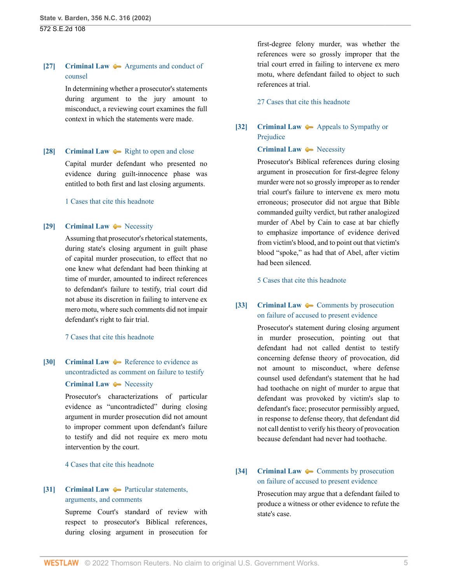## <span id="page-4-0"></span>**[\[27\]](#page-26-1) [Criminal Law](http://www.westlaw.com/Browse/Home/KeyNumber/110/View.html?docGuid=Ia3aa668203d211da83e7e9deff98dc6f&originationContext=document&vr=3.0&rs=cblt1.0&transitionType=DocumentItem&contextData=(sc.FindAndPrintPortal))**  $\rightarrow$  [Arguments and conduct of](http://www.westlaw.com/Browse/Home/KeyNumber/110k1134.16/View.html?docGuid=Ia3aa668203d211da83e7e9deff98dc6f&originationContext=document&vr=3.0&rs=cblt1.0&transitionType=DocumentItem&contextData=(sc.FindAndPrintPortal)) [counsel](http://www.westlaw.com/Browse/Home/KeyNumber/110k1134.16/View.html?docGuid=Ia3aa668203d211da83e7e9deff98dc6f&originationContext=document&vr=3.0&rs=cblt1.0&transitionType=DocumentItem&contextData=(sc.FindAndPrintPortal))

In determining whether a prosecutor's statements during argument to the jury amount to misconduct, a reviewing court examines the full context in which the statements were made.

### <span id="page-4-1"></span>**[\[28\]](#page-26-2) [Criminal Law](http://www.westlaw.com/Browse/Home/KeyNumber/110/View.html?docGuid=Ia3aa668203d211da83e7e9deff98dc6f&originationContext=document&vr=3.0&rs=cblt1.0&transitionType=DocumentItem&contextData=(sc.FindAndPrintPortal))**  $\rightarrow$  [Right to open and close](http://www.westlaw.com/Browse/Home/KeyNumber/110k645/View.html?docGuid=Ia3aa668203d211da83e7e9deff98dc6f&originationContext=document&vr=3.0&rs=cblt1.0&transitionType=DocumentItem&contextData=(sc.FindAndPrintPortal))

Capital murder defendant who presented no evidence during guilt-innocence phase was entitled to both first and last closing arguments.

[1 Cases that cite this headnote](http://www.westlaw.com/Link/RelatedInformation/DocHeadnoteLink?docGuid=Ia3aa668203d211da83e7e9deff98dc6f&headnoteId=200274042902820190625003639&originationContext=document&vr=3.0&rs=cblt1.0&transitionType=CitingReferences&contextData=(sc.FindAndPrintPortal))

### <span id="page-4-2"></span>**[\[29\]](#page-27-0) [Criminal Law](http://www.westlaw.com/Browse/Home/KeyNumber/110/View.html?docGuid=Ia3aa668203d211da83e7e9deff98dc6f&originationContext=document&vr=3.0&rs=cblt1.0&transitionType=DocumentItem&contextData=(sc.FindAndPrintPortal))**  $\blacklozenge$  **[Necessity](http://www.westlaw.com/Browse/Home/KeyNumber/110k2186/View.html?docGuid=Ia3aa668203d211da83e7e9deff98dc6f&originationContext=document&vr=3.0&rs=cblt1.0&transitionType=DocumentItem&contextData=(sc.FindAndPrintPortal))**

Assuming that prosecutor's rhetorical statements, during state's closing argument in guilt phase of capital murder prosecution, to effect that no one knew what defendant had been thinking at time of murder, amounted to indirect references to defendant's failure to testify, trial court did not abuse its discretion in failing to intervene ex mero motu, where such comments did not impair defendant's right to fair trial.

### [7 Cases that cite this headnote](http://www.westlaw.com/Link/RelatedInformation/DocHeadnoteLink?docGuid=Ia3aa668203d211da83e7e9deff98dc6f&headnoteId=200274042902920190625003639&originationContext=document&vr=3.0&rs=cblt1.0&transitionType=CitingReferences&contextData=(sc.FindAndPrintPortal))

# <span id="page-4-3"></span>**[\[30\]](#page-27-1) [Criminal Law](http://www.westlaw.com/Browse/Home/KeyNumber/110/View.html?docGuid=Ia3aa668203d211da83e7e9deff98dc6f&originationContext=document&vr=3.0&rs=cblt1.0&transitionType=DocumentItem&contextData=(sc.FindAndPrintPortal))**  $\blacklozenge$  **[Reference to evidence as](http://www.westlaw.com/Browse/Home/KeyNumber/110k2132(5)/View.html?docGuid=Ia3aa668203d211da83e7e9deff98dc6f&originationContext=document&vr=3.0&rs=cblt1.0&transitionType=DocumentItem&contextData=(sc.FindAndPrintPortal))** [uncontradicted as comment on failure to testify](http://www.westlaw.com/Browse/Home/KeyNumber/110k2132(5)/View.html?docGuid=Ia3aa668203d211da83e7e9deff98dc6f&originationContext=document&vr=3.0&rs=cblt1.0&transitionType=DocumentItem&contextData=(sc.FindAndPrintPortal)) **[Criminal Law](http://www.westlaw.com/Browse/Home/KeyNumber/110/View.html?docGuid=Ia3aa668203d211da83e7e9deff98dc6f&originationContext=document&vr=3.0&rs=cblt1.0&transitionType=DocumentItem&contextData=(sc.FindAndPrintPortal))**  $\rightarrow$  [Necessity](http://www.westlaw.com/Browse/Home/KeyNumber/110k2186/View.html?docGuid=Ia3aa668203d211da83e7e9deff98dc6f&originationContext=document&vr=3.0&rs=cblt1.0&transitionType=DocumentItem&contextData=(sc.FindAndPrintPortal))

Prosecutor's characterizations of particular evidence as "uncontradicted" during closing argument in murder prosecution did not amount to improper comment upon defendant's failure to testify and did not require ex mero motu intervention by the court.

[4 Cases that cite this headnote](http://www.westlaw.com/Link/RelatedInformation/DocHeadnoteLink?docGuid=Ia3aa668203d211da83e7e9deff98dc6f&headnoteId=200274042903020190625003639&originationContext=document&vr=3.0&rs=cblt1.0&transitionType=CitingReferences&contextData=(sc.FindAndPrintPortal))

## <span id="page-4-4"></span>**[\[31\]](#page-28-0) [Criminal Law](http://www.westlaw.com/Browse/Home/KeyNumber/110/View.html?docGuid=Ia3aa668203d211da83e7e9deff98dc6f&originationContext=document&vr=3.0&rs=cblt1.0&transitionType=DocumentItem&contextData=(sc.FindAndPrintPortal))**  $\rightarrow$  [Particular statements,](http://www.westlaw.com/Browse/Home/KeyNumber/110k1037.1(2)/View.html?docGuid=Ia3aa668203d211da83e7e9deff98dc6f&originationContext=document&vr=3.0&rs=cblt1.0&transitionType=DocumentItem&contextData=(sc.FindAndPrintPortal)) [arguments, and comments](http://www.westlaw.com/Browse/Home/KeyNumber/110k1037.1(2)/View.html?docGuid=Ia3aa668203d211da83e7e9deff98dc6f&originationContext=document&vr=3.0&rs=cblt1.0&transitionType=DocumentItem&contextData=(sc.FindAndPrintPortal))

Supreme Court's standard of review with respect to prosecutor's Biblical references, during closing argument in prosecution for

first-degree felony murder, was whether the references were so grossly improper that the trial court erred in failing to intervene ex mero motu, where defendant failed to object to such references at trial.

[27 Cases that cite this headnote](http://www.westlaw.com/Link/RelatedInformation/DocHeadnoteLink?docGuid=Ia3aa668203d211da83e7e9deff98dc6f&headnoteId=200274042903120190625003639&originationContext=document&vr=3.0&rs=cblt1.0&transitionType=CitingReferences&contextData=(sc.FindAndPrintPortal))

# <span id="page-4-5"></span>**[\[32\]](#page-29-0) [Criminal Law](http://www.westlaw.com/Browse/Home/KeyNumber/110/View.html?docGuid=Ia3aa668203d211da83e7e9deff98dc6f&originationContext=document&vr=3.0&rs=cblt1.0&transitionType=DocumentItem&contextData=(sc.FindAndPrintPortal))** [Appeals to Sympathy or](http://www.westlaw.com/Browse/Home/KeyNumber/110k2145/View.html?docGuid=Ia3aa668203d211da83e7e9deff98dc6f&originationContext=document&vr=3.0&rs=cblt1.0&transitionType=DocumentItem&contextData=(sc.FindAndPrintPortal)) [Prejudice](http://www.westlaw.com/Browse/Home/KeyNumber/110k2145/View.html?docGuid=Ia3aa668203d211da83e7e9deff98dc6f&originationContext=document&vr=3.0&rs=cblt1.0&transitionType=DocumentItem&contextData=(sc.FindAndPrintPortal))

### **[Criminal Law](http://www.westlaw.com/Browse/Home/KeyNumber/110/View.html?docGuid=Ia3aa668203d211da83e7e9deff98dc6f&originationContext=document&vr=3.0&rs=cblt1.0&transitionType=DocumentItem&contextData=(sc.FindAndPrintPortal))**  $\rightarrow$  [Necessity](http://www.westlaw.com/Browse/Home/KeyNumber/110k2186/View.html?docGuid=Ia3aa668203d211da83e7e9deff98dc6f&originationContext=document&vr=3.0&rs=cblt1.0&transitionType=DocumentItem&contextData=(sc.FindAndPrintPortal))

Prosecutor's Biblical references during closing argument in prosecution for first-degree felony murder were not so grossly improper as to render trial court's failure to intervene ex mero motu erroneous; prosecutor did not argue that Bible commanded guilty verdict, but rather analogized murder of Abel by Cain to case at bar chiefly to emphasize importance of evidence derived from victim's blood, and to point out that victim's blood "spoke," as had that of Abel, after victim had been silenced.

[5 Cases that cite this headnote](http://www.westlaw.com/Link/RelatedInformation/DocHeadnoteLink?docGuid=Ia3aa668203d211da83e7e9deff98dc6f&headnoteId=200274042903220190625003639&originationContext=document&vr=3.0&rs=cblt1.0&transitionType=CitingReferences&contextData=(sc.FindAndPrintPortal))

## <span id="page-4-6"></span>**[\[33\]](#page-29-1) [Criminal Law](http://www.westlaw.com/Browse/Home/KeyNumber/110/View.html?docGuid=Ia3aa668203d211da83e7e9deff98dc6f&originationContext=document&vr=3.0&rs=cblt1.0&transitionType=DocumentItem&contextData=(sc.FindAndPrintPortal))**  $\bullet$  **[Comments by prosecution](http://www.westlaw.com/Browse/Home/KeyNumber/110k2136/View.html?docGuid=Ia3aa668203d211da83e7e9deff98dc6f&originationContext=document&vr=3.0&rs=cblt1.0&transitionType=DocumentItem&contextData=(sc.FindAndPrintPortal))** [on failure of accused to present evidence](http://www.westlaw.com/Browse/Home/KeyNumber/110k2136/View.html?docGuid=Ia3aa668203d211da83e7e9deff98dc6f&originationContext=document&vr=3.0&rs=cblt1.0&transitionType=DocumentItem&contextData=(sc.FindAndPrintPortal))

Prosecutor's statement during closing argument in murder prosecution, pointing out that defendant had not called dentist to testify concerning defense theory of provocation, did not amount to misconduct, where defense counsel used defendant's statement that he had had toothache on night of murder to argue that defendant was provoked by victim's slap to defendant's face; prosecutor permissibly argued, in response to defense theory, that defendant did not call dentist to verify his theory of provocation because defendant had never had toothache.

<span id="page-4-7"></span>**[\[34\]](#page-29-2) [Criminal Law](http://www.westlaw.com/Browse/Home/KeyNumber/110/View.html?docGuid=Ia3aa668203d211da83e7e9deff98dc6f&originationContext=document&vr=3.0&rs=cblt1.0&transitionType=DocumentItem&contextData=(sc.FindAndPrintPortal))**  $\bullet$  **[Comments by prosecution](http://www.westlaw.com/Browse/Home/KeyNumber/110k2136/View.html?docGuid=Ia3aa668203d211da83e7e9deff98dc6f&originationContext=document&vr=3.0&rs=cblt1.0&transitionType=DocumentItem&contextData=(sc.FindAndPrintPortal))** [on failure of accused to present evidence](http://www.westlaw.com/Browse/Home/KeyNumber/110k2136/View.html?docGuid=Ia3aa668203d211da83e7e9deff98dc6f&originationContext=document&vr=3.0&rs=cblt1.0&transitionType=DocumentItem&contextData=(sc.FindAndPrintPortal))

> Prosecution may argue that a defendant failed to produce a witness or other evidence to refute the state's case.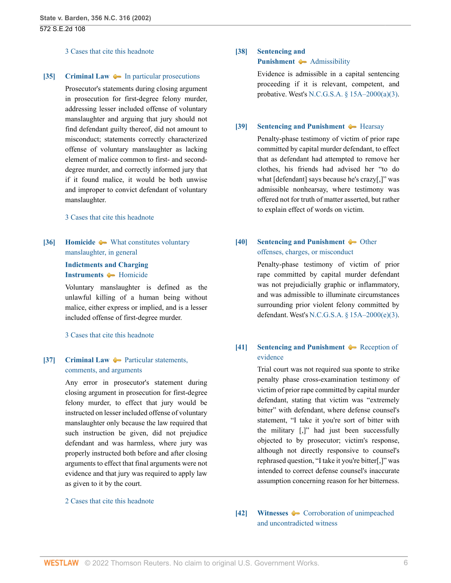#### [3 Cases that cite this headnote](http://www.westlaw.com/Link/RelatedInformation/DocHeadnoteLink?docGuid=Ia3aa668203d211da83e7e9deff98dc6f&headnoteId=200274042903420190625003639&originationContext=document&vr=3.0&rs=cblt1.0&transitionType=CitingReferences&contextData=(sc.FindAndPrintPortal))

#### <span id="page-5-0"></span>**[\[35\]](#page-29-3) [Criminal Law](http://www.westlaw.com/Browse/Home/KeyNumber/110/View.html?docGuid=Ia3aa668203d211da83e7e9deff98dc6f&originationContext=document&vr=3.0&rs=cblt1.0&transitionType=DocumentItem&contextData=(sc.FindAndPrintPortal))**  $\rightarrow$  [In particular prosecutions](http://www.westlaw.com/Browse/Home/KeyNumber/110k2086/View.html?docGuid=Ia3aa668203d211da83e7e9deff98dc6f&originationContext=document&vr=3.0&rs=cblt1.0&transitionType=DocumentItem&contextData=(sc.FindAndPrintPortal))

Prosecutor's statements during closing argument in prosecution for first-degree felony murder, addressing lesser included offense of voluntary manslaughter and arguing that jury should not find defendant guilty thereof, did not amount to misconduct; statements correctly characterized offense of voluntary manslaughter as lacking element of malice common to first- and seconddegree murder, and correctly informed jury that if it found malice, it would be both unwise and improper to convict defendant of voluntary manslaughter.

#### [3 Cases that cite this headnote](http://www.westlaw.com/Link/RelatedInformation/DocHeadnoteLink?docGuid=Ia3aa668203d211da83e7e9deff98dc6f&headnoteId=200274042903520190625003639&originationContext=document&vr=3.0&rs=cblt1.0&transitionType=CitingReferences&contextData=(sc.FindAndPrintPortal))

# <span id="page-5-1"></span>**[\[36\]](#page-30-0) [Homicide](http://www.westlaw.com/Browse/Home/KeyNumber/203/View.html?docGuid=Ia3aa668203d211da83e7e9deff98dc6f&originationContext=document&vr=3.0&rs=cblt1.0&transitionType=DocumentItem&contextData=(sc.FindAndPrintPortal))**  $\blacklozenge$  **[What constitutes voluntary](http://www.westlaw.com/Browse/Home/KeyNumber/203k658/View.html?docGuid=Ia3aa668203d211da83e7e9deff98dc6f&originationContext=document&vr=3.0&rs=cblt1.0&transitionType=DocumentItem&contextData=(sc.FindAndPrintPortal))** [manslaughter, in general](http://www.westlaw.com/Browse/Home/KeyNumber/203k658/View.html?docGuid=Ia3aa668203d211da83e7e9deff98dc6f&originationContext=document&vr=3.0&rs=cblt1.0&transitionType=DocumentItem&contextData=(sc.FindAndPrintPortal)) **[Indictments and Charging](http://www.westlaw.com/Browse/Home/KeyNumber/210/View.html?docGuid=Ia3aa668203d211da83e7e9deff98dc6f&originationContext=document&vr=3.0&rs=cblt1.0&transitionType=DocumentItem&contextData=(sc.FindAndPrintPortal)) [Instruments](http://www.westlaw.com/Browse/Home/KeyNumber/210/View.html?docGuid=Ia3aa668203d211da83e7e9deff98dc6f&originationContext=document&vr=3.0&rs=cblt1.0&transitionType=DocumentItem&contextData=(sc.FindAndPrintPortal))**  $\blacklozenge$  [Homicide](http://www.westlaw.com/Browse/Home/KeyNumber/210k824/View.html?docGuid=Ia3aa668203d211da83e7e9deff98dc6f&originationContext=document&vr=3.0&rs=cblt1.0&transitionType=DocumentItem&contextData=(sc.FindAndPrintPortal))

Voluntary manslaughter is defined as the unlawful killing of a human being without malice, either express or implied, and is a lesser included offense of first-degree murder.

#### [3 Cases that cite this headnote](http://www.westlaw.com/Link/RelatedInformation/DocHeadnoteLink?docGuid=Ia3aa668203d211da83e7e9deff98dc6f&headnoteId=200274042903620190625003639&originationContext=document&vr=3.0&rs=cblt1.0&transitionType=CitingReferences&contextData=(sc.FindAndPrintPortal))

## <span id="page-5-2"></span>**[\[37\]](#page-30-1) [Criminal Law](http://www.westlaw.com/Browse/Home/KeyNumber/110/View.html?docGuid=Ia3aa668203d211da83e7e9deff98dc6f&originationContext=document&vr=3.0&rs=cblt1.0&transitionType=DocumentItem&contextData=(sc.FindAndPrintPortal))**  $\rightarrow$  [Particular statements,](http://www.westlaw.com/Browse/Home/KeyNumber/110k1171.1(3)/View.html?docGuid=Ia3aa668203d211da83e7e9deff98dc6f&originationContext=document&vr=3.0&rs=cblt1.0&transitionType=DocumentItem&contextData=(sc.FindAndPrintPortal)) [comments, and arguments](http://www.westlaw.com/Browse/Home/KeyNumber/110k1171.1(3)/View.html?docGuid=Ia3aa668203d211da83e7e9deff98dc6f&originationContext=document&vr=3.0&rs=cblt1.0&transitionType=DocumentItem&contextData=(sc.FindAndPrintPortal))

Any error in prosecutor's statement during closing argument in prosecution for first-degree felony murder, to effect that jury would be instructed on lesser included offense of voluntary manslaughter only because the law required that such instruction be given, did not prejudice defendant and was harmless, where jury was properly instructed both before and after closing arguments to effect that final arguments were not evidence and that jury was required to apply law as given to it by the court.

#### [2 Cases that cite this headnote](http://www.westlaw.com/Link/RelatedInformation/DocHeadnoteLink?docGuid=Ia3aa668203d211da83e7e9deff98dc6f&headnoteId=200274042903720190625003639&originationContext=document&vr=3.0&rs=cblt1.0&transitionType=CitingReferences&contextData=(sc.FindAndPrintPortal))

### <span id="page-5-3"></span>**[\[38\]](#page-30-2) [Sentencing and](http://www.westlaw.com/Browse/Home/KeyNumber/350H/View.html?docGuid=Ia3aa668203d211da83e7e9deff98dc6f&originationContext=document&vr=3.0&rs=cblt1.0&transitionType=DocumentItem&contextData=(sc.FindAndPrintPortal)) [Punishment](http://www.westlaw.com/Browse/Home/KeyNumber/350H/View.html?docGuid=Ia3aa668203d211da83e7e9deff98dc6f&originationContext=document&vr=3.0&rs=cblt1.0&transitionType=DocumentItem&contextData=(sc.FindAndPrintPortal))**  $\rightarrow$  [Admissibility](http://www.westlaw.com/Browse/Home/KeyNumber/350Hk1755/View.html?docGuid=Ia3aa668203d211da83e7e9deff98dc6f&originationContext=document&vr=3.0&rs=cblt1.0&transitionType=DocumentItem&contextData=(sc.FindAndPrintPortal))

Evidence is admissible in a capital sentencing proceeding if it is relevant, competent, and probative. West's [N.C.G.S.A. § 15A–2000\(a\)\(3\)](http://www.westlaw.com/Link/Document/FullText?findType=L&pubNum=1000037&cite=NCSTS15A-2000&originatingDoc=Ia3aa668203d211da83e7e9deff98dc6f&refType=SP&originationContext=document&vr=3.0&rs=cblt1.0&transitionType=DocumentItem&contextData=(sc.FindAndPrintPortal)#co_pp_28cc0000ccca6).

#### <span id="page-5-4"></span>**[\[39\]](#page-30-3) [Sentencing and Punishment](http://www.westlaw.com/Browse/Home/KeyNumber/350H/View.html?docGuid=Ia3aa668203d211da83e7e9deff98dc6f&originationContext=document&vr=3.0&rs=cblt1.0&transitionType=DocumentItem&contextData=(sc.FindAndPrintPortal))**  $\blacklozenge$  **[Hearsay](http://www.westlaw.com/Browse/Home/KeyNumber/350Hk1766/View.html?docGuid=Ia3aa668203d211da83e7e9deff98dc6f&originationContext=document&vr=3.0&rs=cblt1.0&transitionType=DocumentItem&contextData=(sc.FindAndPrintPortal))**

Penalty-phase testimony of victim of prior rape committed by capital murder defendant, to effect that as defendant had attempted to remove her clothes, his friends had advised her "to do what [defendant] says because he's crazy[,]" was admissible nonhearsay, where testimony was offered not for truth of matter asserted, but rather to explain effect of words on victim.

## <span id="page-5-5"></span>**[\[40\]](#page-31-0) [Sentencing and Punishment](http://www.westlaw.com/Browse/Home/KeyNumber/350H/View.html?docGuid=Ia3aa668203d211da83e7e9deff98dc6f&originationContext=document&vr=3.0&rs=cblt1.0&transitionType=DocumentItem&contextData=(sc.FindAndPrintPortal))**  $\blacklozenge$  [Other](http://www.westlaw.com/Browse/Home/KeyNumber/350Hk1762/View.html?docGuid=Ia3aa668203d211da83e7e9deff98dc6f&originationContext=document&vr=3.0&rs=cblt1.0&transitionType=DocumentItem&contextData=(sc.FindAndPrintPortal)) [offenses, charges, or misconduct](http://www.westlaw.com/Browse/Home/KeyNumber/350Hk1762/View.html?docGuid=Ia3aa668203d211da83e7e9deff98dc6f&originationContext=document&vr=3.0&rs=cblt1.0&transitionType=DocumentItem&contextData=(sc.FindAndPrintPortal))

Penalty-phase testimony of victim of prior rape committed by capital murder defendant was not prejudicially graphic or inflammatory, and was admissible to illuminate circumstances surrounding prior violent felony committed by defendant. West's [N.C.G.S.A. § 15A–2000\(e\)\(3\)](http://www.westlaw.com/Link/Document/FullText?findType=L&pubNum=1000037&cite=NCSTS15A-2000&originatingDoc=Ia3aa668203d211da83e7e9deff98dc6f&refType=SP&originationContext=document&vr=3.0&rs=cblt1.0&transitionType=DocumentItem&contextData=(sc.FindAndPrintPortal)#co_pp_4b250000f9dd6).

## <span id="page-5-6"></span>**[\[41\]](#page-31-1) [Sentencing and Punishment](http://www.westlaw.com/Browse/Home/KeyNumber/350H/View.html?docGuid=Ia3aa668203d211da83e7e9deff98dc6f&originationContext=document&vr=3.0&rs=cblt1.0&transitionType=DocumentItem&contextData=(sc.FindAndPrintPortal))**  $\blacklozenge$  **[Reception of](http://www.westlaw.com/Browse/Home/KeyNumber/350Hk1782/View.html?docGuid=Ia3aa668203d211da83e7e9deff98dc6f&originationContext=document&vr=3.0&rs=cblt1.0&transitionType=DocumentItem&contextData=(sc.FindAndPrintPortal))** [evidence](http://www.westlaw.com/Browse/Home/KeyNumber/350Hk1782/View.html?docGuid=Ia3aa668203d211da83e7e9deff98dc6f&originationContext=document&vr=3.0&rs=cblt1.0&transitionType=DocumentItem&contextData=(sc.FindAndPrintPortal))

Trial court was not required sua sponte to strike penalty phase cross-examination testimony of victim of prior rape committed by capital murder defendant, stating that victim was "extremely bitter" with defendant, where defense counsel's statement, "I take it you're sort of bitter with the military [,]" had just been successfully objected to by prosecutor; victim's response, although not directly responsive to counsel's rephrased question, "I take it you're bitter[,]" was intended to correct defense counsel's inaccurate assumption concerning reason for her bitterness.

## <span id="page-5-7"></span>**[\[42\]](#page-31-2) [Witnesses](http://www.westlaw.com/Browse/Home/KeyNumber/410/View.html?docGuid=Ia3aa668203d211da83e7e9deff98dc6f&originationContext=document&vr=3.0&rs=cblt1.0&transitionType=DocumentItem&contextData=(sc.FindAndPrintPortal))**  $\blacklozenge$  **[Corroboration of unimpeached](http://www.westlaw.com/Browse/Home/KeyNumber/410k318/View.html?docGuid=Ia3aa668203d211da83e7e9deff98dc6f&originationContext=document&vr=3.0&rs=cblt1.0&transitionType=DocumentItem&contextData=(sc.FindAndPrintPortal))** [and uncontradicted witness](http://www.westlaw.com/Browse/Home/KeyNumber/410k318/View.html?docGuid=Ia3aa668203d211da83e7e9deff98dc6f&originationContext=document&vr=3.0&rs=cblt1.0&transitionType=DocumentItem&contextData=(sc.FindAndPrintPortal))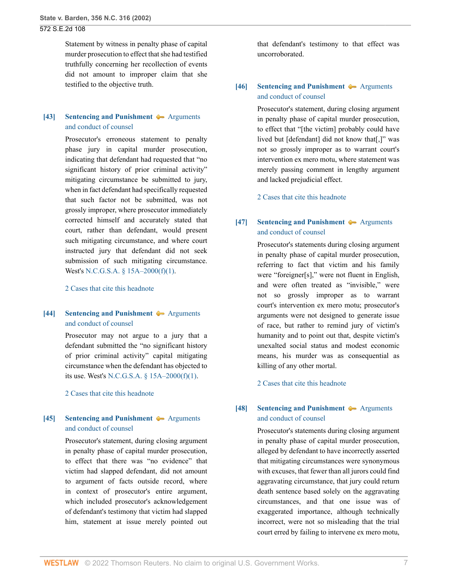Statement by witness in penalty phase of capital murder prosecution to effect that she had testified truthfully concerning her recollection of events did not amount to improper claim that she testified to the objective truth.

## <span id="page-6-0"></span>**[\[43\]](#page-31-3) [Sentencing and Punishment](http://www.westlaw.com/Browse/Home/KeyNumber/350H/View.html?docGuid=Ia3aa668203d211da83e7e9deff98dc6f&originationContext=document&vr=3.0&rs=cblt1.0&transitionType=DocumentItem&contextData=(sc.FindAndPrintPortal))**  $\rightarrow$  [Arguments](http://www.westlaw.com/Browse/Home/KeyNumber/350Hk1780(2)/View.html?docGuid=Ia3aa668203d211da83e7e9deff98dc6f&originationContext=document&vr=3.0&rs=cblt1.0&transitionType=DocumentItem&contextData=(sc.FindAndPrintPortal)) [and conduct of counsel](http://www.westlaw.com/Browse/Home/KeyNumber/350Hk1780(2)/View.html?docGuid=Ia3aa668203d211da83e7e9deff98dc6f&originationContext=document&vr=3.0&rs=cblt1.0&transitionType=DocumentItem&contextData=(sc.FindAndPrintPortal))

Prosecutor's erroneous statement to penalty phase jury in capital murder prosecution, indicating that defendant had requested that "no significant history of prior criminal activity" mitigating circumstance be submitted to jury, when in fact defendant had specifically requested that such factor not be submitted, was not grossly improper, where prosecutor immediately corrected himself and accurately stated that court, rather than defendant, would present such mitigating circumstance, and where court instructed jury that defendant did not seek submission of such mitigating circumstance. West's [N.C.G.S.A. § 15A–2000\(f\)\(1\).](http://www.westlaw.com/Link/Document/FullText?findType=L&pubNum=1000037&cite=NCSTS15A-2000&originatingDoc=Ia3aa668203d211da83e7e9deff98dc6f&refType=SP&originationContext=document&vr=3.0&rs=cblt1.0&transitionType=DocumentItem&contextData=(sc.FindAndPrintPortal)#co_pp_9daf00009de57)

[2 Cases that cite this headnote](http://www.westlaw.com/Link/RelatedInformation/DocHeadnoteLink?docGuid=Ia3aa668203d211da83e7e9deff98dc6f&headnoteId=200274042904320190625003639&originationContext=document&vr=3.0&rs=cblt1.0&transitionType=CitingReferences&contextData=(sc.FindAndPrintPortal))

## <span id="page-6-1"></span>**[\[44\]](#page-31-4) [Sentencing and Punishment](http://www.westlaw.com/Browse/Home/KeyNumber/350H/View.html?docGuid=Ia3aa668203d211da83e7e9deff98dc6f&originationContext=document&vr=3.0&rs=cblt1.0&transitionType=DocumentItem&contextData=(sc.FindAndPrintPortal))**  $\blacklozenge$  **[Arguments](http://www.westlaw.com/Browse/Home/KeyNumber/350Hk1780(2)/View.html?docGuid=Ia3aa668203d211da83e7e9deff98dc6f&originationContext=document&vr=3.0&rs=cblt1.0&transitionType=DocumentItem&contextData=(sc.FindAndPrintPortal))** [and conduct of counsel](http://www.westlaw.com/Browse/Home/KeyNumber/350Hk1780(2)/View.html?docGuid=Ia3aa668203d211da83e7e9deff98dc6f&originationContext=document&vr=3.0&rs=cblt1.0&transitionType=DocumentItem&contextData=(sc.FindAndPrintPortal))

Prosecutor may not argue to a jury that a defendant submitted the "no significant history of prior criminal activity" capital mitigating circumstance when the defendant has objected to its use. West's [N.C.G.S.A. § 15A–2000\(f\)\(1\).](http://www.westlaw.com/Link/Document/FullText?findType=L&pubNum=1000037&cite=NCSTS15A-2000&originatingDoc=Ia3aa668203d211da83e7e9deff98dc6f&refType=SP&originationContext=document&vr=3.0&rs=cblt1.0&transitionType=DocumentItem&contextData=(sc.FindAndPrintPortal)#co_pp_9daf00009de57)

[2 Cases that cite this headnote](http://www.westlaw.com/Link/RelatedInformation/DocHeadnoteLink?docGuid=Ia3aa668203d211da83e7e9deff98dc6f&headnoteId=200274042904420190625003639&originationContext=document&vr=3.0&rs=cblt1.0&transitionType=CitingReferences&contextData=(sc.FindAndPrintPortal))

## <span id="page-6-2"></span>**[\[45\]](#page-32-0) [Sentencing and Punishment](http://www.westlaw.com/Browse/Home/KeyNumber/350H/View.html?docGuid=Ia3aa668203d211da83e7e9deff98dc6f&originationContext=document&vr=3.0&rs=cblt1.0&transitionType=DocumentItem&contextData=(sc.FindAndPrintPortal))**  $\blacklozenge$  **[Arguments](http://www.westlaw.com/Browse/Home/KeyNumber/350Hk1780(2)/View.html?docGuid=Ia3aa668203d211da83e7e9deff98dc6f&originationContext=document&vr=3.0&rs=cblt1.0&transitionType=DocumentItem&contextData=(sc.FindAndPrintPortal))** [and conduct of counsel](http://www.westlaw.com/Browse/Home/KeyNumber/350Hk1780(2)/View.html?docGuid=Ia3aa668203d211da83e7e9deff98dc6f&originationContext=document&vr=3.0&rs=cblt1.0&transitionType=DocumentItem&contextData=(sc.FindAndPrintPortal))

Prosecutor's statement, during closing argument in penalty phase of capital murder prosecution, to effect that there was "no evidence" that victim had slapped defendant, did not amount to argument of facts outside record, where in context of prosecutor's entire argument, which included prosecutor's acknowledgement of defendant's testimony that victim had slapped him, statement at issue merely pointed out

that defendant's testimony to that effect was uncorroborated.

## <span id="page-6-3"></span>**[\[46\]](#page-32-1) [Sentencing and Punishment](http://www.westlaw.com/Browse/Home/KeyNumber/350H/View.html?docGuid=Ia3aa668203d211da83e7e9deff98dc6f&originationContext=document&vr=3.0&rs=cblt1.0&transitionType=DocumentItem&contextData=(sc.FindAndPrintPortal))**  $\rightarrow$  [Arguments](http://www.westlaw.com/Browse/Home/KeyNumber/350Hk1780(2)/View.html?docGuid=Ia3aa668203d211da83e7e9deff98dc6f&originationContext=document&vr=3.0&rs=cblt1.0&transitionType=DocumentItem&contextData=(sc.FindAndPrintPortal)) [and conduct of counsel](http://www.westlaw.com/Browse/Home/KeyNumber/350Hk1780(2)/View.html?docGuid=Ia3aa668203d211da83e7e9deff98dc6f&originationContext=document&vr=3.0&rs=cblt1.0&transitionType=DocumentItem&contextData=(sc.FindAndPrintPortal))

Prosecutor's statement, during closing argument in penalty phase of capital murder prosecution, to effect that "[the victim] probably could have lived but [defendant] did not know that[,]" was not so grossly improper as to warrant court's intervention ex mero motu, where statement was merely passing comment in lengthy argument and lacked prejudicial effect.

[2 Cases that cite this headnote](http://www.westlaw.com/Link/RelatedInformation/DocHeadnoteLink?docGuid=Ia3aa668203d211da83e7e9deff98dc6f&headnoteId=200274042904620190625003639&originationContext=document&vr=3.0&rs=cblt1.0&transitionType=CitingReferences&contextData=(sc.FindAndPrintPortal))

## <span id="page-6-4"></span>**[\[47\]](#page-32-2) [Sentencing and Punishment](http://www.westlaw.com/Browse/Home/KeyNumber/350H/View.html?docGuid=Ia3aa668203d211da83e7e9deff98dc6f&originationContext=document&vr=3.0&rs=cblt1.0&transitionType=DocumentItem&contextData=(sc.FindAndPrintPortal))**  $\rightarrow$  [Arguments](http://www.westlaw.com/Browse/Home/KeyNumber/350Hk1780(2)/View.html?docGuid=Ia3aa668203d211da83e7e9deff98dc6f&originationContext=document&vr=3.0&rs=cblt1.0&transitionType=DocumentItem&contextData=(sc.FindAndPrintPortal)) [and conduct of counsel](http://www.westlaw.com/Browse/Home/KeyNumber/350Hk1780(2)/View.html?docGuid=Ia3aa668203d211da83e7e9deff98dc6f&originationContext=document&vr=3.0&rs=cblt1.0&transitionType=DocumentItem&contextData=(sc.FindAndPrintPortal))

Prosecutor's statements during closing argument in penalty phase of capital murder prosecution, referring to fact that victim and his family were "foreigner[s]," were not fluent in English, and were often treated as "invisible," were not so grossly improper as to warrant court's intervention ex mero motu; prosecutor's arguments were not designed to generate issue of race, but rather to remind jury of victim's humanity and to point out that, despite victim's unexalted social status and modest economic means, his murder was as consequential as killing of any other mortal.

[2 Cases that cite this headnote](http://www.westlaw.com/Link/RelatedInformation/DocHeadnoteLink?docGuid=Ia3aa668203d211da83e7e9deff98dc6f&headnoteId=200274042904720190625003639&originationContext=document&vr=3.0&rs=cblt1.0&transitionType=CitingReferences&contextData=(sc.FindAndPrintPortal))

## <span id="page-6-5"></span>**[\[48\]](#page-32-3) [Sentencing and Punishment](http://www.westlaw.com/Browse/Home/KeyNumber/350H/View.html?docGuid=Ia3aa668203d211da83e7e9deff98dc6f&originationContext=document&vr=3.0&rs=cblt1.0&transitionType=DocumentItem&contextData=(sc.FindAndPrintPortal))**  $\rightarrow$  [Arguments](http://www.westlaw.com/Browse/Home/KeyNumber/350Hk1780(2)/View.html?docGuid=Ia3aa668203d211da83e7e9deff98dc6f&originationContext=document&vr=3.0&rs=cblt1.0&transitionType=DocumentItem&contextData=(sc.FindAndPrintPortal)) [and conduct of counsel](http://www.westlaw.com/Browse/Home/KeyNumber/350Hk1780(2)/View.html?docGuid=Ia3aa668203d211da83e7e9deff98dc6f&originationContext=document&vr=3.0&rs=cblt1.0&transitionType=DocumentItem&contextData=(sc.FindAndPrintPortal))

Prosecutor's statements during closing argument in penalty phase of capital murder prosecution, alleged by defendant to have incorrectly asserted that mitigating circumstances were synonymous with excuses, that fewer than all jurors could find aggravating circumstance, that jury could return death sentence based solely on the aggravating circumstances, and that one issue was of exaggerated importance, although technically incorrect, were not so misleading that the trial court erred by failing to intervene ex mero motu,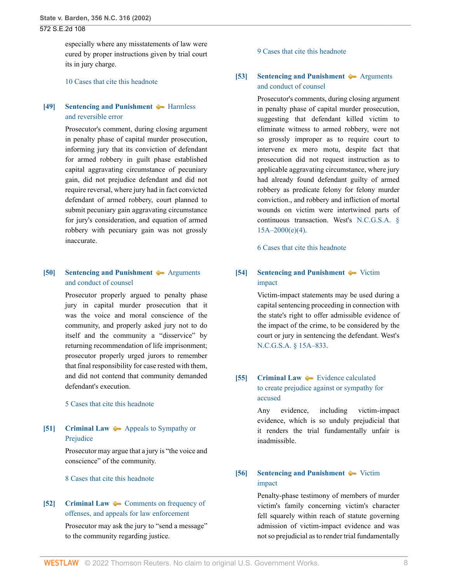especially where any misstatements of law were cured by proper instructions given by trial court its in jury charge.

[10 Cases that cite this headnote](http://www.westlaw.com/Link/RelatedInformation/DocHeadnoteLink?docGuid=Ia3aa668203d211da83e7e9deff98dc6f&headnoteId=200274042904820190625003639&originationContext=document&vr=3.0&rs=cblt1.0&transitionType=CitingReferences&contextData=(sc.FindAndPrintPortal))

## <span id="page-7-0"></span>**[\[49\]](#page-33-0) [Sentencing and Punishment](http://www.westlaw.com/Browse/Home/KeyNumber/350H/View.html?docGuid=Ia3aa668203d211da83e7e9deff98dc6f&originationContext=document&vr=3.0&rs=cblt1.0&transitionType=DocumentItem&contextData=(sc.FindAndPrintPortal))**  $\rightarrow$  [Harmless](http://www.westlaw.com/Browse/Home/KeyNumber/350Hk1789(9)/View.html?docGuid=Ia3aa668203d211da83e7e9deff98dc6f&originationContext=document&vr=3.0&rs=cblt1.0&transitionType=DocumentItem&contextData=(sc.FindAndPrintPortal)) [and reversible error](http://www.westlaw.com/Browse/Home/KeyNumber/350Hk1789(9)/View.html?docGuid=Ia3aa668203d211da83e7e9deff98dc6f&originationContext=document&vr=3.0&rs=cblt1.0&transitionType=DocumentItem&contextData=(sc.FindAndPrintPortal))

Prosecutor's comment, during closing argument in penalty phase of capital murder prosecution, informing jury that its conviction of defendant for armed robbery in guilt phase established capital aggravating circumstance of pecuniary gain, did not prejudice defendant and did not require reversal, where jury had in fact convicted defendant of armed robbery, court planned to submit pecuniary gain aggravating circumstance for jury's consideration, and equation of armed robbery with pecuniary gain was not grossly inaccurate.

## <span id="page-7-1"></span>**[\[50\]](#page-33-1) [Sentencing and Punishment](http://www.westlaw.com/Browse/Home/KeyNumber/350H/View.html?docGuid=Ia3aa668203d211da83e7e9deff98dc6f&originationContext=document&vr=3.0&rs=cblt1.0&transitionType=DocumentItem&contextData=(sc.FindAndPrintPortal))**  $\blacklozenge$  **[Arguments](http://www.westlaw.com/Browse/Home/KeyNumber/350Hk1780(2)/View.html?docGuid=Ia3aa668203d211da83e7e9deff98dc6f&originationContext=document&vr=3.0&rs=cblt1.0&transitionType=DocumentItem&contextData=(sc.FindAndPrintPortal))** [and conduct of counsel](http://www.westlaw.com/Browse/Home/KeyNumber/350Hk1780(2)/View.html?docGuid=Ia3aa668203d211da83e7e9deff98dc6f&originationContext=document&vr=3.0&rs=cblt1.0&transitionType=DocumentItem&contextData=(sc.FindAndPrintPortal))

Prosecutor properly argued to penalty phase jury in capital murder prosecution that it was the voice and moral conscience of the community, and properly asked jury not to do itself and the community a "disservice" by returning recommendation of life imprisonment; prosecutor properly urged jurors to remember that final responsibility for case rested with them, and did not contend that community demanded defendant's execution.

[5 Cases that cite this headnote](http://www.westlaw.com/Link/RelatedInformation/DocHeadnoteLink?docGuid=Ia3aa668203d211da83e7e9deff98dc6f&headnoteId=200274042905020190625003639&originationContext=document&vr=3.0&rs=cblt1.0&transitionType=CitingReferences&contextData=(sc.FindAndPrintPortal))

## <span id="page-7-2"></span>**[\[51\]](#page-33-2) [Criminal Law](http://www.westlaw.com/Browse/Home/KeyNumber/110/View.html?docGuid=Ia3aa668203d211da83e7e9deff98dc6f&originationContext=document&vr=3.0&rs=cblt1.0&transitionType=DocumentItem&contextData=(sc.FindAndPrintPortal))**  $\rightarrow$  [Appeals to Sympathy or](http://www.westlaw.com/Browse/Home/KeyNumber/110k2145/View.html?docGuid=Ia3aa668203d211da83e7e9deff98dc6f&originationContext=document&vr=3.0&rs=cblt1.0&transitionType=DocumentItem&contextData=(sc.FindAndPrintPortal)) [Prejudice](http://www.westlaw.com/Browse/Home/KeyNumber/110k2145/View.html?docGuid=Ia3aa668203d211da83e7e9deff98dc6f&originationContext=document&vr=3.0&rs=cblt1.0&transitionType=DocumentItem&contextData=(sc.FindAndPrintPortal))

Prosecutor may argue that a jury is "the voice and conscience" of the community.

[8 Cases that cite this headnote](http://www.westlaw.com/Link/RelatedInformation/DocHeadnoteLink?docGuid=Ia3aa668203d211da83e7e9deff98dc6f&headnoteId=200274042905120190625003639&originationContext=document&vr=3.0&rs=cblt1.0&transitionType=CitingReferences&contextData=(sc.FindAndPrintPortal))

# <span id="page-7-3"></span>**[\[52\]](#page-33-3) [Criminal Law](http://www.westlaw.com/Browse/Home/KeyNumber/110/View.html?docGuid=Ia3aa668203d211da83e7e9deff98dc6f&originationContext=document&vr=3.0&rs=cblt1.0&transitionType=DocumentItem&contextData=(sc.FindAndPrintPortal))**  $\blacktriangleright$  **[Comments on frequency of](http://www.westlaw.com/Browse/Home/KeyNumber/110k2150/View.html?docGuid=Ia3aa668203d211da83e7e9deff98dc6f&originationContext=document&vr=3.0&rs=cblt1.0&transitionType=DocumentItem&contextData=(sc.FindAndPrintPortal))** [offenses, and appeals for law enforcement](http://www.westlaw.com/Browse/Home/KeyNumber/110k2150/View.html?docGuid=Ia3aa668203d211da83e7e9deff98dc6f&originationContext=document&vr=3.0&rs=cblt1.0&transitionType=DocumentItem&contextData=(sc.FindAndPrintPortal))

Prosecutor may ask the jury to "send a message" to the community regarding justice.

#### [9 Cases that cite this headnote](http://www.westlaw.com/Link/RelatedInformation/DocHeadnoteLink?docGuid=Ia3aa668203d211da83e7e9deff98dc6f&headnoteId=200274042905220190625003639&originationContext=document&vr=3.0&rs=cblt1.0&transitionType=CitingReferences&contextData=(sc.FindAndPrintPortal))

## <span id="page-7-4"></span>**[\[53\]](#page-34-0) [Sentencing and Punishment](http://www.westlaw.com/Browse/Home/KeyNumber/350H/View.html?docGuid=Ia3aa668203d211da83e7e9deff98dc6f&originationContext=document&vr=3.0&rs=cblt1.0&transitionType=DocumentItem&contextData=(sc.FindAndPrintPortal))**  $\rightarrow$  [Arguments](http://www.westlaw.com/Browse/Home/KeyNumber/350Hk1780(2)/View.html?docGuid=Ia3aa668203d211da83e7e9deff98dc6f&originationContext=document&vr=3.0&rs=cblt1.0&transitionType=DocumentItem&contextData=(sc.FindAndPrintPortal)) [and conduct of counsel](http://www.westlaw.com/Browse/Home/KeyNumber/350Hk1780(2)/View.html?docGuid=Ia3aa668203d211da83e7e9deff98dc6f&originationContext=document&vr=3.0&rs=cblt1.0&transitionType=DocumentItem&contextData=(sc.FindAndPrintPortal))

Prosecutor's comments, during closing argument in penalty phase of capital murder prosecution, suggesting that defendant killed victim to eliminate witness to armed robbery, were not so grossly improper as to require court to intervene ex mero motu, despite fact that prosecution did not request instruction as to applicable aggravating circumstance, where jury had already found defendant guilty of armed robbery as predicate felony for felony murder conviction., and robbery and infliction of mortal wounds on victim were intertwined parts of continuous transaction. West's [N.C.G.S.A. §](http://www.westlaw.com/Link/Document/FullText?findType=L&pubNum=1000037&cite=NCSTS15A-2000&originatingDoc=Ia3aa668203d211da83e7e9deff98dc6f&refType=SP&originationContext=document&vr=3.0&rs=cblt1.0&transitionType=DocumentItem&contextData=(sc.FindAndPrintPortal)#co_pp_22700000861f0) [15A–2000\(e\)\(4\)](http://www.westlaw.com/Link/Document/FullText?findType=L&pubNum=1000037&cite=NCSTS15A-2000&originatingDoc=Ia3aa668203d211da83e7e9deff98dc6f&refType=SP&originationContext=document&vr=3.0&rs=cblt1.0&transitionType=DocumentItem&contextData=(sc.FindAndPrintPortal)#co_pp_22700000861f0).

[6 Cases that cite this headnote](http://www.westlaw.com/Link/RelatedInformation/DocHeadnoteLink?docGuid=Ia3aa668203d211da83e7e9deff98dc6f&headnoteId=200274042905320190625003639&originationContext=document&vr=3.0&rs=cblt1.0&transitionType=CitingReferences&contextData=(sc.FindAndPrintPortal))

## <span id="page-7-5"></span>**[\[54\]](#page-34-1) [Sentencing and Punishment](http://www.westlaw.com/Browse/Home/KeyNumber/350H/View.html?docGuid=Ia3aa668203d211da83e7e9deff98dc6f&originationContext=document&vr=3.0&rs=cblt1.0&transitionType=DocumentItem&contextData=(sc.FindAndPrintPortal))**  $\blacklozenge$  [Victim](http://www.westlaw.com/Browse/Home/KeyNumber/350Hk1763/View.html?docGuid=Ia3aa668203d211da83e7e9deff98dc6f&originationContext=document&vr=3.0&rs=cblt1.0&transitionType=DocumentItem&contextData=(sc.FindAndPrintPortal)) [impact](http://www.westlaw.com/Browse/Home/KeyNumber/350Hk1763/View.html?docGuid=Ia3aa668203d211da83e7e9deff98dc6f&originationContext=document&vr=3.0&rs=cblt1.0&transitionType=DocumentItem&contextData=(sc.FindAndPrintPortal))

Victim-impact statements may be used during a capital sentencing proceeding in connection with the state's right to offer admissible evidence of the impact of the crime, to be considered by the court or jury in sentencing the defendant. West's [N.C.G.S.A. § 15A–833](http://www.westlaw.com/Link/Document/FullText?findType=L&pubNum=1000037&cite=NCSTS15A-833&originatingDoc=Ia3aa668203d211da83e7e9deff98dc6f&refType=LQ&originationContext=document&vr=3.0&rs=cblt1.0&transitionType=DocumentItem&contextData=(sc.FindAndPrintPortal)).

# <span id="page-7-6"></span>**[\[55\]](#page-34-2) [Criminal Law](http://www.westlaw.com/Browse/Home/KeyNumber/110/View.html?docGuid=Ia3aa668203d211da83e7e9deff98dc6f&originationContext=document&vr=3.0&rs=cblt1.0&transitionType=DocumentItem&contextData=(sc.FindAndPrintPortal))**  $\blacktriangleright$  [Evidence calculated](http://www.westlaw.com/Browse/Home/KeyNumber/110k338(7)/View.html?docGuid=Ia3aa668203d211da83e7e9deff98dc6f&originationContext=document&vr=3.0&rs=cblt1.0&transitionType=DocumentItem&contextData=(sc.FindAndPrintPortal)) [to create prejudice against or sympathy for](http://www.westlaw.com/Browse/Home/KeyNumber/110k338(7)/View.html?docGuid=Ia3aa668203d211da83e7e9deff98dc6f&originationContext=document&vr=3.0&rs=cblt1.0&transitionType=DocumentItem&contextData=(sc.FindAndPrintPortal)) [accused](http://www.westlaw.com/Browse/Home/KeyNumber/110k338(7)/View.html?docGuid=Ia3aa668203d211da83e7e9deff98dc6f&originationContext=document&vr=3.0&rs=cblt1.0&transitionType=DocumentItem&contextData=(sc.FindAndPrintPortal))

Any evidence, including victim-impact evidence, which is so unduly prejudicial that it renders the trial fundamentally unfair is inadmissible.

## <span id="page-7-7"></span>**[\[56\]](#page-34-3) [Sentencing and Punishment](http://www.westlaw.com/Browse/Home/KeyNumber/350H/View.html?docGuid=Ia3aa668203d211da83e7e9deff98dc6f&originationContext=document&vr=3.0&rs=cblt1.0&transitionType=DocumentItem&contextData=(sc.FindAndPrintPortal))**  $\blacklozenge$  **[Victim](http://www.westlaw.com/Browse/Home/KeyNumber/350Hk1763/View.html?docGuid=Ia3aa668203d211da83e7e9deff98dc6f&originationContext=document&vr=3.0&rs=cblt1.0&transitionType=DocumentItem&contextData=(sc.FindAndPrintPortal))** [impact](http://www.westlaw.com/Browse/Home/KeyNumber/350Hk1763/View.html?docGuid=Ia3aa668203d211da83e7e9deff98dc6f&originationContext=document&vr=3.0&rs=cblt1.0&transitionType=DocumentItem&contextData=(sc.FindAndPrintPortal))

Penalty-phase testimony of members of murder victim's family concerning victim's character fell squarely within reach of statute governing admission of victim-impact evidence and was not so prejudicial as to render trial fundamentally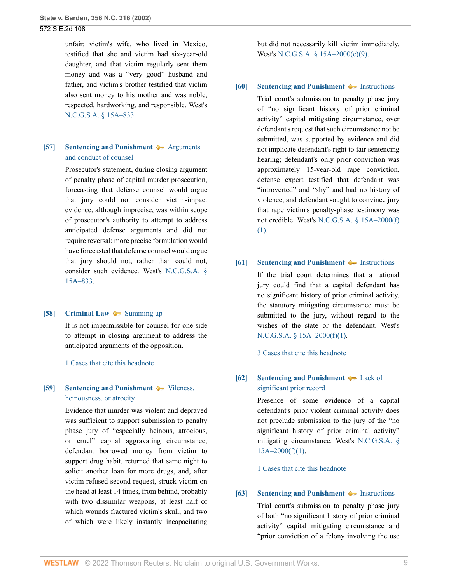unfair; victim's wife, who lived in Mexico, testified that she and victim had six-year-old daughter, and that victim regularly sent them money and was a "very good" husband and father, and victim's brother testified that victim also sent money to his mother and was noble, respected, hardworking, and responsible. West's [N.C.G.S.A. § 15A–833](http://www.westlaw.com/Link/Document/FullText?findType=L&pubNum=1000037&cite=NCSTS15A-833&originatingDoc=Ia3aa668203d211da83e7e9deff98dc6f&refType=LQ&originationContext=document&vr=3.0&rs=cblt1.0&transitionType=DocumentItem&contextData=(sc.FindAndPrintPortal)).

## <span id="page-8-0"></span>**[\[57\]](#page-34-4) [Sentencing and Punishment](http://www.westlaw.com/Browse/Home/KeyNumber/350H/View.html?docGuid=Ia3aa668203d211da83e7e9deff98dc6f&originationContext=document&vr=3.0&rs=cblt1.0&transitionType=DocumentItem&contextData=(sc.FindAndPrintPortal))**  $\rightarrow$  [Arguments](http://www.westlaw.com/Browse/Home/KeyNumber/350Hk1780(2)/View.html?docGuid=Ia3aa668203d211da83e7e9deff98dc6f&originationContext=document&vr=3.0&rs=cblt1.0&transitionType=DocumentItem&contextData=(sc.FindAndPrintPortal)) [and conduct of counsel](http://www.westlaw.com/Browse/Home/KeyNumber/350Hk1780(2)/View.html?docGuid=Ia3aa668203d211da83e7e9deff98dc6f&originationContext=document&vr=3.0&rs=cblt1.0&transitionType=DocumentItem&contextData=(sc.FindAndPrintPortal))

Prosecutor's statement, during closing argument of penalty phase of capital murder prosecution, forecasting that defense counsel would argue that jury could not consider victim-impact evidence, although imprecise, was within scope of prosecutor's authority to attempt to address anticipated defense arguments and did not require reversal; more precise formulation would have forecasted that defense counsel would argue that jury should not, rather than could not, consider such evidence. West's [N.C.G.S.A. §](http://www.westlaw.com/Link/Document/FullText?findType=L&pubNum=1000037&cite=NCSTS15A-833&originatingDoc=Ia3aa668203d211da83e7e9deff98dc6f&refType=LQ&originationContext=document&vr=3.0&rs=cblt1.0&transitionType=DocumentItem&contextData=(sc.FindAndPrintPortal)) [15A–833.](http://www.westlaw.com/Link/Document/FullText?findType=L&pubNum=1000037&cite=NCSTS15A-833&originatingDoc=Ia3aa668203d211da83e7e9deff98dc6f&refType=LQ&originationContext=document&vr=3.0&rs=cblt1.0&transitionType=DocumentItem&contextData=(sc.FindAndPrintPortal))

#### <span id="page-8-1"></span>**[\[58\]](#page-34-5) [Criminal Law](http://www.westlaw.com/Browse/Home/KeyNumber/110/View.html?docGuid=Ia3aa668203d211da83e7e9deff98dc6f&originationContext=document&vr=3.0&rs=cblt1.0&transitionType=DocumentItem&contextData=(sc.FindAndPrintPortal))**  $\blacklozenge$  **[Summing up](http://www.westlaw.com/Browse/Home/KeyNumber/110k2167/View.html?docGuid=Ia3aa668203d211da83e7e9deff98dc6f&originationContext=document&vr=3.0&rs=cblt1.0&transitionType=DocumentItem&contextData=(sc.FindAndPrintPortal))**

It is not impermissible for counsel for one side to attempt in closing argument to address the anticipated arguments of the opposition.

[1 Cases that cite this headnote](http://www.westlaw.com/Link/RelatedInformation/DocHeadnoteLink?docGuid=Ia3aa668203d211da83e7e9deff98dc6f&headnoteId=200274042905820190625003639&originationContext=document&vr=3.0&rs=cblt1.0&transitionType=CitingReferences&contextData=(sc.FindAndPrintPortal))

## <span id="page-8-2"></span>**[\[59\]](#page-35-0) [Sentencing and Punishment](http://www.westlaw.com/Browse/Home/KeyNumber/350H/View.html?docGuid=Ia3aa668203d211da83e7e9deff98dc6f&originationContext=document&vr=3.0&rs=cblt1.0&transitionType=DocumentItem&contextData=(sc.FindAndPrintPortal))**  $\blacklozenge$  [Vileness,](http://www.westlaw.com/Browse/Home/KeyNumber/350Hk1684/View.html?docGuid=Ia3aa668203d211da83e7e9deff98dc6f&originationContext=document&vr=3.0&rs=cblt1.0&transitionType=DocumentItem&contextData=(sc.FindAndPrintPortal)) [heinousness, or atrocity](http://www.westlaw.com/Browse/Home/KeyNumber/350Hk1684/View.html?docGuid=Ia3aa668203d211da83e7e9deff98dc6f&originationContext=document&vr=3.0&rs=cblt1.0&transitionType=DocumentItem&contextData=(sc.FindAndPrintPortal))

Evidence that murder was violent and depraved was sufficient to support submission to penalty phase jury of "especially heinous, atrocious, or cruel" capital aggravating circumstance; defendant borrowed money from victim to support drug habit, returned that same night to solicit another loan for more drugs, and, after victim refused second request, struck victim on the head at least 14 times, from behind, probably with two dissimilar weapons, at least half of which wounds fractured victim's skull, and two of which were likely instantly incapacitating

but did not necessarily kill victim immediately. West's [N.C.G.S.A. § 15A–2000\(e\)\(9\).](http://www.westlaw.com/Link/Document/FullText?findType=L&pubNum=1000037&cite=NCSTS15A-2000&originatingDoc=Ia3aa668203d211da83e7e9deff98dc6f&refType=SP&originationContext=document&vr=3.0&rs=cblt1.0&transitionType=DocumentItem&contextData=(sc.FindAndPrintPortal)#co_pp_fab00000b4d46)

#### <span id="page-8-3"></span>**[\[60\]](#page-36-0) [Sentencing and Punishment](http://www.westlaw.com/Browse/Home/KeyNumber/350H/View.html?docGuid=Ia3aa668203d211da83e7e9deff98dc6f&originationContext=document&vr=3.0&rs=cblt1.0&transitionType=DocumentItem&contextData=(sc.FindAndPrintPortal))**  $\blacklozenge$  **[Instructions](http://www.westlaw.com/Browse/Home/KeyNumber/350Hk1780(3)/View.html?docGuid=Ia3aa668203d211da83e7e9deff98dc6f&originationContext=document&vr=3.0&rs=cblt1.0&transitionType=DocumentItem&contextData=(sc.FindAndPrintPortal))**

Trial court's submission to penalty phase jury of "no significant history of prior criminal activity" capital mitigating circumstance, over defendant's request that such circumstance not be submitted, was supported by evidence and did not implicate defendant's right to fair sentencing hearing; defendant's only prior conviction was approximately 15-year-old rape conviction, defense expert testified that defendant was "introverted" and "shy" and had no history of violence, and defendant sought to convince jury that rape victim's penalty-phase testimony was not credible. West's [N.C.G.S.A. § 15A–2000\(f\)](http://www.westlaw.com/Link/Document/FullText?findType=L&pubNum=1000037&cite=NCSTS15A-2000&originatingDoc=Ia3aa668203d211da83e7e9deff98dc6f&refType=SP&originationContext=document&vr=3.0&rs=cblt1.0&transitionType=DocumentItem&contextData=(sc.FindAndPrintPortal)#co_pp_9daf00009de57) [\(1\)](http://www.westlaw.com/Link/Document/FullText?findType=L&pubNum=1000037&cite=NCSTS15A-2000&originatingDoc=Ia3aa668203d211da83e7e9deff98dc6f&refType=SP&originationContext=document&vr=3.0&rs=cblt1.0&transitionType=DocumentItem&contextData=(sc.FindAndPrintPortal)#co_pp_9daf00009de57).

## <span id="page-8-4"></span>**[\[61\]](#page-36-1) [Sentencing and Punishment](http://www.westlaw.com/Browse/Home/KeyNumber/350H/View.html?docGuid=Ia3aa668203d211da83e7e9deff98dc6f&originationContext=document&vr=3.0&rs=cblt1.0&transitionType=DocumentItem&contextData=(sc.FindAndPrintPortal))**  $\blacklozenge$  **[Instructions](http://www.westlaw.com/Browse/Home/KeyNumber/350Hk1780(3)/View.html?docGuid=Ia3aa668203d211da83e7e9deff98dc6f&originationContext=document&vr=3.0&rs=cblt1.0&transitionType=DocumentItem&contextData=(sc.FindAndPrintPortal))**

If the trial court determines that a rational jury could find that a capital defendant has no significant history of prior criminal activity, the statutory mitigating circumstance must be submitted to the jury, without regard to the wishes of the state or the defendant. West's [N.C.G.S.A. § 15A–2000\(f\)\(1\).](http://www.westlaw.com/Link/Document/FullText?findType=L&pubNum=1000037&cite=NCSTS15A-2000&originatingDoc=Ia3aa668203d211da83e7e9deff98dc6f&refType=SP&originationContext=document&vr=3.0&rs=cblt1.0&transitionType=DocumentItem&contextData=(sc.FindAndPrintPortal)#co_pp_9daf00009de57)

[3 Cases that cite this headnote](http://www.westlaw.com/Link/RelatedInformation/DocHeadnoteLink?docGuid=Ia3aa668203d211da83e7e9deff98dc6f&headnoteId=200274042906120190625003639&originationContext=document&vr=3.0&rs=cblt1.0&transitionType=CitingReferences&contextData=(sc.FindAndPrintPortal))

### <span id="page-8-5"></span>**[\[62\]](#page-36-2) [Sentencing and Punishment](http://www.westlaw.com/Browse/Home/KeyNumber/350H/View.html?docGuid=Ia3aa668203d211da83e7e9deff98dc6f&originationContext=document&vr=3.0&rs=cblt1.0&transitionType=DocumentItem&contextData=(sc.FindAndPrintPortal))**  $\blacklozenge$  **[Lack of](http://www.westlaw.com/Browse/Home/KeyNumber/350Hk1708/View.html?docGuid=Ia3aa668203d211da83e7e9deff98dc6f&originationContext=document&vr=3.0&rs=cblt1.0&transitionType=DocumentItem&contextData=(sc.FindAndPrintPortal))** [significant prior record](http://www.westlaw.com/Browse/Home/KeyNumber/350Hk1708/View.html?docGuid=Ia3aa668203d211da83e7e9deff98dc6f&originationContext=document&vr=3.0&rs=cblt1.0&transitionType=DocumentItem&contextData=(sc.FindAndPrintPortal))

Presence of some evidence of a capital defendant's prior violent criminal activity does not preclude submission to the jury of the "no significant history of prior criminal activity" mitigating circumstance. West's [N.C.G.S.A. §](http://www.westlaw.com/Link/Document/FullText?findType=L&pubNum=1000037&cite=NCSTS15A-2000&originatingDoc=Ia3aa668203d211da83e7e9deff98dc6f&refType=SP&originationContext=document&vr=3.0&rs=cblt1.0&transitionType=DocumentItem&contextData=(sc.FindAndPrintPortal)#co_pp_9daf00009de57)  $15A-2000(f)(1)$ .

[1 Cases that cite this headnote](http://www.westlaw.com/Link/RelatedInformation/DocHeadnoteLink?docGuid=Ia3aa668203d211da83e7e9deff98dc6f&headnoteId=200274042906220190625003639&originationContext=document&vr=3.0&rs=cblt1.0&transitionType=CitingReferences&contextData=(sc.FindAndPrintPortal))

### <span id="page-8-6"></span>**[\[63\]](#page-36-3) [Sentencing and Punishment](http://www.westlaw.com/Browse/Home/KeyNumber/350H/View.html?docGuid=Ia3aa668203d211da83e7e9deff98dc6f&originationContext=document&vr=3.0&rs=cblt1.0&transitionType=DocumentItem&contextData=(sc.FindAndPrintPortal))**  $\blacklozenge$  [Instructions](http://www.westlaw.com/Browse/Home/KeyNumber/350Hk1780(3)/View.html?docGuid=Ia3aa668203d211da83e7e9deff98dc6f&originationContext=document&vr=3.0&rs=cblt1.0&transitionType=DocumentItem&contextData=(sc.FindAndPrintPortal))

Trial court's submission to penalty phase jury of both "no significant history of prior criminal activity" capital mitigating circumstance and "prior conviction of a felony involving the use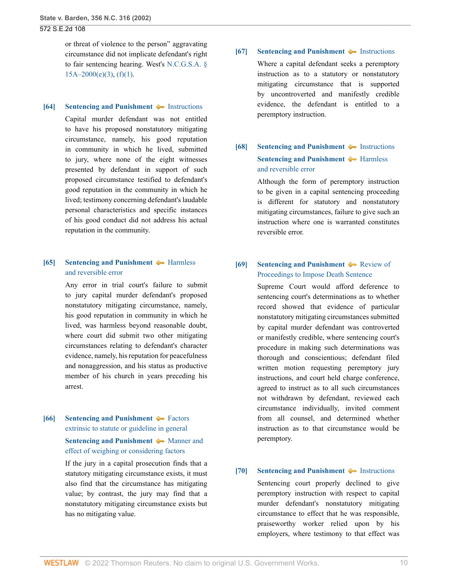or threat of violence to the person" aggravating circumstance did not implicate defendant's right to fair sentencing hearing. West's [N.C.G.S.A. §](http://www.westlaw.com/Link/Document/FullText?findType=L&pubNum=1000037&cite=NCSTS15A-2000&originatingDoc=Ia3aa668203d211da83e7e9deff98dc6f&refType=SP&originationContext=document&vr=3.0&rs=cblt1.0&transitionType=DocumentItem&contextData=(sc.FindAndPrintPortal)#co_pp_4b250000f9dd6)  $15A-2000(e)(3)$ ,  $(f)(1)$ .

#### <span id="page-9-0"></span>**[\[64\]](#page-37-0) [Sentencing and Punishment](http://www.westlaw.com/Browse/Home/KeyNumber/350H/View.html?docGuid=Ia3aa668203d211da83e7e9deff98dc6f&originationContext=document&vr=3.0&rs=cblt1.0&transitionType=DocumentItem&contextData=(sc.FindAndPrintPortal))**  $\blacklozenge$  [Instructions](http://www.westlaw.com/Browse/Home/KeyNumber/350Hk1780(3)/View.html?docGuid=Ia3aa668203d211da83e7e9deff98dc6f&originationContext=document&vr=3.0&rs=cblt1.0&transitionType=DocumentItem&contextData=(sc.FindAndPrintPortal))

Capital murder defendant was not entitled to have his proposed nonstatutory mitigating circumstance, namely, his good reputation in community in which he lived, submitted to jury, where none of the eight witnesses presented by defendant in support of such proposed circumstance testified to defendant's good reputation in the community in which he lived; testimony concerning defendant's laudable personal characteristics and specific instances of his good conduct did not address his actual reputation in the community.

## <span id="page-9-1"></span>**[\[65\]](#page-37-1) [Sentencing and Punishment](http://www.westlaw.com/Browse/Home/KeyNumber/350H/View.html?docGuid=Ia3aa668203d211da83e7e9deff98dc6f&originationContext=document&vr=3.0&rs=cblt1.0&transitionType=DocumentItem&contextData=(sc.FindAndPrintPortal))**  $\blacklozenge$  **[Harmless](http://www.westlaw.com/Browse/Home/KeyNumber/350Hk1789(9)/View.html?docGuid=Ia3aa668203d211da83e7e9deff98dc6f&originationContext=document&vr=3.0&rs=cblt1.0&transitionType=DocumentItem&contextData=(sc.FindAndPrintPortal))** [and reversible error](http://www.westlaw.com/Browse/Home/KeyNumber/350Hk1789(9)/View.html?docGuid=Ia3aa668203d211da83e7e9deff98dc6f&originationContext=document&vr=3.0&rs=cblt1.0&transitionType=DocumentItem&contextData=(sc.FindAndPrintPortal))

Any error in trial court's failure to submit to jury capital murder defendant's proposed nonstatutory mitigating circumstance, namely, his good reputation in community in which he lived, was harmless beyond reasonable doubt, where court did submit two other mitigating circumstances relating to defendant's character evidence, namely, his reputation for peacefulness and nonaggression, and his status as productive member of his church in years preceding his arrest.

## <span id="page-9-2"></span>**[\[66\]](#page-37-2) [Sentencing and Punishment](http://www.westlaw.com/Browse/Home/KeyNumber/350H/View.html?docGuid=Ia3aa668203d211da83e7e9deff98dc6f&originationContext=document&vr=3.0&rs=cblt1.0&transitionType=DocumentItem&contextData=(sc.FindAndPrintPortal)) •** [Factors](http://www.westlaw.com/Browse/Home/KeyNumber/350Hk1656/View.html?docGuid=Ia3aa668203d211da83e7e9deff98dc6f&originationContext=document&vr=3.0&rs=cblt1.0&transitionType=DocumentItem&contextData=(sc.FindAndPrintPortal)) [extrinsic to statute or guideline in general](http://www.westlaw.com/Browse/Home/KeyNumber/350Hk1656/View.html?docGuid=Ia3aa668203d211da83e7e9deff98dc6f&originationContext=document&vr=3.0&rs=cblt1.0&transitionType=DocumentItem&contextData=(sc.FindAndPrintPortal))

## **[Sentencing and Punishment](http://www.westlaw.com/Browse/Home/KeyNumber/350H/View.html?docGuid=Ia3aa668203d211da83e7e9deff98dc6f&originationContext=document&vr=3.0&rs=cblt1.0&transitionType=DocumentItem&contextData=(sc.FindAndPrintPortal))**  $\blacklozenge$  [Manner and](http://www.westlaw.com/Browse/Home/KeyNumber/350Hk1658/View.html?docGuid=Ia3aa668203d211da83e7e9deff98dc6f&originationContext=document&vr=3.0&rs=cblt1.0&transitionType=DocumentItem&contextData=(sc.FindAndPrintPortal)) [effect of weighing or considering factors](http://www.westlaw.com/Browse/Home/KeyNumber/350Hk1658/View.html?docGuid=Ia3aa668203d211da83e7e9deff98dc6f&originationContext=document&vr=3.0&rs=cblt1.0&transitionType=DocumentItem&contextData=(sc.FindAndPrintPortal))

If the jury in a capital prosecution finds that a statutory mitigating circumstance exists, it must also find that the circumstance has mitigating value; by contrast, the jury may find that a nonstatutory mitigating circumstance exists but has no mitigating value.

### <span id="page-9-3"></span>**[\[67\]](#page-37-3) [Sentencing and Punishment](http://www.westlaw.com/Browse/Home/KeyNumber/350H/View.html?docGuid=Ia3aa668203d211da83e7e9deff98dc6f&originationContext=document&vr=3.0&rs=cblt1.0&transitionType=DocumentItem&contextData=(sc.FindAndPrintPortal))**  $\blacklozenge$  **[Instructions](http://www.westlaw.com/Browse/Home/KeyNumber/350Hk1780(3)/View.html?docGuid=Ia3aa668203d211da83e7e9deff98dc6f&originationContext=document&vr=3.0&rs=cblt1.0&transitionType=DocumentItem&contextData=(sc.FindAndPrintPortal))**

Where a capital defendant seeks a peremptory instruction as to a statutory or nonstatutory mitigating circumstance that is supported by uncontroverted and manifestly credible evidence, the defendant is entitled to a peremptory instruction.

# <span id="page-9-4"></span>**[\[68\]](#page-37-4) [Sentencing and Punishment](http://www.westlaw.com/Browse/Home/KeyNumber/350H/View.html?docGuid=Ia3aa668203d211da83e7e9deff98dc6f&originationContext=document&vr=3.0&rs=cblt1.0&transitionType=DocumentItem&contextData=(sc.FindAndPrintPortal))**  $\blacklozenge$  **[Instructions](http://www.westlaw.com/Browse/Home/KeyNumber/350Hk1780(3)/View.html?docGuid=Ia3aa668203d211da83e7e9deff98dc6f&originationContext=document&vr=3.0&rs=cblt1.0&transitionType=DocumentItem&contextData=(sc.FindAndPrintPortal)) [Sentencing and Punishment](http://www.westlaw.com/Browse/Home/KeyNumber/350H/View.html?docGuid=Ia3aa668203d211da83e7e9deff98dc6f&originationContext=document&vr=3.0&rs=cblt1.0&transitionType=DocumentItem&contextData=(sc.FindAndPrintPortal))**  $\blacklozenge$  [Harmless](http://www.westlaw.com/Browse/Home/KeyNumber/350Hk1789(9)/View.html?docGuid=Ia3aa668203d211da83e7e9deff98dc6f&originationContext=document&vr=3.0&rs=cblt1.0&transitionType=DocumentItem&contextData=(sc.FindAndPrintPortal)) [and reversible error](http://www.westlaw.com/Browse/Home/KeyNumber/350Hk1789(9)/View.html?docGuid=Ia3aa668203d211da83e7e9deff98dc6f&originationContext=document&vr=3.0&rs=cblt1.0&transitionType=DocumentItem&contextData=(sc.FindAndPrintPortal))

Although the form of peremptory instruction to be given in a capital sentencing proceeding is different for statutory and nonstatutory mitigating circumstances, failure to give such an instruction where one is warranted constitutes reversible error.

## <span id="page-9-5"></span>**[\[69\]](#page-38-0) [Sentencing and Punishment](http://www.westlaw.com/Browse/Home/KeyNumber/350H/View.html?docGuid=Ia3aa668203d211da83e7e9deff98dc6f&originationContext=document&vr=3.0&rs=cblt1.0&transitionType=DocumentItem&contextData=(sc.FindAndPrintPortal))**  $\blacklozenge$  **[Review of](http://www.westlaw.com/Browse/Home/KeyNumber/350Hk1789/View.html?docGuid=Ia3aa668203d211da83e7e9deff98dc6f&originationContext=document&vr=3.0&rs=cblt1.0&transitionType=DocumentItem&contextData=(sc.FindAndPrintPortal))** [Proceedings to Impose Death Sentence](http://www.westlaw.com/Browse/Home/KeyNumber/350Hk1789/View.html?docGuid=Ia3aa668203d211da83e7e9deff98dc6f&originationContext=document&vr=3.0&rs=cblt1.0&transitionType=DocumentItem&contextData=(sc.FindAndPrintPortal))

Supreme Court would afford deference to sentencing court's determinations as to whether record showed that evidence of particular nonstatutory mitigating circumstances submitted by capital murder defendant was controverted or manifestly credible, where sentencing court's procedure in making such determinations was thorough and conscientious; defendant filed written motion requesting peremptory jury instructions, and court held charge conference, agreed to instruct as to all such circumstances not withdrawn by defendant, reviewed each circumstance individually, invited comment from all counsel, and determined whether instruction as to that circumstance would be peremptory.

### <span id="page-9-6"></span>**[\[70\]](#page-38-1) [Sentencing and Punishment](http://www.westlaw.com/Browse/Home/KeyNumber/350H/View.html?docGuid=Ia3aa668203d211da83e7e9deff98dc6f&originationContext=document&vr=3.0&rs=cblt1.0&transitionType=DocumentItem&contextData=(sc.FindAndPrintPortal))**  $\blacklozenge$  **[Instructions](http://www.westlaw.com/Browse/Home/KeyNumber/350Hk1780(3)/View.html?docGuid=Ia3aa668203d211da83e7e9deff98dc6f&originationContext=document&vr=3.0&rs=cblt1.0&transitionType=DocumentItem&contextData=(sc.FindAndPrintPortal))**

Sentencing court properly declined to give peremptory instruction with respect to capital murder defendant's nonstatutory mitigating circumstance to effect that he was responsible, praiseworthy worker relied upon by his employers, where testimony to that effect was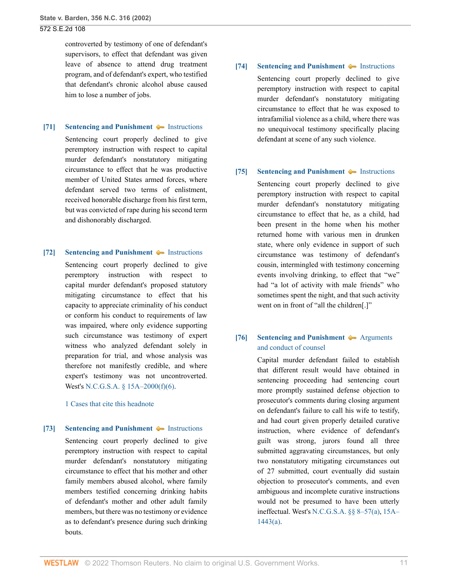controverted by testimony of one of defendant's supervisors, to effect that defendant was given leave of absence to attend drug treatment program, and of defendant's expert, who testified that defendant's chronic alcohol abuse caused him to lose a number of jobs.

#### <span id="page-10-0"></span>**[\[71\]](#page-38-2) [Sentencing and Punishment](http://www.westlaw.com/Browse/Home/KeyNumber/350H/View.html?docGuid=Ia3aa668203d211da83e7e9deff98dc6f&originationContext=document&vr=3.0&rs=cblt1.0&transitionType=DocumentItem&contextData=(sc.FindAndPrintPortal))**  $\blacklozenge$  [Instructions](http://www.westlaw.com/Browse/Home/KeyNumber/350Hk1780(3)/View.html?docGuid=Ia3aa668203d211da83e7e9deff98dc6f&originationContext=document&vr=3.0&rs=cblt1.0&transitionType=DocumentItem&contextData=(sc.FindAndPrintPortal))

Sentencing court properly declined to give peremptory instruction with respect to capital murder defendant's nonstatutory mitigating circumstance to effect that he was productive member of United States armed forces, where defendant served two terms of enlistment, received honorable discharge from his first term, but was convicted of rape during his second term and dishonorably discharged.

### <span id="page-10-1"></span>**[\[72\]](#page-38-3) [Sentencing and Punishment](http://www.westlaw.com/Browse/Home/KeyNumber/350H/View.html?docGuid=Ia3aa668203d211da83e7e9deff98dc6f&originationContext=document&vr=3.0&rs=cblt1.0&transitionType=DocumentItem&contextData=(sc.FindAndPrintPortal))**  $\blacklozenge$  [Instructions](http://www.westlaw.com/Browse/Home/KeyNumber/350Hk1780(3)/View.html?docGuid=Ia3aa668203d211da83e7e9deff98dc6f&originationContext=document&vr=3.0&rs=cblt1.0&transitionType=DocumentItem&contextData=(sc.FindAndPrintPortal))

Sentencing court properly declined to give peremptory instruction with respect to capital murder defendant's proposed statutory mitigating circumstance to effect that his capacity to appreciate criminality of his conduct or conform his conduct to requirements of law was impaired, where only evidence supporting such circumstance was testimony of expert witness who analyzed defendant solely in preparation for trial, and whose analysis was therefore not manifestly credible, and where expert's testimony was not uncontroverted. West's [N.C.G.S.A. § 15A–2000\(f\)\(6\).](http://www.westlaw.com/Link/Document/FullText?findType=L&pubNum=1000037&cite=NCSTS15A-2000&originatingDoc=Ia3aa668203d211da83e7e9deff98dc6f&refType=SP&originationContext=document&vr=3.0&rs=cblt1.0&transitionType=DocumentItem&contextData=(sc.FindAndPrintPortal)#co_pp_8bf50000573d1)

#### [1 Cases that cite this headnote](http://www.westlaw.com/Link/RelatedInformation/DocHeadnoteLink?docGuid=Ia3aa668203d211da83e7e9deff98dc6f&headnoteId=200274042907220190625003639&originationContext=document&vr=3.0&rs=cblt1.0&transitionType=CitingReferences&contextData=(sc.FindAndPrintPortal))

### <span id="page-10-2"></span>**[\[73\]](#page-39-0) [Sentencing and Punishment](http://www.westlaw.com/Browse/Home/KeyNumber/350H/View.html?docGuid=Ia3aa668203d211da83e7e9deff98dc6f&originationContext=document&vr=3.0&rs=cblt1.0&transitionType=DocumentItem&contextData=(sc.FindAndPrintPortal))**  $\blacklozenge$  **[Instructions](http://www.westlaw.com/Browse/Home/KeyNumber/350Hk1780(3)/View.html?docGuid=Ia3aa668203d211da83e7e9deff98dc6f&originationContext=document&vr=3.0&rs=cblt1.0&transitionType=DocumentItem&contextData=(sc.FindAndPrintPortal))**

Sentencing court properly declined to give peremptory instruction with respect to capital murder defendant's nonstatutory mitigating circumstance to effect that his mother and other family members abused alcohol, where family members testified concerning drinking habits of defendant's mother and other adult family members, but there was no testimony or evidence as to defendant's presence during such drinking bouts.

### <span id="page-10-3"></span>**[\[74\]](#page-39-1) [Sentencing and Punishment](http://www.westlaw.com/Browse/Home/KeyNumber/350H/View.html?docGuid=Ia3aa668203d211da83e7e9deff98dc6f&originationContext=document&vr=3.0&rs=cblt1.0&transitionType=DocumentItem&contextData=(sc.FindAndPrintPortal))**  $\blacklozenge$  [Instructions](http://www.westlaw.com/Browse/Home/KeyNumber/350Hk1780(3)/View.html?docGuid=Ia3aa668203d211da83e7e9deff98dc6f&originationContext=document&vr=3.0&rs=cblt1.0&transitionType=DocumentItem&contextData=(sc.FindAndPrintPortal))

Sentencing court properly declined to give peremptory instruction with respect to capital murder defendant's nonstatutory mitigating circumstance to effect that he was exposed to intrafamilial violence as a child, where there was no unequivocal testimony specifically placing defendant at scene of any such violence.

### <span id="page-10-4"></span>**[\[75\]](#page-39-2) [Sentencing and Punishment](http://www.westlaw.com/Browse/Home/KeyNumber/350H/View.html?docGuid=Ia3aa668203d211da83e7e9deff98dc6f&originationContext=document&vr=3.0&rs=cblt1.0&transitionType=DocumentItem&contextData=(sc.FindAndPrintPortal))**  $\blacklozenge$  [Instructions](http://www.westlaw.com/Browse/Home/KeyNumber/350Hk1780(3)/View.html?docGuid=Ia3aa668203d211da83e7e9deff98dc6f&originationContext=document&vr=3.0&rs=cblt1.0&transitionType=DocumentItem&contextData=(sc.FindAndPrintPortal))

Sentencing court properly declined to give peremptory instruction with respect to capital murder defendant's nonstatutory mitigating circumstance to effect that he, as a child, had been present in the home when his mother returned home with various men in drunken state, where only evidence in support of such circumstance was testimony of defendant's cousin, intermingled with testimony concerning events involving drinking, to effect that "we" had "a lot of activity with male friends" who sometimes spent the night, and that such activity went on in front of "all the children[.]"

## <span id="page-10-5"></span>**[\[76\]](#page-40-0) [Sentencing and Punishment](http://www.westlaw.com/Browse/Home/KeyNumber/350H/View.html?docGuid=Ia3aa668203d211da83e7e9deff98dc6f&originationContext=document&vr=3.0&rs=cblt1.0&transitionType=DocumentItem&contextData=(sc.FindAndPrintPortal))**  $\rightarrow$  [Arguments](http://www.westlaw.com/Browse/Home/KeyNumber/350Hk1780(2)/View.html?docGuid=Ia3aa668203d211da83e7e9deff98dc6f&originationContext=document&vr=3.0&rs=cblt1.0&transitionType=DocumentItem&contextData=(sc.FindAndPrintPortal)) [and conduct of counsel](http://www.westlaw.com/Browse/Home/KeyNumber/350Hk1780(2)/View.html?docGuid=Ia3aa668203d211da83e7e9deff98dc6f&originationContext=document&vr=3.0&rs=cblt1.0&transitionType=DocumentItem&contextData=(sc.FindAndPrintPortal))

Capital murder defendant failed to establish that different result would have obtained in sentencing proceeding had sentencing court more promptly sustained defense objection to prosecutor's comments during closing argument on defendant's failure to call his wife to testify, and had court given properly detailed curative instruction, where evidence of defendant's guilt was strong, jurors found all three submitted aggravating circumstances, but only two nonstatutory mitigating circumstances out of 27 submitted, court eventually did sustain objection to prosecutor's comments, and even ambiguous and incomplete curative instructions would not be presumed to have been utterly ineffectual. West's [N.C.G.S.A. §§ 8–57\(a\),](http://www.westlaw.com/Link/Document/FullText?findType=L&pubNum=1000037&cite=NCSTS8-57&originatingDoc=Ia3aa668203d211da83e7e9deff98dc6f&refType=SP&originationContext=document&vr=3.0&rs=cblt1.0&transitionType=DocumentItem&contextData=(sc.FindAndPrintPortal)#co_pp_8b3b0000958a4) [15A–](http://www.westlaw.com/Link/Document/FullText?findType=L&pubNum=1000037&cite=NCSTS15A-1443&originatingDoc=Ia3aa668203d211da83e7e9deff98dc6f&refType=SP&originationContext=document&vr=3.0&rs=cblt1.0&transitionType=DocumentItem&contextData=(sc.FindAndPrintPortal)#co_pp_8b3b0000958a4) [1443\(a\).](http://www.westlaw.com/Link/Document/FullText?findType=L&pubNum=1000037&cite=NCSTS15A-1443&originatingDoc=Ia3aa668203d211da83e7e9deff98dc6f&refType=SP&originationContext=document&vr=3.0&rs=cblt1.0&transitionType=DocumentItem&contextData=(sc.FindAndPrintPortal)#co_pp_8b3b0000958a4)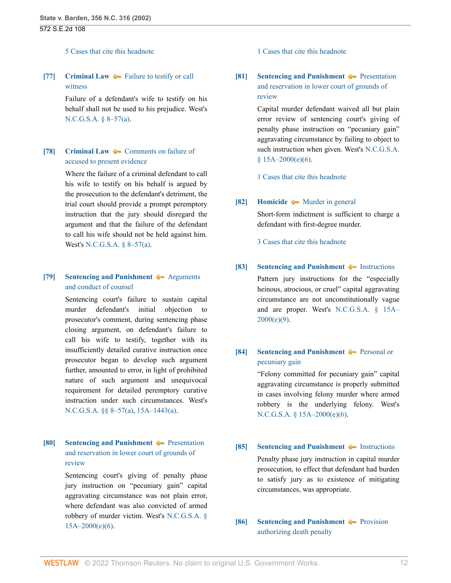#### [5 Cases that cite this headnote](http://www.westlaw.com/Link/RelatedInformation/DocHeadnoteLink?docGuid=Ia3aa668203d211da83e7e9deff98dc6f&headnoteId=200274042907620190625003639&originationContext=document&vr=3.0&rs=cblt1.0&transitionType=CitingReferences&contextData=(sc.FindAndPrintPortal))

<span id="page-11-0"></span>**[\[77\]](#page-40-1) [Criminal Law](http://www.westlaw.com/Browse/Home/KeyNumber/110/View.html?docGuid=Ia3aa668203d211da83e7e9deff98dc6f&originationContext=document&vr=3.0&rs=cblt1.0&transitionType=DocumentItem&contextData=(sc.FindAndPrintPortal))**  $\blacklozenge$  **[Failure to testify or call](http://www.westlaw.com/Browse/Home/KeyNumber/110k317/View.html?docGuid=Ia3aa668203d211da83e7e9deff98dc6f&originationContext=document&vr=3.0&rs=cblt1.0&transitionType=DocumentItem&contextData=(sc.FindAndPrintPortal))** [witness](http://www.westlaw.com/Browse/Home/KeyNumber/110k317/View.html?docGuid=Ia3aa668203d211da83e7e9deff98dc6f&originationContext=document&vr=3.0&rs=cblt1.0&transitionType=DocumentItem&contextData=(sc.FindAndPrintPortal))

> Failure of a defendant's wife to testify on his behalf shall not be used to his prejudice. West's [N.C.G.S.A. § 8–57\(a\).](http://www.westlaw.com/Link/Document/FullText?findType=L&pubNum=1000037&cite=NCSTS8-57&originatingDoc=Ia3aa668203d211da83e7e9deff98dc6f&refType=SP&originationContext=document&vr=3.0&rs=cblt1.0&transitionType=DocumentItem&contextData=(sc.FindAndPrintPortal)#co_pp_8b3b0000958a4)

# <span id="page-11-1"></span>**[\[78\]](#page-40-2) [Criminal Law](http://www.westlaw.com/Browse/Home/KeyNumber/110/View.html?docGuid=Ia3aa668203d211da83e7e9deff98dc6f&originationContext=document&vr=3.0&rs=cblt1.0&transitionType=DocumentItem&contextData=(sc.FindAndPrintPortal))**  $\bullet$  **[Comments on failure of](http://www.westlaw.com/Browse/Home/KeyNumber/110k2203/View.html?docGuid=Ia3aa668203d211da83e7e9deff98dc6f&originationContext=document&vr=3.0&rs=cblt1.0&transitionType=DocumentItem&contextData=(sc.FindAndPrintPortal))** [accused to present evidence](http://www.westlaw.com/Browse/Home/KeyNumber/110k2203/View.html?docGuid=Ia3aa668203d211da83e7e9deff98dc6f&originationContext=document&vr=3.0&rs=cblt1.0&transitionType=DocumentItem&contextData=(sc.FindAndPrintPortal))

Where the failure of a criminal defendant to call his wife to testify on his behalf is argued by the prosecution to the defendant's detriment, the trial court should provide a prompt peremptory instruction that the jury should disregard the argument and that the failure of the defendant to call his wife should not be held against him. West's [N.C.G.S.A. § 8–57\(a\).](http://www.westlaw.com/Link/Document/FullText?findType=L&pubNum=1000037&cite=NCSTS8-57&originatingDoc=Ia3aa668203d211da83e7e9deff98dc6f&refType=SP&originationContext=document&vr=3.0&rs=cblt1.0&transitionType=DocumentItem&contextData=(sc.FindAndPrintPortal)#co_pp_8b3b0000958a4)

## <span id="page-11-2"></span>**[\[79\]](#page-40-3) [Sentencing and Punishment](http://www.westlaw.com/Browse/Home/KeyNumber/350H/View.html?docGuid=Ia3aa668203d211da83e7e9deff98dc6f&originationContext=document&vr=3.0&rs=cblt1.0&transitionType=DocumentItem&contextData=(sc.FindAndPrintPortal))**  $\rightarrow$  [Arguments](http://www.westlaw.com/Browse/Home/KeyNumber/350Hk1780(2)/View.html?docGuid=Ia3aa668203d211da83e7e9deff98dc6f&originationContext=document&vr=3.0&rs=cblt1.0&transitionType=DocumentItem&contextData=(sc.FindAndPrintPortal)) [and conduct of counsel](http://www.westlaw.com/Browse/Home/KeyNumber/350Hk1780(2)/View.html?docGuid=Ia3aa668203d211da83e7e9deff98dc6f&originationContext=document&vr=3.0&rs=cblt1.0&transitionType=DocumentItem&contextData=(sc.FindAndPrintPortal))

Sentencing court's failure to sustain capital murder defendant's initial objection to prosecutor's comment, during sentencing phase closing argument, on defendant's failure to call his wife to testify, together with its insufficiently detailed curative instruction once prosecutor began to develop such argument further, amounted to error, in light of prohibited nature of such argument and unequivocal requirement for detailed peremptory curative instruction under such circumstances. West's [N.C.G.S.A. §§ 8–57\(a\),](http://www.westlaw.com/Link/Document/FullText?findType=L&pubNum=1000037&cite=NCSTS8-57&originatingDoc=Ia3aa668203d211da83e7e9deff98dc6f&refType=SP&originationContext=document&vr=3.0&rs=cblt1.0&transitionType=DocumentItem&contextData=(sc.FindAndPrintPortal)#co_pp_8b3b0000958a4) [15A–1443\(a\)](http://www.westlaw.com/Link/Document/FullText?findType=L&pubNum=1000037&cite=NCSTS15A-1443&originatingDoc=Ia3aa668203d211da83e7e9deff98dc6f&refType=SP&originationContext=document&vr=3.0&rs=cblt1.0&transitionType=DocumentItem&contextData=(sc.FindAndPrintPortal)#co_pp_8b3b0000958a4).

# <span id="page-11-3"></span>**[\[80\]](#page-41-0) [Sentencing and Punishment](http://www.westlaw.com/Browse/Home/KeyNumber/350H/View.html?docGuid=Ia3aa668203d211da83e7e9deff98dc6f&originationContext=document&vr=3.0&rs=cblt1.0&transitionType=DocumentItem&contextData=(sc.FindAndPrintPortal)) [Presentation](http://www.westlaw.com/Browse/Home/KeyNumber/350Hk1789(3)/View.html?docGuid=Ia3aa668203d211da83e7e9deff98dc6f&originationContext=document&vr=3.0&rs=cblt1.0&transitionType=DocumentItem&contextData=(sc.FindAndPrintPortal))** [and reservation in lower court of grounds of](http://www.westlaw.com/Browse/Home/KeyNumber/350Hk1789(3)/View.html?docGuid=Ia3aa668203d211da83e7e9deff98dc6f&originationContext=document&vr=3.0&rs=cblt1.0&transitionType=DocumentItem&contextData=(sc.FindAndPrintPortal)) [review](http://www.westlaw.com/Browse/Home/KeyNumber/350Hk1789(3)/View.html?docGuid=Ia3aa668203d211da83e7e9deff98dc6f&originationContext=document&vr=3.0&rs=cblt1.0&transitionType=DocumentItem&contextData=(sc.FindAndPrintPortal))

Sentencing court's giving of penalty phase jury instruction on "pecuniary gain" capital aggravating circumstance was not plain error, where defendant was also convicted of armed robbery of murder victim. West's [N.C.G.S.A. §](http://www.westlaw.com/Link/Document/FullText?findType=L&pubNum=1000037&cite=NCSTS15A-2000&originatingDoc=Ia3aa668203d211da83e7e9deff98dc6f&refType=SP&originationContext=document&vr=3.0&rs=cblt1.0&transitionType=DocumentItem&contextData=(sc.FindAndPrintPortal)#co_pp_71db000052462)  $15A-2000(e)(6)$ .

[1 Cases that cite this headnote](http://www.westlaw.com/Link/RelatedInformation/DocHeadnoteLink?docGuid=Ia3aa668203d211da83e7e9deff98dc6f&headnoteId=200274042908020190625003639&originationContext=document&vr=3.0&rs=cblt1.0&transitionType=CitingReferences&contextData=(sc.FindAndPrintPortal))

<span id="page-11-4"></span>**[\[81\]](#page-41-1) [Sentencing and Punishment](http://www.westlaw.com/Browse/Home/KeyNumber/350H/View.html?docGuid=Ia3aa668203d211da83e7e9deff98dc6f&originationContext=document&vr=3.0&rs=cblt1.0&transitionType=DocumentItem&contextData=(sc.FindAndPrintPortal)) [Presentation](http://www.westlaw.com/Browse/Home/KeyNumber/350Hk1789(3)/View.html?docGuid=Ia3aa668203d211da83e7e9deff98dc6f&originationContext=document&vr=3.0&rs=cblt1.0&transitionType=DocumentItem&contextData=(sc.FindAndPrintPortal))** [and reservation in lower court of grounds of](http://www.westlaw.com/Browse/Home/KeyNumber/350Hk1789(3)/View.html?docGuid=Ia3aa668203d211da83e7e9deff98dc6f&originationContext=document&vr=3.0&rs=cblt1.0&transitionType=DocumentItem&contextData=(sc.FindAndPrintPortal)) [review](http://www.westlaw.com/Browse/Home/KeyNumber/350Hk1789(3)/View.html?docGuid=Ia3aa668203d211da83e7e9deff98dc6f&originationContext=document&vr=3.0&rs=cblt1.0&transitionType=DocumentItem&contextData=(sc.FindAndPrintPortal))

> Capital murder defendant waived all but plain error review of sentencing court's giving of penalty phase instruction on "pecuniary gain" aggravating circumstance by failing to object to such instruction when given. West's [N.C.G.S.A.](http://www.westlaw.com/Link/Document/FullText?findType=L&pubNum=1000037&cite=NCSTS15A-2000&originatingDoc=Ia3aa668203d211da83e7e9deff98dc6f&refType=SP&originationContext=document&vr=3.0&rs=cblt1.0&transitionType=DocumentItem&contextData=(sc.FindAndPrintPortal)#co_pp_71db000052462)  $$15A-2000(e)(6)$ .

[1 Cases that cite this headnote](http://www.westlaw.com/Link/RelatedInformation/DocHeadnoteLink?docGuid=Ia3aa668203d211da83e7e9deff98dc6f&headnoteId=200274042908120190625003639&originationContext=document&vr=3.0&rs=cblt1.0&transitionType=CitingReferences&contextData=(sc.FindAndPrintPortal))

### <span id="page-11-5"></span>**[\[82\]](#page-42-0) [Homicide](http://www.westlaw.com/Browse/Home/KeyNumber/203/View.html?docGuid=Ia3aa668203d211da83e7e9deff98dc6f&originationContext=document&vr=3.0&rs=cblt1.0&transitionType=DocumentItem&contextData=(sc.FindAndPrintPortal))**  $\rightarrow$  [Murder in general](http://www.westlaw.com/Browse/Home/KeyNumber/203k832/View.html?docGuid=Ia3aa668203d211da83e7e9deff98dc6f&originationContext=document&vr=3.0&rs=cblt1.0&transitionType=DocumentItem&contextData=(sc.FindAndPrintPortal))

Short-form indictment is sufficient to charge a defendant with first-degree murder.

[3 Cases that cite this headnote](http://www.westlaw.com/Link/RelatedInformation/DocHeadnoteLink?docGuid=Ia3aa668203d211da83e7e9deff98dc6f&headnoteId=200274042908220190625003639&originationContext=document&vr=3.0&rs=cblt1.0&transitionType=CitingReferences&contextData=(sc.FindAndPrintPortal))

### <span id="page-11-6"></span>**[\[83\]](#page-42-1) [Sentencing and Punishment](http://www.westlaw.com/Browse/Home/KeyNumber/350H/View.html?docGuid=Ia3aa668203d211da83e7e9deff98dc6f&originationContext=document&vr=3.0&rs=cblt1.0&transitionType=DocumentItem&contextData=(sc.FindAndPrintPortal))**  $\blacklozenge$  [Instructions](http://www.westlaw.com/Browse/Home/KeyNumber/350Hk1780(3)/View.html?docGuid=Ia3aa668203d211da83e7e9deff98dc6f&originationContext=document&vr=3.0&rs=cblt1.0&transitionType=DocumentItem&contextData=(sc.FindAndPrintPortal))

Pattern jury instructions for the "especially heinous, atrocious, or cruel" capital aggravating circumstance are not unconstitutionally vague and are proper. West's [N.C.G.S.A. § 15A–](http://www.westlaw.com/Link/Document/FullText?findType=L&pubNum=1000037&cite=NCSTS15A-2000&originatingDoc=Ia3aa668203d211da83e7e9deff98dc6f&refType=SP&originationContext=document&vr=3.0&rs=cblt1.0&transitionType=DocumentItem&contextData=(sc.FindAndPrintPortal)#co_pp_fab00000b4d46)  $2000(e)(9)$ .

## <span id="page-11-7"></span>**[\[84\]](#page-42-2) [Sentencing and Punishment](http://www.westlaw.com/Browse/Home/KeyNumber/350H/View.html?docGuid=Ia3aa668203d211da83e7e9deff98dc6f&originationContext=document&vr=3.0&rs=cblt1.0&transitionType=DocumentItem&contextData=(sc.FindAndPrintPortal)) [Personal or](http://www.westlaw.com/Browse/Home/KeyNumber/350Hk1673/View.html?docGuid=Ia3aa668203d211da83e7e9deff98dc6f&originationContext=document&vr=3.0&rs=cblt1.0&transitionType=DocumentItem&contextData=(sc.FindAndPrintPortal))** [pecuniary gain](http://www.westlaw.com/Browse/Home/KeyNumber/350Hk1673/View.html?docGuid=Ia3aa668203d211da83e7e9deff98dc6f&originationContext=document&vr=3.0&rs=cblt1.0&transitionType=DocumentItem&contextData=(sc.FindAndPrintPortal))

"Felony committed for pecuniary gain" capital aggravating circumstance is properly submitted in cases involving felony murder where armed robbery is the underlying felony. West's [N.C.G.S.A. § 15A–2000\(e\)\(6\).](http://www.westlaw.com/Link/Document/FullText?findType=L&pubNum=1000037&cite=NCSTS15A-2000&originatingDoc=Ia3aa668203d211da83e7e9deff98dc6f&refType=SP&originationContext=document&vr=3.0&rs=cblt1.0&transitionType=DocumentItem&contextData=(sc.FindAndPrintPortal)#co_pp_71db000052462)

# <span id="page-11-8"></span>**[\[85\]](#page-42-3) [Sentencing and Punishment](http://www.westlaw.com/Browse/Home/KeyNumber/350H/View.html?docGuid=Ia3aa668203d211da83e7e9deff98dc6f&originationContext=document&vr=3.0&rs=cblt1.0&transitionType=DocumentItem&contextData=(sc.FindAndPrintPortal))**  $\blacklozenge$  [Instructions](http://www.westlaw.com/Browse/Home/KeyNumber/350Hk1780(3)/View.html?docGuid=Ia3aa668203d211da83e7e9deff98dc6f&originationContext=document&vr=3.0&rs=cblt1.0&transitionType=DocumentItem&contextData=(sc.FindAndPrintPortal))

Penalty phase jury instruction in capital murder prosecution, to effect that defendant had burden to satisfy jury as to existence of mitigating circumstances, was appropriate.

<span id="page-11-9"></span>**[\[86\]](#page-42-4) [Sentencing and Punishment](http://www.westlaw.com/Browse/Home/KeyNumber/350H/View.html?docGuid=Ia3aa668203d211da83e7e9deff98dc6f&originationContext=document&vr=3.0&rs=cblt1.0&transitionType=DocumentItem&contextData=(sc.FindAndPrintPortal)) [Provision](http://www.westlaw.com/Browse/Home/KeyNumber/350Hk1624/View.html?docGuid=Ia3aa668203d211da83e7e9deff98dc6f&originationContext=document&vr=3.0&rs=cblt1.0&transitionType=DocumentItem&contextData=(sc.FindAndPrintPortal))** [authorizing death penalty](http://www.westlaw.com/Browse/Home/KeyNumber/350Hk1624/View.html?docGuid=Ia3aa668203d211da83e7e9deff98dc6f&originationContext=document&vr=3.0&rs=cblt1.0&transitionType=DocumentItem&contextData=(sc.FindAndPrintPortal))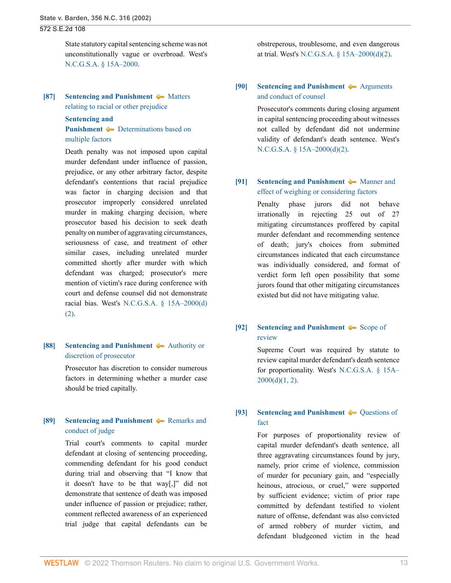State statutory capital sentencing scheme was not unconstitutionally vague or overbroad. West's [N.C.G.S.A. § 15A–2000](http://www.westlaw.com/Link/Document/FullText?findType=L&pubNum=1000037&cite=NCSTS15A-2000&originatingDoc=Ia3aa668203d211da83e7e9deff98dc6f&refType=LQ&originationContext=document&vr=3.0&rs=cblt1.0&transitionType=DocumentItem&contextData=(sc.FindAndPrintPortal)).

# <span id="page-12-0"></span>**[\[87\]](#page-42-5) [Sentencing and Punishment](http://www.westlaw.com/Browse/Home/KeyNumber/350H/View.html?docGuid=Ia3aa668203d211da83e7e9deff98dc6f&originationContext=document&vr=3.0&rs=cblt1.0&transitionType=DocumentItem&contextData=(sc.FindAndPrintPortal))**  $\rightarrow$  [Matters](http://www.westlaw.com/Browse/Home/KeyNumber/350Hk1648/View.html?docGuid=Ia3aa668203d211da83e7e9deff98dc6f&originationContext=document&vr=3.0&rs=cblt1.0&transitionType=DocumentItem&contextData=(sc.FindAndPrintPortal)) [relating to racial or other prejudice](http://www.westlaw.com/Browse/Home/KeyNumber/350Hk1648/View.html?docGuid=Ia3aa668203d211da83e7e9deff98dc6f&originationContext=document&vr=3.0&rs=cblt1.0&transitionType=DocumentItem&contextData=(sc.FindAndPrintPortal))

**[Sentencing and](http://www.westlaw.com/Browse/Home/KeyNumber/350H/View.html?docGuid=Ia3aa668203d211da83e7e9deff98dc6f&originationContext=document&vr=3.0&rs=cblt1.0&transitionType=DocumentItem&contextData=(sc.FindAndPrintPortal)) [Punishment](http://www.westlaw.com/Browse/Home/KeyNumber/350H/View.html?docGuid=Ia3aa668203d211da83e7e9deff98dc6f&originationContext=document&vr=3.0&rs=cblt1.0&transitionType=DocumentItem&contextData=(sc.FindAndPrintPortal))**  $\blacklozenge$  [Determinations based on](http://www.westlaw.com/Browse/Home/KeyNumber/350Hk1661/View.html?docGuid=Ia3aa668203d211da83e7e9deff98dc6f&originationContext=document&vr=3.0&rs=cblt1.0&transitionType=DocumentItem&contextData=(sc.FindAndPrintPortal))

# [multiple factors](http://www.westlaw.com/Browse/Home/KeyNumber/350Hk1661/View.html?docGuid=Ia3aa668203d211da83e7e9deff98dc6f&originationContext=document&vr=3.0&rs=cblt1.0&transitionType=DocumentItem&contextData=(sc.FindAndPrintPortal))

Death penalty was not imposed upon capital murder defendant under influence of passion, prejudice, or any other arbitrary factor, despite defendant's contentions that racial prejudice was factor in charging decision and that prosecutor improperly considered unrelated murder in making charging decision, where prosecutor based his decision to seek death penalty on number of aggravating circumstances, seriousness of case, and treatment of other similar cases, including unrelated murder committed shortly after murder with which defendant was charged; prosecutor's mere mention of victim's race during conference with court and defense counsel did not demonstrate racial bias. West's [N.C.G.S.A. § 15A–2000\(d\)](http://www.westlaw.com/Link/Document/FullText?findType=L&pubNum=1000037&cite=NCSTS15A-2000&originatingDoc=Ia3aa668203d211da83e7e9deff98dc6f&refType=SP&originationContext=document&vr=3.0&rs=cblt1.0&transitionType=DocumentItem&contextData=(sc.FindAndPrintPortal)#co_pp_4be3000003be5) [\(2\)](http://www.westlaw.com/Link/Document/FullText?findType=L&pubNum=1000037&cite=NCSTS15A-2000&originatingDoc=Ia3aa668203d211da83e7e9deff98dc6f&refType=SP&originationContext=document&vr=3.0&rs=cblt1.0&transitionType=DocumentItem&contextData=(sc.FindAndPrintPortal)#co_pp_4be3000003be5).

## <span id="page-12-1"></span>**[\[88\]](#page-43-0) [Sentencing and Punishment](http://www.westlaw.com/Browse/Home/KeyNumber/350H/View.html?docGuid=Ia3aa668203d211da83e7e9deff98dc6f&originationContext=document&vr=3.0&rs=cblt1.0&transitionType=DocumentItem&contextData=(sc.FindAndPrintPortal))**  $\rightarrow$  [Authority or](http://www.westlaw.com/Browse/Home/KeyNumber/350Hk1740/View.html?docGuid=Ia3aa668203d211da83e7e9deff98dc6f&originationContext=document&vr=3.0&rs=cblt1.0&transitionType=DocumentItem&contextData=(sc.FindAndPrintPortal)) [discretion of prosecutor](http://www.westlaw.com/Browse/Home/KeyNumber/350Hk1740/View.html?docGuid=Ia3aa668203d211da83e7e9deff98dc6f&originationContext=document&vr=3.0&rs=cblt1.0&transitionType=DocumentItem&contextData=(sc.FindAndPrintPortal))

Prosecutor has discretion to consider numerous factors in determining whether a murder case should be tried capitally.

# <span id="page-12-2"></span>**[\[89\]](#page-43-1) [Sentencing and Punishment](http://www.westlaw.com/Browse/Home/KeyNumber/350H/View.html?docGuid=Ia3aa668203d211da83e7e9deff98dc6f&originationContext=document&vr=3.0&rs=cblt1.0&transitionType=DocumentItem&contextData=(sc.FindAndPrintPortal))**  $\blacklozenge$  [Remarks and](http://www.westlaw.com/Browse/Home/KeyNumber/350Hk1781/View.html?docGuid=Ia3aa668203d211da83e7e9deff98dc6f&originationContext=document&vr=3.0&rs=cblt1.0&transitionType=DocumentItem&contextData=(sc.FindAndPrintPortal)) [conduct of judge](http://www.westlaw.com/Browse/Home/KeyNumber/350Hk1781/View.html?docGuid=Ia3aa668203d211da83e7e9deff98dc6f&originationContext=document&vr=3.0&rs=cblt1.0&transitionType=DocumentItem&contextData=(sc.FindAndPrintPortal))

Trial court's comments to capital murder defendant at closing of sentencing proceeding, commending defendant for his good conduct during trial and observing that "I know that it doesn't have to be that way[,]" did not demonstrate that sentence of death was imposed under influence of passion or prejudice; rather, comment reflected awareness of an experienced trial judge that capital defendants can be obstreperous, troublesome, and even dangerous at trial. West's [N.C.G.S.A. § 15A–2000\(d\)\(2\)](http://www.westlaw.com/Link/Document/FullText?findType=L&pubNum=1000037&cite=NCSTS15A-2000&originatingDoc=Ia3aa668203d211da83e7e9deff98dc6f&refType=SP&originationContext=document&vr=3.0&rs=cblt1.0&transitionType=DocumentItem&contextData=(sc.FindAndPrintPortal)#co_pp_4be3000003be5).

## <span id="page-12-3"></span>**[\[90\]](#page-43-2) [Sentencing and Punishment](http://www.westlaw.com/Browse/Home/KeyNumber/350H/View.html?docGuid=Ia3aa668203d211da83e7e9deff98dc6f&originationContext=document&vr=3.0&rs=cblt1.0&transitionType=DocumentItem&contextData=(sc.FindAndPrintPortal))**  $\rightarrow$  [Arguments](http://www.westlaw.com/Browse/Home/KeyNumber/350Hk1780(2)/View.html?docGuid=Ia3aa668203d211da83e7e9deff98dc6f&originationContext=document&vr=3.0&rs=cblt1.0&transitionType=DocumentItem&contextData=(sc.FindAndPrintPortal)) [and conduct of counsel](http://www.westlaw.com/Browse/Home/KeyNumber/350Hk1780(2)/View.html?docGuid=Ia3aa668203d211da83e7e9deff98dc6f&originationContext=document&vr=3.0&rs=cblt1.0&transitionType=DocumentItem&contextData=(sc.FindAndPrintPortal))

Prosecutor's comments during closing argument in capital sentencing proceeding about witnesses not called by defendant did not undermine validity of defendant's death sentence. West's [N.C.G.S.A. § 15A–2000\(d\)\(2\)](http://www.westlaw.com/Link/Document/FullText?findType=L&pubNum=1000037&cite=NCSTS15A-2000&originatingDoc=Ia3aa668203d211da83e7e9deff98dc6f&refType=SP&originationContext=document&vr=3.0&rs=cblt1.0&transitionType=DocumentItem&contextData=(sc.FindAndPrintPortal)#co_pp_4be3000003be5).

## <span id="page-12-4"></span>**[\[91\]](#page-43-3) [Sentencing and Punishment](http://www.westlaw.com/Browse/Home/KeyNumber/350H/View.html?docGuid=Ia3aa668203d211da83e7e9deff98dc6f&originationContext=document&vr=3.0&rs=cblt1.0&transitionType=DocumentItem&contextData=(sc.FindAndPrintPortal))**  $\blacklozenge$  **[Manner and](http://www.westlaw.com/Browse/Home/KeyNumber/350Hk1658/View.html?docGuid=Ia3aa668203d211da83e7e9deff98dc6f&originationContext=document&vr=3.0&rs=cblt1.0&transitionType=DocumentItem&contextData=(sc.FindAndPrintPortal))** [effect of weighing or considering factors](http://www.westlaw.com/Browse/Home/KeyNumber/350Hk1658/View.html?docGuid=Ia3aa668203d211da83e7e9deff98dc6f&originationContext=document&vr=3.0&rs=cblt1.0&transitionType=DocumentItem&contextData=(sc.FindAndPrintPortal))

Penalty phase jurors did not behave irrationally in rejecting 25 out of 27 mitigating circumstances proffered by capital murder defendant and recommending sentence of death; jury's choices from submitted circumstances indicated that each circumstance was individually considered, and format of verdict form left open possibility that some jurors found that other mitigating circumstances existed but did not have mitigating value.

## <span id="page-12-5"></span>**[\[92\]](#page-43-4) [Sentencing and Punishment](http://www.westlaw.com/Browse/Home/KeyNumber/350H/View.html?docGuid=Ia3aa668203d211da83e7e9deff98dc6f&originationContext=document&vr=3.0&rs=cblt1.0&transitionType=DocumentItem&contextData=(sc.FindAndPrintPortal))**  $\blacklozenge$  **[Scope of](http://www.westlaw.com/Browse/Home/KeyNumber/350Hk1788(5)/View.html?docGuid=Ia3aa668203d211da83e7e9deff98dc6f&originationContext=document&vr=3.0&rs=cblt1.0&transitionType=DocumentItem&contextData=(sc.FindAndPrintPortal))** [review](http://www.westlaw.com/Browse/Home/KeyNumber/350Hk1788(5)/View.html?docGuid=Ia3aa668203d211da83e7e9deff98dc6f&originationContext=document&vr=3.0&rs=cblt1.0&transitionType=DocumentItem&contextData=(sc.FindAndPrintPortal))

Supreme Court was required by statute to review capital murder defendant's death sentence for proportionality. West's [N.C.G.S.A. § 15A–](http://www.westlaw.com/Link/Document/FullText?findType=L&pubNum=1000037&cite=NCSTS15A-2000&originatingDoc=Ia3aa668203d211da83e7e9deff98dc6f&refType=SP&originationContext=document&vr=3.0&rs=cblt1.0&transitionType=DocumentItem&contextData=(sc.FindAndPrintPortal)#co_pp_5ba1000067d06)  $2000(d)(1, 2)$ .

## <span id="page-12-6"></span>**[\[93\]](#page-44-0) [Sentencing and Punishment](http://www.westlaw.com/Browse/Home/KeyNumber/350H/View.html?docGuid=Ia3aa668203d211da83e7e9deff98dc6f&originationContext=document&vr=3.0&rs=cblt1.0&transitionType=DocumentItem&contextData=(sc.FindAndPrintPortal))**  $\blacklozenge$  Ouestions of [fact](http://www.westlaw.com/Browse/Home/KeyNumber/350Hk1788(9)/View.html?docGuid=Ia3aa668203d211da83e7e9deff98dc6f&originationContext=document&vr=3.0&rs=cblt1.0&transitionType=DocumentItem&contextData=(sc.FindAndPrintPortal))

For purposes of proportionality review of capital murder defendant's death sentence, all three aggravating circumstances found by jury, namely, prior crime of violence, commission of murder for pecuniary gain, and "especially heinous, atrocious, or cruel," were supported by sufficient evidence; victim of prior rape committed by defendant testified to violent nature of offense, defendant was also convicted of armed robbery of murder victim, and defendant bludgeoned victim in the head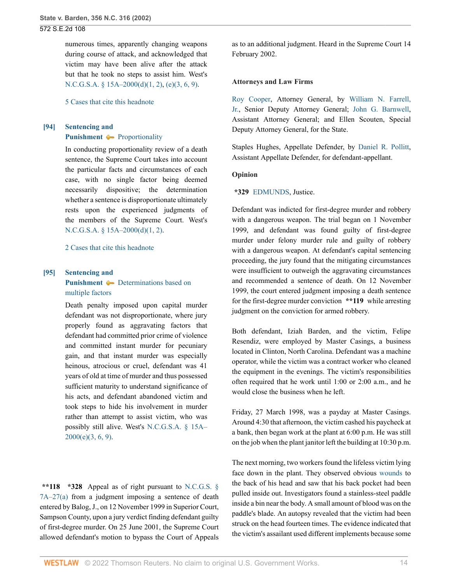numerous times, apparently changing weapons during course of attack, and acknowledged that victim may have been alive after the attack but that he took no steps to assist him. West's [N.C.G.S.A. § 15A–2000\(d\)\(1, 2\)](http://www.westlaw.com/Link/Document/FullText?findType=L&pubNum=1000037&cite=NCSTS15A-2000&originatingDoc=Ia3aa668203d211da83e7e9deff98dc6f&refType=SP&originationContext=document&vr=3.0&rs=cblt1.0&transitionType=DocumentItem&contextData=(sc.FindAndPrintPortal)#co_pp_5ba1000067d06), [\(e\)\(3, 6, 9\)](http://www.westlaw.com/Link/Document/FullText?findType=L&pubNum=1000037&cite=NCSTS15A-2000&originatingDoc=Ia3aa668203d211da83e7e9deff98dc6f&refType=SP&originationContext=document&vr=3.0&rs=cblt1.0&transitionType=DocumentItem&contextData=(sc.FindAndPrintPortal)#co_pp_7fdd00001ca15).

[5 Cases that cite this headnote](http://www.westlaw.com/Link/RelatedInformation/DocHeadnoteLink?docGuid=Ia3aa668203d211da83e7e9deff98dc6f&headnoteId=200274042909320190625003639&originationContext=document&vr=3.0&rs=cblt1.0&transitionType=CitingReferences&contextData=(sc.FindAndPrintPortal))

## <span id="page-13-0"></span>**[\[94\]](#page-44-1) [Sentencing and](http://www.westlaw.com/Browse/Home/KeyNumber/350H/View.html?docGuid=Ia3aa668203d211da83e7e9deff98dc6f&originationContext=document&vr=3.0&rs=cblt1.0&transitionType=DocumentItem&contextData=(sc.FindAndPrintPortal)) [Punishment](http://www.westlaw.com/Browse/Home/KeyNumber/350H/View.html?docGuid=Ia3aa668203d211da83e7e9deff98dc6f&originationContext=document&vr=3.0&rs=cblt1.0&transitionType=DocumentItem&contextData=(sc.FindAndPrintPortal))**  $\rightarrow$  [Proportionality](http://www.westlaw.com/Browse/Home/KeyNumber/350Hk1788(6)/View.html?docGuid=Ia3aa668203d211da83e7e9deff98dc6f&originationContext=document&vr=3.0&rs=cblt1.0&transitionType=DocumentItem&contextData=(sc.FindAndPrintPortal))

In conducting proportionality review of a death sentence, the Supreme Court takes into account the particular facts and circumstances of each case, with no single factor being deemed necessarily dispositive; the determination whether a sentence is disproportionate ultimately rests upon the experienced judgments of the members of the Supreme Court. West's [N.C.G.S.A. § 15A–2000\(d\)\(1, 2\)](http://www.westlaw.com/Link/Document/FullText?findType=L&pubNum=1000037&cite=NCSTS15A-2000&originatingDoc=Ia3aa668203d211da83e7e9deff98dc6f&refType=SP&originationContext=document&vr=3.0&rs=cblt1.0&transitionType=DocumentItem&contextData=(sc.FindAndPrintPortal)#co_pp_5ba1000067d06).

[2 Cases that cite this headnote](http://www.westlaw.com/Link/RelatedInformation/DocHeadnoteLink?docGuid=Ia3aa668203d211da83e7e9deff98dc6f&headnoteId=200274042909420190625003639&originationContext=document&vr=3.0&rs=cblt1.0&transitionType=CitingReferences&contextData=(sc.FindAndPrintPortal))

## <span id="page-13-1"></span>**[\[95\]](#page-44-2) [Sentencing and](http://www.westlaw.com/Browse/Home/KeyNumber/350H/View.html?docGuid=Ia3aa668203d211da83e7e9deff98dc6f&originationContext=document&vr=3.0&rs=cblt1.0&transitionType=DocumentItem&contextData=(sc.FindAndPrintPortal)) [Punishment](http://www.westlaw.com/Browse/Home/KeyNumber/350H/View.html?docGuid=Ia3aa668203d211da83e7e9deff98dc6f&originationContext=document&vr=3.0&rs=cblt1.0&transitionType=DocumentItem&contextData=(sc.FindAndPrintPortal))**  $\blacklozenge$  [Determinations based on](http://www.westlaw.com/Browse/Home/KeyNumber/350Hk1661/View.html?docGuid=Ia3aa668203d211da83e7e9deff98dc6f&originationContext=document&vr=3.0&rs=cblt1.0&transitionType=DocumentItem&contextData=(sc.FindAndPrintPortal)) [multiple factors](http://www.westlaw.com/Browse/Home/KeyNumber/350Hk1661/View.html?docGuid=Ia3aa668203d211da83e7e9deff98dc6f&originationContext=document&vr=3.0&rs=cblt1.0&transitionType=DocumentItem&contextData=(sc.FindAndPrintPortal))

Death penalty imposed upon capital murder defendant was not disproportionate, where jury properly found as aggravating factors that defendant had committed prior crime of violence and committed instant murder for pecuniary gain, and that instant murder was especially heinous, atrocious or cruel, defendant was 41 years of old at time of murder and thus possessed sufficient maturity to understand significance of his acts, and defendant abandoned victim and took steps to hide his involvement in murder rather than attempt to assist victim, who was possibly still alive. West's [N.C.G.S.A. § 15A–](http://www.westlaw.com/Link/Document/FullText?findType=L&pubNum=1000037&cite=NCSTS15A-2000&originatingDoc=Ia3aa668203d211da83e7e9deff98dc6f&refType=SP&originationContext=document&vr=3.0&rs=cblt1.0&transitionType=DocumentItem&contextData=(sc.FindAndPrintPortal)#co_pp_7fdd00001ca15) [2000\(e\)\(3, 6, 9\)](http://www.westlaw.com/Link/Document/FullText?findType=L&pubNum=1000037&cite=NCSTS15A-2000&originatingDoc=Ia3aa668203d211da83e7e9deff98dc6f&refType=SP&originationContext=document&vr=3.0&rs=cblt1.0&transitionType=DocumentItem&contextData=(sc.FindAndPrintPortal)#co_pp_7fdd00001ca15).

**\*\*118 \*328** Appeal as of right pursuant to [N.C.G.S. §](http://www.westlaw.com/Link/Document/FullText?findType=L&pubNum=1000037&cite=NCSTS7A-27&originatingDoc=Ia3aa668203d211da83e7e9deff98dc6f&refType=SP&originationContext=document&vr=3.0&rs=cblt1.0&transitionType=DocumentItem&contextData=(sc.FindAndPrintPortal)#co_pp_8b3b0000958a4) [7A–27\(a\)](http://www.westlaw.com/Link/Document/FullText?findType=L&pubNum=1000037&cite=NCSTS7A-27&originatingDoc=Ia3aa668203d211da83e7e9deff98dc6f&refType=SP&originationContext=document&vr=3.0&rs=cblt1.0&transitionType=DocumentItem&contextData=(sc.FindAndPrintPortal)#co_pp_8b3b0000958a4) from a judgment imposing a sentence of death entered by Balog, J., on 12 November 1999 in Superior Court, Sampson County, upon a jury verdict finding defendant guilty of first-degree murder. On 25 June 2001, the Supreme Court allowed defendant's motion to bypass the Court of Appeals

as to an additional judgment. Heard in the Supreme Court 14 February 2002.

#### **Attorneys and Law Firms**

[Roy Cooper](http://www.westlaw.com/Link/Document/FullText?findType=h&pubNum=176284&cite=0148310801&originatingDoc=Ia3aa668203d211da83e7e9deff98dc6f&refType=RQ&originationContext=document&vr=3.0&rs=cblt1.0&transitionType=DocumentItem&contextData=(sc.FindAndPrintPortal)), Attorney General, by [William N. Farrell,](http://www.westlaw.com/Link/Document/FullText?findType=h&pubNum=176284&cite=0183515201&originatingDoc=Ia3aa668203d211da83e7e9deff98dc6f&refType=RQ&originationContext=document&vr=3.0&rs=cblt1.0&transitionType=DocumentItem&contextData=(sc.FindAndPrintPortal)) [Jr.](http://www.westlaw.com/Link/Document/FullText?findType=h&pubNum=176284&cite=0183515201&originatingDoc=Ia3aa668203d211da83e7e9deff98dc6f&refType=RQ&originationContext=document&vr=3.0&rs=cblt1.0&transitionType=DocumentItem&contextData=(sc.FindAndPrintPortal)), Senior Deputy Attorney General; [John G. Barnwell](http://www.westlaw.com/Link/Document/FullText?findType=h&pubNum=176284&cite=0191947101&originatingDoc=Ia3aa668203d211da83e7e9deff98dc6f&refType=RQ&originationContext=document&vr=3.0&rs=cblt1.0&transitionType=DocumentItem&contextData=(sc.FindAndPrintPortal)), Assistant Attorney General; and Ellen Scouten, Special Deputy Attorney General, for the State.

Staples Hughes, Appellate Defender, by [Daniel R. Pollitt](http://www.westlaw.com/Link/Document/FullText?findType=h&pubNum=176284&cite=0391267601&originatingDoc=Ia3aa668203d211da83e7e9deff98dc6f&refType=RQ&originationContext=document&vr=3.0&rs=cblt1.0&transitionType=DocumentItem&contextData=(sc.FindAndPrintPortal)), Assistant Appellate Defender, for defendant-appellant.

#### **Opinion**

#### **\*329** [EDMUNDS,](http://www.westlaw.com/Link/Document/FullText?findType=h&pubNum=176284&cite=0126614401&originatingDoc=Ia3aa668203d211da83e7e9deff98dc6f&refType=RQ&originationContext=document&vr=3.0&rs=cblt1.0&transitionType=DocumentItem&contextData=(sc.FindAndPrintPortal)) Justice.

Defendant was indicted for first-degree murder and robbery with a dangerous weapon. The trial began on 1 November 1999, and defendant was found guilty of first-degree murder under felony murder rule and guilty of robbery with a dangerous weapon. At defendant's capital sentencing proceeding, the jury found that the mitigating circumstances were insufficient to outweigh the aggravating circumstances and recommended a sentence of death. On 12 November 1999, the court entered judgment imposing a death sentence for the first-degree murder conviction **\*\*119** while arresting judgment on the conviction for armed robbery.

Both defendant, Iziah Barden, and the victim, Felipe Resendiz, were employed by Master Casings, a business located in Clinton, North Carolina. Defendant was a machine operator, while the victim was a contract worker who cleaned the equipment in the evenings. The victim's responsibilities often required that he work until 1:00 or 2:00 a.m., and he would close the business when he left.

Friday, 27 March 1998, was a payday at Master Casings. Around 4:30 that afternoon, the victim cashed his paycheck at a bank, then began work at the plant at 6:00 p.m. He was still on the job when the plant janitor left the building at 10:30 p.m.

The next morning, two workers found the lifeless victim lying face down in the plant. They observed obvious [wounds](http://www.westlaw.com/Link/Document/FullText?entityType=gdrug&entityId=Iff1648e16c7111e18b05fdf15589d8e8&originationContext=document&transitionType=DocumentItem&contextData=(sc.Default)&vr=3.0&rs=cblt1.0) to the back of his head and saw that his back pocket had been pulled inside out. Investigators found a stainless-steel paddle inside a bin near the body. A small amount of blood was on the paddle's blade. An autopsy revealed that the victim had been struck on the head fourteen times. The evidence indicated that the victim's assailant used different implements because some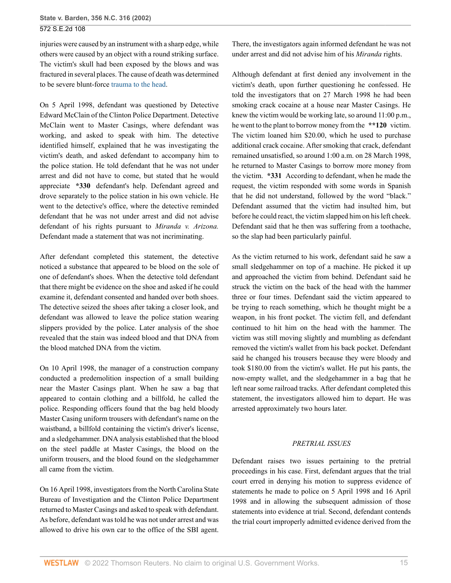injuries were caused by an instrument with a sharp edge, while others were caused by an object with a round striking surface. The victim's skull had been exposed by the blows and was fractured in several places. The cause of death was determined to be severe blunt-force [trauma to the head](http://www.westlaw.com/Link/Document/FullText?entityType=injury&entityId=Ib89a81be475411db9765f9243f53508a&originationContext=document&transitionType=DocumentItem&contextData=(sc.Default)&vr=3.0&rs=cblt1.0).

On 5 April 1998, defendant was questioned by Detective Edward McClain of the Clinton Police Department. Detective McClain went to Master Casings, where defendant was working, and asked to speak with him. The detective identified himself, explained that he was investigating the victim's death, and asked defendant to accompany him to the police station. He told defendant that he was not under arrest and did not have to come, but stated that he would appreciate **\*330** defendant's help. Defendant agreed and drove separately to the police station in his own vehicle. He went to the detective's office, where the detective reminded defendant that he was not under arrest and did not advise defendant of his rights pursuant to *Miranda v. Arizona.* Defendant made a statement that was not incriminating.

After defendant completed this statement, the detective noticed a substance that appeared to be blood on the sole of one of defendant's shoes. When the detective told defendant that there might be evidence on the shoe and asked if he could examine it, defendant consented and handed over both shoes. The detective seized the shoes after taking a closer look, and defendant was allowed to leave the police station wearing slippers provided by the police. Later analysis of the shoe revealed that the stain was indeed blood and that DNA from the blood matched DNA from the victim.

On 10 April 1998, the manager of a construction company conducted a predemolition inspection of a small building near the Master Casings plant. When he saw a bag that appeared to contain clothing and a billfold, he called the police. Responding officers found that the bag held bloody Master Casing uniform trousers with defendant's name on the waistband, a billfold containing the victim's driver's license, and a sledgehammer. DNA analysis established that the blood on the steel paddle at Master Casings, the blood on the uniform trousers, and the blood found on the sledgehammer all came from the victim.

On 16 April 1998, investigators from the North Carolina State Bureau of Investigation and the Clinton Police Department returned to Master Casings and asked to speak with defendant. As before, defendant was told he was not under arrest and was allowed to drive his own car to the office of the SBI agent. There, the investigators again informed defendant he was not under arrest and did not advise him of his *Miranda* rights.

Although defendant at first denied any involvement in the victim's death, upon further questioning he confessed. He told the investigators that on 27 March 1998 he had been smoking crack cocaine at a house near Master Casings. He knew the victim would be working late, so around 11:00 p.m., he went to the plant to borrow money from the **\*\*120** victim. The victim loaned him \$20.00, which he used to purchase additional crack cocaine. After smoking that crack, defendant remained unsatisfied, so around 1:00 a.m. on 28 March 1998, he returned to Master Casings to borrow more money from the victim. **\*331** According to defendant, when he made the request, the victim responded with some words in Spanish that he did not understand, followed by the word "black." Defendant assumed that the victim had insulted him, but before he could react, the victim slapped him on his left cheek. Defendant said that he then was suffering from a toothache, so the slap had been particularly painful.

As the victim returned to his work, defendant said he saw a small sledgehammer on top of a machine. He picked it up and approached the victim from behind. Defendant said he struck the victim on the back of the head with the hammer three or four times. Defendant said the victim appeared to be trying to reach something, which he thought might be a weapon, in his front pocket. The victim fell, and defendant continued to hit him on the head with the hammer. The victim was still moving slightly and mumbling as defendant removed the victim's wallet from his back pocket. Defendant said he changed his trousers because they were bloody and took \$180.00 from the victim's wallet. He put his pants, the now-empty wallet, and the sledgehammer in a bag that he left near some railroad tracks. After defendant completed this statement, the investigators allowed him to depart. He was arrested approximately two hours later.

### *PRETRIAL ISSUES*

Defendant raises two issues pertaining to the pretrial proceedings in his case. First, defendant argues that the trial court erred in denying his motion to suppress evidence of statements he made to police on 5 April 1998 and 16 April 1998 and in allowing the subsequent admission of those statements into evidence at trial. Second, defendant contends the trial court improperly admitted evidence derived from the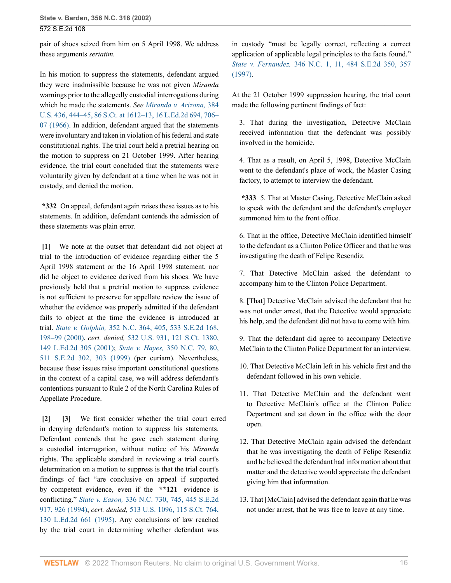pair of shoes seized from him on 5 April 1998. We address these arguments *seriatim.*

In his motion to suppress the statements, defendant argued they were inadmissible because he was not given *Miranda* warnings prior to the allegedly custodial interrogations during which he made the statements. *See [Miranda v. Arizona,](http://www.westlaw.com/Link/Document/FullText?findType=Y&serNum=1966131580&pubNum=0000708&originatingDoc=Ia3aa668203d211da83e7e9deff98dc6f&refType=RP&fi=co_pp_sp_708_1612&originationContext=document&vr=3.0&rs=cblt1.0&transitionType=DocumentItem&contextData=(sc.FindAndPrintPortal)#co_pp_sp_708_1612)* 384 [U.S. 436, 444–45, 86 S.Ct. at 1612–13, 16 L.Ed.2d 694, 706–](http://www.westlaw.com/Link/Document/FullText?findType=Y&serNum=1966131580&pubNum=0000708&originatingDoc=Ia3aa668203d211da83e7e9deff98dc6f&refType=RP&fi=co_pp_sp_708_1612&originationContext=document&vr=3.0&rs=cblt1.0&transitionType=DocumentItem&contextData=(sc.FindAndPrintPortal)#co_pp_sp_708_1612) [07 \(1966\).](http://www.westlaw.com/Link/Document/FullText?findType=Y&serNum=1966131580&pubNum=0000708&originatingDoc=Ia3aa668203d211da83e7e9deff98dc6f&refType=RP&fi=co_pp_sp_708_1612&originationContext=document&vr=3.0&rs=cblt1.0&transitionType=DocumentItem&contextData=(sc.FindAndPrintPortal)#co_pp_sp_708_1612) In addition, defendant argued that the statements were involuntary and taken in violation of his federal and state constitutional rights. The trial court held a pretrial hearing on the motion to suppress on 21 October 1999. After hearing evidence, the trial court concluded that the statements were voluntarily given by defendant at a time when he was not in custody, and denied the motion.

**\*332** On appeal, defendant again raises these issues as to his statements. In addition, defendant contends the admission of these statements was plain error.

<span id="page-15-0"></span>**[\[1\]](#page-0-0)** We note at the outset that defendant did not object at trial to the introduction of evidence regarding either the 5 April 1998 statement or the 16 April 1998 statement, nor did he object to evidence derived from his shoes. We have previously held that a pretrial motion to suppress evidence is not sufficient to preserve for appellate review the issue of whether the evidence was properly admitted if the defendant fails to object at the time the evidence is introduced at trial. *State v. Golphin,* [352 N.C. 364, 405, 533 S.E.2d 168,](http://www.westlaw.com/Link/Document/FullText?findType=Y&serNum=2000488439&pubNum=0000711&originatingDoc=Ia3aa668203d211da83e7e9deff98dc6f&refType=RP&fi=co_pp_sp_711_198&originationContext=document&vr=3.0&rs=cblt1.0&transitionType=DocumentItem&contextData=(sc.FindAndPrintPortal)#co_pp_sp_711_198) [198–99 \(2000\),](http://www.westlaw.com/Link/Document/FullText?findType=Y&serNum=2000488439&pubNum=0000711&originatingDoc=Ia3aa668203d211da83e7e9deff98dc6f&refType=RP&fi=co_pp_sp_711_198&originationContext=document&vr=3.0&rs=cblt1.0&transitionType=DocumentItem&contextData=(sc.FindAndPrintPortal)#co_pp_sp_711_198) *cert. denied,* [532 U.S. 931, 121 S.Ct. 1380,](http://www.westlaw.com/Link/Document/FullText?findType=Y&pubNum=0000708&cite=121SCT1380&originatingDoc=Ia3aa668203d211da83e7e9deff98dc6f&refType=RP&originationContext=document&vr=3.0&rs=cblt1.0&transitionType=DocumentItem&contextData=(sc.FindAndPrintPortal)) [149 L.Ed.2d 305 \(2001\);](http://www.westlaw.com/Link/Document/FullText?findType=Y&pubNum=0000708&cite=121SCT1380&originatingDoc=Ia3aa668203d211da83e7e9deff98dc6f&refType=RP&originationContext=document&vr=3.0&rs=cblt1.0&transitionType=DocumentItem&contextData=(sc.FindAndPrintPortal)) *State v. Hayes,* [350 N.C. 79, 80,](http://www.westlaw.com/Link/Document/FullText?findType=Y&serNum=1999069304&pubNum=0000711&originatingDoc=Ia3aa668203d211da83e7e9deff98dc6f&refType=RP&fi=co_pp_sp_711_303&originationContext=document&vr=3.0&rs=cblt1.0&transitionType=DocumentItem&contextData=(sc.FindAndPrintPortal)#co_pp_sp_711_303) [511 S.E.2d 302, 303 \(1999\)](http://www.westlaw.com/Link/Document/FullText?findType=Y&serNum=1999069304&pubNum=0000711&originatingDoc=Ia3aa668203d211da83e7e9deff98dc6f&refType=RP&fi=co_pp_sp_711_303&originationContext=document&vr=3.0&rs=cblt1.0&transitionType=DocumentItem&contextData=(sc.FindAndPrintPortal)#co_pp_sp_711_303) (per curiam). Nevertheless, because these issues raise important constitutional questions in the context of a capital case, we will address defendant's contentions pursuant to Rule 2 of the North Carolina Rules of Appellate Procedure.

<span id="page-15-2"></span><span id="page-15-1"></span>**[\[2\]](#page-0-1) [\[3\]](#page-0-2)** We first consider whether the trial court erred in denying defendant's motion to suppress his statements. Defendant contends that he gave each statement during a custodial interrogation, without notice of his *Miranda* rights. The applicable standard in reviewing a trial court's determination on a motion to suppress is that the trial court's findings of fact "are conclusive on appeal if supported by competent evidence, even if the **\*\*121** evidence is conflicting." *State v. Eason,* [336 N.C. 730, 745, 445 S.E.2d](http://www.westlaw.com/Link/Document/FullText?findType=Y&serNum=1994160002&pubNum=0000711&originatingDoc=Ia3aa668203d211da83e7e9deff98dc6f&refType=RP&fi=co_pp_sp_711_926&originationContext=document&vr=3.0&rs=cblt1.0&transitionType=DocumentItem&contextData=(sc.FindAndPrintPortal)#co_pp_sp_711_926) [917, 926 \(1994\),](http://www.westlaw.com/Link/Document/FullText?findType=Y&serNum=1994160002&pubNum=0000711&originatingDoc=Ia3aa668203d211da83e7e9deff98dc6f&refType=RP&fi=co_pp_sp_711_926&originationContext=document&vr=3.0&rs=cblt1.0&transitionType=DocumentItem&contextData=(sc.FindAndPrintPortal)#co_pp_sp_711_926) *cert. denied,* [513 U.S. 1096, 115 S.Ct. 764,](http://www.westlaw.com/Link/Document/FullText?findType=Y&serNum=1994235588&pubNum=0000708&originatingDoc=Ia3aa668203d211da83e7e9deff98dc6f&refType=RP&originationContext=document&vr=3.0&rs=cblt1.0&transitionType=DocumentItem&contextData=(sc.FindAndPrintPortal)) [130 L.Ed.2d 661 \(1995\)](http://www.westlaw.com/Link/Document/FullText?findType=Y&serNum=1994235588&pubNum=0000708&originatingDoc=Ia3aa668203d211da83e7e9deff98dc6f&refType=RP&originationContext=document&vr=3.0&rs=cblt1.0&transitionType=DocumentItem&contextData=(sc.FindAndPrintPortal)). Any conclusions of law reached by the trial court in determining whether defendant was

in custody "must be legally correct, reflecting a correct application of applicable legal principles to the facts found." *State v. Fernandez,* [346 N.C. 1, 11, 484 S.E.2d 350, 357](http://www.westlaw.com/Link/Document/FullText?findType=Y&serNum=1997106155&pubNum=0000711&originatingDoc=Ia3aa668203d211da83e7e9deff98dc6f&refType=RP&fi=co_pp_sp_711_357&originationContext=document&vr=3.0&rs=cblt1.0&transitionType=DocumentItem&contextData=(sc.FindAndPrintPortal)#co_pp_sp_711_357) [\(1997\).](http://www.westlaw.com/Link/Document/FullText?findType=Y&serNum=1997106155&pubNum=0000711&originatingDoc=Ia3aa668203d211da83e7e9deff98dc6f&refType=RP&fi=co_pp_sp_711_357&originationContext=document&vr=3.0&rs=cblt1.0&transitionType=DocumentItem&contextData=(sc.FindAndPrintPortal)#co_pp_sp_711_357)

At the 21 October 1999 suppression hearing, the trial court made the following pertinent findings of fact:

3. That during the investigation, Detective McClain received information that the defendant was possibly involved in the homicide.

4. That as a result, on April 5, 1998, Detective McClain went to the defendant's place of work, the Master Casing factory, to attempt to interview the defendant.

**\*333** 5. That at Master Casing, Detective McClain asked to speak with the defendant and the defendant's employer summoned him to the front office.

6. That in the office, Detective McClain identified himself to the defendant as a Clinton Police Officer and that he was investigating the death of Felipe Resendiz.

7. That Detective McClain asked the defendant to accompany him to the Clinton Police Department.

8. [That] Detective McClain advised the defendant that he was not under arrest, that the Detective would appreciate his help, and the defendant did not have to come with him.

9. That the defendant did agree to accompany Detective McClain to the Clinton Police Department for an interview.

- 10. That Detective McClain left in his vehicle first and the defendant followed in his own vehicle.
- 11. That Detective McClain and the defendant went to Detective McClain's office at the Clinton Police Department and sat down in the office with the door open.
- 12. That Detective McClain again advised the defendant that he was investigating the death of Felipe Resendiz and he believed the defendant had information about that matter and the detective would appreciate the defendant giving him that information.
- 13. That [McClain] advised the defendant again that he was not under arrest, that he was free to leave at any time.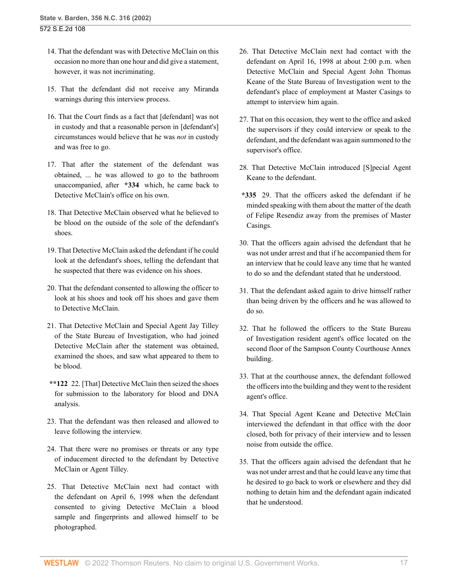- 14. That the defendant was with Detective McClain on this occasion no more than one hour and did give a statement, however, it was not incriminating.
- 15. That the defendant did not receive any Miranda warnings during this interview process.
- 16. That the Court finds as a fact that [defendant] was not in custody and that a reasonable person in [defendant's] circumstances would believe that he was *not* in custody and was free to go.
- 17. That after the statement of the defendant was obtained, ... he was allowed to go to the bathroom unaccompanied, after **\*334** which, he came back to Detective McClain's office on his own.
- 18. That Detective McClain observed what he believed to be blood on the outside of the sole of the defendant's shoes.
- 19. That Detective McClain asked the defendant if he could look at the defendant's shoes, telling the defendant that he suspected that there was evidence on his shoes.
- 20. That the defendant consented to allowing the officer to look at his shoes and took off his shoes and gave them to Detective McClain.
- 21. That Detective McClain and Special Agent Jay Tilley of the State Bureau of Investigation, who had joined Detective McClain after the statement was obtained, examined the shoes, and saw what appeared to them to be blood.
- **\*\*122** 22. [That] Detective McClain then seized the shoes for submission to the laboratory for blood and DNA analysis.
- 23. That the defendant was then released and allowed to leave following the interview.
- 24. That there were no promises or threats or any type of inducement directed to the defendant by Detective McClain or Agent Tilley.
- 25. That Detective McClain next had contact with the defendant on April 6, 1998 when the defendant consented to giving Detective McClain a blood sample and fingerprints and allowed himself to be photographed.
- 26. That Detective McClain next had contact with the defendant on April 16, 1998 at about 2:00 p.m. when Detective McClain and Special Agent John Thomas Keane of the State Bureau of Investigation went to the defendant's place of employment at Master Casings to attempt to interview him again.
- 27. That on this occasion, they went to the office and asked the supervisors if they could interview or speak to the defendant, and the defendant was again summoned to the supervisor's office.
- 28. That Detective McClain introduced [S]pecial Agent Keane to the defendant.
- **\*335** 29. That the officers asked the defendant if he minded speaking with them about the matter of the death of Felipe Resendiz away from the premises of Master Casings.
- 30. That the officers again advised the defendant that he was not under arrest and that if he accompanied them for an interview that he could leave any time that he wanted to do so and the defendant stated that he understood.
- 31. That the defendant asked again to drive himself rather than being driven by the officers and he was allowed to do so.
- 32. That he followed the officers to the State Bureau of Investigation resident agent's office located on the second floor of the Sampson County Courthouse Annex building.
- 33. That at the courthouse annex, the defendant followed the officers into the building and they went to the resident agent's office.
- 34. That Special Agent Keane and Detective McClain interviewed the defendant in that office with the door closed, both for privacy of their interview and to lessen noise from outside the office.
- 35. That the officers again advised the defendant that he was not under arrest and that he could leave any time that he desired to go back to work or elsewhere and they did nothing to detain him and the defendant again indicated that he understood.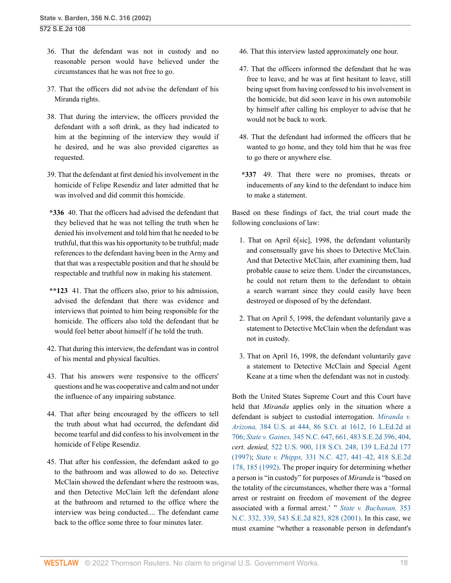- 36. That the defendant was not in custody and no reasonable person would have believed under the circumstances that he was not free to go.
- 37. That the officers did not advise the defendant of his Miranda rights.
- 38. That during the interview, the officers provided the defendant with a soft drink, as they had indicated to him at the beginning of the interview they would if he desired, and he was also provided cigarettes as requested.
- 39. That the defendant at first denied his involvement in the homicide of Felipe Resendiz and later admitted that he was involved and did commit this homicide.
- **\*336** 40. That the officers had advised the defendant that they believed that he was not telling the truth when he denied his involvement and told him that he needed to be truthful, that this was his opportunity to be truthful; made references to the defendant having been in the Army and that that was a respectable position and that he should be respectable and truthful now in making his statement.
- **\*\*123** 41. That the officers also, prior to his admission, advised the defendant that there was evidence and interviews that pointed to him being responsible for the homicide. The officers also told the defendant that he would feel better about himself if he told the truth.
- 42. That during this interview, the defendant was in control of his mental and physical faculties.
- 43. That his answers were responsive to the officers' questions and he was cooperative and calm and not under the influence of any impairing substance.
- 44. That after being encouraged by the officers to tell the truth about what had occurred, the defendant did become tearful and did confess to his involvement in the homicide of Felipe Resendiz.
- 45. That after his confession, the defendant asked to go to the bathroom and was allowed to do so. Detective McClain showed the defendant where the restroom was, and then Detective McClain left the defendant alone at the bathroom and returned to the office where the interview was being conducted.... The defendant came back to the office some three to four minutes later.
- 46. That this interview lasted approximately one hour.
- 47. That the officers informed the defendant that he was free to leave, and he was at first hesitant to leave, still being upset from having confessed to his involvement in the homicide, but did soon leave in his own automobile by himself after calling his employer to advise that he would not be back to work.
- 48. That the defendant had informed the officers that he wanted to go home, and they told him that he was free to go there or anywhere else.
- **\*337** 49. That there were no promises, threats or inducements of any kind to the defendant to induce him to make a statement.

Based on these findings of fact, the trial court made the following conclusions of law:

- 1. That on April 6[sic], 1998, the defendant voluntarily and consensually gave his shoes to Detective McClain. And that Detective McClain, after examining them, had probable cause to seize them. Under the circumstances, he could not return them to the defendant to obtain a search warrant since they could easily have been destroyed or disposed of by the defendant.
- 2. That on April 5, 1998, the defendant voluntarily gave a statement to Detective McClain when the defendant was not in custody.
- 3. That on April 16, 1998, the defendant voluntarily gave a statement to Detective McClain and Special Agent Keane at a time when the defendant was not in custody.

Both the United States Supreme Court and this Court have held that *Miranda* applies only in the situation where a defendant is subject to custodial interrogation. *[Miranda v.](http://www.westlaw.com/Link/Document/FullText?findType=Y&serNum=1966131580&pubNum=708&originatingDoc=Ia3aa668203d211da83e7e9deff98dc6f&refType=RP&fi=co_pp_sp_708_1612&originationContext=document&vr=3.0&rs=cblt1.0&transitionType=DocumentItem&contextData=(sc.FindAndPrintPortal)#co_pp_sp_708_1612) Arizona,* [384 U.S. at 444, 86 S.Ct. at 1612, 16 L.Ed.2d at](http://www.westlaw.com/Link/Document/FullText?findType=Y&serNum=1966131580&pubNum=708&originatingDoc=Ia3aa668203d211da83e7e9deff98dc6f&refType=RP&fi=co_pp_sp_708_1612&originationContext=document&vr=3.0&rs=cblt1.0&transitionType=DocumentItem&contextData=(sc.FindAndPrintPortal)#co_pp_sp_708_1612) [706;](http://www.westlaw.com/Link/Document/FullText?findType=Y&serNum=1966131580&pubNum=708&originatingDoc=Ia3aa668203d211da83e7e9deff98dc6f&refType=RP&fi=co_pp_sp_708_1612&originationContext=document&vr=3.0&rs=cblt1.0&transitionType=DocumentItem&contextData=(sc.FindAndPrintPortal)#co_pp_sp_708_1612) *State v. Gaines,* [345 N.C. 647, 661, 483 S.E.2d 396, 404,](http://www.westlaw.com/Link/Document/FullText?findType=Y&serNum=1997089634&pubNum=711&originatingDoc=Ia3aa668203d211da83e7e9deff98dc6f&refType=RP&fi=co_pp_sp_711_404&originationContext=document&vr=3.0&rs=cblt1.0&transitionType=DocumentItem&contextData=(sc.FindAndPrintPortal)#co_pp_sp_711_404) *cert. denied,* [522 U.S. 900, 118 S.Ct. 248, 139 L.Ed.2d 177](http://www.westlaw.com/Link/Document/FullText?findType=Y&pubNum=0000708&cite=118SCT248&originatingDoc=Ia3aa668203d211da83e7e9deff98dc6f&refType=RP&originationContext=document&vr=3.0&rs=cblt1.0&transitionType=DocumentItem&contextData=(sc.FindAndPrintPortal)) [\(1997\);](http://www.westlaw.com/Link/Document/FullText?findType=Y&pubNum=0000708&cite=118SCT248&originatingDoc=Ia3aa668203d211da83e7e9deff98dc6f&refType=RP&originationContext=document&vr=3.0&rs=cblt1.0&transitionType=DocumentItem&contextData=(sc.FindAndPrintPortal)) *State v. Phipps,* [331 N.C. 427, 441–42, 418 S.E.2d](http://www.westlaw.com/Link/Document/FullText?findType=Y&serNum=1992117802&pubNum=0000711&originatingDoc=Ia3aa668203d211da83e7e9deff98dc6f&refType=RP&fi=co_pp_sp_711_185&originationContext=document&vr=3.0&rs=cblt1.0&transitionType=DocumentItem&contextData=(sc.FindAndPrintPortal)#co_pp_sp_711_185) [178, 185 \(1992\).](http://www.westlaw.com/Link/Document/FullText?findType=Y&serNum=1992117802&pubNum=0000711&originatingDoc=Ia3aa668203d211da83e7e9deff98dc6f&refType=RP&fi=co_pp_sp_711_185&originationContext=document&vr=3.0&rs=cblt1.0&transitionType=DocumentItem&contextData=(sc.FindAndPrintPortal)#co_pp_sp_711_185) The proper inquiry for determining whether a person is "in custody" for purposes of *Miranda* is "based on the totality of the circumstances, whether there was a 'formal arrest or restraint on freedom of movement of the degree associated with a formal arrest.' " *[State v. Buchanan,](http://www.westlaw.com/Link/Document/FullText?findType=Y&serNum=2001290365&pubNum=0000711&originatingDoc=Ia3aa668203d211da83e7e9deff98dc6f&refType=RP&fi=co_pp_sp_711_828&originationContext=document&vr=3.0&rs=cblt1.0&transitionType=DocumentItem&contextData=(sc.FindAndPrintPortal)#co_pp_sp_711_828)* 353 [N.C. 332, 339, 543 S.E.2d 823, 828 \(2001\).](http://www.westlaw.com/Link/Document/FullText?findType=Y&serNum=2001290365&pubNum=0000711&originatingDoc=Ia3aa668203d211da83e7e9deff98dc6f&refType=RP&fi=co_pp_sp_711_828&originationContext=document&vr=3.0&rs=cblt1.0&transitionType=DocumentItem&contextData=(sc.FindAndPrintPortal)#co_pp_sp_711_828) In this case, we must examine "whether a reasonable person in defendant's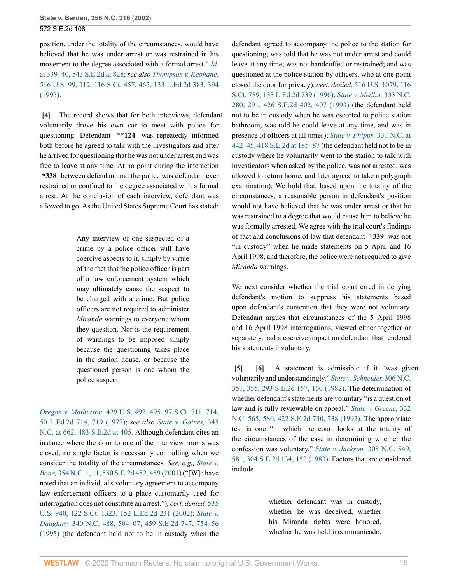position, under the totality of the circumstances, would have believed that he was under arrest or was restrained in his movement to the degree associated with a formal arrest." *[Id.](http://www.westlaw.com/Link/Document/FullText?findType=Y&serNum=2001290365&pubNum=711&originatingDoc=Ia3aa668203d211da83e7e9deff98dc6f&refType=RP&fi=co_pp_sp_711_828&originationContext=document&vr=3.0&rs=cblt1.0&transitionType=DocumentItem&contextData=(sc.FindAndPrintPortal)#co_pp_sp_711_828)* [at 339–40, 543 S.E.2d at 828;](http://www.westlaw.com/Link/Document/FullText?findType=Y&serNum=2001290365&pubNum=711&originatingDoc=Ia3aa668203d211da83e7e9deff98dc6f&refType=RP&fi=co_pp_sp_711_828&originationContext=document&vr=3.0&rs=cblt1.0&transitionType=DocumentItem&contextData=(sc.FindAndPrintPortal)#co_pp_sp_711_828) *see also [Thompson v. Keohane,](http://www.westlaw.com/Link/Document/FullText?findType=Y&serNum=1995234577&pubNum=0000708&originatingDoc=Ia3aa668203d211da83e7e9deff98dc6f&refType=RP&fi=co_pp_sp_708_465&originationContext=document&vr=3.0&rs=cblt1.0&transitionType=DocumentItem&contextData=(sc.FindAndPrintPortal)#co_pp_sp_708_465)* [516 U.S. 99, 112, 116 S.Ct. 457, 465, 133 L.Ed.2d 383, 394](http://www.westlaw.com/Link/Document/FullText?findType=Y&serNum=1995234577&pubNum=0000708&originatingDoc=Ia3aa668203d211da83e7e9deff98dc6f&refType=RP&fi=co_pp_sp_708_465&originationContext=document&vr=3.0&rs=cblt1.0&transitionType=DocumentItem&contextData=(sc.FindAndPrintPortal)#co_pp_sp_708_465) [\(1995\).](http://www.westlaw.com/Link/Document/FullText?findType=Y&serNum=1995234577&pubNum=0000708&originatingDoc=Ia3aa668203d211da83e7e9deff98dc6f&refType=RP&fi=co_pp_sp_708_465&originationContext=document&vr=3.0&rs=cblt1.0&transitionType=DocumentItem&contextData=(sc.FindAndPrintPortal)#co_pp_sp_708_465)

<span id="page-18-0"></span>**[\[4\]](#page-0-3)** The record shows that for both interviews, defendant voluntarily drove his own car to meet with police for questioning. Defendant **\*\*124** was repeatedly informed both before he agreed to talk with the investigators and after he arrived for questioning that he was not under arrest and was free to leave at any time. At no point during the interaction **\*338** between defendant and the police was defendant ever restrained or confined to the degree associated with a formal arrest. At the conclusion of each interview, defendant was allowed to go. As the United States Supreme Court has stated:

> Any interview of one suspected of a crime by a police officer will have coercive aspects to it, simply by virtue of the fact that the police officer is part of a law enforcement system which may ultimately cause the suspect to be charged with a crime. But police officers are not required to administer *Miranda* warnings to everyone whom they question. Nor is the requirement of warnings to be imposed simply because the questioning takes place in the station house, or because the questioned person is one whom the police suspect.

*Oregon v. Mathiason,* [429 U.S. 492, 495, 97 S.Ct. 711, 714,](http://www.westlaw.com/Link/Document/FullText?findType=Y&serNum=1977118721&pubNum=0000708&originatingDoc=Ia3aa668203d211da83e7e9deff98dc6f&refType=RP&fi=co_pp_sp_708_714&originationContext=document&vr=3.0&rs=cblt1.0&transitionType=DocumentItem&contextData=(sc.FindAndPrintPortal)#co_pp_sp_708_714) [50 L.Ed.2d 714, 719 \(1977\)](http://www.westlaw.com/Link/Document/FullText?findType=Y&serNum=1977118721&pubNum=0000708&originatingDoc=Ia3aa668203d211da83e7e9deff98dc6f&refType=RP&fi=co_pp_sp_708_714&originationContext=document&vr=3.0&rs=cblt1.0&transitionType=DocumentItem&contextData=(sc.FindAndPrintPortal)#co_pp_sp_708_714); *see also [State v. Gaines,](http://www.westlaw.com/Link/Document/FullText?findType=Y&serNum=1997089634&pubNum=711&originatingDoc=Ia3aa668203d211da83e7e9deff98dc6f&refType=RP&fi=co_pp_sp_711_405&originationContext=document&vr=3.0&rs=cblt1.0&transitionType=DocumentItem&contextData=(sc.FindAndPrintPortal)#co_pp_sp_711_405)* 345 [N.C. at 662, 483 S.E.2d at 405.](http://www.westlaw.com/Link/Document/FullText?findType=Y&serNum=1997089634&pubNum=711&originatingDoc=Ia3aa668203d211da83e7e9deff98dc6f&refType=RP&fi=co_pp_sp_711_405&originationContext=document&vr=3.0&rs=cblt1.0&transitionType=DocumentItem&contextData=(sc.FindAndPrintPortal)#co_pp_sp_711_405) Although defendant cites an instance where the door to one of the interview rooms was closed, no single factor is necessarily controlling when we consider the totality of the circumstances. *See, e.g., [State v.](http://www.westlaw.com/Link/Document/FullText?findType=Y&serNum=2001704433&pubNum=0000711&originatingDoc=Ia3aa668203d211da83e7e9deff98dc6f&refType=RP&fi=co_pp_sp_711_489&originationContext=document&vr=3.0&rs=cblt1.0&transitionType=DocumentItem&contextData=(sc.FindAndPrintPortal)#co_pp_sp_711_489) Bone,* [354 N.C. 1, 11, 550 S.E.2d 482, 489 \(2001\)](http://www.westlaw.com/Link/Document/FullText?findType=Y&serNum=2001704433&pubNum=0000711&originatingDoc=Ia3aa668203d211da83e7e9deff98dc6f&refType=RP&fi=co_pp_sp_711_489&originationContext=document&vr=3.0&rs=cblt1.0&transitionType=DocumentItem&contextData=(sc.FindAndPrintPortal)#co_pp_sp_711_489) ("[W]e have noted that an individual's voluntary agreement to accompany law enforcement officers to a place customarily used for interrogation does not constitute an arrest."), *cert. denied,* [535](http://www.westlaw.com/Link/Document/FullText?findType=Y&serNum=2002085804&pubNum=0000708&originatingDoc=Ia3aa668203d211da83e7e9deff98dc6f&refType=RP&originationContext=document&vr=3.0&rs=cblt1.0&transitionType=DocumentItem&contextData=(sc.FindAndPrintPortal)) [U.S. 940, 122 S.Ct. 1323, 152 L.Ed.2d 231 \(2002\);](http://www.westlaw.com/Link/Document/FullText?findType=Y&serNum=2002085804&pubNum=0000708&originatingDoc=Ia3aa668203d211da83e7e9deff98dc6f&refType=RP&originationContext=document&vr=3.0&rs=cblt1.0&transitionType=DocumentItem&contextData=(sc.FindAndPrintPortal)) *[State v.](http://www.westlaw.com/Link/Document/FullText?findType=Y&serNum=1995156640&pubNum=0000711&originatingDoc=Ia3aa668203d211da83e7e9deff98dc6f&refType=RP&fi=co_pp_sp_711_754&originationContext=document&vr=3.0&rs=cblt1.0&transitionType=DocumentItem&contextData=(sc.FindAndPrintPortal)#co_pp_sp_711_754) Daughtry,* [340 N.C. 488, 504–07, 459 S.E.2d 747, 754–56](http://www.westlaw.com/Link/Document/FullText?findType=Y&serNum=1995156640&pubNum=0000711&originatingDoc=Ia3aa668203d211da83e7e9deff98dc6f&refType=RP&fi=co_pp_sp_711_754&originationContext=document&vr=3.0&rs=cblt1.0&transitionType=DocumentItem&contextData=(sc.FindAndPrintPortal)#co_pp_sp_711_754) [\(1995\)](http://www.westlaw.com/Link/Document/FullText?findType=Y&serNum=1995156640&pubNum=0000711&originatingDoc=Ia3aa668203d211da83e7e9deff98dc6f&refType=RP&fi=co_pp_sp_711_754&originationContext=document&vr=3.0&rs=cblt1.0&transitionType=DocumentItem&contextData=(sc.FindAndPrintPortal)#co_pp_sp_711_754) (the defendant held not to be in custody when the defendant agreed to accompany the police to the station for questioning; was told that he was not under arrest and could leave at any time; was not handcuffed or restrained; and was questioned at the police station by officers, who at one point closed the door for privacy), *cert. denied,* [516 U.S. 1079, 116](http://www.westlaw.com/Link/Document/FullText?findType=Y&serNum=1995234458&pubNum=0000708&originatingDoc=Ia3aa668203d211da83e7e9deff98dc6f&refType=RP&originationContext=document&vr=3.0&rs=cblt1.0&transitionType=DocumentItem&contextData=(sc.FindAndPrintPortal)) [S.Ct. 789, 133 L.Ed.2d 739 \(1996\);](http://www.westlaw.com/Link/Document/FullText?findType=Y&serNum=1995234458&pubNum=0000708&originatingDoc=Ia3aa668203d211da83e7e9deff98dc6f&refType=RP&originationContext=document&vr=3.0&rs=cblt1.0&transitionType=DocumentItem&contextData=(sc.FindAndPrintPortal)) *[State v. Medlin,](http://www.westlaw.com/Link/Document/FullText?findType=Y&serNum=1993047891&pubNum=0000711&originatingDoc=Ia3aa668203d211da83e7e9deff98dc6f&refType=RP&fi=co_pp_sp_711_407&originationContext=document&vr=3.0&rs=cblt1.0&transitionType=DocumentItem&contextData=(sc.FindAndPrintPortal)#co_pp_sp_711_407)* 333 N.C. [280, 291, 426 S.E.2d 402, 407 \(1993\)](http://www.westlaw.com/Link/Document/FullText?findType=Y&serNum=1993047891&pubNum=0000711&originatingDoc=Ia3aa668203d211da83e7e9deff98dc6f&refType=RP&fi=co_pp_sp_711_407&originationContext=document&vr=3.0&rs=cblt1.0&transitionType=DocumentItem&contextData=(sc.FindAndPrintPortal)#co_pp_sp_711_407) (the defendant held not to be in custody when he was escorted to police station bathroom, was told he could leave at any time, and was in presence of officers at all times); *[State v. Phipps,](http://www.westlaw.com/Link/Document/FullText?findType=Y&serNum=1992117802&pubNum=0000711&originatingDoc=Ia3aa668203d211da83e7e9deff98dc6f&refType=RP&fi=co_pp_sp_711_185&originationContext=document&vr=3.0&rs=cblt1.0&transitionType=DocumentItem&contextData=(sc.FindAndPrintPortal)#co_pp_sp_711_185)* 331 N.C. at [442–45, 418 S.E.2d at 185–87](http://www.westlaw.com/Link/Document/FullText?findType=Y&serNum=1992117802&pubNum=0000711&originatingDoc=Ia3aa668203d211da83e7e9deff98dc6f&refType=RP&fi=co_pp_sp_711_185&originationContext=document&vr=3.0&rs=cblt1.0&transitionType=DocumentItem&contextData=(sc.FindAndPrintPortal)#co_pp_sp_711_185) (the defendant held not to be in custody where he voluntarily went to the station to talk with investigators when asked by the police, was not arrested, was allowed to return home, and later agreed to take a polygraph examination). We hold that, based upon the totality of the circumstances, a reasonable person in defendant's position would not have believed that he was under arrest or that he was restrained to a degree that would cause him to believe he was formally arrested. We agree with the trial court's findings of fact and conclusions of law that defendant **\*339** was not "in custody" when he made statements on 5 April and 16 April 1998, and therefore, the police were not required to give *Miranda* warnings.

We next consider whether the trial court erred in denying defendant's motion to suppress his statements based upon defendant's contention that they were not voluntary. Defendant argues that circumstances of the 5 April 1998 and 16 April 1998 interrogations, viewed either together or separately, had a coercive impact on defendant that rendered his statements involuntary.

<span id="page-18-2"></span><span id="page-18-1"></span>**[\[5\]](#page-0-4) [\[6\]](#page-1-0)** A statement is admissible if it "was given voluntarily and understandingly." *[State v. Schneider,](http://www.westlaw.com/Link/Document/FullText?findType=Y&serNum=1982132194&pubNum=0000711&originatingDoc=Ia3aa668203d211da83e7e9deff98dc6f&refType=RP&fi=co_pp_sp_711_160&originationContext=document&vr=3.0&rs=cblt1.0&transitionType=DocumentItem&contextData=(sc.FindAndPrintPortal)#co_pp_sp_711_160)* 306 N.C. [351, 355, 293 S.E.2d 157, 160 \(1982\).](http://www.westlaw.com/Link/Document/FullText?findType=Y&serNum=1982132194&pubNum=0000711&originatingDoc=Ia3aa668203d211da83e7e9deff98dc6f&refType=RP&fi=co_pp_sp_711_160&originationContext=document&vr=3.0&rs=cblt1.0&transitionType=DocumentItem&contextData=(sc.FindAndPrintPortal)#co_pp_sp_711_160) The determination of whether defendant's statements are voluntary "is a question of law and is fully reviewable on appeal." *[State v. Greene,](http://www.westlaw.com/Link/Document/FullText?findType=Y&serNum=1992200428&pubNum=0000711&originatingDoc=Ia3aa668203d211da83e7e9deff98dc6f&refType=RP&fi=co_pp_sp_711_738&originationContext=document&vr=3.0&rs=cblt1.0&transitionType=DocumentItem&contextData=(sc.FindAndPrintPortal)#co_pp_sp_711_738)* 332 [N.C. 565, 580, 422 S.E.2d 730, 738 \(1992\).](http://www.westlaw.com/Link/Document/FullText?findType=Y&serNum=1992200428&pubNum=0000711&originatingDoc=Ia3aa668203d211da83e7e9deff98dc6f&refType=RP&fi=co_pp_sp_711_738&originationContext=document&vr=3.0&rs=cblt1.0&transitionType=DocumentItem&contextData=(sc.FindAndPrintPortal)#co_pp_sp_711_738) The appropriate test is one "in which the court looks at the totality of the circumstances of the case in determining whether the confession was voluntary." *[State v. Jackson,](http://www.westlaw.com/Link/Document/FullText?findType=Y&serNum=1983132810&pubNum=0000711&originatingDoc=Ia3aa668203d211da83e7e9deff98dc6f&refType=RP&fi=co_pp_sp_711_152&originationContext=document&vr=3.0&rs=cblt1.0&transitionType=DocumentItem&contextData=(sc.FindAndPrintPortal)#co_pp_sp_711_152)* 308 N.C. 549, [581, 304 S.E.2d 134, 152 \(1983\).](http://www.westlaw.com/Link/Document/FullText?findType=Y&serNum=1983132810&pubNum=0000711&originatingDoc=Ia3aa668203d211da83e7e9deff98dc6f&refType=RP&fi=co_pp_sp_711_152&originationContext=document&vr=3.0&rs=cblt1.0&transitionType=DocumentItem&contextData=(sc.FindAndPrintPortal)#co_pp_sp_711_152) Factors that are considered include

> whether defendant was in custody, whether he was deceived, whether his Miranda rights were honored, whether he was held incommunicado,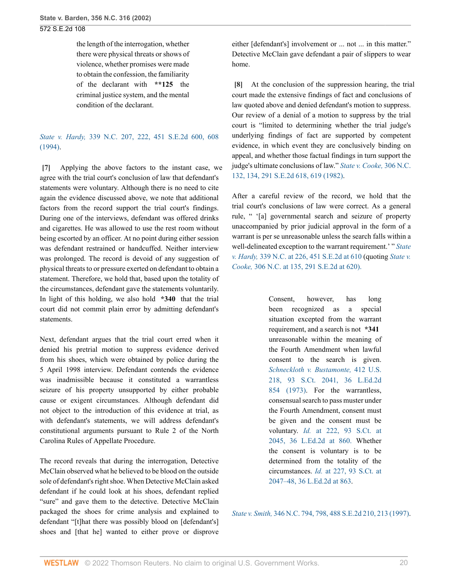the length of the interrogation, whether there were physical threats or shows of violence, whether promises were made to obtain the confession, the familiarity of the declarant with **\*\*125** the criminal justice system, and the mental condition of the declarant.

*State v. Hardy,* [339 N.C. 207, 222, 451 S.E.2d 600, 608](http://www.westlaw.com/Link/Document/FullText?findType=Y&serNum=1994255307&pubNum=0000711&originatingDoc=Ia3aa668203d211da83e7e9deff98dc6f&refType=RP&fi=co_pp_sp_711_608&originationContext=document&vr=3.0&rs=cblt1.0&transitionType=DocumentItem&contextData=(sc.FindAndPrintPortal)#co_pp_sp_711_608) [\(1994\).](http://www.westlaw.com/Link/Document/FullText?findType=Y&serNum=1994255307&pubNum=0000711&originatingDoc=Ia3aa668203d211da83e7e9deff98dc6f&refType=RP&fi=co_pp_sp_711_608&originationContext=document&vr=3.0&rs=cblt1.0&transitionType=DocumentItem&contextData=(sc.FindAndPrintPortal)#co_pp_sp_711_608)

<span id="page-19-0"></span>**[\[7\]](#page-1-1)** Applying the above factors to the instant case, we agree with the trial court's conclusion of law that defendant's statements were voluntary. Although there is no need to cite again the evidence discussed above, we note that additional factors from the record support the trial court's findings. During one of the interviews, defendant was offered drinks and cigarettes. He was allowed to use the rest room without being escorted by an officer. At no point during either session was defendant restrained or handcuffed. Neither interview was prolonged. The record is devoid of any suggestion of physical threats to or pressure exerted on defendant to obtain a statement. Therefore, we hold that, based upon the totality of the circumstances, defendant gave the statements voluntarily. In light of this holding, we also hold **\*340** that the trial court did not commit plain error by admitting defendant's statements.

Next, defendant argues that the trial court erred when it denied his pretrial motion to suppress evidence derived from his shoes, which were obtained by police during the 5 April 1998 interview. Defendant contends the evidence was inadmissible because it constituted a warrantless seizure of his property unsupported by either probable cause or exigent circumstances. Although defendant did not object to the introduction of this evidence at trial, as with defendant's statements, we will address defendant's constitutional arguments pursuant to Rule 2 of the North Carolina Rules of Appellate Procedure.

The record reveals that during the interrogation, Detective McClain observed what he believed to be blood on the outside sole of defendant's right shoe. When Detective McClain asked defendant if he could look at his shoes, defendant replied "sure" and gave them to the detective. Detective McClain packaged the shoes for crime analysis and explained to defendant "[t]hat there was possibly blood on [defendant's] shoes and [that he] wanted to either prove or disprove either [defendant's] involvement or ... not ... in this matter." Detective McClain gave defendant a pair of slippers to wear home.

<span id="page-19-1"></span>**[\[8\]](#page-1-2)** At the conclusion of the suppression hearing, the trial court made the extensive findings of fact and conclusions of law quoted above and denied defendant's motion to suppress. Our review of a denial of a motion to suppress by the trial court is "limited to determining whether the trial judge's underlying findings of fact are supported by competent evidence, in which event they are conclusively binding on appeal, and whether those factual findings in turn support the judge's ultimate conclusions of law." *[State v. Cooke,](http://www.westlaw.com/Link/Document/FullText?findType=Y&serNum=1982125164&pubNum=0000711&originatingDoc=Ia3aa668203d211da83e7e9deff98dc6f&refType=RP&fi=co_pp_sp_711_619&originationContext=document&vr=3.0&rs=cblt1.0&transitionType=DocumentItem&contextData=(sc.FindAndPrintPortal)#co_pp_sp_711_619)* 306 N.C. [132, 134, 291 S.E.2d 618, 619 \(1982\).](http://www.westlaw.com/Link/Document/FullText?findType=Y&serNum=1982125164&pubNum=0000711&originatingDoc=Ia3aa668203d211da83e7e9deff98dc6f&refType=RP&fi=co_pp_sp_711_619&originationContext=document&vr=3.0&rs=cblt1.0&transitionType=DocumentItem&contextData=(sc.FindAndPrintPortal)#co_pp_sp_711_619)

After a careful review of the record, we hold that the trial court's conclusions of law were correct. As a general rule, " '[a] governmental search and seizure of property unaccompanied by prior judicial approval in the form of a warrant is per se unreasonable unless the search falls within a well-delineated exception to the warrant requirement.' " *[State](http://www.westlaw.com/Link/Document/FullText?findType=Y&serNum=1994255307&pubNum=0000711&originatingDoc=Ia3aa668203d211da83e7e9deff98dc6f&refType=RP&fi=co_pp_sp_711_610&originationContext=document&vr=3.0&rs=cblt1.0&transitionType=DocumentItem&contextData=(sc.FindAndPrintPortal)#co_pp_sp_711_610) v. Hardy,* [339 N.C. at 226, 451 S.E.2d at 610](http://www.westlaw.com/Link/Document/FullText?findType=Y&serNum=1994255307&pubNum=0000711&originatingDoc=Ia3aa668203d211da83e7e9deff98dc6f&refType=RP&fi=co_pp_sp_711_610&originationContext=document&vr=3.0&rs=cblt1.0&transitionType=DocumentItem&contextData=(sc.FindAndPrintPortal)#co_pp_sp_711_610) (quoting *[State v.](http://www.westlaw.com/Link/Document/FullText?findType=Y&serNum=1982125164&pubNum=711&originatingDoc=Ia3aa668203d211da83e7e9deff98dc6f&refType=RP&fi=co_pp_sp_711_620&originationContext=document&vr=3.0&rs=cblt1.0&transitionType=DocumentItem&contextData=(sc.FindAndPrintPortal)#co_pp_sp_711_620) Cooke,* [306 N.C. at 135, 291 S.E.2d at 620\).](http://www.westlaw.com/Link/Document/FullText?findType=Y&serNum=1982125164&pubNum=711&originatingDoc=Ia3aa668203d211da83e7e9deff98dc6f&refType=RP&fi=co_pp_sp_711_620&originationContext=document&vr=3.0&rs=cblt1.0&transitionType=DocumentItem&contextData=(sc.FindAndPrintPortal)#co_pp_sp_711_620)

> Consent, however, has long been recognized as a special situation excepted from the warrant requirement, and a search is not **\*341** unreasonable within the meaning of the Fourth Amendment when lawful consent to the search is given. *[Schneckloth v. Bustamonte,](http://www.westlaw.com/Link/Document/FullText?findType=Y&serNum=1973126405&pubNum=0000708&originatingDoc=Ia3aa668203d211da83e7e9deff98dc6f&refType=RP&originationContext=document&vr=3.0&rs=cblt1.0&transitionType=DocumentItem&contextData=(sc.FindAndPrintPortal))* 412 U.S. [218, 93 S.Ct. 2041, 36 L.Ed.2d](http://www.westlaw.com/Link/Document/FullText?findType=Y&serNum=1973126405&pubNum=0000708&originatingDoc=Ia3aa668203d211da83e7e9deff98dc6f&refType=RP&originationContext=document&vr=3.0&rs=cblt1.0&transitionType=DocumentItem&contextData=(sc.FindAndPrintPortal)) [854 \(1973\)](http://www.westlaw.com/Link/Document/FullText?findType=Y&serNum=1973126405&pubNum=0000708&originatingDoc=Ia3aa668203d211da83e7e9deff98dc6f&refType=RP&originationContext=document&vr=3.0&rs=cblt1.0&transitionType=DocumentItem&contextData=(sc.FindAndPrintPortal)). For the warrantless, consensual search to pass muster under the Fourth Amendment, consent must be given and the consent must be voluntary. *Id.* [at 222, 93 S.Ct. at](http://www.westlaw.com/Link/Document/FullText?findType=Y&serNum=1973126405&pubNum=708&originatingDoc=Ia3aa668203d211da83e7e9deff98dc6f&refType=RP&fi=co_pp_sp_708_2045&originationContext=document&vr=3.0&rs=cblt1.0&transitionType=DocumentItem&contextData=(sc.FindAndPrintPortal)#co_pp_sp_708_2045) [2045, 36 L.Ed.2d at 860.](http://www.westlaw.com/Link/Document/FullText?findType=Y&serNum=1973126405&pubNum=708&originatingDoc=Ia3aa668203d211da83e7e9deff98dc6f&refType=RP&fi=co_pp_sp_708_2045&originationContext=document&vr=3.0&rs=cblt1.0&transitionType=DocumentItem&contextData=(sc.FindAndPrintPortal)#co_pp_sp_708_2045) Whether the consent is voluntary is to be determined from the totality of the circumstances. *Id.* [at 227, 93 S.Ct. at](http://www.westlaw.com/Link/Document/FullText?findType=Y&serNum=1973126405&pubNum=708&originatingDoc=Ia3aa668203d211da83e7e9deff98dc6f&refType=RP&fi=co_pp_sp_708_2047&originationContext=document&vr=3.0&rs=cblt1.0&transitionType=DocumentItem&contextData=(sc.FindAndPrintPortal)#co_pp_sp_708_2047) [2047–48, 36 L.Ed.2d at 863.](http://www.westlaw.com/Link/Document/FullText?findType=Y&serNum=1973126405&pubNum=708&originatingDoc=Ia3aa668203d211da83e7e9deff98dc6f&refType=RP&fi=co_pp_sp_708_2047&originationContext=document&vr=3.0&rs=cblt1.0&transitionType=DocumentItem&contextData=(sc.FindAndPrintPortal)#co_pp_sp_708_2047)

*State v. Smith,* [346 N.C. 794, 798, 488 S.E.2d 210, 213 \(1997\).](http://www.westlaw.com/Link/Document/FullText?findType=Y&serNum=1997160314&pubNum=0000711&originatingDoc=Ia3aa668203d211da83e7e9deff98dc6f&refType=RP&fi=co_pp_sp_711_213&originationContext=document&vr=3.0&rs=cblt1.0&transitionType=DocumentItem&contextData=(sc.FindAndPrintPortal)#co_pp_sp_711_213)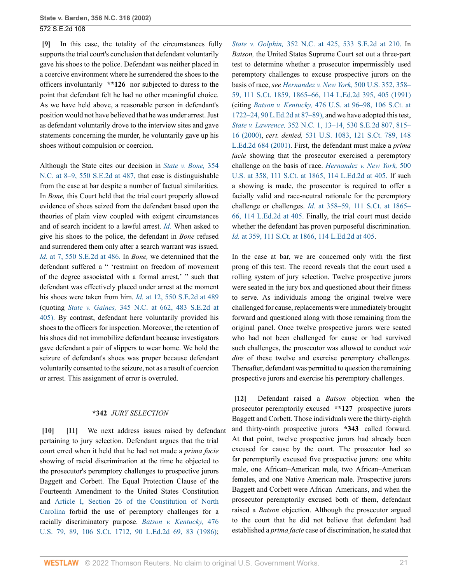<span id="page-20-0"></span>**[\[9\]](#page-1-3)** In this case, the totality of the circumstances fully supports the trial court's conclusion that defendant voluntarily gave his shoes to the police. Defendant was neither placed in a coercive environment where he surrendered the shoes to the officers involuntarily **\*\*126** nor subjected to duress to the point that defendant felt he had no other meaningful choice. As we have held above, a reasonable person in defendant's position would not have believed that he was under arrest. Just as defendant voluntarily drove to the interview sites and gave statements concerning the murder, he voluntarily gave up his shoes without compulsion or coercion.

Although the State cites our decision in *[State v. Bone,](http://www.westlaw.com/Link/Document/FullText?findType=Y&serNum=2001704433&pubNum=711&originatingDoc=Ia3aa668203d211da83e7e9deff98dc6f&refType=RP&fi=co_pp_sp_711_487&originationContext=document&vr=3.0&rs=cblt1.0&transitionType=DocumentItem&contextData=(sc.FindAndPrintPortal)#co_pp_sp_711_487)* 354 [N.C. at 8–9, 550 S.E.2d at 487,](http://www.westlaw.com/Link/Document/FullText?findType=Y&serNum=2001704433&pubNum=711&originatingDoc=Ia3aa668203d211da83e7e9deff98dc6f&refType=RP&fi=co_pp_sp_711_487&originationContext=document&vr=3.0&rs=cblt1.0&transitionType=DocumentItem&contextData=(sc.FindAndPrintPortal)#co_pp_sp_711_487) that case is distinguishable from the case at bar despite a number of factual similarities. In *Bone,* this Court held that the trial court properly allowed evidence of shoes seized from the defendant based upon the theories of plain view coupled with exigent circumstances and of search incident to a lawful arrest. *[Id.](http://www.westlaw.com/Link/Document/FullText?findType=Y&serNum=2001704433&originatingDoc=Ia3aa668203d211da83e7e9deff98dc6f&refType=RP&originationContext=document&vr=3.0&rs=cblt1.0&transitionType=DocumentItem&contextData=(sc.FindAndPrintPortal))* When asked to give his shoes to the police, the defendant in *Bone* refused and surrendered them only after a search warrant was issued. *Id.* [at 7, 550 S.E.2d at 486.](http://www.westlaw.com/Link/Document/FullText?findType=Y&serNum=2001704433&pubNum=711&originatingDoc=Ia3aa668203d211da83e7e9deff98dc6f&refType=RP&fi=co_pp_sp_711_486&originationContext=document&vr=3.0&rs=cblt1.0&transitionType=DocumentItem&contextData=(sc.FindAndPrintPortal)#co_pp_sp_711_486) In *Bone,* we determined that the defendant suffered a " 'restraint on freedom of movement of the degree associated with a formal arrest,' " such that defendant was effectively placed under arrest at the moment his shoes were taken from him. *Id.* [at 12, 550 S.E.2d at 489](http://www.westlaw.com/Link/Document/FullText?findType=Y&serNum=2001704433&pubNum=711&originatingDoc=Ia3aa668203d211da83e7e9deff98dc6f&refType=RP&fi=co_pp_sp_711_489&originationContext=document&vr=3.0&rs=cblt1.0&transitionType=DocumentItem&contextData=(sc.FindAndPrintPortal)#co_pp_sp_711_489) (quoting *State v. Gaines,* [345 N.C. at 662, 483 S.E.2d at](http://www.westlaw.com/Link/Document/FullText?findType=Y&serNum=1997089634&pubNum=711&originatingDoc=Ia3aa668203d211da83e7e9deff98dc6f&refType=RP&fi=co_pp_sp_711_405&originationContext=document&vr=3.0&rs=cblt1.0&transitionType=DocumentItem&contextData=(sc.FindAndPrintPortal)#co_pp_sp_711_405) [405\).](http://www.westlaw.com/Link/Document/FullText?findType=Y&serNum=1997089634&pubNum=711&originatingDoc=Ia3aa668203d211da83e7e9deff98dc6f&refType=RP&fi=co_pp_sp_711_405&originationContext=document&vr=3.0&rs=cblt1.0&transitionType=DocumentItem&contextData=(sc.FindAndPrintPortal)#co_pp_sp_711_405) By contrast, defendant here voluntarily provided his shoes to the officers for inspection. Moreover, the retention of his shoes did not immobilize defendant because investigators gave defendant a pair of slippers to wear home. We hold the seizure of defendant's shoes was proper because defendant voluntarily consented to the seizure, not as a result of coercion or arrest. This assignment of error is overruled.

#### <span id="page-20-2"></span>**\*342** *JURY SELECTION*

<span id="page-20-1"></span>**[\[10\]](#page-1-4) [\[11\]](#page-1-5)** We next address issues raised by defendant pertaining to jury selection. Defendant argues that the trial court erred when it held that he had not made a *prima facie* showing of racial discrimination at the time he objected to the prosecutor's peremptory challenges to prospective jurors Baggett and Corbett. The Equal Protection Clause of the Fourteenth Amendment to the United States Constitution and [Article I, Section 26 of the Constitution of North](http://www.westlaw.com/Link/Document/FullText?findType=L&pubNum=1000501&cite=NCCNARTIS26&originatingDoc=Ia3aa668203d211da83e7e9deff98dc6f&refType=LQ&originationContext=document&vr=3.0&rs=cblt1.0&transitionType=DocumentItem&contextData=(sc.FindAndPrintPortal)) [Carolina](http://www.westlaw.com/Link/Document/FullText?findType=L&pubNum=1000501&cite=NCCNARTIS26&originatingDoc=Ia3aa668203d211da83e7e9deff98dc6f&refType=LQ&originationContext=document&vr=3.0&rs=cblt1.0&transitionType=DocumentItem&contextData=(sc.FindAndPrintPortal)) forbid the use of peremptory challenges for a racially discriminatory purpose. *[Batson v. Kentucky,](http://www.westlaw.com/Link/Document/FullText?findType=Y&serNum=1986122459&pubNum=0000708&originatingDoc=Ia3aa668203d211da83e7e9deff98dc6f&refType=RP&originationContext=document&vr=3.0&rs=cblt1.0&transitionType=DocumentItem&contextData=(sc.FindAndPrintPortal))* 476 [U.S. 79, 89, 106 S.Ct. 1712, 90 L.Ed.2d 69, 83 \(1986\)](http://www.westlaw.com/Link/Document/FullText?findType=Y&serNum=1986122459&pubNum=0000708&originatingDoc=Ia3aa668203d211da83e7e9deff98dc6f&refType=RP&originationContext=document&vr=3.0&rs=cblt1.0&transitionType=DocumentItem&contextData=(sc.FindAndPrintPortal));

*State v. Golphin,* [352 N.C. at 425, 533 S.E.2d at 210.](http://www.westlaw.com/Link/Document/FullText?findType=Y&serNum=2000488439&pubNum=711&originatingDoc=Ia3aa668203d211da83e7e9deff98dc6f&refType=RP&fi=co_pp_sp_711_210&originationContext=document&vr=3.0&rs=cblt1.0&transitionType=DocumentItem&contextData=(sc.FindAndPrintPortal)#co_pp_sp_711_210) In *Batson,* the United States Supreme Court set out a three-part test to determine whether a prosecutor impermissibly used peremptory challenges to excuse prospective jurors on the basis of race, *see [Hernandez v. New York,](http://www.westlaw.com/Link/Document/FullText?findType=Y&serNum=1991097682&pubNum=0000708&originatingDoc=Ia3aa668203d211da83e7e9deff98dc6f&refType=RP&fi=co_pp_sp_708_1865&originationContext=document&vr=3.0&rs=cblt1.0&transitionType=DocumentItem&contextData=(sc.FindAndPrintPortal)#co_pp_sp_708_1865)* 500 U.S. 352, 358– [59, 111 S.Ct. 1859, 1865–66, 114 L.Ed.2d 395, 405 \(1991\)](http://www.westlaw.com/Link/Document/FullText?findType=Y&serNum=1991097682&pubNum=0000708&originatingDoc=Ia3aa668203d211da83e7e9deff98dc6f&refType=RP&fi=co_pp_sp_708_1865&originationContext=document&vr=3.0&rs=cblt1.0&transitionType=DocumentItem&contextData=(sc.FindAndPrintPortal)#co_pp_sp_708_1865) (citing *Batson v. Kentucky,* [476 U.S. at 96–98, 106 S.Ct. at](http://www.westlaw.com/Link/Document/FullText?findType=Y&serNum=1986122459&pubNum=708&originatingDoc=Ia3aa668203d211da83e7e9deff98dc6f&refType=RP&fi=co_pp_sp_708_1722&originationContext=document&vr=3.0&rs=cblt1.0&transitionType=DocumentItem&contextData=(sc.FindAndPrintPortal)#co_pp_sp_708_1722) [1722–24, 90 L.Ed.2d at 87–89\),](http://www.westlaw.com/Link/Document/FullText?findType=Y&serNum=1986122459&pubNum=708&originatingDoc=Ia3aa668203d211da83e7e9deff98dc6f&refType=RP&fi=co_pp_sp_708_1722&originationContext=document&vr=3.0&rs=cblt1.0&transitionType=DocumentItem&contextData=(sc.FindAndPrintPortal)#co_pp_sp_708_1722) and we have adopted this test, *State v. Lawrence,* [352 N.C. 1, 13–14, 530 S.E.2d 807, 815–](http://www.westlaw.com/Link/Document/FullText?findType=Y&serNum=2000385069&pubNum=0000711&originatingDoc=Ia3aa668203d211da83e7e9deff98dc6f&refType=RP&fi=co_pp_sp_711_815&originationContext=document&vr=3.0&rs=cblt1.0&transitionType=DocumentItem&contextData=(sc.FindAndPrintPortal)#co_pp_sp_711_815) [16 \(2000\)](http://www.westlaw.com/Link/Document/FullText?findType=Y&serNum=2000385069&pubNum=0000711&originatingDoc=Ia3aa668203d211da83e7e9deff98dc6f&refType=RP&fi=co_pp_sp_711_815&originationContext=document&vr=3.0&rs=cblt1.0&transitionType=DocumentItem&contextData=(sc.FindAndPrintPortal)#co_pp_sp_711_815), *cert. denied,* [531 U.S. 1083, 121 S.Ct. 789, 148](http://www.westlaw.com/Link/Document/FullText?findType=Y&serNum=2000579756&pubNum=0000708&originatingDoc=Ia3aa668203d211da83e7e9deff98dc6f&refType=RP&originationContext=document&vr=3.0&rs=cblt1.0&transitionType=DocumentItem&contextData=(sc.FindAndPrintPortal)) [L.Ed.2d 684 \(2001\)](http://www.westlaw.com/Link/Document/FullText?findType=Y&serNum=2000579756&pubNum=0000708&originatingDoc=Ia3aa668203d211da83e7e9deff98dc6f&refType=RP&originationContext=document&vr=3.0&rs=cblt1.0&transitionType=DocumentItem&contextData=(sc.FindAndPrintPortal)). First, the defendant must make a *prima facie* showing that the prosecutor exercised a peremptory challenge on the basis of race. *[Hernandez v. New York,](http://www.westlaw.com/Link/Document/FullText?findType=Y&serNum=1991097682&pubNum=708&originatingDoc=Ia3aa668203d211da83e7e9deff98dc6f&refType=RP&fi=co_pp_sp_708_1865&originationContext=document&vr=3.0&rs=cblt1.0&transitionType=DocumentItem&contextData=(sc.FindAndPrintPortal)#co_pp_sp_708_1865)* 500 [U.S. at 358, 111 S.Ct. at 1865, 114 L.Ed.2d at 405.](http://www.westlaw.com/Link/Document/FullText?findType=Y&serNum=1991097682&pubNum=708&originatingDoc=Ia3aa668203d211da83e7e9deff98dc6f&refType=RP&fi=co_pp_sp_708_1865&originationContext=document&vr=3.0&rs=cblt1.0&transitionType=DocumentItem&contextData=(sc.FindAndPrintPortal)#co_pp_sp_708_1865) If such a showing is made, the prosecutor is required to offer a facially valid and race-neutral rationale for the peremptory challenge or challenges. *Id.* [at 358–59, 111 S.Ct. at 1865–](http://www.westlaw.com/Link/Document/FullText?findType=Y&serNum=1991097682&pubNum=708&originatingDoc=Ia3aa668203d211da83e7e9deff98dc6f&refType=RP&fi=co_pp_sp_708_1865&originationContext=document&vr=3.0&rs=cblt1.0&transitionType=DocumentItem&contextData=(sc.FindAndPrintPortal)#co_pp_sp_708_1865) [66, 114 L.Ed.2d at 405.](http://www.westlaw.com/Link/Document/FullText?findType=Y&serNum=1991097682&pubNum=708&originatingDoc=Ia3aa668203d211da83e7e9deff98dc6f&refType=RP&fi=co_pp_sp_708_1865&originationContext=document&vr=3.0&rs=cblt1.0&transitionType=DocumentItem&contextData=(sc.FindAndPrintPortal)#co_pp_sp_708_1865) Finally, the trial court must decide whether the defendant has proven purposeful discrimination. *Id.* [at 359, 111 S.Ct. at 1866, 114 L.Ed.2d at 405.](http://www.westlaw.com/Link/Document/FullText?findType=Y&serNum=1991097682&pubNum=708&originatingDoc=Ia3aa668203d211da83e7e9deff98dc6f&refType=RP&fi=co_pp_sp_708_1866&originationContext=document&vr=3.0&rs=cblt1.0&transitionType=DocumentItem&contextData=(sc.FindAndPrintPortal)#co_pp_sp_708_1866)

In the case at bar, we are concerned only with the first prong of this test. The record reveals that the court used a rolling system of jury selection. Twelve prospective jurors were seated in the jury box and questioned about their fitness to serve. As individuals among the original twelve were challenged for cause, replacements were immediately brought forward and questioned along with those remaining from the original panel. Once twelve prospective jurors were seated who had not been challenged for cause or had survived such challenges, the prosecutor was allowed to conduct *voir dire* of these twelve and exercise peremptory challenges. Thereafter, defendant was permitted to question the remaining prospective jurors and exercise his peremptory challenges.

<span id="page-20-3"></span>**[\[12\]](#page-1-6)** Defendant raised a *Batson* objection when the prosecutor peremptorily excused **\*\*127** prospective jurors Baggett and Corbett. Those individuals were the thirty-eighth and thirty-ninth prospective jurors **\*343** called forward. At that point, twelve prospective jurors had already been excused for cause by the court. The prosecutor had so far peremptorily excused five prospective jurors: one white male, one African–American male, two African–American females, and one Native American male. Prospective jurors Baggett and Corbett were African–Americans, and when the prosecutor peremptorily excused both of them, defendant raised a *Batson* objection. Although the prosecutor argued to the court that he did not believe that defendant had established a *prima facie* case of discrimination, he stated that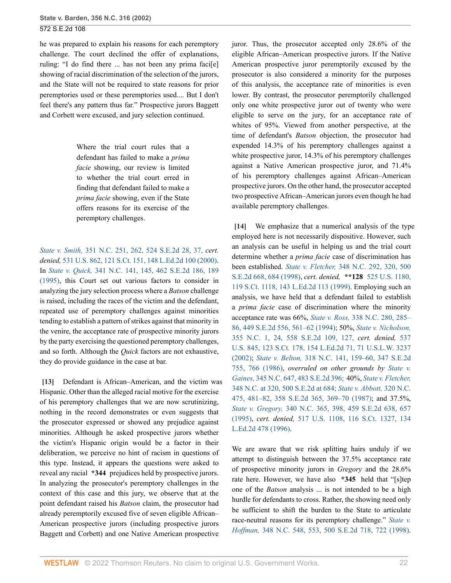he was prepared to explain his reasons for each peremptory challenge. The court declined the offer of explanations, ruling: "I do find there ... has not been any prima faci[e] showing of racial discrimination of the selection of the jurors, and the State will not be required to state reasons for prior peremptories used or these peremptories used.... But I don't feel there's any pattern thus far." Prospective jurors Baggett and Corbett were excused, and jury selection continued.

> Where the trial court rules that a defendant has failed to make a *prima facie* showing, our review is limited to whether the trial court erred in finding that defendant failed to make a *prima facie* showing, even if the State offers reasons for its exercise of the peremptory challenges.

*State v. Smith,* [351 N.C. 251, 262, 524 S.E.2d 28, 37,](http://www.westlaw.com/Link/Document/FullText?findType=Y&serNum=2000047310&pubNum=711&originatingDoc=Ia3aa668203d211da83e7e9deff98dc6f&refType=RP&fi=co_pp_sp_711_37&originationContext=document&vr=3.0&rs=cblt1.0&transitionType=DocumentItem&contextData=(sc.FindAndPrintPortal)#co_pp_sp_711_37) *cert. denied,* [531 U.S. 862, 121 S.Ct. 151, 148 L.Ed.2d 100 \(2000\)](http://www.westlaw.com/Link/Document/FullText?findType=Y&serNum=2000392394&pubNum=0000708&originatingDoc=Ia3aa668203d211da83e7e9deff98dc6f&refType=RP&originationContext=document&vr=3.0&rs=cblt1.0&transitionType=DocumentItem&contextData=(sc.FindAndPrintPortal)). In *State v. Quick,* [341 N.C. 141, 145, 462 S.E.2d 186, 189](http://www.westlaw.com/Link/Document/FullText?findType=Y&serNum=1995203032&pubNum=0000711&originatingDoc=Ia3aa668203d211da83e7e9deff98dc6f&refType=RP&fi=co_pp_sp_711_189&originationContext=document&vr=3.0&rs=cblt1.0&transitionType=DocumentItem&contextData=(sc.FindAndPrintPortal)#co_pp_sp_711_189) [\(1995\),](http://www.westlaw.com/Link/Document/FullText?findType=Y&serNum=1995203032&pubNum=0000711&originatingDoc=Ia3aa668203d211da83e7e9deff98dc6f&refType=RP&fi=co_pp_sp_711_189&originationContext=document&vr=3.0&rs=cblt1.0&transitionType=DocumentItem&contextData=(sc.FindAndPrintPortal)#co_pp_sp_711_189) this Court set out various factors to consider in analyzing the jury selection process where a *Batson* challenge is raised, including the races of the victim and the defendant, repeated use of peremptory challenges against minorities tending to establish a pattern of strikes against that minority in the venire, the acceptance rate of prospective minority jurors by the party exercising the questioned peremptory challenges, and so forth. Although the *Quick* factors are not exhaustive, they do provide guidance in the case at bar.

<span id="page-21-0"></span>**[\[13\]](#page-2-0)** Defendant is African–American, and the victim was Hispanic. Other than the alleged racial motive for the exercise of his peremptory challenges that we are now scrutinizing, nothing in the record demonstrates or even suggests that the prosecutor expressed or showed any prejudice against minorities. Although he asked prospective jurors whether the victim's Hispanic origin would be a factor in their deliberation, we perceive no hint of racism in questions of this type. Instead, it appears the questions were asked to reveal any racial **\*344** prejudices held by prospective jurors. In analyzing the prosecutor's peremptory challenges in the context of this case and this jury, we observe that at the point defendant raised his *Batson* claim, the prosecutor had already peremptorily excused five of seven eligible African– American prospective jurors (including prospective jurors Baggett and Corbett) and one Native American prospective

juror. Thus, the prosecutor accepted only 28.6% of the eligible African–American prospective jurors. If the Native American prospective juror peremptorily excused by the prosecutor is also considered a minority for the purposes of this analysis, the acceptance rate of minorities is even lower. By contrast, the prosecutor peremptorily challenged only one white prospective juror out of twenty who were eligible to serve on the jury, for an acceptance rate of whites of 95%. Viewed from another perspective, at the time of defendant's *Batson* objection, the prosecutor had expended 14.3% of his peremptory challenges against a white prospective juror, 14.3% of his peremptory challenges against a Native American prospective juror, and 71.4% of his peremptory challenges against African–American prospective jurors. On the other hand, the prosecutor accepted two prospective African–American jurors even though he had available peremptory challenges.

<span id="page-21-1"></span>**[\[14\]](#page-2-1)** We emphasize that a numerical analysis of the type employed here is not necessarily dispositive. However, such an analysis can be useful in helping us and the trial court determine whether a *prima facie* case of discrimination has been established. *State v. Fletcher,* [348 N.C. 292, 320, 500](http://www.westlaw.com/Link/Document/FullText?findType=Y&serNum=1998141730&pubNum=0000711&originatingDoc=Ia3aa668203d211da83e7e9deff98dc6f&refType=RP&fi=co_pp_sp_711_684&originationContext=document&vr=3.0&rs=cblt1.0&transitionType=DocumentItem&contextData=(sc.FindAndPrintPortal)#co_pp_sp_711_684) [S.E.2d 668, 684 \(1998\)](http://www.westlaw.com/Link/Document/FullText?findType=Y&serNum=1998141730&pubNum=0000711&originatingDoc=Ia3aa668203d211da83e7e9deff98dc6f&refType=RP&fi=co_pp_sp_711_684&originationContext=document&vr=3.0&rs=cblt1.0&transitionType=DocumentItem&contextData=(sc.FindAndPrintPortal)#co_pp_sp_711_684), *cert. denied,* **\*\*128** [525 U.S. 1180,](http://www.westlaw.com/Link/Document/FullText?findType=Y&serNum=1998248807&pubNum=0000708&originatingDoc=Ia3aa668203d211da83e7e9deff98dc6f&refType=RP&originationContext=document&vr=3.0&rs=cblt1.0&transitionType=DocumentItem&contextData=(sc.FindAndPrintPortal)) [119 S.Ct. 1118, 143 L.Ed.2d 113 \(1999\).](http://www.westlaw.com/Link/Document/FullText?findType=Y&serNum=1998248807&pubNum=0000708&originatingDoc=Ia3aa668203d211da83e7e9deff98dc6f&refType=RP&originationContext=document&vr=3.0&rs=cblt1.0&transitionType=DocumentItem&contextData=(sc.FindAndPrintPortal)) Employing such an analysis, we have held that a defendant failed to establish a *prima facie* case of discrimination where the minority acceptance rate was 66%, *State v. Ross,* [338 N.C. 280, 285–](http://www.westlaw.com/Link/Document/FullText?findType=Y&serNum=1994218905&pubNum=0000711&originatingDoc=Ia3aa668203d211da83e7e9deff98dc6f&refType=RP&fi=co_pp_sp_711_561&originationContext=document&vr=3.0&rs=cblt1.0&transitionType=DocumentItem&contextData=(sc.FindAndPrintPortal)#co_pp_sp_711_561) [86, 449 S.E.2d 556, 561–62 \(1994\)](http://www.westlaw.com/Link/Document/FullText?findType=Y&serNum=1994218905&pubNum=0000711&originatingDoc=Ia3aa668203d211da83e7e9deff98dc6f&refType=RP&fi=co_pp_sp_711_561&originationContext=document&vr=3.0&rs=cblt1.0&transitionType=DocumentItem&contextData=(sc.FindAndPrintPortal)#co_pp_sp_711_561); 50%, *[State v. Nicholson,](http://www.westlaw.com/Link/Document/FullText?findType=Y&serNum=2002104189&pubNum=711&originatingDoc=Ia3aa668203d211da83e7e9deff98dc6f&refType=RP&fi=co_pp_sp_711_127&originationContext=document&vr=3.0&rs=cblt1.0&transitionType=DocumentItem&contextData=(sc.FindAndPrintPortal)#co_pp_sp_711_127)* [355 N.C. 1, 24, 558 S.E.2d 109, 127,](http://www.westlaw.com/Link/Document/FullText?findType=Y&serNum=2002104189&pubNum=711&originatingDoc=Ia3aa668203d211da83e7e9deff98dc6f&refType=RP&fi=co_pp_sp_711_127&originationContext=document&vr=3.0&rs=cblt1.0&transitionType=DocumentItem&contextData=(sc.FindAndPrintPortal)#co_pp_sp_711_127) *cert. denied,* [537](http://www.westlaw.com/Link/Document/FullText?findType=Y&serNum=2002351891&pubNum=0000708&originatingDoc=Ia3aa668203d211da83e7e9deff98dc6f&refType=RP&originationContext=document&vr=3.0&rs=cblt1.0&transitionType=DocumentItem&contextData=(sc.FindAndPrintPortal)) [U.S. 845, 123 S.Ct. 178, 154 L.Ed.2d 71, 71 U.S.L.W. 3237](http://www.westlaw.com/Link/Document/FullText?findType=Y&serNum=2002351891&pubNum=0000708&originatingDoc=Ia3aa668203d211da83e7e9deff98dc6f&refType=RP&originationContext=document&vr=3.0&rs=cblt1.0&transitionType=DocumentItem&contextData=(sc.FindAndPrintPortal)) [\(2002\);](http://www.westlaw.com/Link/Document/FullText?findType=Y&serNum=2002351891&pubNum=0000708&originatingDoc=Ia3aa668203d211da83e7e9deff98dc6f&refType=RP&originationContext=document&vr=3.0&rs=cblt1.0&transitionType=DocumentItem&contextData=(sc.FindAndPrintPortal)) *State v. Belton,* [318 N.C. 141, 159–60, 347 S.E.2d](http://www.westlaw.com/Link/Document/FullText?findType=Y&serNum=1986144685&pubNum=0000711&originatingDoc=Ia3aa668203d211da83e7e9deff98dc6f&refType=RP&fi=co_pp_sp_711_766&originationContext=document&vr=3.0&rs=cblt1.0&transitionType=DocumentItem&contextData=(sc.FindAndPrintPortal)#co_pp_sp_711_766) [755, 766 \(1986\),](http://www.westlaw.com/Link/Document/FullText?findType=Y&serNum=1986144685&pubNum=0000711&originatingDoc=Ia3aa668203d211da83e7e9deff98dc6f&refType=RP&fi=co_pp_sp_711_766&originationContext=document&vr=3.0&rs=cblt1.0&transitionType=DocumentItem&contextData=(sc.FindAndPrintPortal)#co_pp_sp_711_766) *overruled on other grounds by [State v.](http://www.westlaw.com/Link/Document/FullText?findType=Y&serNum=1997089634&pubNum=711&originatingDoc=Ia3aa668203d211da83e7e9deff98dc6f&refType=RP&originationContext=document&vr=3.0&rs=cblt1.0&transitionType=DocumentItem&contextData=(sc.FindAndPrintPortal)) Gaines,* [345 N.C. 647, 483 S.E.2d 396;](http://www.westlaw.com/Link/Document/FullText?findType=Y&serNum=1997089634&pubNum=711&originatingDoc=Ia3aa668203d211da83e7e9deff98dc6f&refType=RP&originationContext=document&vr=3.0&rs=cblt1.0&transitionType=DocumentItem&contextData=(sc.FindAndPrintPortal)) 40%, *[State v. Fletcher,](http://www.westlaw.com/Link/Document/FullText?findType=Y&serNum=1998141730&pubNum=711&originatingDoc=Ia3aa668203d211da83e7e9deff98dc6f&refType=RP&fi=co_pp_sp_711_684&originationContext=document&vr=3.0&rs=cblt1.0&transitionType=DocumentItem&contextData=(sc.FindAndPrintPortal)#co_pp_sp_711_684)* [348 N.C. at 320, 500 S.E.2d at 684;](http://www.westlaw.com/Link/Document/FullText?findType=Y&serNum=1998141730&pubNum=711&originatingDoc=Ia3aa668203d211da83e7e9deff98dc6f&refType=RP&fi=co_pp_sp_711_684&originationContext=document&vr=3.0&rs=cblt1.0&transitionType=DocumentItem&contextData=(sc.FindAndPrintPortal)#co_pp_sp_711_684) *[State v. Abbott,](http://www.westlaw.com/Link/Document/FullText?findType=Y&serNum=1987094993&pubNum=0000711&originatingDoc=Ia3aa668203d211da83e7e9deff98dc6f&refType=RP&fi=co_pp_sp_711_369&originationContext=document&vr=3.0&rs=cblt1.0&transitionType=DocumentItem&contextData=(sc.FindAndPrintPortal)#co_pp_sp_711_369)* 320 N.C. [475, 481–82, 358 S.E.2d 365, 369–70 \(1987\);](http://www.westlaw.com/Link/Document/FullText?findType=Y&serNum=1987094993&pubNum=0000711&originatingDoc=Ia3aa668203d211da83e7e9deff98dc6f&refType=RP&fi=co_pp_sp_711_369&originationContext=document&vr=3.0&rs=cblt1.0&transitionType=DocumentItem&contextData=(sc.FindAndPrintPortal)#co_pp_sp_711_369) and 37.5%, *State v. Gregory,* [340 N.C. 365, 398, 459 S.E.2d 638, 657](http://www.westlaw.com/Link/Document/FullText?findType=Y&serNum=1995156522&pubNum=0000711&originatingDoc=Ia3aa668203d211da83e7e9deff98dc6f&refType=RP&fi=co_pp_sp_711_657&originationContext=document&vr=3.0&rs=cblt1.0&transitionType=DocumentItem&contextData=(sc.FindAndPrintPortal)#co_pp_sp_711_657) [\(1995\),](http://www.westlaw.com/Link/Document/FullText?findType=Y&serNum=1995156522&pubNum=0000711&originatingDoc=Ia3aa668203d211da83e7e9deff98dc6f&refType=RP&fi=co_pp_sp_711_657&originationContext=document&vr=3.0&rs=cblt1.0&transitionType=DocumentItem&contextData=(sc.FindAndPrintPortal)#co_pp_sp_711_657) *cert. denied,* [517 U.S. 1108, 116 S.Ct. 1327, 134](http://www.westlaw.com/Link/Document/FullText?findType=Y&serNum=1996041844&pubNum=0000708&originatingDoc=Ia3aa668203d211da83e7e9deff98dc6f&refType=RP&originationContext=document&vr=3.0&rs=cblt1.0&transitionType=DocumentItem&contextData=(sc.FindAndPrintPortal)) [L.Ed.2d 478 \(1996\).](http://www.westlaw.com/Link/Document/FullText?findType=Y&serNum=1996041844&pubNum=0000708&originatingDoc=Ia3aa668203d211da83e7e9deff98dc6f&refType=RP&originationContext=document&vr=3.0&rs=cblt1.0&transitionType=DocumentItem&contextData=(sc.FindAndPrintPortal))

We are aware that we risk splitting hairs unduly if we attempt to distinguish between the 37.5% acceptance rate of prospective minority jurors in *Gregory* and the 28.6% rate here. However, we have also **\*345** held that "[s]tep one of the *Batson* analysis ... is not intended to be a high hurdle for defendants to cross. Rather, the showing need only be sufficient to shift the burden to the State to articulate race-neutral reasons for its peremptory challenge." *[State v.](http://www.westlaw.com/Link/Document/FullText?findType=Y&serNum=1998141752&pubNum=0000711&originatingDoc=Ia3aa668203d211da83e7e9deff98dc6f&refType=RP&fi=co_pp_sp_711_722&originationContext=document&vr=3.0&rs=cblt1.0&transitionType=DocumentItem&contextData=(sc.FindAndPrintPortal)#co_pp_sp_711_722) Hoffman,* [348 N.C. 548, 553, 500 S.E.2d 718, 722 \(1998\).](http://www.westlaw.com/Link/Document/FullText?findType=Y&serNum=1998141752&pubNum=0000711&originatingDoc=Ia3aa668203d211da83e7e9deff98dc6f&refType=RP&fi=co_pp_sp_711_722&originationContext=document&vr=3.0&rs=cblt1.0&transitionType=DocumentItem&contextData=(sc.FindAndPrintPortal)#co_pp_sp_711_722)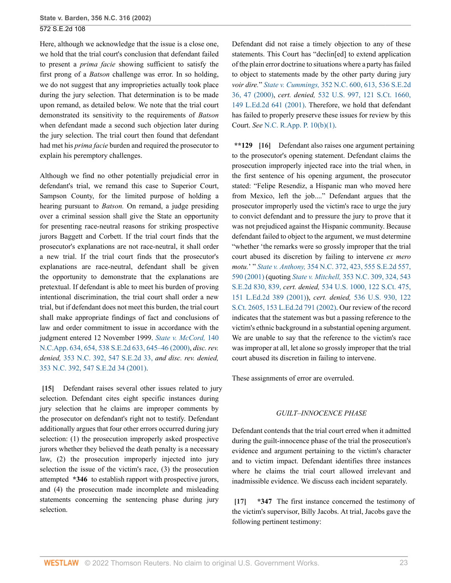Here, although we acknowledge that the issue is a close one, we hold that the trial court's conclusion that defendant failed to present a *prima facie* showing sufficient to satisfy the first prong of a *Batson* challenge was error. In so holding, we do not suggest that any improprieties actually took place during the jury selection. That determination is to be made upon remand, as detailed below. We note that the trial court demonstrated its sensitivity to the requirements of *Batson* when defendant made a second such objection later during the jury selection. The trial court then found that defendant had met his *prima facie* burden and required the prosecutor to explain his peremptory challenges.

Although we find no other potentially prejudicial error in defendant's trial, we remand this case to Superior Court, Sampson County, for the limited purpose of holding a hearing pursuant to *Batson.* On remand, a judge presiding over a criminal session shall give the State an opportunity for presenting race-neutral reasons for striking prospective jurors Baggett and Corbett. If the trial court finds that the prosecutor's explanations are not race-neutral, it shall order a new trial. If the trial court finds that the prosecutor's explanations are race-neutral, defendant shall be given the opportunity to demonstrate that the explanations are pretextual. If defendant is able to meet his burden of proving intentional discrimination, the trial court shall order a new trial, but if defendant does not meet this burden, the trial court shall make appropriate findings of fact and conclusions of law and order commitment to issue in accordance with the judgment entered 12 November 1999. *[State v. McCord,](http://www.westlaw.com/Link/Document/FullText?findType=Y&serNum=2000633288&pubNum=0000711&originatingDoc=Ia3aa668203d211da83e7e9deff98dc6f&refType=RP&fi=co_pp_sp_711_645&originationContext=document&vr=3.0&rs=cblt1.0&transitionType=DocumentItem&contextData=(sc.FindAndPrintPortal)#co_pp_sp_711_645)* 140 [N.C.App. 634, 654, 538 S.E.2d 633, 645–46 \(2000\),](http://www.westlaw.com/Link/Document/FullText?findType=Y&serNum=2000633288&pubNum=0000711&originatingDoc=Ia3aa668203d211da83e7e9deff98dc6f&refType=RP&fi=co_pp_sp_711_645&originationContext=document&vr=3.0&rs=cblt1.0&transitionType=DocumentItem&contextData=(sc.FindAndPrintPortal)#co_pp_sp_711_645) *disc. rev. denied,* [353 N.C. 392, 547 S.E.2d 33,](http://www.westlaw.com/Link/Document/FullText?findType=Y&serNum=2001158222&pubNum=711&originatingDoc=Ia3aa668203d211da83e7e9deff98dc6f&refType=RP&originationContext=document&vr=3.0&rs=cblt1.0&transitionType=DocumentItem&contextData=(sc.FindAndPrintPortal)) *and disc. rev. denied,* [353 N.C. 392, 547 S.E.2d 34 \(2001\).](http://www.westlaw.com/Link/Document/FullText?findType=Y&serNum=2001158224&pubNum=0000711&originatingDoc=Ia3aa668203d211da83e7e9deff98dc6f&refType=RP&originationContext=document&vr=3.0&rs=cblt1.0&transitionType=DocumentItem&contextData=(sc.FindAndPrintPortal))

<span id="page-22-0"></span>**[\[15\]](#page-2-2)** Defendant raises several other issues related to jury selection. Defendant cites eight specific instances during jury selection that he claims are improper comments by the prosecutor on defendant's right not to testify. Defendant additionally argues that four other errors occurred during jury selection: (1) the prosecution improperly asked prospective jurors whether they believed the death penalty is a necessary law, (2) the prosecution improperly injected into jury selection the issue of the victim's race, (3) the prosecution attempted **\*346** to establish rapport with prospective jurors, and (4) the prosecution made incomplete and misleading statements concerning the sentencing phase during jury selection.

Defendant did not raise a timely objection to any of these statements. This Court has "declin[ed] to extend application of the plain error doctrine to situations where a party has failed to object to statements made by the other party during jury *voir dire.*" *State v. Cummings,* [352 N.C. 600, 613, 536 S.E.2d](http://www.westlaw.com/Link/Document/FullText?findType=Y&serNum=2000570220&pubNum=0000711&originatingDoc=Ia3aa668203d211da83e7e9deff98dc6f&refType=RP&fi=co_pp_sp_711_47&originationContext=document&vr=3.0&rs=cblt1.0&transitionType=DocumentItem&contextData=(sc.FindAndPrintPortal)#co_pp_sp_711_47) [36, 47 \(2000\)](http://www.westlaw.com/Link/Document/FullText?findType=Y&serNum=2000570220&pubNum=0000711&originatingDoc=Ia3aa668203d211da83e7e9deff98dc6f&refType=RP&fi=co_pp_sp_711_47&originationContext=document&vr=3.0&rs=cblt1.0&transitionType=DocumentItem&contextData=(sc.FindAndPrintPortal)#co_pp_sp_711_47), *cert. denied,* [532 U.S. 997, 121 S.Ct. 1660,](http://www.westlaw.com/Link/Document/FullText?findType=Y&serNum=2001175901&pubNum=0000708&originatingDoc=Ia3aa668203d211da83e7e9deff98dc6f&refType=RP&originationContext=document&vr=3.0&rs=cblt1.0&transitionType=DocumentItem&contextData=(sc.FindAndPrintPortal)) [149 L.Ed.2d 641 \(2001\).](http://www.westlaw.com/Link/Document/FullText?findType=Y&serNum=2001175901&pubNum=0000708&originatingDoc=Ia3aa668203d211da83e7e9deff98dc6f&refType=RP&originationContext=document&vr=3.0&rs=cblt1.0&transitionType=DocumentItem&contextData=(sc.FindAndPrintPortal)) Therefore, we hold that defendant has failed to properly preserve these issues for review by this Court. *See* [N.C. R.App. P. 10\(b\)\(1\).](http://www.westlaw.com/Link/Document/FullText?findType=L&pubNum=1006366&cite=NCRRAPAPPR10&originatingDoc=Ia3aa668203d211da83e7e9deff98dc6f&refType=LQ&originationContext=document&vr=3.0&rs=cblt1.0&transitionType=DocumentItem&contextData=(sc.FindAndPrintPortal))

<span id="page-22-1"></span>**\*\*129 [\[16\]](#page-2-3)** Defendant also raises one argument pertaining to the prosecutor's opening statement. Defendant claims the prosecution improperly injected race into the trial when, in the first sentence of his opening argument, the prosecutor stated: "Felipe Resendiz, a Hispanic man who moved here from Mexico, left the job...." Defendant argues that the prosecutor improperly used the victim's race to urge the jury to convict defendant and to pressure the jury to prove that it was not prejudiced against the Hispanic community. Because defendant failed to object to the argument, we must determine "whether 'the remarks were so grossly improper that the trial court abused its discretion by failing to intervene *ex mero motu.*' " *State v. Anthony,* [354 N.C. 372, 423, 555 S.E.2d 557,](http://www.westlaw.com/Link/Document/FullText?findType=Y&serNum=2001558247&pubNum=0000711&originatingDoc=Ia3aa668203d211da83e7e9deff98dc6f&refType=RP&fi=co_pp_sp_711_590&originationContext=document&vr=3.0&rs=cblt1.0&transitionType=DocumentItem&contextData=(sc.FindAndPrintPortal)#co_pp_sp_711_590) [590 \(2001\)](http://www.westlaw.com/Link/Document/FullText?findType=Y&serNum=2001558247&pubNum=0000711&originatingDoc=Ia3aa668203d211da83e7e9deff98dc6f&refType=RP&fi=co_pp_sp_711_590&originationContext=document&vr=3.0&rs=cblt1.0&transitionType=DocumentItem&contextData=(sc.FindAndPrintPortal)#co_pp_sp_711_590) (quoting *State v. Mitchell,* [353 N.C. 309, 324, 543](http://www.westlaw.com/Link/Document/FullText?findType=Y&serNum=2001290366&pubNum=711&originatingDoc=Ia3aa668203d211da83e7e9deff98dc6f&refType=RP&fi=co_pp_sp_711_839&originationContext=document&vr=3.0&rs=cblt1.0&transitionType=DocumentItem&contextData=(sc.FindAndPrintPortal)#co_pp_sp_711_839) [S.E.2d 830, 839,](http://www.westlaw.com/Link/Document/FullText?findType=Y&serNum=2001290366&pubNum=711&originatingDoc=Ia3aa668203d211da83e7e9deff98dc6f&refType=RP&fi=co_pp_sp_711_839&originationContext=document&vr=3.0&rs=cblt1.0&transitionType=DocumentItem&contextData=(sc.FindAndPrintPortal)#co_pp_sp_711_839) *cert. denied,* [534 U.S. 1000, 122 S.Ct. 475,](http://www.westlaw.com/Link/Document/FullText?findType=Y&serNum=2001781049&pubNum=0000708&originatingDoc=Ia3aa668203d211da83e7e9deff98dc6f&refType=RP&originationContext=document&vr=3.0&rs=cblt1.0&transitionType=DocumentItem&contextData=(sc.FindAndPrintPortal)) [151 L.Ed.2d 389 \(2001\)\)](http://www.westlaw.com/Link/Document/FullText?findType=Y&serNum=2001781049&pubNum=0000708&originatingDoc=Ia3aa668203d211da83e7e9deff98dc6f&refType=RP&originationContext=document&vr=3.0&rs=cblt1.0&transitionType=DocumentItem&contextData=(sc.FindAndPrintPortal)), *cert. denied,* [536 U.S. 930, 122](http://www.westlaw.com/Link/Document/FullText?findType=Y&pubNum=0000708&cite=122SCT2605&originatingDoc=Ia3aa668203d211da83e7e9deff98dc6f&refType=RP&originationContext=document&vr=3.0&rs=cblt1.0&transitionType=DocumentItem&contextData=(sc.FindAndPrintPortal)) [S.Ct. 2605, 153 L.Ed.2d 791 \(2002\).](http://www.westlaw.com/Link/Document/FullText?findType=Y&pubNum=0000708&cite=122SCT2605&originatingDoc=Ia3aa668203d211da83e7e9deff98dc6f&refType=RP&originationContext=document&vr=3.0&rs=cblt1.0&transitionType=DocumentItem&contextData=(sc.FindAndPrintPortal)) Our review of the record indicates that the statement was but a passing reference to the victim's ethnic background in a substantial opening argument. We are unable to say that the reference to the victim's race was improper at all, let alone so grossly improper that the trial court abused its discretion in failing to intervene.

These assignments of error are overruled.

#### *GUILT–INNOCENCE PHASE*

Defendant contends that the trial court erred when it admitted during the guilt-innocence phase of the trial the prosecution's evidence and argument pertaining to the victim's character and to victim impact. Defendant identifies three instances where he claims the trial court allowed irrelevant and inadmissible evidence. We discuss each incident separately.

<span id="page-22-2"></span>**[\[17\]](#page-2-4) \*347** The first instance concerned the testimony of the victim's supervisor, Billy Jacobs. At trial, Jacobs gave the following pertinent testimony: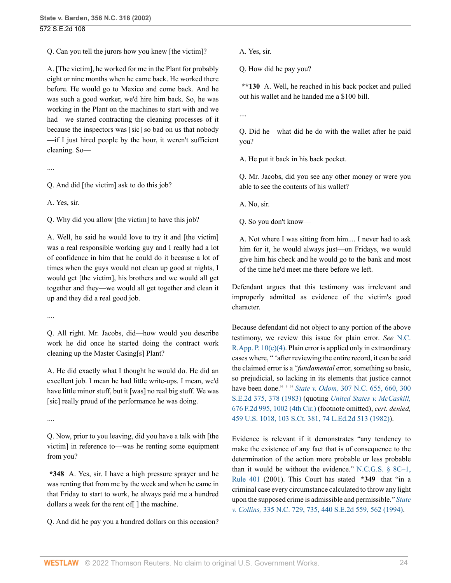Q. Can you tell the jurors how you knew [the victim]?

A. [The victim], he worked for me in the Plant for probably eight or nine months when he came back. He worked there before. He would go to Mexico and come back. And he was such a good worker, we'd hire him back. So, he was working in the Plant on the machines to start with and we had—we started contracting the cleaning processes of it because the inspectors was [sic] so bad on us that nobody —if I just hired people by the hour, it weren't sufficient cleaning. So—

....

Q. And did [the victim] ask to do this job?

A. Yes, sir.

Q. Why did you allow [the victim] to have this job?

A. Well, he said he would love to try it and [the victim] was a real responsible working guy and I really had a lot of confidence in him that he could do it because a lot of times when the guys would not clean up good at nights, I would get [the victim], his brothers and we would all get together and they—we would all get together and clean it up and they did a real good job.

....

Q. All right. Mr. Jacobs, did—how would you describe work he did once he started doing the contract work cleaning up the Master Casing[s] Plant?

A. He did exactly what I thought he would do. He did an excellent job. I mean he had little write-ups. I mean, we'd have little minor stuff, but it [was] no real big stuff. We was [sic] really proud of the performance he was doing.

....

Q. Now, prior to you leaving, did you have a talk with [the victim] in reference to—was he renting some equipment from you?

**\*348** A. Yes, sir. I have a high pressure sprayer and he was renting that from me by the week and when he came in that Friday to start to work, he always paid me a hundred dollars a week for the rent of[ ] the machine.

Q. And did he pay you a hundred dollars on this occasion?

A. Yes, sir.

Q. How did he pay you?

**\*\*130** A. Well, he reached in his back pocket and pulled out his wallet and he handed me a \$100 bill.

....

Q. Did he—what did he do with the wallet after he paid you?

A. He put it back in his back pocket.

Q. Mr. Jacobs, did you see any other money or were you able to see the contents of his wallet?

A. No, sir.

Q. So you don't know—

A. Not where I was sitting from him.... I never had to ask him for it, he would always just—on Fridays, we would give him his check and he would go to the bank and most of the time he'd meet me there before we left.

Defendant argues that this testimony was irrelevant and improperly admitted as evidence of the victim's good character.

Because defendant did not object to any portion of the above testimony, we review this issue for plain error. *See* [N.C.](http://www.westlaw.com/Link/Document/FullText?findType=L&pubNum=1006366&cite=NCRRAPAPPR10&originatingDoc=Ia3aa668203d211da83e7e9deff98dc6f&refType=LQ&originationContext=document&vr=3.0&rs=cblt1.0&transitionType=DocumentItem&contextData=(sc.FindAndPrintPortal)) R.App. P.  $10(c)(4)$ . Plain error is applied only in extraordinary cases where, " 'after reviewing the entire record, it can be said the claimed error is a "*fundamental* error, something so basic, so prejudicial, so lacking in its elements that justice cannot have been done." ' " *State v. Odom,* [307 N.C. 655, 660, 300](http://www.westlaw.com/Link/Document/FullText?findType=Y&serNum=1983112110&pubNum=0000711&originatingDoc=Ia3aa668203d211da83e7e9deff98dc6f&refType=RP&fi=co_pp_sp_711_378&originationContext=document&vr=3.0&rs=cblt1.0&transitionType=DocumentItem&contextData=(sc.FindAndPrintPortal)#co_pp_sp_711_378) [S.E.2d 375, 378 \(1983\)](http://www.westlaw.com/Link/Document/FullText?findType=Y&serNum=1983112110&pubNum=0000711&originatingDoc=Ia3aa668203d211da83e7e9deff98dc6f&refType=RP&fi=co_pp_sp_711_378&originationContext=document&vr=3.0&rs=cblt1.0&transitionType=DocumentItem&contextData=(sc.FindAndPrintPortal)#co_pp_sp_711_378) (quoting *[United States v. McCaskill,](http://www.westlaw.com/Link/Document/FullText?findType=Y&serNum=1982118386&pubNum=0000350&originatingDoc=Ia3aa668203d211da83e7e9deff98dc6f&refType=RP&fi=co_pp_sp_350_1002&originationContext=document&vr=3.0&rs=cblt1.0&transitionType=DocumentItem&contextData=(sc.FindAndPrintPortal)#co_pp_sp_350_1002)* [676 F.2d 995, 1002 \(4th Cir.\)](http://www.westlaw.com/Link/Document/FullText?findType=Y&serNum=1982118386&pubNum=0000350&originatingDoc=Ia3aa668203d211da83e7e9deff98dc6f&refType=RP&fi=co_pp_sp_350_1002&originationContext=document&vr=3.0&rs=cblt1.0&transitionType=DocumentItem&contextData=(sc.FindAndPrintPortal)#co_pp_sp_350_1002) (footnote omitted), *cert. denied,* [459 U.S. 1018, 103 S.Ct. 381, 74 L.Ed.2d 513 \(1982\)](http://www.westlaw.com/Link/Document/FullText?findType=Y&serNum=1982240731&pubNum=0000708&originatingDoc=Ia3aa668203d211da83e7e9deff98dc6f&refType=RP&originationContext=document&vr=3.0&rs=cblt1.0&transitionType=DocumentItem&contextData=(sc.FindAndPrintPortal))).

Evidence is relevant if it demonstrates "any tendency to make the existence of any fact that is of consequence to the determination of the action more probable or less probable than it would be without the evidence." N.C.G.S.  $\S$  8C-1, [Rule 401](http://www.westlaw.com/Link/Document/FullText?findType=L&pubNum=1000710&cite=NCSTEVS8C-1R401&originatingDoc=Ia3aa668203d211da83e7e9deff98dc6f&refType=LQ&originationContext=document&vr=3.0&rs=cblt1.0&transitionType=DocumentItem&contextData=(sc.FindAndPrintPortal)) (2001). This Court has stated **\*349** that "in a criminal case every circumstance calculated to throw any light upon the supposed crime is admissible and permissible." *[State](http://www.westlaw.com/Link/Document/FullText?findType=Y&serNum=1994058002&pubNum=0000711&originatingDoc=Ia3aa668203d211da83e7e9deff98dc6f&refType=RP&fi=co_pp_sp_711_562&originationContext=document&vr=3.0&rs=cblt1.0&transitionType=DocumentItem&contextData=(sc.FindAndPrintPortal)#co_pp_sp_711_562) v. Collins,* [335 N.C. 729, 735, 440 S.E.2d 559, 562 \(1994\)](http://www.westlaw.com/Link/Document/FullText?findType=Y&serNum=1994058002&pubNum=0000711&originatingDoc=Ia3aa668203d211da83e7e9deff98dc6f&refType=RP&fi=co_pp_sp_711_562&originationContext=document&vr=3.0&rs=cblt1.0&transitionType=DocumentItem&contextData=(sc.FindAndPrintPortal)#co_pp_sp_711_562).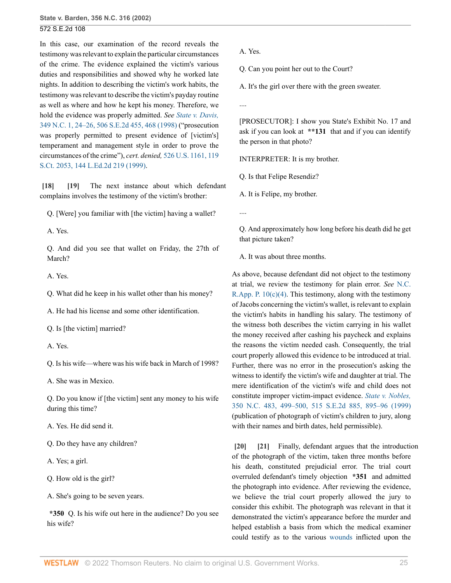In this case, our examination of the record reveals the testimony was relevant to explain the particular circumstances of the crime. The evidence explained the victim's various duties and responsibilities and showed why he worked late nights. In addition to describing the victim's work habits, the testimony was relevant to describe the victim's payday routine as well as where and how he kept his money. Therefore, we hold the evidence was properly admitted. *See [State v. Davis,](http://www.westlaw.com/Link/Document/FullText?findType=Y&serNum=1998208048&pubNum=0000711&originatingDoc=Ia3aa668203d211da83e7e9deff98dc6f&refType=RP&fi=co_pp_sp_711_468&originationContext=document&vr=3.0&rs=cblt1.0&transitionType=DocumentItem&contextData=(sc.FindAndPrintPortal)#co_pp_sp_711_468)* [349 N.C. 1, 24–26, 506 S.E.2d 455, 468 \(1998\)](http://www.westlaw.com/Link/Document/FullText?findType=Y&serNum=1998208048&pubNum=0000711&originatingDoc=Ia3aa668203d211da83e7e9deff98dc6f&refType=RP&fi=co_pp_sp_711_468&originationContext=document&vr=3.0&rs=cblt1.0&transitionType=DocumentItem&contextData=(sc.FindAndPrintPortal)#co_pp_sp_711_468) ("prosecution was properly permitted to present evidence of [victim's] temperament and management style in order to prove the circumstances of the crime"), *cert. denied,* [526 U.S. 1161, 119](http://www.westlaw.com/Link/Document/FullText?findType=Y&serNum=1999083255&pubNum=0000708&originatingDoc=Ia3aa668203d211da83e7e9deff98dc6f&refType=RP&originationContext=document&vr=3.0&rs=cblt1.0&transitionType=DocumentItem&contextData=(sc.FindAndPrintPortal)) [S.Ct. 2053, 144 L.Ed.2d 219 \(1999\).](http://www.westlaw.com/Link/Document/FullText?findType=Y&serNum=1999083255&pubNum=0000708&originatingDoc=Ia3aa668203d211da83e7e9deff98dc6f&refType=RP&originationContext=document&vr=3.0&rs=cblt1.0&transitionType=DocumentItem&contextData=(sc.FindAndPrintPortal))

<span id="page-24-1"></span><span id="page-24-0"></span>**[\[18\]](#page-2-5) [\[19\]](#page-2-6)** The next instance about which defendant complains involves the testimony of the victim's brother:

Q. [Were] you familiar with [the victim] having a wallet?

A. Yes.

Q. And did you see that wallet on Friday, the 27th of March?

A. Yes.

Q. What did he keep in his wallet other than his money?

A. He had his license and some other identification.

Q. Is [the victim] married?

A. Yes.

Q. Is his wife—where was his wife back in March of 1998?

A. She was in Mexico.

Q. Do you know if [the victim] sent any money to his wife during this time?

A. Yes. He did send it.

Q. Do they have any children?

A. Yes; a girl.

Q. How old is the girl?

A. She's going to be seven years.

**\*350** Q. Is his wife out here in the audience? Do you see his wife?

A. Yes.

Q. Can you point her out to the Court?

A. It's the girl over there with the green sweater.

....

[PROSECUTOR]: I show you State's Exhibit No. 17 and ask if you can look at **\*\*131** that and if you can identify the person in that photo?

INTERPRETER: It is my brother.

Q. Is that Felipe Resendiz?

A. It is Felipe, my brother.

....

Q. And approximately how long before his death did he get that picture taken?

A. It was about three months.

As above, because defendant did not object to the testimony at trial, we review the testimony for plain error. *See* [N.C.](http://www.westlaw.com/Link/Document/FullText?findType=L&pubNum=1006366&cite=NCRRAPAPPR10&originatingDoc=Ia3aa668203d211da83e7e9deff98dc6f&refType=LQ&originationContext=document&vr=3.0&rs=cblt1.0&transitionType=DocumentItem&contextData=(sc.FindAndPrintPortal)) R.App. P.  $10(c)(4)$ . This testimony, along with the testimony of Jacobs concerning the victim's wallet, is relevant to explain the victim's habits in handling his salary. The testimony of the witness both describes the victim carrying in his wallet the money received after cashing his paycheck and explains the reasons the victim needed cash. Consequently, the trial court properly allowed this evidence to be introduced at trial. Further, there was no error in the prosecution's asking the witness to identify the victim's wife and daughter at trial. The mere identification of the victim's wife and child does not constitute improper victim-impact evidence. *[State v. Nobles,](http://www.westlaw.com/Link/Document/FullText?findType=Y&serNum=1999150257&pubNum=0000711&originatingDoc=Ia3aa668203d211da83e7e9deff98dc6f&refType=RP&fi=co_pp_sp_711_895&originationContext=document&vr=3.0&rs=cblt1.0&transitionType=DocumentItem&contextData=(sc.FindAndPrintPortal)#co_pp_sp_711_895)* [350 N.C. 483, 499–500, 515 S.E.2d 885, 895–96 \(1999\)](http://www.westlaw.com/Link/Document/FullText?findType=Y&serNum=1999150257&pubNum=0000711&originatingDoc=Ia3aa668203d211da83e7e9deff98dc6f&refType=RP&fi=co_pp_sp_711_895&originationContext=document&vr=3.0&rs=cblt1.0&transitionType=DocumentItem&contextData=(sc.FindAndPrintPortal)#co_pp_sp_711_895) (publication of photograph of victim's children to jury, along with their names and birth dates, held permissible).

<span id="page-24-3"></span><span id="page-24-2"></span>**[\[20\]](#page-3-0) [\[21\]](#page-3-1)** Finally, defendant argues that the introduction of the photograph of the victim, taken three months before his death, constituted prejudicial error. The trial court overruled defendant's timely objection **\*351** and admitted the photograph into evidence. After reviewing the evidence, we believe the trial court properly allowed the jury to consider this exhibit. The photograph was relevant in that it demonstrated the victim's appearance before the murder and helped establish a basis from which the medical examiner could testify as to the various [wounds](http://www.westlaw.com/Link/Document/FullText?entityType=gdrug&entityId=Iff1648e16c7111e18b05fdf15589d8e8&originationContext=document&transitionType=DocumentItem&contextData=(sc.Default)&vr=3.0&rs=cblt1.0) inflicted upon the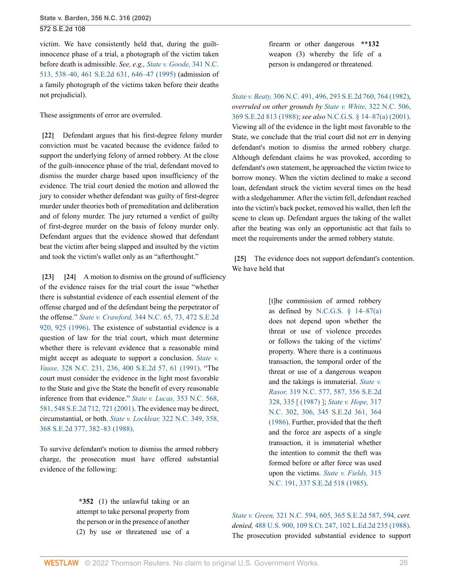victim. We have consistently held that, during the guiltinnocence phase of a trial, a photograph of the victim taken before death is admissible. *See, e.g., [State v. Goode,](http://www.westlaw.com/Link/Document/FullText?findType=Y&serNum=1995185695&pubNum=0000711&originatingDoc=Ia3aa668203d211da83e7e9deff98dc6f&refType=RP&fi=co_pp_sp_711_646&originationContext=document&vr=3.0&rs=cblt1.0&transitionType=DocumentItem&contextData=(sc.FindAndPrintPortal)#co_pp_sp_711_646)* 341 N.C. [513, 538–40, 461 S.E.2d 631, 646–47 \(1995\)](http://www.westlaw.com/Link/Document/FullText?findType=Y&serNum=1995185695&pubNum=0000711&originatingDoc=Ia3aa668203d211da83e7e9deff98dc6f&refType=RP&fi=co_pp_sp_711_646&originationContext=document&vr=3.0&rs=cblt1.0&transitionType=DocumentItem&contextData=(sc.FindAndPrintPortal)#co_pp_sp_711_646) (admission of a family photograph of the victims taken before their deaths not prejudicial).

These assignments of error are overruled.

<span id="page-25-0"></span>**[\[22\]](#page-3-2)** Defendant argues that his first-degree felony murder conviction must be vacated because the evidence failed to support the underlying felony of armed robbery. At the close of the guilt-innocence phase of the trial, defendant moved to dismiss the murder charge based upon insufficiency of the evidence. The trial court denied the motion and allowed the jury to consider whether defendant was guilty of first-degree murder under theories both of premeditation and deliberation and of felony murder. The jury returned a verdict of guilty of first-degree murder on the basis of felony murder only. Defendant argues that the evidence showed that defendant beat the victim after being slapped and insulted by the victim and took the victim's wallet only as an "afterthought."

<span id="page-25-2"></span><span id="page-25-1"></span>**[\[23\]](#page-3-3) [\[24](#page-3-4)]** A motion to dismiss on the ground of sufficiency of the evidence raises for the trial court the issue "whether there is substantial evidence of each essential element of the offense charged and of the defendant being the perpetrator of the offense." *State v. Crawford,* [344 N.C. 65, 73, 472 S.E.2d](http://www.westlaw.com/Link/Document/FullText?findType=Y&serNum=1996171958&pubNum=0000711&originatingDoc=Ia3aa668203d211da83e7e9deff98dc6f&refType=RP&fi=co_pp_sp_711_925&originationContext=document&vr=3.0&rs=cblt1.0&transitionType=DocumentItem&contextData=(sc.FindAndPrintPortal)#co_pp_sp_711_925) [920, 925 \(1996\)](http://www.westlaw.com/Link/Document/FullText?findType=Y&serNum=1996171958&pubNum=0000711&originatingDoc=Ia3aa668203d211da83e7e9deff98dc6f&refType=RP&fi=co_pp_sp_711_925&originationContext=document&vr=3.0&rs=cblt1.0&transitionType=DocumentItem&contextData=(sc.FindAndPrintPortal)#co_pp_sp_711_925). The existence of substantial evidence is a question of law for the trial court, which must determine whether there is relevant evidence that a reasonable mind might accept as adequate to support a conclusion. *[State v.](http://www.westlaw.com/Link/Document/FullText?findType=Y&serNum=1991035368&pubNum=0000711&originatingDoc=Ia3aa668203d211da83e7e9deff98dc6f&refType=RP&fi=co_pp_sp_711_61&originationContext=document&vr=3.0&rs=cblt1.0&transitionType=DocumentItem&contextData=(sc.FindAndPrintPortal)#co_pp_sp_711_61) Vause,* [328 N.C. 231, 236, 400 S.E.2d 57, 61 \(1991\)](http://www.westlaw.com/Link/Document/FullText?findType=Y&serNum=1991035368&pubNum=0000711&originatingDoc=Ia3aa668203d211da83e7e9deff98dc6f&refType=RP&fi=co_pp_sp_711_61&originationContext=document&vr=3.0&rs=cblt1.0&transitionType=DocumentItem&contextData=(sc.FindAndPrintPortal)#co_pp_sp_711_61). "The court must consider the evidence in the light most favorable to the State and give the State the benefit of every reasonable inference from that evidence." *State v. Lucas,* [353 N.C. 568,](http://www.westlaw.com/Link/Document/FullText?findType=Y&serNum=2001617348&pubNum=0000711&originatingDoc=Ia3aa668203d211da83e7e9deff98dc6f&refType=RP&fi=co_pp_sp_711_721&originationContext=document&vr=3.0&rs=cblt1.0&transitionType=DocumentItem&contextData=(sc.FindAndPrintPortal)#co_pp_sp_711_721) [581, 548 S.E.2d 712, 721 \(2001\).](http://www.westlaw.com/Link/Document/FullText?findType=Y&serNum=2001617348&pubNum=0000711&originatingDoc=Ia3aa668203d211da83e7e9deff98dc6f&refType=RP&fi=co_pp_sp_711_721&originationContext=document&vr=3.0&rs=cblt1.0&transitionType=DocumentItem&contextData=(sc.FindAndPrintPortal)#co_pp_sp_711_721) The evidence may be direct, circumstantial, or both. *State v. Locklear,* [322 N.C. 349, 358,](http://www.westlaw.com/Link/Document/FullText?findType=Y&serNum=1988074430&pubNum=0000711&originatingDoc=Ia3aa668203d211da83e7e9deff98dc6f&refType=RP&fi=co_pp_sp_711_382&originationContext=document&vr=3.0&rs=cblt1.0&transitionType=DocumentItem&contextData=(sc.FindAndPrintPortal)#co_pp_sp_711_382) [368 S.E.2d 377, 382–83 \(1988\).](http://www.westlaw.com/Link/Document/FullText?findType=Y&serNum=1988074430&pubNum=0000711&originatingDoc=Ia3aa668203d211da83e7e9deff98dc6f&refType=RP&fi=co_pp_sp_711_382&originationContext=document&vr=3.0&rs=cblt1.0&transitionType=DocumentItem&contextData=(sc.FindAndPrintPortal)#co_pp_sp_711_382)

To survive defendant's motion to dismiss the armed robbery charge, the prosecution must have offered substantial evidence of the following:

firearm or other dangerous **\*\*132** weapon (3) whereby the life of a person is endangered or threatened.

*State v. Beaty,* [306 N.C. 491, 496, 293 S.E.2d 760, 764 \(1982\),](http://www.westlaw.com/Link/Document/FullText?findType=Y&serNum=1982135132&pubNum=0000711&originatingDoc=Ia3aa668203d211da83e7e9deff98dc6f&refType=RP&fi=co_pp_sp_711_764&originationContext=document&vr=3.0&rs=cblt1.0&transitionType=DocumentItem&contextData=(sc.FindAndPrintPortal)#co_pp_sp_711_764) *overruled on other grounds by State v. White,* [322 N.C. 506,](http://www.westlaw.com/Link/Document/FullText?findType=Y&serNum=1988086909&pubNum=0000711&originatingDoc=Ia3aa668203d211da83e7e9deff98dc6f&refType=RP&originationContext=document&vr=3.0&rs=cblt1.0&transitionType=DocumentItem&contextData=(sc.FindAndPrintPortal)) [369 S.E.2d 813 \(1988\)](http://www.westlaw.com/Link/Document/FullText?findType=Y&serNum=1988086909&pubNum=0000711&originatingDoc=Ia3aa668203d211da83e7e9deff98dc6f&refType=RP&originationContext=document&vr=3.0&rs=cblt1.0&transitionType=DocumentItem&contextData=(sc.FindAndPrintPortal)); *see also* [N.C.G.S. § 14–87\(a\) \(2001\).](http://www.westlaw.com/Link/Document/FullText?findType=L&pubNum=1000037&cite=NCSTS14-87&originatingDoc=Ia3aa668203d211da83e7e9deff98dc6f&refType=SP&originationContext=document&vr=3.0&rs=cblt1.0&transitionType=DocumentItem&contextData=(sc.FindAndPrintPortal)#co_pp_8b3b0000958a4) Viewing all of the evidence in the light most favorable to the State, we conclude that the trial court did not err in denying defendant's motion to dismiss the armed robbery charge. Although defendant claims he was provoked, according to defendant's own statement, he approached the victim twice to borrow money. When the victim declined to make a second loan, defendant struck the victim several times on the head with a sledgehammer. After the victim fell, defendant reached into the victim's back pocket, removed his wallet, then left the scene to clean up. Defendant argues the taking of the wallet after the beating was only an opportunistic act that fails to meet the requirements under the armed robbery statute.

<span id="page-25-3"></span>**[\[25\]](#page-3-5)** The evidence does not support defendant's contention. We have held that

> [t]he commission of armed robbery as defined by N.C.G.S.  $§$  14–87(a) does not depend upon whether the threat or use of violence precedes or follows the taking of the victims' property. Where there is a continuous transaction, the temporal order of the threat or use of a dangerous weapon and the takings is immaterial. *[State v.](http://www.westlaw.com/Link/Document/FullText?findType=Y&serNum=1987070334&pubNum=711&originatingDoc=Ia3aa668203d211da83e7e9deff98dc6f&refType=RP&fi=co_pp_sp_711_335&originationContext=document&vr=3.0&rs=cblt1.0&transitionType=DocumentItem&contextData=(sc.FindAndPrintPortal)#co_pp_sp_711_335) Rasor,* [319 N.C. 577, 587, 356 S.E.2d](http://www.westlaw.com/Link/Document/FullText?findType=Y&serNum=1987070334&pubNum=711&originatingDoc=Ia3aa668203d211da83e7e9deff98dc6f&refType=RP&fi=co_pp_sp_711_335&originationContext=document&vr=3.0&rs=cblt1.0&transitionType=DocumentItem&contextData=(sc.FindAndPrintPortal)#co_pp_sp_711_335) [328, 335 \[ \(1987\) \]](http://www.westlaw.com/Link/Document/FullText?findType=Y&serNum=1987070334&pubNum=711&originatingDoc=Ia3aa668203d211da83e7e9deff98dc6f&refType=RP&fi=co_pp_sp_711_335&originationContext=document&vr=3.0&rs=cblt1.0&transitionType=DocumentItem&contextData=(sc.FindAndPrintPortal)#co_pp_sp_711_335); *[State v. Hope,](http://www.westlaw.com/Link/Document/FullText?findType=Y&serNum=1986135309&pubNum=0000711&originatingDoc=Ia3aa668203d211da83e7e9deff98dc6f&refType=RP&fi=co_pp_sp_711_364&originationContext=document&vr=3.0&rs=cblt1.0&transitionType=DocumentItem&contextData=(sc.FindAndPrintPortal)#co_pp_sp_711_364)* 317 [N.C. 302, 306, 345 S.E.2d 361, 364](http://www.westlaw.com/Link/Document/FullText?findType=Y&serNum=1986135309&pubNum=0000711&originatingDoc=Ia3aa668203d211da83e7e9deff98dc6f&refType=RP&fi=co_pp_sp_711_364&originationContext=document&vr=3.0&rs=cblt1.0&transitionType=DocumentItem&contextData=(sc.FindAndPrintPortal)#co_pp_sp_711_364) [\(1986\).](http://www.westlaw.com/Link/Document/FullText?findType=Y&serNum=1986135309&pubNum=0000711&originatingDoc=Ia3aa668203d211da83e7e9deff98dc6f&refType=RP&fi=co_pp_sp_711_364&originationContext=document&vr=3.0&rs=cblt1.0&transitionType=DocumentItem&contextData=(sc.FindAndPrintPortal)#co_pp_sp_711_364) Further, provided that the theft and the force are aspects of a single transaction, it is immaterial whether the intention to commit the theft was formed before or after force was used upon the victims. *[State v. Fields,](http://www.westlaw.com/Link/Document/FullText?findType=Y&serNum=1985162503&pubNum=0000711&originatingDoc=Ia3aa668203d211da83e7e9deff98dc6f&refType=RP&originationContext=document&vr=3.0&rs=cblt1.0&transitionType=DocumentItem&contextData=(sc.FindAndPrintPortal))* 315 [N.C. 191, 337 S.E.2d 518 \(1985\)](http://www.westlaw.com/Link/Document/FullText?findType=Y&serNum=1985162503&pubNum=0000711&originatingDoc=Ia3aa668203d211da83e7e9deff98dc6f&refType=RP&originationContext=document&vr=3.0&rs=cblt1.0&transitionType=DocumentItem&contextData=(sc.FindAndPrintPortal)).

**\*352** (1) the unlawful taking or an attempt to take personal property from the person or in the presence of another (2) by use or threatened use of a

*State v. Green,* [321 N.C. 594, 605, 365 S.E.2d 587, 594,](http://www.westlaw.com/Link/Document/FullText?findType=Y&serNum=1988036033&pubNum=711&originatingDoc=Ia3aa668203d211da83e7e9deff98dc6f&refType=RP&fi=co_pp_sp_711_594&originationContext=document&vr=3.0&rs=cblt1.0&transitionType=DocumentItem&contextData=(sc.FindAndPrintPortal)#co_pp_sp_711_594) *cert. denied,* [488 U.S. 900, 109 S.Ct. 247, 102 L.Ed.2d 235 \(1988\).](http://www.westlaw.com/Link/Document/FullText?findType=Y&serNum=1988133298&pubNum=0000708&originatingDoc=Ia3aa668203d211da83e7e9deff98dc6f&refType=RP&originationContext=document&vr=3.0&rs=cblt1.0&transitionType=DocumentItem&contextData=(sc.FindAndPrintPortal)) The prosecution provided substantial evidence to support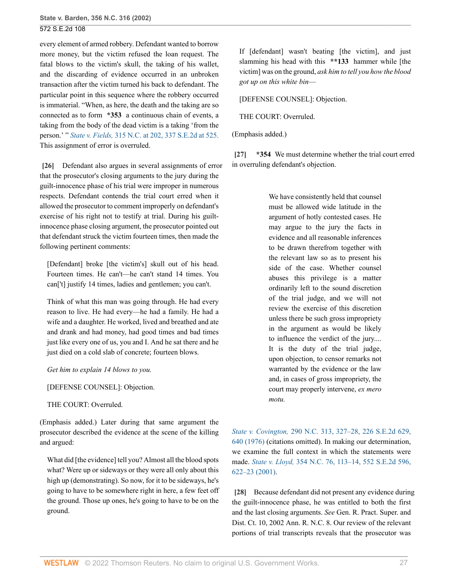every element of armed robbery. Defendant wanted to borrow more money, but the victim refused the loan request. The fatal blows to the victim's skull, the taking of his wallet, and the discarding of evidence occurred in an unbroken transaction after the victim turned his back to defendant. The particular point in this sequence where the robbery occurred is immaterial. "When, as here, the death and the taking are so connected as to form **\*353** a continuous chain of events, a taking from the body of the dead victim is a taking 'from the person.' " *State v. Fields,* [315 N.C. at 202, 337 S.E.2d at 525.](http://www.westlaw.com/Link/Document/FullText?findType=Y&serNum=1985162503&pubNum=711&originatingDoc=Ia3aa668203d211da83e7e9deff98dc6f&refType=RP&fi=co_pp_sp_711_525&originationContext=document&vr=3.0&rs=cblt1.0&transitionType=DocumentItem&contextData=(sc.FindAndPrintPortal)#co_pp_sp_711_525) This assignment of error is overruled.

<span id="page-26-0"></span>**[\[26\]](#page-3-6)** Defendant also argues in several assignments of error that the prosecutor's closing arguments to the jury during the guilt-innocence phase of his trial were improper in numerous respects. Defendant contends the trial court erred when it allowed the prosecutor to comment improperly on defendant's exercise of his right not to testify at trial. During his guiltinnocence phase closing argument, the prosecutor pointed out that defendant struck the victim fourteen times, then made the following pertinent comments:

[Defendant] broke [the victim's] skull out of his head. Fourteen times. He can't—he can't stand 14 times. You can['t] justify 14 times, ladies and gentlemen; you can't.

Think of what this man was going through. He had every reason to live. He had every—he had a family. He had a wife and a daughter. He worked, lived and breathed and ate and drank and had money, had good times and bad times just like every one of us, you and I. And he sat there and he just died on a cold slab of concrete; fourteen blows.

*Get him to explain 14 blows to you.*

[DEFENSE COUNSEL]: Objection.

THE COURT: Overruled.

(Emphasis added.) Later during that same argument the prosecutor described the evidence at the scene of the killing and argued:

What did [the evidence] tell you? Almost all the blood spots what? Were up or sideways or they were all only about this high up (demonstrating). So now, for it to be sideways, he's going to have to be somewhere right in here, a few feet off the ground. Those up ones, he's going to have to be on the ground.

If [defendant] wasn't beating [the victim], and just slamming his head with this **\*\*133** hammer while [the victim] was on the ground, *ask him to tell you how the blood got up on this white bin*—

[DEFENSE COUNSEL]: Objection.

THE COURT: Overruled.

(Emphasis added.)

<span id="page-26-1"></span>**[\[27\]](#page-4-0) \*354** We must determine whether the trial court erred in overruling defendant's objection.

> We have consistently held that counsel must be allowed wide latitude in the argument of hotly contested cases. He may argue to the jury the facts in evidence and all reasonable inferences to be drawn therefrom together with the relevant law so as to present his side of the case. Whether counsel abuses this privilege is a matter ordinarily left to the sound discretion of the trial judge, and we will not review the exercise of this discretion unless there be such gross impropriety in the argument as would be likely to influence the verdict of the jury.... It is the duty of the trial judge, upon objection, to censor remarks not warranted by the evidence or the law and, in cases of gross impropriety, the court may properly intervene, *ex mero motu.*

*State v. Covington,* [290 N.C. 313, 327–28, 226 S.E.2d 629,](http://www.westlaw.com/Link/Document/FullText?findType=Y&serNum=1976135315&pubNum=0000711&originatingDoc=Ia3aa668203d211da83e7e9deff98dc6f&refType=RP&fi=co_pp_sp_711_640&originationContext=document&vr=3.0&rs=cblt1.0&transitionType=DocumentItem&contextData=(sc.FindAndPrintPortal)#co_pp_sp_711_640) [640 \(1976\)](http://www.westlaw.com/Link/Document/FullText?findType=Y&serNum=1976135315&pubNum=0000711&originatingDoc=Ia3aa668203d211da83e7e9deff98dc6f&refType=RP&fi=co_pp_sp_711_640&originationContext=document&vr=3.0&rs=cblt1.0&transitionType=DocumentItem&contextData=(sc.FindAndPrintPortal)#co_pp_sp_711_640) (citations omitted). In making our determination, we examine the full context in which the statements were made. *State v. Lloyd,* [354 N.C. 76, 113–14, 552 S.E.2d 596,](http://www.westlaw.com/Link/Document/FullText?findType=Y&serNum=2001847725&pubNum=0000711&originatingDoc=Ia3aa668203d211da83e7e9deff98dc6f&refType=RP&fi=co_pp_sp_711_622&originationContext=document&vr=3.0&rs=cblt1.0&transitionType=DocumentItem&contextData=(sc.FindAndPrintPortal)#co_pp_sp_711_622) [622–23 \(2001\)](http://www.westlaw.com/Link/Document/FullText?findType=Y&serNum=2001847725&pubNum=0000711&originatingDoc=Ia3aa668203d211da83e7e9deff98dc6f&refType=RP&fi=co_pp_sp_711_622&originationContext=document&vr=3.0&rs=cblt1.0&transitionType=DocumentItem&contextData=(sc.FindAndPrintPortal)#co_pp_sp_711_622).

<span id="page-26-2"></span>**[\[28\]](#page-4-1)** Because defendant did not present any evidence during the guilt-innocence phase, he was entitled to both the first and the last closing arguments. *See* Gen. R. Pract. Super. and Dist. Ct. 10, 2002 Ann. R. N.C. 8. Our review of the relevant portions of trial transcripts reveals that the prosecutor was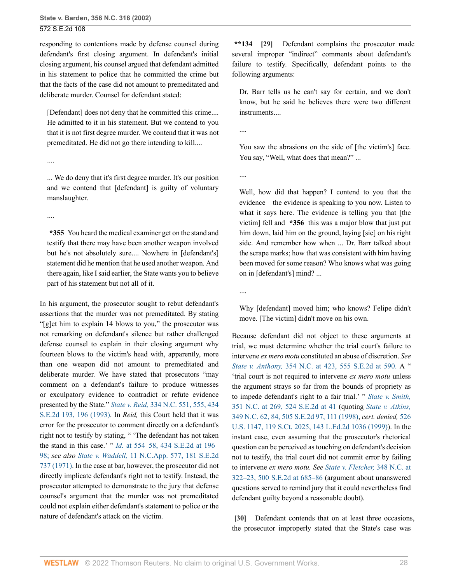....

....

responding to contentions made by defense counsel during defendant's first closing argument. In defendant's initial closing argument, his counsel argued that defendant admitted in his statement to police that he committed the crime but that the facts of the case did not amount to premeditated and deliberate murder. Counsel for defendant stated:

[Defendant] does not deny that he committed this crime.... He admitted to it in his statement. But we contend to you that it is not first degree murder. We contend that it was not premeditated. He did not go there intending to kill....

... We do deny that it's first degree murder. It's our position and we contend that [defendant] is guilty of voluntary manslaughter.

**\*355** You heard the medical examiner get on the stand and testify that there may have been another weapon involved but he's not absolutely sure.... Nowhere in [defendant's] statement did he mention that he used another weapon. And there again, like I said earlier, the State wants you to believe part of his statement but not all of it.

In his argument, the prosecutor sought to rebut defendant's assertions that the murder was not premeditated. By stating "[g]et him to explain 14 blows to you," the prosecutor was not remarking on defendant's silence but rather challenged defense counsel to explain in their closing argument why fourteen blows to the victim's head with, apparently, more than one weapon did not amount to premeditated and deliberate murder. We have stated that prosecutors "may comment on a defendant's failure to produce witnesses or exculpatory evidence to contradict or refute evidence presented by the State." *State v. Reid,* [334 N.C. 551, 555, 434](http://www.westlaw.com/Link/Document/FullText?findType=Y&serNum=1993174536&pubNum=0000711&originatingDoc=Ia3aa668203d211da83e7e9deff98dc6f&refType=RP&fi=co_pp_sp_711_196&originationContext=document&vr=3.0&rs=cblt1.0&transitionType=DocumentItem&contextData=(sc.FindAndPrintPortal)#co_pp_sp_711_196) [S.E.2d 193, 196 \(1993\)](http://www.westlaw.com/Link/Document/FullText?findType=Y&serNum=1993174536&pubNum=0000711&originatingDoc=Ia3aa668203d211da83e7e9deff98dc6f&refType=RP&fi=co_pp_sp_711_196&originationContext=document&vr=3.0&rs=cblt1.0&transitionType=DocumentItem&contextData=(sc.FindAndPrintPortal)#co_pp_sp_711_196). In *Reid,* this Court held that it was error for the prosecutor to comment directly on a defendant's right not to testify by stating, " 'The defendant has not taken the stand in this case.' " *Id.* [at 554–58, 434 S.E.2d at 196–](http://www.westlaw.com/Link/Document/FullText?findType=Y&serNum=1993174536&pubNum=711&originatingDoc=Ia3aa668203d211da83e7e9deff98dc6f&refType=RP&fi=co_pp_sp_711_196&originationContext=document&vr=3.0&rs=cblt1.0&transitionType=DocumentItem&contextData=(sc.FindAndPrintPortal)#co_pp_sp_711_196) [98;](http://www.westlaw.com/Link/Document/FullText?findType=Y&serNum=1993174536&pubNum=711&originatingDoc=Ia3aa668203d211da83e7e9deff98dc6f&refType=RP&fi=co_pp_sp_711_196&originationContext=document&vr=3.0&rs=cblt1.0&transitionType=DocumentItem&contextData=(sc.FindAndPrintPortal)#co_pp_sp_711_196) *see also State v. Waddell,* [11 N.C.App. 577, 181 S.E.2d](http://www.westlaw.com/Link/Document/FullText?findType=Y&serNum=1971127995&pubNum=0000711&originatingDoc=Ia3aa668203d211da83e7e9deff98dc6f&refType=RP&originationContext=document&vr=3.0&rs=cblt1.0&transitionType=DocumentItem&contextData=(sc.FindAndPrintPortal)) [737 \(1971\).](http://www.westlaw.com/Link/Document/FullText?findType=Y&serNum=1971127995&pubNum=0000711&originatingDoc=Ia3aa668203d211da83e7e9deff98dc6f&refType=RP&originationContext=document&vr=3.0&rs=cblt1.0&transitionType=DocumentItem&contextData=(sc.FindAndPrintPortal)) In the case at bar, however, the prosecutor did not directly implicate defendant's right not to testify. Instead, the prosecutor attempted to demonstrate to the jury that defense counsel's argument that the murder was not premeditated could not explain either defendant's statement to police or the nature of defendant's attack on the victim.

<span id="page-27-0"></span>**\*\*134 [\[29\]](#page-4-2)** Defendant complains the prosecutor made several improper "indirect" comments about defendant's failure to testify. Specifically, defendant points to the following arguments:

Dr. Barr tells us he can't say for certain, and we don't know, but he said he believes there were two different instruments....

....

You saw the abrasions on the side of [the victim's] face. You say, "Well, what does that mean?" ...

....

Well, how did that happen? I contend to you that the evidence—the evidence is speaking to you now. Listen to what it says here. The evidence is telling you that [the victim] fell and **\*356** this was a major blow that just put him down, laid him on the ground, laying [sic] on his right side. And remember how when ... Dr. Barr talked about the scrape marks; how that was consistent with him having been moved for some reason? Who knows what was going on in [defendant's] mind? ...

....

Why [defendant] moved him; who knows? Felipe didn't move. [The victim] didn't move on his own.

Because defendant did not object to these arguments at trial, we must determine whether the trial court's failure to intervene *ex mero motu* constituted an abuse of discretion. *See State v. Anthony,* [354 N.C. at 423, 555 S.E.2d at 590.](http://www.westlaw.com/Link/Document/FullText?findType=Y&serNum=2001558247&pubNum=711&originatingDoc=Ia3aa668203d211da83e7e9deff98dc6f&refType=RP&fi=co_pp_sp_711_590&originationContext=document&vr=3.0&rs=cblt1.0&transitionType=DocumentItem&contextData=(sc.FindAndPrintPortal)#co_pp_sp_711_590) A " 'trial court is not required to intervene *ex mero motu* unless the argument strays so far from the bounds of propriety as to impede defendant's right to a fair trial.' " *[State v. Smith,](http://www.westlaw.com/Link/Document/FullText?findType=Y&serNum=2000047310&pubNum=0000711&originatingDoc=Ia3aa668203d211da83e7e9deff98dc6f&refType=RP&fi=co_pp_sp_711_41&originationContext=document&vr=3.0&rs=cblt1.0&transitionType=DocumentItem&contextData=(sc.FindAndPrintPortal)#co_pp_sp_711_41)* [351 N.C. at 269, 524 S.E.2d at 41](http://www.westlaw.com/Link/Document/FullText?findType=Y&serNum=2000047310&pubNum=0000711&originatingDoc=Ia3aa668203d211da83e7e9deff98dc6f&refType=RP&fi=co_pp_sp_711_41&originationContext=document&vr=3.0&rs=cblt1.0&transitionType=DocumentItem&contextData=(sc.FindAndPrintPortal)#co_pp_sp_711_41) (quoting *[State v. Atkins,](http://www.westlaw.com/Link/Document/FullText?findType=Y&serNum=1998208045&pubNum=0000711&originatingDoc=Ia3aa668203d211da83e7e9deff98dc6f&refType=RP&fi=co_pp_sp_711_111&originationContext=document&vr=3.0&rs=cblt1.0&transitionType=DocumentItem&contextData=(sc.FindAndPrintPortal)#co_pp_sp_711_111)* [349 N.C. 62, 84, 505 S.E.2d 97, 111 \(1998\),](http://www.westlaw.com/Link/Document/FullText?findType=Y&serNum=1998208045&pubNum=0000711&originatingDoc=Ia3aa668203d211da83e7e9deff98dc6f&refType=RP&fi=co_pp_sp_711_111&originationContext=document&vr=3.0&rs=cblt1.0&transitionType=DocumentItem&contextData=(sc.FindAndPrintPortal)#co_pp_sp_711_111) *cert. denied,* [526](http://www.westlaw.com/Link/Document/FullText?findType=Y&serNum=1999072614&pubNum=0000708&originatingDoc=Ia3aa668203d211da83e7e9deff98dc6f&refType=RP&originationContext=document&vr=3.0&rs=cblt1.0&transitionType=DocumentItem&contextData=(sc.FindAndPrintPortal)) [U.S. 1147, 119 S.Ct. 2025, 143 L.Ed.2d 1036 \(1999\)](http://www.westlaw.com/Link/Document/FullText?findType=Y&serNum=1999072614&pubNum=0000708&originatingDoc=Ia3aa668203d211da83e7e9deff98dc6f&refType=RP&originationContext=document&vr=3.0&rs=cblt1.0&transitionType=DocumentItem&contextData=(sc.FindAndPrintPortal))). In the instant case, even assuming that the prosecutor's rhetorical question can be perceived as touching on defendant's decision not to testify, the trial court did not commit error by failing to intervene *ex mero motu. See [State v. Fletcher,](http://www.westlaw.com/Link/Document/FullText?findType=Y&serNum=1998141730&pubNum=0000711&originatingDoc=Ia3aa668203d211da83e7e9deff98dc6f&refType=RP&fi=co_pp_sp_711_685&originationContext=document&vr=3.0&rs=cblt1.0&transitionType=DocumentItem&contextData=(sc.FindAndPrintPortal)#co_pp_sp_711_685)* 348 N.C. at [322–23, 500 S.E.2d at 685–86](http://www.westlaw.com/Link/Document/FullText?findType=Y&serNum=1998141730&pubNum=0000711&originatingDoc=Ia3aa668203d211da83e7e9deff98dc6f&refType=RP&fi=co_pp_sp_711_685&originationContext=document&vr=3.0&rs=cblt1.0&transitionType=DocumentItem&contextData=(sc.FindAndPrintPortal)#co_pp_sp_711_685) (argument about unanswered questions served to remind jury that it could nevertheless find defendant guilty beyond a reasonable doubt).

<span id="page-27-1"></span>**[\[30\]](#page-4-3)** Defendant contends that on at least three occasions, the prosecutor improperly stated that the State's case was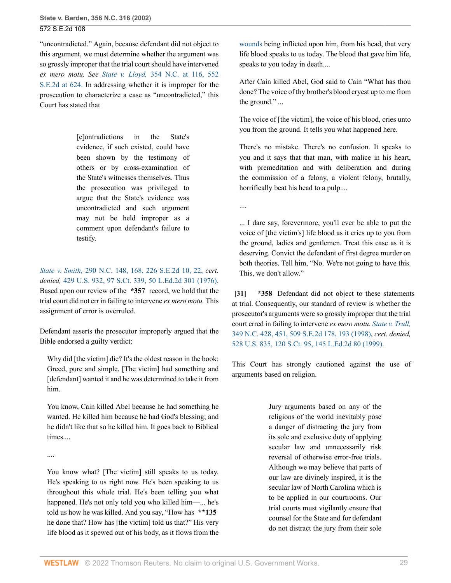"uncontradicted." Again, because defendant did not object to this argument, we must determine whether the argument was so grossly improper that the trial court should have intervened *ex mero motu. See State v. Lloyd,* [354 N.C. at 116, 552](http://www.westlaw.com/Link/Document/FullText?findType=Y&serNum=2001847725&pubNum=711&originatingDoc=Ia3aa668203d211da83e7e9deff98dc6f&refType=RP&fi=co_pp_sp_711_624&originationContext=document&vr=3.0&rs=cblt1.0&transitionType=DocumentItem&contextData=(sc.FindAndPrintPortal)#co_pp_sp_711_624) [S.E.2d at 624.](http://www.westlaw.com/Link/Document/FullText?findType=Y&serNum=2001847725&pubNum=711&originatingDoc=Ia3aa668203d211da83e7e9deff98dc6f&refType=RP&fi=co_pp_sp_711_624&originationContext=document&vr=3.0&rs=cblt1.0&transitionType=DocumentItem&contextData=(sc.FindAndPrintPortal)#co_pp_sp_711_624) In addressing whether it is improper for the prosecution to characterize a case as "uncontradicted," this Court has stated that

> [c]ontradictions in the State's evidence, if such existed, could have been shown by the testimony of others or by cross-examination of the State's witnesses themselves. Thus the prosecution was privileged to argue that the State's evidence was uncontradicted and such argument may not be held improper as a comment upon defendant's failure to testify.

*State v. Smith,* [290 N.C. 148, 168, 226 S.E.2d 10, 22,](http://www.westlaw.com/Link/Document/FullText?findType=Y&serNum=1976116437&pubNum=711&originatingDoc=Ia3aa668203d211da83e7e9deff98dc6f&refType=RP&fi=co_pp_sp_711_22&originationContext=document&vr=3.0&rs=cblt1.0&transitionType=DocumentItem&contextData=(sc.FindAndPrintPortal)#co_pp_sp_711_22) *cert. denied,* [429 U.S. 932, 97 S.Ct. 339, 50 L.Ed.2d 301 \(1976\)](http://www.westlaw.com/Link/Document/FullText?findType=Y&serNum=1977224017&pubNum=0000708&originatingDoc=Ia3aa668203d211da83e7e9deff98dc6f&refType=RP&originationContext=document&vr=3.0&rs=cblt1.0&transitionType=DocumentItem&contextData=(sc.FindAndPrintPortal)). Based upon our review of the **\*357** record, we hold that the trial court did not err in failing to intervene *ex mero motu.* This assignment of error is overruled.

Defendant asserts the prosecutor improperly argued that the Bible endorsed a guilty verdict:

Why did [the victim] die? It's the oldest reason in the book: Greed, pure and simple. [The victim] had something and [defendant] wanted it and he was determined to take it from him.

You know, Cain killed Abel because he had something he wanted. He killed him because he had God's blessing; and he didn't like that so he killed him. It goes back to Biblical times....

....

You know what? [The victim] still speaks to us today. He's speaking to us right now. He's been speaking to us throughout this whole trial. He's been telling you what happened. He's not only told you who killed him—... he's told us how he was killed. And you say, "How has **\*\*135** he done that? How has [the victim] told us that?" His very life blood as it spewed out of his body, as it flows from the [wounds](http://www.westlaw.com/Link/Document/FullText?entityType=gdrug&entityId=Iff1648e16c7111e18b05fdf15589d8e8&originationContext=document&transitionType=DocumentItem&contextData=(sc.Default)&vr=3.0&rs=cblt1.0) being inflicted upon him, from his head, that very life blood speaks to us today. The blood that gave him life, speaks to you today in death....

After Cain killed Abel, God said to Cain "What has thou done? The voice of thy brother's blood cryest up to me from the ground." ...

The voice of [the victim], the voice of his blood, cries unto you from the ground. It tells you what happened here.

There's no mistake. There's no confusion. It speaks to you and it says that that man, with malice in his heart, with premeditation and with deliberation and during the commission of a felony, a violent felony, brutally, horrifically beat his head to a pulp....

....

... I dare say, forevermore, you'll ever be able to put the voice of [the victim's] life blood as it cries up to you from the ground, ladies and gentlemen. Treat this case as it is deserving. Convict the defendant of first degree murder on both theories. Tell him, "No. We're not going to have this. This, we don't allow."

<span id="page-28-0"></span>**[\[31\]](#page-4-4) \*358** Defendant did not object to these statements at trial. Consequently, our standard of review is whether the prosecutor's arguments were so grossly improper that the trial court erred in failing to intervene *ex mero motu. [State v. Trull,](http://www.westlaw.com/Link/Document/FullText?findType=Y&serNum=1998261843&pubNum=0000711&originatingDoc=Ia3aa668203d211da83e7e9deff98dc6f&refType=RP&fi=co_pp_sp_711_193&originationContext=document&vr=3.0&rs=cblt1.0&transitionType=DocumentItem&contextData=(sc.FindAndPrintPortal)#co_pp_sp_711_193)* [349 N.C. 428, 451, 509 S.E.2d 178, 193 \(1998\),](http://www.westlaw.com/Link/Document/FullText?findType=Y&serNum=1998261843&pubNum=0000711&originatingDoc=Ia3aa668203d211da83e7e9deff98dc6f&refType=RP&fi=co_pp_sp_711_193&originationContext=document&vr=3.0&rs=cblt1.0&transitionType=DocumentItem&contextData=(sc.FindAndPrintPortal)#co_pp_sp_711_193) *cert. denied,* [528 U.S. 835, 120 S.Ct. 95, 145 L.Ed.2d 80 \(1999\)](http://www.westlaw.com/Link/Document/FullText?findType=Y&serNum=1999126918&pubNum=0000708&originatingDoc=Ia3aa668203d211da83e7e9deff98dc6f&refType=RP&originationContext=document&vr=3.0&rs=cblt1.0&transitionType=DocumentItem&contextData=(sc.FindAndPrintPortal)).

This Court has strongly cautioned against the use of arguments based on religion.

> Jury arguments based on any of the religions of the world inevitably pose a danger of distracting the jury from its sole and exclusive duty of applying secular law and unnecessarily risk reversal of otherwise error-free trials. Although we may believe that parts of our law are divinely inspired, it is the secular law of North Carolina which is to be applied in our courtrooms. Our trial courts must vigilantly ensure that counsel for the State and for defendant do not distract the jury from their sole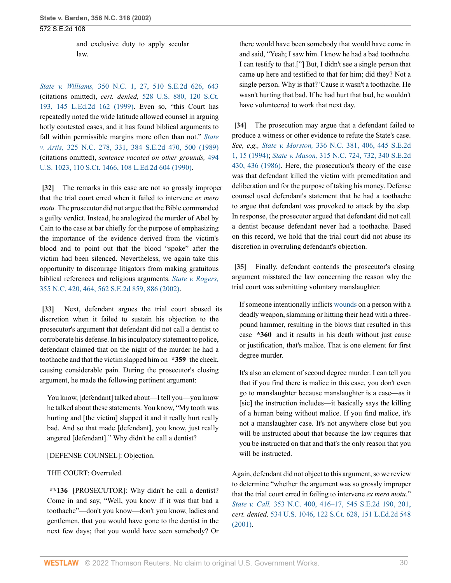and exclusive duty to apply secular law.

*State v. Williams,* [350 N.C. 1, 27, 510 S.E.2d 626, 643](http://www.westlaw.com/Link/Document/FullText?findType=Y&serNum=1999047067&pubNum=0000711&originatingDoc=Ia3aa668203d211da83e7e9deff98dc6f&refType=RP&fi=co_pp_sp_711_643&originationContext=document&vr=3.0&rs=cblt1.0&transitionType=DocumentItem&contextData=(sc.FindAndPrintPortal)#co_pp_sp_711_643) (citations omitted), *cert. denied,* [528 U.S. 880, 120 S.Ct.](http://www.westlaw.com/Link/Document/FullText?findType=Y&serNum=1999160013&pubNum=0000708&originatingDoc=Ia3aa668203d211da83e7e9deff98dc6f&refType=RP&originationContext=document&vr=3.0&rs=cblt1.0&transitionType=DocumentItem&contextData=(sc.FindAndPrintPortal)) [193, 145 L.Ed.2d 162 \(1999\)](http://www.westlaw.com/Link/Document/FullText?findType=Y&serNum=1999160013&pubNum=0000708&originatingDoc=Ia3aa668203d211da83e7e9deff98dc6f&refType=RP&originationContext=document&vr=3.0&rs=cblt1.0&transitionType=DocumentItem&contextData=(sc.FindAndPrintPortal)). Even so, "this Court has repeatedly noted the wide latitude allowed counsel in arguing hotly contested cases, and it has found biblical arguments to fall within permissible margins more often than not." *[State](http://www.westlaw.com/Link/Document/FullText?findType=Y&serNum=1989142172&pubNum=0000711&originatingDoc=Ia3aa668203d211da83e7e9deff98dc6f&refType=RP&fi=co_pp_sp_711_500&originationContext=document&vr=3.0&rs=cblt1.0&transitionType=DocumentItem&contextData=(sc.FindAndPrintPortal)#co_pp_sp_711_500) v. Artis,* [325 N.C. 278, 331, 384 S.E.2d 470, 500 \(1989\)](http://www.westlaw.com/Link/Document/FullText?findType=Y&serNum=1989142172&pubNum=0000711&originatingDoc=Ia3aa668203d211da83e7e9deff98dc6f&refType=RP&fi=co_pp_sp_711_500&originationContext=document&vr=3.0&rs=cblt1.0&transitionType=DocumentItem&contextData=(sc.FindAndPrintPortal)#co_pp_sp_711_500) (citations omitted), *sentence vacated on other grounds,* [494](http://www.westlaw.com/Link/Document/FullText?findType=Y&serNum=1990039169&pubNum=0000708&originatingDoc=Ia3aa668203d211da83e7e9deff98dc6f&refType=RP&originationContext=document&vr=3.0&rs=cblt1.0&transitionType=DocumentItem&contextData=(sc.FindAndPrintPortal)) [U.S. 1023, 110 S.Ct. 1466, 108 L.Ed.2d 604 \(1990\)](http://www.westlaw.com/Link/Document/FullText?findType=Y&serNum=1990039169&pubNum=0000708&originatingDoc=Ia3aa668203d211da83e7e9deff98dc6f&refType=RP&originationContext=document&vr=3.0&rs=cblt1.0&transitionType=DocumentItem&contextData=(sc.FindAndPrintPortal)).

<span id="page-29-0"></span>**[\[32\]](#page-4-5)** The remarks in this case are not so grossly improper that the trial court erred when it failed to intervene *ex mero motu.* The prosecutor did not argue that the Bible commanded a guilty verdict. Instead, he analogized the murder of Abel by Cain to the case at bar chiefly for the purpose of emphasizing the importance of the evidence derived from the victim's blood and to point out that the blood "spoke" after the victim had been silenced. Nevertheless, we again take this opportunity to discourage litigators from making gratuitous biblical references and religious arguments. *[State v. Rogers,](http://www.westlaw.com/Link/Document/FullText?findType=Y&serNum=2002294347&pubNum=0000711&originatingDoc=Ia3aa668203d211da83e7e9deff98dc6f&refType=RP&fi=co_pp_sp_711_886&originationContext=document&vr=3.0&rs=cblt1.0&transitionType=DocumentItem&contextData=(sc.FindAndPrintPortal)#co_pp_sp_711_886)* [355 N.C. 420, 464, 562 S.E.2d 859, 886 \(2002\).](http://www.westlaw.com/Link/Document/FullText?findType=Y&serNum=2002294347&pubNum=0000711&originatingDoc=Ia3aa668203d211da83e7e9deff98dc6f&refType=RP&fi=co_pp_sp_711_886&originationContext=document&vr=3.0&rs=cblt1.0&transitionType=DocumentItem&contextData=(sc.FindAndPrintPortal)#co_pp_sp_711_886)

<span id="page-29-1"></span>**[\[33\]](#page-4-6)** Next, defendant argues the trial court abused its discretion when it failed to sustain his objection to the prosecutor's argument that defendant did not call a dentist to corroborate his defense. In his inculpatory statement to police, defendant claimed that on the night of the murder he had a toothache and that the victim slapped him on **\*359** the cheek, causing considerable pain. During the prosecutor's closing argument, he made the following pertinent argument:

You know, [defendant] talked about—I tell you—you know he talked about these statements. You know, "My tooth was hurting and [the victim] slapped it and it really hurt really bad. And so that made [defendant], you know, just really angered [defendant]." Why didn't he call a dentist?

### [DEFENSE COUNSEL]: Objection.

### THE COURT: Overruled.

**\*\*136** [PROSECUTOR]: Why didn't he call a dentist? Come in and say, "Well, you know if it was that bad a toothache"—don't you know—don't you know, ladies and gentlemen, that you would have gone to the dentist in the next few days; that you would have seen somebody? Or

there would have been somebody that would have come in and said, "Yeah; I saw him. I know he had a bad toothache. I can testify to that.["] But, I didn't see a single person that came up here and testified to that for him; did they? Not a single person. Why is that? 'Cause it wasn't a toothache. He wasn't hurting that bad. If he had hurt that bad, he wouldn't have volunteered to work that next day.

<span id="page-29-2"></span>**[\[34\]](#page-4-7)** The prosecution may argue that a defendant failed to produce a witness or other evidence to refute the State's case. *See, e.g., State v. Morston,* [336 N.C. 381, 406, 445 S.E.2d](http://www.westlaw.com/Link/Document/FullText?findType=Y&serNum=1994132295&pubNum=0000711&originatingDoc=Ia3aa668203d211da83e7e9deff98dc6f&refType=RP&fi=co_pp_sp_711_15&originationContext=document&vr=3.0&rs=cblt1.0&transitionType=DocumentItem&contextData=(sc.FindAndPrintPortal)#co_pp_sp_711_15) [1, 15 \(1994\);](http://www.westlaw.com/Link/Document/FullText?findType=Y&serNum=1994132295&pubNum=0000711&originatingDoc=Ia3aa668203d211da83e7e9deff98dc6f&refType=RP&fi=co_pp_sp_711_15&originationContext=document&vr=3.0&rs=cblt1.0&transitionType=DocumentItem&contextData=(sc.FindAndPrintPortal)#co_pp_sp_711_15) *State v. Mason,* [315 N.C. 724, 732, 340 S.E.2d](http://www.westlaw.com/Link/Document/FullText?findType=Y&serNum=1986113113&pubNum=0000711&originatingDoc=Ia3aa668203d211da83e7e9deff98dc6f&refType=RP&fi=co_pp_sp_711_436&originationContext=document&vr=3.0&rs=cblt1.0&transitionType=DocumentItem&contextData=(sc.FindAndPrintPortal)#co_pp_sp_711_436) [430, 436 \(1986\)](http://www.westlaw.com/Link/Document/FullText?findType=Y&serNum=1986113113&pubNum=0000711&originatingDoc=Ia3aa668203d211da83e7e9deff98dc6f&refType=RP&fi=co_pp_sp_711_436&originationContext=document&vr=3.0&rs=cblt1.0&transitionType=DocumentItem&contextData=(sc.FindAndPrintPortal)#co_pp_sp_711_436). Here, the prosecution's theory of the case was that defendant killed the victim with premeditation and deliberation and for the purpose of taking his money. Defense counsel used defendant's statement that he had a toothache to argue that defendant was provoked to attack by the slap. In response, the prosecutor argued that defendant did not call a dentist because defendant never had a toothache. Based on this record, we hold that the trial court did not abuse its discretion in overruling defendant's objection.

<span id="page-29-3"></span>**[\[35\]](#page-5-0)** Finally, defendant contends the prosecutor's closing argument misstated the law concerning the reason why the trial court was submitting voluntary manslaughter:

If someone intentionally inflicts [wounds](http://www.westlaw.com/Link/Document/FullText?entityType=gdrug&entityId=Iff1648e16c7111e18b05fdf15589d8e8&originationContext=document&transitionType=DocumentItem&contextData=(sc.Default)&vr=3.0&rs=cblt1.0) on a person with a deadly weapon, slamming or hitting their head with a threepound hammer, resulting in the blows that resulted in this case **\*360** and it results in his death without just cause or justification, that's malice. That is one element for first degree murder.

It's also an element of second degree murder. I can tell you that if you find there is malice in this case, you don't even go to manslaughter because manslaughter is a case—as it [sic] the instruction includes—it basically says the killing of a human being without malice. If you find malice, it's not a manslaughter case. It's not anywhere close but you will be instructed about that because the law requires that you be instructed on that and that's the only reason that you will be instructed.

Again, defendant did not object to this argument, so we review to determine "whether the argument was so grossly improper that the trial court erred in failing to intervene *ex mero motu.*" *State v. Call,* [353 N.C. 400, 416–17, 545 S.E.2d 190, 201,](http://www.westlaw.com/Link/Document/FullText?findType=Y&serNum=2001386399&pubNum=711&originatingDoc=Ia3aa668203d211da83e7e9deff98dc6f&refType=RP&fi=co_pp_sp_711_201&originationContext=document&vr=3.0&rs=cblt1.0&transitionType=DocumentItem&contextData=(sc.FindAndPrintPortal)#co_pp_sp_711_201) *cert. denied,* [534 U.S. 1046, 122 S.Ct. 628, 151 L.Ed.2d 548](http://www.westlaw.com/Link/Document/FullText?findType=Y&serNum=2001846771&pubNum=0000708&originatingDoc=Ia3aa668203d211da83e7e9deff98dc6f&refType=RP&originationContext=document&vr=3.0&rs=cblt1.0&transitionType=DocumentItem&contextData=(sc.FindAndPrintPortal)) [\(2001\).](http://www.westlaw.com/Link/Document/FullText?findType=Y&serNum=2001846771&pubNum=0000708&originatingDoc=Ia3aa668203d211da83e7e9deff98dc6f&refType=RP&originationContext=document&vr=3.0&rs=cblt1.0&transitionType=DocumentItem&contextData=(sc.FindAndPrintPortal))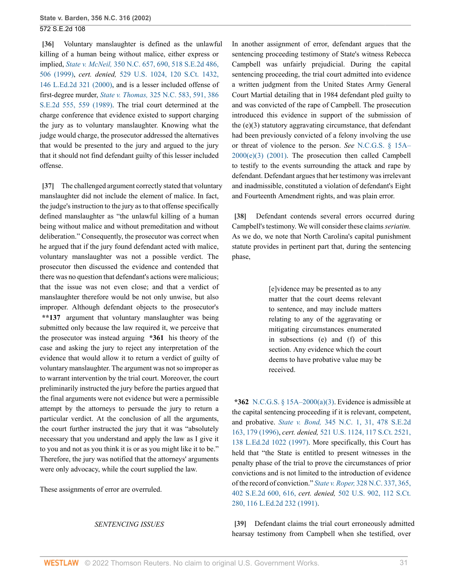<span id="page-30-0"></span>**[\[36\]](#page-5-1)** Voluntary manslaughter is defined as the unlawful killing of a human being without malice, either express or implied, *State v. McNeil,* [350 N.C. 657, 690, 518 S.E.2d 486,](http://www.westlaw.com/Link/Document/FullText?findType=Y&serNum=1999197401&pubNum=0000711&originatingDoc=Ia3aa668203d211da83e7e9deff98dc6f&refType=RP&fi=co_pp_sp_711_506&originationContext=document&vr=3.0&rs=cblt1.0&transitionType=DocumentItem&contextData=(sc.FindAndPrintPortal)#co_pp_sp_711_506) [506 \(1999\),](http://www.westlaw.com/Link/Document/FullText?findType=Y&serNum=1999197401&pubNum=0000711&originatingDoc=Ia3aa668203d211da83e7e9deff98dc6f&refType=RP&fi=co_pp_sp_711_506&originationContext=document&vr=3.0&rs=cblt1.0&transitionType=DocumentItem&contextData=(sc.FindAndPrintPortal)#co_pp_sp_711_506) *cert. denied,* [529 U.S. 1024, 120 S.Ct. 1432,](http://www.westlaw.com/Link/Document/FullText?findType=Y&serNum=2000035699&pubNum=0000708&originatingDoc=Ia3aa668203d211da83e7e9deff98dc6f&refType=RP&originationContext=document&vr=3.0&rs=cblt1.0&transitionType=DocumentItem&contextData=(sc.FindAndPrintPortal)) [146 L.Ed.2d 321 \(2000\)](http://www.westlaw.com/Link/Document/FullText?findType=Y&serNum=2000035699&pubNum=0000708&originatingDoc=Ia3aa668203d211da83e7e9deff98dc6f&refType=RP&originationContext=document&vr=3.0&rs=cblt1.0&transitionType=DocumentItem&contextData=(sc.FindAndPrintPortal)), and is a lesser included offense of first-degree murder, *State v. Thomas,* [325 N.C. 583, 591, 386](http://www.westlaw.com/Link/Document/FullText?findType=Y&serNum=1989172961&pubNum=0000711&originatingDoc=Ia3aa668203d211da83e7e9deff98dc6f&refType=RP&fi=co_pp_sp_711_559&originationContext=document&vr=3.0&rs=cblt1.0&transitionType=DocumentItem&contextData=(sc.FindAndPrintPortal)#co_pp_sp_711_559) [S.E.2d 555, 559 \(1989\).](http://www.westlaw.com/Link/Document/FullText?findType=Y&serNum=1989172961&pubNum=0000711&originatingDoc=Ia3aa668203d211da83e7e9deff98dc6f&refType=RP&fi=co_pp_sp_711_559&originationContext=document&vr=3.0&rs=cblt1.0&transitionType=DocumentItem&contextData=(sc.FindAndPrintPortal)#co_pp_sp_711_559) The trial court determined at the charge conference that evidence existed to support charging the jury as to voluntary manslaughter. Knowing what the judge would charge, the prosecutor addressed the alternatives that would be presented to the jury and argued to the jury that it should not find defendant guilty of this lesser included offense.

<span id="page-30-1"></span>**[\[37\]](#page-5-2)** The challenged argument correctly stated that voluntary manslaughter did not include the element of malice. In fact, the judge's instruction to the jury as to that offense specifically defined manslaughter as "the unlawful killing of a human being without malice and without premeditation and without deliberation." Consequently, the prosecutor was correct when he argued that if the jury found defendant acted with malice, voluntary manslaughter was not a possible verdict. The prosecutor then discussed the evidence and contended that there was no question that defendant's actions were malicious; that the issue was not even close; and that a verdict of manslaughter therefore would be not only unwise, but also improper. Although defendant objects to the prosecutor's **\*\*137** argument that voluntary manslaughter was being submitted only because the law required it, we perceive that the prosecutor was instead arguing **\*361** his theory of the case and asking the jury to reject any interpretation of the evidence that would allow it to return a verdict of guilty of voluntary manslaughter. The argument was not so improper as to warrant intervention by the trial court. Moreover, the court preliminarily instructed the jury before the parties argued that the final arguments were not evidence but were a permissible attempt by the attorneys to persuade the jury to return a particular verdict. At the conclusion of all the arguments, the court further instructed the jury that it was "absolutely necessary that you understand and apply the law as I give it to you and not as you think it is or as you might like it to be." Therefore, the jury was notified that the attorneys' arguments were only advocacy, while the court supplied the law.

These assignments of error are overruled.

#### *SENTENCING ISSUES*

In another assignment of error, defendant argues that the sentencing proceeding testimony of State's witness Rebecca Campbell was unfairly prejudicial. During the capital sentencing proceeding, the trial court admitted into evidence a written judgment from the United States Army General Court Martial detailing that in 1984 defendant pled guilty to and was convicted of the rape of Campbell. The prosecution introduced this evidence in support of the submission of the (e)(3) statutory aggravating circumstance, that defendant had been previously convicted of a felony involving the use or threat of violence to the person. *See* [N.C.G.S. § 15A–](http://www.westlaw.com/Link/Document/FullText?findType=L&pubNum=1000037&cite=NCSTS15A-2000&originatingDoc=Ia3aa668203d211da83e7e9deff98dc6f&refType=SP&originationContext=document&vr=3.0&rs=cblt1.0&transitionType=DocumentItem&contextData=(sc.FindAndPrintPortal)#co_pp_4b250000f9dd6)  $2000(e)(3)$  (2001). The prosecution then called Campbell to testify to the events surrounding the attack and rape by defendant. Defendant argues that her testimony was irrelevant and inadmissible, constituted a violation of defendant's Eight and Fourteenth Amendment rights, and was plain error.

<span id="page-30-2"></span>**[\[38\]](#page-5-3)** Defendant contends several errors occurred during Campbell's testimony. We will consider these claims *seriatim.* As we do, we note that North Carolina's capital punishment statute provides in pertinent part that, during the sentencing phase,

> [e]vidence may be presented as to any matter that the court deems relevant to sentence, and may include matters relating to any of the aggravating or mitigating circumstances enumerated in subsections (e) and (f) of this section. Any evidence which the court deems to have probative value may be received.

**\*362** [N.C.G.S. § 15A–2000\(a\)\(3\).](http://www.westlaw.com/Link/Document/FullText?findType=L&pubNum=1000037&cite=NCSTS15A-2000&originatingDoc=Ia3aa668203d211da83e7e9deff98dc6f&refType=SP&originationContext=document&vr=3.0&rs=cblt1.0&transitionType=DocumentItem&contextData=(sc.FindAndPrintPortal)#co_pp_28cc0000ccca6) Evidence is admissible at the capital sentencing proceeding if it is relevant, competent, and probative. *State v. Bond,* [345 N.C. 1, 31, 478 S.E.2d](http://www.westlaw.com/Link/Document/FullText?findType=Y&serNum=1996269005&pubNum=0000711&originatingDoc=Ia3aa668203d211da83e7e9deff98dc6f&refType=RP&fi=co_pp_sp_711_179&originationContext=document&vr=3.0&rs=cblt1.0&transitionType=DocumentItem&contextData=(sc.FindAndPrintPortal)#co_pp_sp_711_179) [163, 179 \(1996\),](http://www.westlaw.com/Link/Document/FullText?findType=Y&serNum=1996269005&pubNum=0000711&originatingDoc=Ia3aa668203d211da83e7e9deff98dc6f&refType=RP&fi=co_pp_sp_711_179&originationContext=document&vr=3.0&rs=cblt1.0&transitionType=DocumentItem&contextData=(sc.FindAndPrintPortal)#co_pp_sp_711_179) *cert. denied,* [521 U.S. 1124, 117 S.Ct. 2521,](http://www.westlaw.com/Link/Document/FullText?findType=Y&serNum=1997109627&pubNum=0000708&originatingDoc=Ia3aa668203d211da83e7e9deff98dc6f&refType=RP&originationContext=document&vr=3.0&rs=cblt1.0&transitionType=DocumentItem&contextData=(sc.FindAndPrintPortal)) [138 L.Ed.2d 1022 \(1997\).](http://www.westlaw.com/Link/Document/FullText?findType=Y&serNum=1997109627&pubNum=0000708&originatingDoc=Ia3aa668203d211da83e7e9deff98dc6f&refType=RP&originationContext=document&vr=3.0&rs=cblt1.0&transitionType=DocumentItem&contextData=(sc.FindAndPrintPortal)) More specifically, this Court has held that "the State is entitled to present witnesses in the penalty phase of the trial to prove the circumstances of prior convictions and is not limited to the introduction of evidence of the record of conviction." *State v. Roper,* [328 N.C. 337, 365,](http://www.westlaw.com/Link/Document/FullText?findType=Y&serNum=1991068897&pubNum=711&originatingDoc=Ia3aa668203d211da83e7e9deff98dc6f&refType=RP&fi=co_pp_sp_711_616&originationContext=document&vr=3.0&rs=cblt1.0&transitionType=DocumentItem&contextData=(sc.FindAndPrintPortal)#co_pp_sp_711_616) [402 S.E.2d 600, 616,](http://www.westlaw.com/Link/Document/FullText?findType=Y&serNum=1991068897&pubNum=711&originatingDoc=Ia3aa668203d211da83e7e9deff98dc6f&refType=RP&fi=co_pp_sp_711_616&originationContext=document&vr=3.0&rs=cblt1.0&transitionType=DocumentItem&contextData=(sc.FindAndPrintPortal)#co_pp_sp_711_616) *cert. denied,* [502 U.S. 902, 112 S.Ct.](http://www.westlaw.com/Link/Document/FullText?findType=Y&serNum=1991135477&pubNum=0000708&originatingDoc=Ia3aa668203d211da83e7e9deff98dc6f&refType=RP&originationContext=document&vr=3.0&rs=cblt1.0&transitionType=DocumentItem&contextData=(sc.FindAndPrintPortal)) [280, 116 L.Ed.2d 232 \(1991\).](http://www.westlaw.com/Link/Document/FullText?findType=Y&serNum=1991135477&pubNum=0000708&originatingDoc=Ia3aa668203d211da83e7e9deff98dc6f&refType=RP&originationContext=document&vr=3.0&rs=cblt1.0&transitionType=DocumentItem&contextData=(sc.FindAndPrintPortal))

<span id="page-30-3"></span>**[\[39\]](#page-5-4)** Defendant claims the trial court erroneously admitted hearsay testimony from Campbell when she testified, over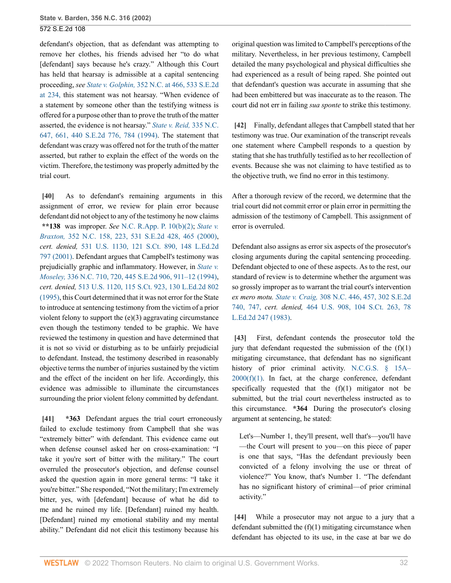defendant's objection, that as defendant was attempting to remove her clothes, his friends advised her "to do what [defendant] says because he's crazy." Although this Court has held that hearsay is admissible at a capital sentencing proceeding, *see State v. Golphin,* [352 N.C. at 466, 533 S.E.2d](http://www.westlaw.com/Link/Document/FullText?findType=Y&serNum=2000488439&pubNum=711&originatingDoc=Ia3aa668203d211da83e7e9deff98dc6f&refType=RP&fi=co_pp_sp_711_234&originationContext=document&vr=3.0&rs=cblt1.0&transitionType=DocumentItem&contextData=(sc.FindAndPrintPortal)#co_pp_sp_711_234) [at 234,](http://www.westlaw.com/Link/Document/FullText?findType=Y&serNum=2000488439&pubNum=711&originatingDoc=Ia3aa668203d211da83e7e9deff98dc6f&refType=RP&fi=co_pp_sp_711_234&originationContext=document&vr=3.0&rs=cblt1.0&transitionType=DocumentItem&contextData=(sc.FindAndPrintPortal)#co_pp_sp_711_234) this statement was not hearsay. "When evidence of a statement by someone other than the testifying witness is offered for a purpose other than to prove the truth of the matter asserted, the evidence is not hearsay." *[State v. Reid,](http://www.westlaw.com/Link/Document/FullText?findType=Y&serNum=1994057999&pubNum=0000711&originatingDoc=Ia3aa668203d211da83e7e9deff98dc6f&refType=RP&fi=co_pp_sp_711_784&originationContext=document&vr=3.0&rs=cblt1.0&transitionType=DocumentItem&contextData=(sc.FindAndPrintPortal)#co_pp_sp_711_784)* 335 N.C. [647, 661, 440 S.E.2d 776, 784 \(1994\).](http://www.westlaw.com/Link/Document/FullText?findType=Y&serNum=1994057999&pubNum=0000711&originatingDoc=Ia3aa668203d211da83e7e9deff98dc6f&refType=RP&fi=co_pp_sp_711_784&originationContext=document&vr=3.0&rs=cblt1.0&transitionType=DocumentItem&contextData=(sc.FindAndPrintPortal)#co_pp_sp_711_784) The statement that defendant was crazy was offered not for the truth of the matter asserted, but rather to explain the effect of the words on the victim. Therefore, the testimony was properly admitted by the trial court.

<span id="page-31-0"></span>**[\[40\]](#page-5-5)** As to defendant's remaining arguments in this assignment of error, we review for plain error because defendant did not object to any of the testimony he now claims **\*\*138** was improper. *See* [N.C. R.App. P. 10\(b\)\(2\)](http://www.westlaw.com/Link/Document/FullText?findType=L&pubNum=1006366&cite=NCRRAPAPPR10&originatingDoc=Ia3aa668203d211da83e7e9deff98dc6f&refType=LQ&originationContext=document&vr=3.0&rs=cblt1.0&transitionType=DocumentItem&contextData=(sc.FindAndPrintPortal)); *[State v.](http://www.westlaw.com/Link/Document/FullText?findType=Y&serNum=2000438061&pubNum=0000711&originatingDoc=Ia3aa668203d211da83e7e9deff98dc6f&refType=RP&fi=co_pp_sp_711_465&originationContext=document&vr=3.0&rs=cblt1.0&transitionType=DocumentItem&contextData=(sc.FindAndPrintPortal)#co_pp_sp_711_465) Braxton,* [352 N.C. 158, 223, 531 S.E.2d 428, 465 \(2000\)](http://www.westlaw.com/Link/Document/FullText?findType=Y&serNum=2000438061&pubNum=0000711&originatingDoc=Ia3aa668203d211da83e7e9deff98dc6f&refType=RP&fi=co_pp_sp_711_465&originationContext=document&vr=3.0&rs=cblt1.0&transitionType=DocumentItem&contextData=(sc.FindAndPrintPortal)#co_pp_sp_711_465), *cert. denied,* [531 U.S. 1130, 121 S.Ct. 890, 148 L.Ed.2d](http://www.westlaw.com/Link/Document/FullText?findType=Y&serNum=2000647818&pubNum=0000708&originatingDoc=Ia3aa668203d211da83e7e9deff98dc6f&refType=RP&originationContext=document&vr=3.0&rs=cblt1.0&transitionType=DocumentItem&contextData=(sc.FindAndPrintPortal)) [797 \(2001\)](http://www.westlaw.com/Link/Document/FullText?findType=Y&serNum=2000647818&pubNum=0000708&originatingDoc=Ia3aa668203d211da83e7e9deff98dc6f&refType=RP&originationContext=document&vr=3.0&rs=cblt1.0&transitionType=DocumentItem&contextData=(sc.FindAndPrintPortal)). Defendant argues that Campbell's testimony was prejudicially graphic and inflammatory. However, in *[State v.](http://www.westlaw.com/Link/Document/FullText?findType=Y&serNum=1994159969&pubNum=0000711&originatingDoc=Ia3aa668203d211da83e7e9deff98dc6f&refType=RP&fi=co_pp_sp_711_911&originationContext=document&vr=3.0&rs=cblt1.0&transitionType=DocumentItem&contextData=(sc.FindAndPrintPortal)#co_pp_sp_711_911) Moseley,* [336 N.C. 710, 720, 445 S.E.2d 906, 911–12 \(1994\)](http://www.westlaw.com/Link/Document/FullText?findType=Y&serNum=1994159969&pubNum=0000711&originatingDoc=Ia3aa668203d211da83e7e9deff98dc6f&refType=RP&fi=co_pp_sp_711_911&originationContext=document&vr=3.0&rs=cblt1.0&transitionType=DocumentItem&contextData=(sc.FindAndPrintPortal)#co_pp_sp_711_911), *cert. denied,* [513 U.S. 1120, 115 S.Ct. 923, 130 L.Ed.2d 802](http://www.westlaw.com/Link/Document/FullText?findType=Y&serNum=1994249725&pubNum=0000708&originatingDoc=Ia3aa668203d211da83e7e9deff98dc6f&refType=RP&originationContext=document&vr=3.0&rs=cblt1.0&transitionType=DocumentItem&contextData=(sc.FindAndPrintPortal)) [\(1995\),](http://www.westlaw.com/Link/Document/FullText?findType=Y&serNum=1994249725&pubNum=0000708&originatingDoc=Ia3aa668203d211da83e7e9deff98dc6f&refType=RP&originationContext=document&vr=3.0&rs=cblt1.0&transitionType=DocumentItem&contextData=(sc.FindAndPrintPortal)) this Court determined that it was not error for the State to introduce at sentencing testimony from the victim of a prior violent felony to support the (e)(3) aggravating circumstance even though the testimony tended to be graphic. We have reviewed the testimony in question and have determined that it is not so vivid or disturbing as to be unfairly prejudicial to defendant. Instead, the testimony described in reasonably objective terms the number of injuries sustained by the victim and the effect of the incident on her life. Accordingly, this evidence was admissible to illuminate the circumstances surrounding the prior violent felony committed by defendant.

<span id="page-31-1"></span>**[\[41\]](#page-5-6) \*363** Defendant argues the trial court erroneously failed to exclude testimony from Campbell that she was "extremely bitter" with defendant. This evidence came out when defense counsel asked her on cross-examination: "I take it you're sort of bitter with the military." The court overruled the prosecutor's objection, and defense counsel asked the question again in more general terms: "I take it you're bitter." She responded, "Not the military; I'm extremely bitter, yes, with [defendant] because of what he did to me and he ruined my life. [Defendant] ruined my health. [Defendant] ruined my emotional stability and my mental ability." Defendant did not elicit this testimony because his

original question was limited to Campbell's perceptions of the military. Nevertheless, in her previous testimony, Campbell detailed the many psychological and physical difficulties she had experienced as a result of being raped. She pointed out that defendant's question was accurate in assuming that she had been embittered but was inaccurate as to the reason. The court did not err in failing *sua sponte* to strike this testimony.

<span id="page-31-2"></span>**[\[42\]](#page-5-7)** Finally, defendant alleges that Campbell stated that her testimony was true. Our examination of the transcript reveals one statement where Campbell responds to a question by stating that she has truthfully testified as to her recollection of events. Because she was not claiming to have testified as to the objective truth, we find no error in this testimony.

After a thorough review of the record, we determine that the trial court did not commit error or plain error in permitting the admission of the testimony of Campbell. This assignment of error is overruled.

Defendant also assigns as error six aspects of the prosecutor's closing arguments during the capital sentencing proceeding. Defendant objected to one of these aspects. As to the rest, our standard of review is to determine whether the argument was so grossly improper as to warrant the trial court's intervention *ex mero motu. State v. Craig,* [308 N.C. 446, 457, 302 S.E.2d](http://www.westlaw.com/Link/Document/FullText?findType=Y&serNum=1983126053&pubNum=711&originatingDoc=Ia3aa668203d211da83e7e9deff98dc6f&refType=RP&fi=co_pp_sp_711_747&originationContext=document&vr=3.0&rs=cblt1.0&transitionType=DocumentItem&contextData=(sc.FindAndPrintPortal)#co_pp_sp_711_747) [740, 747,](http://www.westlaw.com/Link/Document/FullText?findType=Y&serNum=1983126053&pubNum=711&originatingDoc=Ia3aa668203d211da83e7e9deff98dc6f&refType=RP&fi=co_pp_sp_711_747&originationContext=document&vr=3.0&rs=cblt1.0&transitionType=DocumentItem&contextData=(sc.FindAndPrintPortal)#co_pp_sp_711_747) *cert. denied,* [464 U.S. 908, 104 S.Ct. 263, 78](http://www.westlaw.com/Link/Document/FullText?findType=Y&serNum=1983235868&pubNum=0000708&originatingDoc=Ia3aa668203d211da83e7e9deff98dc6f&refType=RP&originationContext=document&vr=3.0&rs=cblt1.0&transitionType=DocumentItem&contextData=(sc.FindAndPrintPortal)) [L.Ed.2d 247 \(1983\).](http://www.westlaw.com/Link/Document/FullText?findType=Y&serNum=1983235868&pubNum=0000708&originatingDoc=Ia3aa668203d211da83e7e9deff98dc6f&refType=RP&originationContext=document&vr=3.0&rs=cblt1.0&transitionType=DocumentItem&contextData=(sc.FindAndPrintPortal))

<span id="page-31-3"></span>**[\[43\]](#page-6-0)** First, defendant contends the prosecutor told the jury that defendant requested the submission of the  $(f)(1)$ mitigating circumstance, that defendant has no significant history of prior criminal activity. [N.C.G.S. § 15A–](http://www.westlaw.com/Link/Document/FullText?findType=L&pubNum=1000037&cite=NCSTS15A-2000&originatingDoc=Ia3aa668203d211da83e7e9deff98dc6f&refType=SP&originationContext=document&vr=3.0&rs=cblt1.0&transitionType=DocumentItem&contextData=(sc.FindAndPrintPortal)#co_pp_9daf00009de57)  $2000(f)(1)$ . In fact, at the charge conference, defendant specifically requested that the  $(f)(1)$  mitigator not be submitted, but the trial court nevertheless instructed as to this circumstance. **\*364** During the prosecutor's closing argument at sentencing, he stated:

Let's—Number 1, they'll present, well that's—you'll have —the Court will present to you—on this piece of paper is one that says, "Has the defendant previously been convicted of a felony involving the use or threat of violence?" You know, that's Number 1. "The defendant has no significant history of criminal—of prior criminal activity."

<span id="page-31-4"></span>**[\[44\]](#page-6-1)** While a prosecutor may not argue to a jury that a defendant submitted the  $(f)(1)$  mitigating circumstance when defendant has objected to its use, in the case at bar we do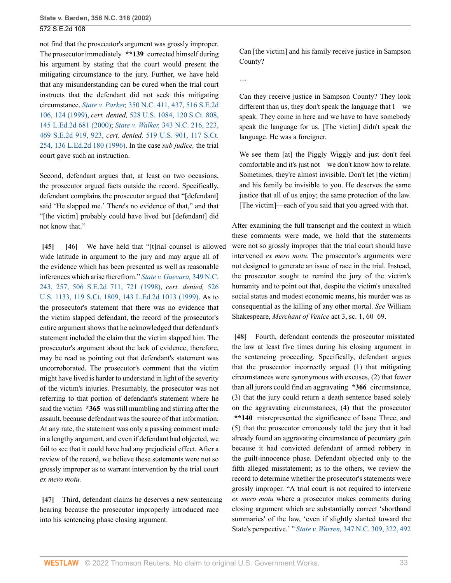not find that the prosecutor's argument was grossly improper. The prosecutor immediately **\*\*139** corrected himself during his argument by stating that the court would present the mitigating circumstance to the jury. Further, we have held that any misunderstanding can be cured when the trial court instructs that the defendant did not seek this mitigating circumstance. *State v. Parker,* [350 N.C. 411, 437, 516 S.E.2d](http://www.westlaw.com/Link/Document/FullText?findType=Y&serNum=1999150259&pubNum=0000711&originatingDoc=Ia3aa668203d211da83e7e9deff98dc6f&refType=RP&fi=co_pp_sp_711_124&originationContext=document&vr=3.0&rs=cblt1.0&transitionType=DocumentItem&contextData=(sc.FindAndPrintPortal)#co_pp_sp_711_124) [106, 124 \(1999\)](http://www.westlaw.com/Link/Document/FullText?findType=Y&serNum=1999150259&pubNum=0000711&originatingDoc=Ia3aa668203d211da83e7e9deff98dc6f&refType=RP&fi=co_pp_sp_711_124&originationContext=document&vr=3.0&rs=cblt1.0&transitionType=DocumentItem&contextData=(sc.FindAndPrintPortal)#co_pp_sp_711_124), *cert. denied,* [528 U.S. 1084, 120 S.Ct. 808,](http://www.westlaw.com/Link/Document/FullText?findType=Y&serNum=1999240094&pubNum=0000708&originatingDoc=Ia3aa668203d211da83e7e9deff98dc6f&refType=RP&originationContext=document&vr=3.0&rs=cblt1.0&transitionType=DocumentItem&contextData=(sc.FindAndPrintPortal)) [145 L.Ed.2d 681 \(2000\);](http://www.westlaw.com/Link/Document/FullText?findType=Y&serNum=1999240094&pubNum=0000708&originatingDoc=Ia3aa668203d211da83e7e9deff98dc6f&refType=RP&originationContext=document&vr=3.0&rs=cblt1.0&transitionType=DocumentItem&contextData=(sc.FindAndPrintPortal)) *State v. Walker,* [343 N.C. 216, 223,](http://www.westlaw.com/Link/Document/FullText?findType=Y&serNum=1996112661&pubNum=711&originatingDoc=Ia3aa668203d211da83e7e9deff98dc6f&refType=RP&fi=co_pp_sp_711_923&originationContext=document&vr=3.0&rs=cblt1.0&transitionType=DocumentItem&contextData=(sc.FindAndPrintPortal)#co_pp_sp_711_923) [469 S.E.2d 919, 923,](http://www.westlaw.com/Link/Document/FullText?findType=Y&serNum=1996112661&pubNum=711&originatingDoc=Ia3aa668203d211da83e7e9deff98dc6f&refType=RP&fi=co_pp_sp_711_923&originationContext=document&vr=3.0&rs=cblt1.0&transitionType=DocumentItem&contextData=(sc.FindAndPrintPortal)#co_pp_sp_711_923) *cert. denied,* [519 U.S. 901, 117 S.Ct.](http://www.westlaw.com/Link/Document/FullText?findType=Y&serNum=1996185457&pubNum=0000708&originatingDoc=Ia3aa668203d211da83e7e9deff98dc6f&refType=RP&originationContext=document&vr=3.0&rs=cblt1.0&transitionType=DocumentItem&contextData=(sc.FindAndPrintPortal)) [254, 136 L.Ed.2d 180 \(1996\)](http://www.westlaw.com/Link/Document/FullText?findType=Y&serNum=1996185457&pubNum=0000708&originatingDoc=Ia3aa668203d211da83e7e9deff98dc6f&refType=RP&originationContext=document&vr=3.0&rs=cblt1.0&transitionType=DocumentItem&contextData=(sc.FindAndPrintPortal)). In the case *sub judice,* the trial court gave such an instruction.

Second, defendant argues that, at least on two occasions, the prosecutor argued facts outside the record. Specifically, defendant complains the prosecutor argued that "[defendant] said 'He slapped me.' There's no evidence of that," and that "[the victim] probably could have lived but [defendant] did not know that."

<span id="page-32-1"></span><span id="page-32-0"></span>**[\[45\]](#page-6-2) [\[46\]](#page-6-3)** We have held that "[t]rial counsel is allowed wide latitude in argument to the jury and may argue all of the evidence which has been presented as well as reasonable inferences which arise therefrom." *[State v. Guevara,](http://www.westlaw.com/Link/Document/FullText?findType=Y&serNum=1998226606&pubNum=0000711&originatingDoc=Ia3aa668203d211da83e7e9deff98dc6f&refType=RP&fi=co_pp_sp_711_721&originationContext=document&vr=3.0&rs=cblt1.0&transitionType=DocumentItem&contextData=(sc.FindAndPrintPortal)#co_pp_sp_711_721)* 349 N.C. [243, 257, 506 S.E.2d 711, 721 \(1998\)](http://www.westlaw.com/Link/Document/FullText?findType=Y&serNum=1998226606&pubNum=0000711&originatingDoc=Ia3aa668203d211da83e7e9deff98dc6f&refType=RP&fi=co_pp_sp_711_721&originationContext=document&vr=3.0&rs=cblt1.0&transitionType=DocumentItem&contextData=(sc.FindAndPrintPortal)#co_pp_sp_711_721), *cert. denied,* [526](http://www.westlaw.com/Link/Document/FullText?findType=Y&serNum=1999089628&pubNum=0000708&originatingDoc=Ia3aa668203d211da83e7e9deff98dc6f&refType=RP&originationContext=document&vr=3.0&rs=cblt1.0&transitionType=DocumentItem&contextData=(sc.FindAndPrintPortal)) [U.S. 1133, 119 S.Ct. 1809, 143 L.Ed.2d 1013 \(1999\)](http://www.westlaw.com/Link/Document/FullText?findType=Y&serNum=1999089628&pubNum=0000708&originatingDoc=Ia3aa668203d211da83e7e9deff98dc6f&refType=RP&originationContext=document&vr=3.0&rs=cblt1.0&transitionType=DocumentItem&contextData=(sc.FindAndPrintPortal)). As to the prosecutor's statement that there was no evidence that the victim slapped defendant, the record of the prosecutor's entire argument shows that he acknowledged that defendant's statement included the claim that the victim slapped him. The prosecutor's argument about the lack of evidence, therefore, may be read as pointing out that defendant's statement was uncorroborated. The prosecutor's comment that the victim might have lived is harder to understand in light of the severity of the victim's injuries. Presumably, the prosecutor was not referring to that portion of defendant's statement where he said the victim **\*365** was still mumbling and stirring after the assault, because defendant was the source of that information. At any rate, the statement was only a passing comment made in a lengthy argument, and even if defendant had objected, we fail to see that it could have had any prejudicial effect. After a review of the record, we believe these statements were not so grossly improper as to warrant intervention by the trial court *ex mero motu.*

<span id="page-32-2"></span>**[\[47\]](#page-6-4)** Third, defendant claims he deserves a new sentencing hearing because the prosecutor improperly introduced race into his sentencing phase closing argument.

Can [the victim] and his family receive justice in Sampson County?

....

Can they receive justice in Sampson County? They look different than us, they don't speak the language that I—we speak. They come in here and we have to have somebody speak the language for us. [The victim] didn't speak the language. He was a foreigner.

We see them [at] the Piggly Wiggly and just don't feel comfortable and it's just not—we don't know how to relate. Sometimes, they're almost invisible. Don't let [the victim] and his family be invisible to you. He deserves the same justice that all of us enjoy; the same protection of the law. [The victim]—each of you said that you agreed with that.

After examining the full transcript and the context in which these comments were made, we hold that the statements were not so grossly improper that the trial court should have intervened *ex mero motu.* The prosecutor's arguments were not designed to generate an issue of race in the trial. Instead, the prosecutor sought to remind the jury of the victim's humanity and to point out that, despite the victim's unexalted social status and modest economic means, his murder was as consequential as the killing of any other mortal. *See* William Shakespeare, *Merchant of Venice* act 3, sc. 1, 60–69.

<span id="page-32-3"></span>**[\[48\]](#page-6-5)** Fourth, defendant contends the prosecutor misstated the law at least five times during his closing argument in the sentencing proceeding. Specifically, defendant argues that the prosecutor incorrectly argued (1) that mitigating circumstances were synonymous with excuses, (2) that fewer than all jurors could find an aggravating **\*366** circumstance, (3) that the jury could return a death sentence based solely on the aggravating circumstances, (4) that the prosecutor **\*\*140** misrepresented the significance of Issue Three, and (5) that the prosecutor erroneously told the jury that it had already found an aggravating circumstance of pecuniary gain because it had convicted defendant of armed robbery in the guilt-innocence phase. Defendant objected only to the fifth alleged misstatement; as to the others, we review the record to determine whether the prosecutor's statements were grossly improper. "A trial court is not required to intervene *ex mero motu* where a prosecutor makes comments during closing argument which are substantially correct 'shorthand summaries' of the law, 'even if slightly slanted toward the State's perspective.' " *State v. Warren,* [347 N.C. 309, 322, 492](http://www.westlaw.com/Link/Document/FullText?findType=Y&serNum=1997222230&pubNum=0000711&originatingDoc=Ia3aa668203d211da83e7e9deff98dc6f&refType=RP&fi=co_pp_sp_711_616&originationContext=document&vr=3.0&rs=cblt1.0&transitionType=DocumentItem&contextData=(sc.FindAndPrintPortal)#co_pp_sp_711_616)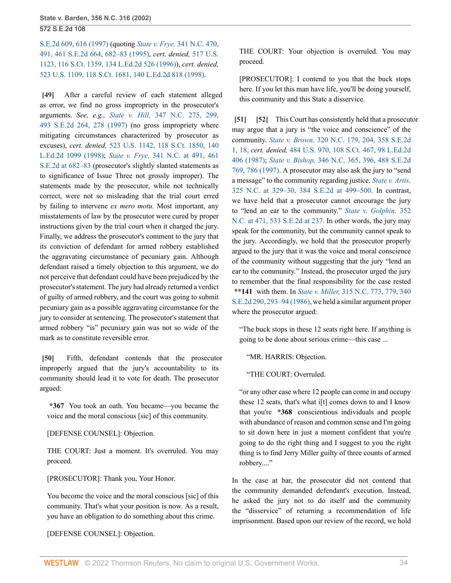[S.E.2d 609, 616 \(1997\)](http://www.westlaw.com/Link/Document/FullText?findType=Y&serNum=1997222230&pubNum=0000711&originatingDoc=Ia3aa668203d211da83e7e9deff98dc6f&refType=RP&fi=co_pp_sp_711_616&originationContext=document&vr=3.0&rs=cblt1.0&transitionType=DocumentItem&contextData=(sc.FindAndPrintPortal)#co_pp_sp_711_616) (quoting *State v. Frye,* [341 N.C. 470,](http://www.westlaw.com/Link/Document/FullText?findType=Y&serNum=1995185890&pubNum=0000711&originatingDoc=Ia3aa668203d211da83e7e9deff98dc6f&refType=RP&fi=co_pp_sp_711_682&originationContext=document&vr=3.0&rs=cblt1.0&transitionType=DocumentItem&contextData=(sc.FindAndPrintPortal)#co_pp_sp_711_682) [491, 461 S.E.2d 664, 682–83 \(1995\)](http://www.westlaw.com/Link/Document/FullText?findType=Y&serNum=1995185890&pubNum=0000711&originatingDoc=Ia3aa668203d211da83e7e9deff98dc6f&refType=RP&fi=co_pp_sp_711_682&originationContext=document&vr=3.0&rs=cblt1.0&transitionType=DocumentItem&contextData=(sc.FindAndPrintPortal)#co_pp_sp_711_682), *cert. denied,* [517 U.S.](http://www.westlaw.com/Link/Document/FullText?findType=Y&serNum=1996051372&pubNum=0000708&originatingDoc=Ia3aa668203d211da83e7e9deff98dc6f&refType=RP&originationContext=document&vr=3.0&rs=cblt1.0&transitionType=DocumentItem&contextData=(sc.FindAndPrintPortal)) [1123, 116 S.Ct. 1359, 134 L.Ed.2d 526 \(1996\)](http://www.westlaw.com/Link/Document/FullText?findType=Y&serNum=1996051372&pubNum=0000708&originatingDoc=Ia3aa668203d211da83e7e9deff98dc6f&refType=RP&originationContext=document&vr=3.0&rs=cblt1.0&transitionType=DocumentItem&contextData=(sc.FindAndPrintPortal))), *cert. denied,* [523 U.S. 1109, 118 S.Ct. 1681, 140 L.Ed.2d 818 \(1998\)](http://www.westlaw.com/Link/Document/FullText?findType=Y&pubNum=0000708&cite=118SCT1681&originatingDoc=Ia3aa668203d211da83e7e9deff98dc6f&refType=RP&originationContext=document&vr=3.0&rs=cblt1.0&transitionType=DocumentItem&contextData=(sc.FindAndPrintPortal)).

<span id="page-33-0"></span>**[\[49\]](#page-7-0)** After a careful review of each statement alleged as error, we find no gross impropriety in the prosecutor's arguments. *See, e.g., State v. Hill,* [347 N.C. 275, 299,](http://www.westlaw.com/Link/Document/FullText?findType=Y&serNum=1997224139&pubNum=0000711&originatingDoc=Ia3aa668203d211da83e7e9deff98dc6f&refType=RP&fi=co_pp_sp_711_278&originationContext=document&vr=3.0&rs=cblt1.0&transitionType=DocumentItem&contextData=(sc.FindAndPrintPortal)#co_pp_sp_711_278) [493 S.E.2d 264, 278 \(1997\)](http://www.westlaw.com/Link/Document/FullText?findType=Y&serNum=1997224139&pubNum=0000711&originatingDoc=Ia3aa668203d211da83e7e9deff98dc6f&refType=RP&fi=co_pp_sp_711_278&originationContext=document&vr=3.0&rs=cblt1.0&transitionType=DocumentItem&contextData=(sc.FindAndPrintPortal)#co_pp_sp_711_278) (no gross impropriety where mitigating circumstances characterized by prosecutor as excuses), *cert. denied,* [523 U.S. 1142, 118 S.Ct. 1850, 140](http://www.westlaw.com/Link/Document/FullText?findType=Y&serNum=1998088706&pubNum=0000708&originatingDoc=Ia3aa668203d211da83e7e9deff98dc6f&refType=RP&originationContext=document&vr=3.0&rs=cblt1.0&transitionType=DocumentItem&contextData=(sc.FindAndPrintPortal)) [L.Ed.2d 1099 \(1998\);](http://www.westlaw.com/Link/Document/FullText?findType=Y&serNum=1998088706&pubNum=0000708&originatingDoc=Ia3aa668203d211da83e7e9deff98dc6f&refType=RP&originationContext=document&vr=3.0&rs=cblt1.0&transitionType=DocumentItem&contextData=(sc.FindAndPrintPortal)) *State v. Frye,* [341 N.C. at 491, 461](http://www.westlaw.com/Link/Document/FullText?findType=Y&serNum=1995185890&pubNum=0000711&originatingDoc=Ia3aa668203d211da83e7e9deff98dc6f&refType=RP&fi=co_pp_sp_711_682&originationContext=document&vr=3.0&rs=cblt1.0&transitionType=DocumentItem&contextData=(sc.FindAndPrintPortal)#co_pp_sp_711_682) [S.E.2d at 682–83](http://www.westlaw.com/Link/Document/FullText?findType=Y&serNum=1995185890&pubNum=0000711&originatingDoc=Ia3aa668203d211da83e7e9deff98dc6f&refType=RP&fi=co_pp_sp_711_682&originationContext=document&vr=3.0&rs=cblt1.0&transitionType=DocumentItem&contextData=(sc.FindAndPrintPortal)#co_pp_sp_711_682) (prosecutor's slightly slanted statements as to significance of Issue Three not grossly improper). The statements made by the prosecutor, while not technically correct, were not so misleading that the trial court erred by failing to intervene *ex mero motu.* Most important, any misstatements of law by the prosecutor were cured by proper instructions given by the trial court when it charged the jury. Finally, we address the prosecutor's comment to the jury that its conviction of defendant for armed robbery established the aggravating circumstance of pecuniary gain. Although defendant raised a timely objection to this argument, we do not perceive that defendant could have been prejudiced by the prosecutor's statement. The jury had already returned a verdict of guilty of armed robbery, and the court was going to submit pecuniary gain as a possible aggravating circumstance for the jury to consider at sentencing. The prosecutor's statement that armed robbery "is" pecuniary gain was not so wide of the mark as to constitute reversible error.

<span id="page-33-1"></span>**[\[50\]](#page-7-1)** Fifth, defendant contends that the prosecutor improperly argued that the jury's accountability to its community should lead it to vote for death. The prosecutor argued:

**\*367** You took an oath. You became—you became the voice and the moral conscious [sic] of this community.

[DEFENSE COUNSEL]: Objection.

THE COURT: Just a moment. It's overruled. You may proceed.

[PROSECUTOR]: Thank you, Your Honor.

You become the voice and the moral conscious [sic] of this community. That's what your position is now. As a result, you have an obligation to do something about this crime.

[DEFENSE COUNSEL]: Objection.

THE COURT: Your objection is overruled. You may proceed.

[PROSECUTOR]: I contend to you that the buck stops here. If you let this man have life, you'll be doing yourself, this community and this State a disservice.

<span id="page-33-3"></span><span id="page-33-2"></span>**[\[51\]](#page-7-2) [\[52\]](#page-7-3)** This Court has consistently held that a prosecutor may argue that a jury is "the voice and conscience" of the community. *State v. Brown,* [320 N.C. 179, 204, 358 S.E.2d](http://www.westlaw.com/Link/Document/FullText?findType=Y&serNum=1987086119&pubNum=711&originatingDoc=Ia3aa668203d211da83e7e9deff98dc6f&refType=RP&fi=co_pp_sp_711_18&originationContext=document&vr=3.0&rs=cblt1.0&transitionType=DocumentItem&contextData=(sc.FindAndPrintPortal)#co_pp_sp_711_18) [1, 18,](http://www.westlaw.com/Link/Document/FullText?findType=Y&serNum=1987086119&pubNum=711&originatingDoc=Ia3aa668203d211da83e7e9deff98dc6f&refType=RP&fi=co_pp_sp_711_18&originationContext=document&vr=3.0&rs=cblt1.0&transitionType=DocumentItem&contextData=(sc.FindAndPrintPortal)#co_pp_sp_711_18) *cert. denied,* [484 U.S. 970, 108 S.Ct. 467, 98 L.Ed.2d](http://www.westlaw.com/Link/Document/FullText?findType=Y&serNum=1987151766&pubNum=0000708&originatingDoc=Ia3aa668203d211da83e7e9deff98dc6f&refType=RP&originationContext=document&vr=3.0&rs=cblt1.0&transitionType=DocumentItem&contextData=(sc.FindAndPrintPortal)) [406 \(1987\);](http://www.westlaw.com/Link/Document/FullText?findType=Y&serNum=1987151766&pubNum=0000708&originatingDoc=Ia3aa668203d211da83e7e9deff98dc6f&refType=RP&originationContext=document&vr=3.0&rs=cblt1.0&transitionType=DocumentItem&contextData=(sc.FindAndPrintPortal)) *State v. Bishop,* [346 N.C. 365, 396, 488 S.E.2d](http://www.westlaw.com/Link/Document/FullText?findType=Y&serNum=1997160302&pubNum=0000711&originatingDoc=Ia3aa668203d211da83e7e9deff98dc6f&refType=RP&fi=co_pp_sp_711_786&originationContext=document&vr=3.0&rs=cblt1.0&transitionType=DocumentItem&contextData=(sc.FindAndPrintPortal)#co_pp_sp_711_786) [769, 786 \(1997\).](http://www.westlaw.com/Link/Document/FullText?findType=Y&serNum=1997160302&pubNum=0000711&originatingDoc=Ia3aa668203d211da83e7e9deff98dc6f&refType=RP&fi=co_pp_sp_711_786&originationContext=document&vr=3.0&rs=cblt1.0&transitionType=DocumentItem&contextData=(sc.FindAndPrintPortal)#co_pp_sp_711_786) A prosecutor may also ask the jury to "send a message" to the community regarding justice. *[State v. Artis,](http://www.westlaw.com/Link/Document/FullText?findType=Y&serNum=1989142172&pubNum=711&originatingDoc=Ia3aa668203d211da83e7e9deff98dc6f&refType=RP&fi=co_pp_sp_711_499&originationContext=document&vr=3.0&rs=cblt1.0&transitionType=DocumentItem&contextData=(sc.FindAndPrintPortal)#co_pp_sp_711_499)* [325 N.C. at 329–30, 384 S.E.2d at 499–500.](http://www.westlaw.com/Link/Document/FullText?findType=Y&serNum=1989142172&pubNum=711&originatingDoc=Ia3aa668203d211da83e7e9deff98dc6f&refType=RP&fi=co_pp_sp_711_499&originationContext=document&vr=3.0&rs=cblt1.0&transitionType=DocumentItem&contextData=(sc.FindAndPrintPortal)#co_pp_sp_711_499) In contrast, we have held that a prosecutor cannot encourage the jury to "lend an ear to the community." *[State v. Golphin,](http://www.westlaw.com/Link/Document/FullText?findType=Y&serNum=2000488439&pubNum=711&originatingDoc=Ia3aa668203d211da83e7e9deff98dc6f&refType=RP&fi=co_pp_sp_711_237&originationContext=document&vr=3.0&rs=cblt1.0&transitionType=DocumentItem&contextData=(sc.FindAndPrintPortal)#co_pp_sp_711_237)* 352 [N.C. at 471, 533 S.E.2d at 237.](http://www.westlaw.com/Link/Document/FullText?findType=Y&serNum=2000488439&pubNum=711&originatingDoc=Ia3aa668203d211da83e7e9deff98dc6f&refType=RP&fi=co_pp_sp_711_237&originationContext=document&vr=3.0&rs=cblt1.0&transitionType=DocumentItem&contextData=(sc.FindAndPrintPortal)#co_pp_sp_711_237) In other words, the jury may speak for the community, but the community cannot speak to the jury. Accordingly, we hold that the prosecutor properly argued to the jury that it was the voice and moral conscience of the community without suggesting that the jury "lend an ear to the community." Instead, the prosecutor urged the jury to remember that the final responsibility for the case rested **\*\*141** with them. In *State v. Miller,* [315 N.C. 773, 779, 340](http://www.westlaw.com/Link/Document/FullText?findType=Y&serNum=1986113092&pubNum=0000711&originatingDoc=Ia3aa668203d211da83e7e9deff98dc6f&refType=RP&fi=co_pp_sp_711_293&originationContext=document&vr=3.0&rs=cblt1.0&transitionType=DocumentItem&contextData=(sc.FindAndPrintPortal)#co_pp_sp_711_293) [S.E.2d 290, 293–94 \(1986\),](http://www.westlaw.com/Link/Document/FullText?findType=Y&serNum=1986113092&pubNum=0000711&originatingDoc=Ia3aa668203d211da83e7e9deff98dc6f&refType=RP&fi=co_pp_sp_711_293&originationContext=document&vr=3.0&rs=cblt1.0&transitionType=DocumentItem&contextData=(sc.FindAndPrintPortal)#co_pp_sp_711_293) we held a similar argument proper where the prosecutor argued:

"The buck stops in these 12 seats right here. If anything is going to be done about serious crime—this case ...

"MR. HARRIS: Objection.

"THE COURT: Overruled.

"or any other case where 12 people can come in and occupy these 12 seats, that's what i<sup>[t]</sup> comes down to and I know that you're **\*368** conscientious individuals and people with abundance of reason and common sense and I'm going to sit down here in just a moment confident that you're going to do the right thing and I suggest to you the right thing is to find Jerry Miller guilty of three counts of armed robbery...."

In the case at bar, the prosecutor did not contend that the community demanded defendant's execution. Instead, he asked the jury not to do itself and the community the "disservice" of returning a recommendation of life imprisonment. Based upon our review of the record, we hold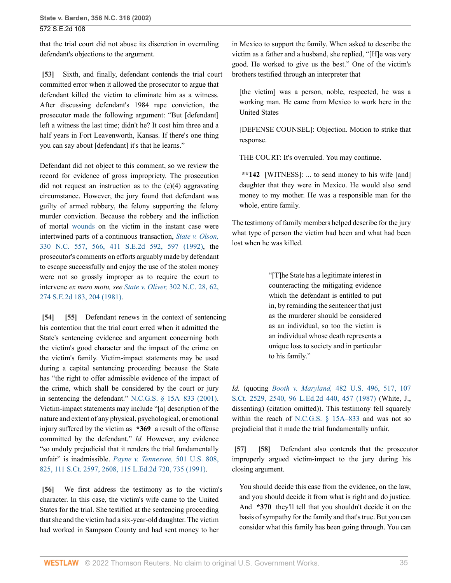that the trial court did not abuse its discretion in overruling defendant's objections to the argument.

<span id="page-34-0"></span>**[\[53\]](#page-7-4)** Sixth, and finally, defendant contends the trial court committed error when it allowed the prosecutor to argue that defendant killed the victim to eliminate him as a witness. After discussing defendant's 1984 rape conviction, the prosecutor made the following argument: "But [defendant] left a witness the last time; didn't he? It cost him three and a half years in Fort Leavenworth, Kansas. If there's one thing you can say about [defendant] it's that he learns."

Defendant did not object to this comment, so we review the record for evidence of gross impropriety. The prosecution did not request an instruction as to the (e)(4) aggravating circumstance. However, the jury found that defendant was guilty of armed robbery, the felony supporting the felony murder conviction. Because the robbery and the infliction of mortal [wounds](http://www.westlaw.com/Link/Document/FullText?entityType=gdrug&entityId=Iff1648e16c7111e18b05fdf15589d8e8&originationContext=document&transitionType=DocumentItem&contextData=(sc.Default)&vr=3.0&rs=cblt1.0) on the victim in the instant case were intertwined parts of a continuous transaction, *[State v. Olson,](http://www.westlaw.com/Link/Document/FullText?findType=Y&serNum=1992022155&pubNum=0000711&originatingDoc=Ia3aa668203d211da83e7e9deff98dc6f&refType=RP&fi=co_pp_sp_711_597&originationContext=document&vr=3.0&rs=cblt1.0&transitionType=DocumentItem&contextData=(sc.FindAndPrintPortal)#co_pp_sp_711_597)* [330 N.C. 557, 566, 411 S.E.2d 592, 597 \(1992\),](http://www.westlaw.com/Link/Document/FullText?findType=Y&serNum=1992022155&pubNum=0000711&originatingDoc=Ia3aa668203d211da83e7e9deff98dc6f&refType=RP&fi=co_pp_sp_711_597&originationContext=document&vr=3.0&rs=cblt1.0&transitionType=DocumentItem&contextData=(sc.FindAndPrintPortal)#co_pp_sp_711_597) the prosecutor's comments on efforts arguably made by defendant to escape successfully and enjoy the use of the stolen money were not so grossly improper as to require the court to intervene *ex mero motu, see State v. Oliver,* [302 N.C. 28, 62,](http://www.westlaw.com/Link/Document/FullText?findType=Y&serNum=1981104737&pubNum=0000711&originatingDoc=Ia3aa668203d211da83e7e9deff98dc6f&refType=RP&fi=co_pp_sp_711_204&originationContext=document&vr=3.0&rs=cblt1.0&transitionType=DocumentItem&contextData=(sc.FindAndPrintPortal)#co_pp_sp_711_204) [274 S.E.2d 183, 204 \(1981\).](http://www.westlaw.com/Link/Document/FullText?findType=Y&serNum=1981104737&pubNum=0000711&originatingDoc=Ia3aa668203d211da83e7e9deff98dc6f&refType=RP&fi=co_pp_sp_711_204&originationContext=document&vr=3.0&rs=cblt1.0&transitionType=DocumentItem&contextData=(sc.FindAndPrintPortal)#co_pp_sp_711_204)

<span id="page-34-2"></span><span id="page-34-1"></span>**[\[54\]](#page-7-5) [\[55\]](#page-7-6)** Defendant renews in the context of sentencing his contention that the trial court erred when it admitted the State's sentencing evidence and argument concerning both the victim's good character and the impact of the crime on the victim's family. Victim-impact statements may be used during a capital sentencing proceeding because the State has "the right to offer admissible evidence of the impact of the crime, which shall be considered by the court or jury in sentencing the defendant." [N.C.G.S. § 15A–833 \(2001\)](http://www.westlaw.com/Link/Document/FullText?findType=L&pubNum=1000037&cite=NCSTS15A-833&originatingDoc=Ia3aa668203d211da83e7e9deff98dc6f&refType=LQ&originationContext=document&vr=3.0&rs=cblt1.0&transitionType=DocumentItem&contextData=(sc.FindAndPrintPortal)). Victim-impact statements may include "[a] description of the nature and extent of any physical, psychological, or emotional injury suffered by the victim as **\*369** a result of the offense committed by the defendant." *Id.* However, any evidence "so unduly prejudicial that it renders the trial fundamentally unfair" is inadmissible. *[Payne v. Tennessee,](http://www.westlaw.com/Link/Document/FullText?findType=Y&serNum=1991116033&pubNum=0000708&originatingDoc=Ia3aa668203d211da83e7e9deff98dc6f&refType=RP&fi=co_pp_sp_708_2608&originationContext=document&vr=3.0&rs=cblt1.0&transitionType=DocumentItem&contextData=(sc.FindAndPrintPortal)#co_pp_sp_708_2608)* 501 U.S. 808, [825, 111 S.Ct. 2597, 2608, 115 L.Ed.2d 720, 735 \(1991\)](http://www.westlaw.com/Link/Document/FullText?findType=Y&serNum=1991116033&pubNum=0000708&originatingDoc=Ia3aa668203d211da83e7e9deff98dc6f&refType=RP&fi=co_pp_sp_708_2608&originationContext=document&vr=3.0&rs=cblt1.0&transitionType=DocumentItem&contextData=(sc.FindAndPrintPortal)#co_pp_sp_708_2608).

<span id="page-34-3"></span>**[\[56\]](#page-7-7)** We first address the testimony as to the victim's character. In this case, the victim's wife came to the United States for the trial. She testified at the sentencing proceeding that she and the victim had a six-year-old daughter. The victim had worked in Sampson County and had sent money to her

in Mexico to support the family. When asked to describe the victim as a father and a husband, she replied, "[H]e was very good. He worked to give us the best." One of the victim's brothers testified through an interpreter that

[the victim] was a person, noble, respected, he was a working man. He came from Mexico to work here in the United States—

[DEFENSE COUNSEL]: Objection. Motion to strike that response.

THE COURT: It's overruled. You may continue.

**\*\*142** [WITNESS]: ... to send money to his wife [and] daughter that they were in Mexico. He would also send money to my mother. He was a responsible man for the whole, entire family.

The testimony of family members helped describe for the jury what type of person the victim had been and what had been lost when he was killed.

> "[T]he State has a legitimate interest in counteracting the mitigating evidence which the defendant is entitled to put in, by reminding the sentencer that just as the murderer should be considered as an individual, so too the victim is an individual whose death represents a unique loss to society and in particular to his family."

*Id.* (quoting *Booth v. Maryland,* [482 U.S. 496, 517, 107](http://www.westlaw.com/Link/Document/FullText?findType=Y&serNum=1987074415&pubNum=0000708&originatingDoc=Ia3aa668203d211da83e7e9deff98dc6f&refType=RP&fi=co_pp_sp_708_2540&originationContext=document&vr=3.0&rs=cblt1.0&transitionType=DocumentItem&contextData=(sc.FindAndPrintPortal)#co_pp_sp_708_2540) [S.Ct. 2529, 2540, 96 L.Ed.2d 440, 457 \(1987\)](http://www.westlaw.com/Link/Document/FullText?findType=Y&serNum=1987074415&pubNum=0000708&originatingDoc=Ia3aa668203d211da83e7e9deff98dc6f&refType=RP&fi=co_pp_sp_708_2540&originationContext=document&vr=3.0&rs=cblt1.0&transitionType=DocumentItem&contextData=(sc.FindAndPrintPortal)#co_pp_sp_708_2540) (White, J., dissenting) (citation omitted)). This testimony fell squarely within the reach of [N.C.G.S. § 15A–833](http://www.westlaw.com/Link/Document/FullText?findType=L&pubNum=1000037&cite=NCSTS15A-833&originatingDoc=Ia3aa668203d211da83e7e9deff98dc6f&refType=LQ&originationContext=document&vr=3.0&rs=cblt1.0&transitionType=DocumentItem&contextData=(sc.FindAndPrintPortal)) and was not so prejudicial that it made the trial fundamentally unfair.

<span id="page-34-5"></span><span id="page-34-4"></span>**[\[57\]](#page-8-0) [\[58](#page-8-1)]** Defendant also contends that the prosecutor improperly argued victim-impact to the jury during his closing argument.

You should decide this case from the evidence, on the law, and you should decide it from what is right and do justice. And **\*370** they'll tell that you shouldn't decide it on the basis of sympathy for the family and that's true. But you can consider what this family has been going through. You can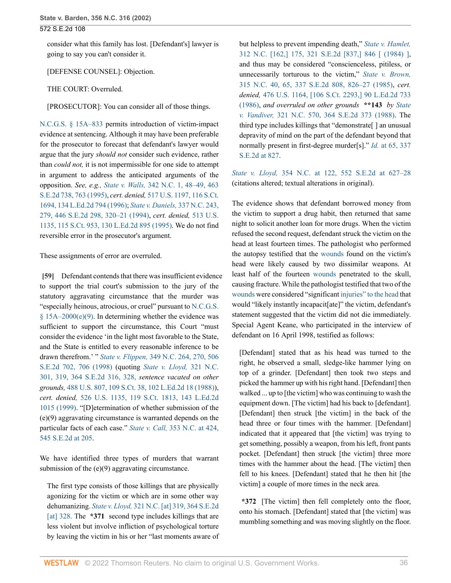consider what this family has lost. [Defendant's] lawyer is going to say you can't consider it.

[DEFENSE COUNSEL]: Objection.

THE COURT: Overruled.

[PROSECUTOR]: You can consider all of those things.

[N.C.G.S. § 15A–833](http://www.westlaw.com/Link/Document/FullText?findType=L&pubNum=1000037&cite=NCSTS15A-833&originatingDoc=Ia3aa668203d211da83e7e9deff98dc6f&refType=LQ&originationContext=document&vr=3.0&rs=cblt1.0&transitionType=DocumentItem&contextData=(sc.FindAndPrintPortal)) permits introduction of victim-impact evidence at sentencing. Although it may have been preferable for the prosecutor to forecast that defendant's lawyer would argue that the jury *should not* consider such evidence, rather than *could not,* it is not impermissible for one side to attempt in argument to address the anticipated arguments of the opposition. *See, e.g., State v. Walls,* [342 N.C. 1, 48–49, 463](http://www.westlaw.com/Link/Document/FullText?findType=Y&serNum=1995222586&pubNum=0000711&originatingDoc=Ia3aa668203d211da83e7e9deff98dc6f&refType=RP&fi=co_pp_sp_711_763&originationContext=document&vr=3.0&rs=cblt1.0&transitionType=DocumentItem&contextData=(sc.FindAndPrintPortal)#co_pp_sp_711_763) [S.E.2d 738, 763 \(1995\)](http://www.westlaw.com/Link/Document/FullText?findType=Y&serNum=1995222586&pubNum=0000711&originatingDoc=Ia3aa668203d211da83e7e9deff98dc6f&refType=RP&fi=co_pp_sp_711_763&originationContext=document&vr=3.0&rs=cblt1.0&transitionType=DocumentItem&contextData=(sc.FindAndPrintPortal)#co_pp_sp_711_763), *cert. denied,* [517 U.S. 1197, 116 S.Ct.](http://www.westlaw.com/Link/Document/FullText?findType=Y&serNum=1996088402&pubNum=0000708&originatingDoc=Ia3aa668203d211da83e7e9deff98dc6f&refType=RP&originationContext=document&vr=3.0&rs=cblt1.0&transitionType=DocumentItem&contextData=(sc.FindAndPrintPortal)) [1694, 134 L.Ed.2d 794 \(1996\)](http://www.westlaw.com/Link/Document/FullText?findType=Y&serNum=1996088402&pubNum=0000708&originatingDoc=Ia3aa668203d211da83e7e9deff98dc6f&refType=RP&originationContext=document&vr=3.0&rs=cblt1.0&transitionType=DocumentItem&contextData=(sc.FindAndPrintPortal)); *[State v. Daniels,](http://www.westlaw.com/Link/Document/FullText?findType=Y&serNum=1994159146&pubNum=0000711&originatingDoc=Ia3aa668203d211da83e7e9deff98dc6f&refType=RP&fi=co_pp_sp_711_320&originationContext=document&vr=3.0&rs=cblt1.0&transitionType=DocumentItem&contextData=(sc.FindAndPrintPortal)#co_pp_sp_711_320)* 337 N.C. 243, [279, 446 S.E.2d 298, 320–21 \(1994\)](http://www.westlaw.com/Link/Document/FullText?findType=Y&serNum=1994159146&pubNum=0000711&originatingDoc=Ia3aa668203d211da83e7e9deff98dc6f&refType=RP&fi=co_pp_sp_711_320&originationContext=document&vr=3.0&rs=cblt1.0&transitionType=DocumentItem&contextData=(sc.FindAndPrintPortal)#co_pp_sp_711_320), *cert. denied,* [513 U.S.](http://www.westlaw.com/Link/Document/FullText?findType=Y&serNum=1995026410&pubNum=0000708&originatingDoc=Ia3aa668203d211da83e7e9deff98dc6f&refType=RP&originationContext=document&vr=3.0&rs=cblt1.0&transitionType=DocumentItem&contextData=(sc.FindAndPrintPortal)) [1135, 115 S.Ct. 953, 130 L.Ed.2d 895 \(1995\)](http://www.westlaw.com/Link/Document/FullText?findType=Y&serNum=1995026410&pubNum=0000708&originatingDoc=Ia3aa668203d211da83e7e9deff98dc6f&refType=RP&originationContext=document&vr=3.0&rs=cblt1.0&transitionType=DocumentItem&contextData=(sc.FindAndPrintPortal)). We do not find reversible error in the prosecutor's argument.

These assignments of error are overruled.

<span id="page-35-0"></span>**[\[59\]](#page-8-2)** Defendant contends that there was insufficient evidence to support the trial court's submission to the jury of the statutory aggravating circumstance that the murder was "especially heinous, atrocious, or cruel" pursuant to [N.C.G.S.](http://www.westlaw.com/Link/Document/FullText?findType=L&pubNum=1000037&cite=NCSTS15A-2000&originatingDoc=Ia3aa668203d211da83e7e9deff98dc6f&refType=SP&originationContext=document&vr=3.0&rs=cblt1.0&transitionType=DocumentItem&contextData=(sc.FindAndPrintPortal)#co_pp_fab00000b4d46)  $§$  15A–2000(e)(9). In determining whether the evidence was sufficient to support the circumstance, this Court "must" consider the evidence 'in the light most favorable to the State, and the State is entitled to every reasonable inference to be drawn therefrom.' " *State v. Flippen,* [349 N.C. 264, 270, 506](http://www.westlaw.com/Link/Document/FullText?findType=Y&serNum=1998226605&pubNum=0000711&originatingDoc=Ia3aa668203d211da83e7e9deff98dc6f&refType=RP&fi=co_pp_sp_711_706&originationContext=document&vr=3.0&rs=cblt1.0&transitionType=DocumentItem&contextData=(sc.FindAndPrintPortal)#co_pp_sp_711_706) [S.E.2d 702, 706 \(1998\)](http://www.westlaw.com/Link/Document/FullText?findType=Y&serNum=1998226605&pubNum=0000711&originatingDoc=Ia3aa668203d211da83e7e9deff98dc6f&refType=RP&fi=co_pp_sp_711_706&originationContext=document&vr=3.0&rs=cblt1.0&transitionType=DocumentItem&contextData=(sc.FindAndPrintPortal)#co_pp_sp_711_706) (quoting *[State v. Lloyd,](http://www.westlaw.com/Link/Document/FullText?findType=Y&serNum=1988019258&pubNum=711&originatingDoc=Ia3aa668203d211da83e7e9deff98dc6f&refType=RP&fi=co_pp_sp_711_328&originationContext=document&vr=3.0&rs=cblt1.0&transitionType=DocumentItem&contextData=(sc.FindAndPrintPortal)#co_pp_sp_711_328)* 321 N.C. [301, 319, 364 S.E.2d 316, 328,](http://www.westlaw.com/Link/Document/FullText?findType=Y&serNum=1988019258&pubNum=711&originatingDoc=Ia3aa668203d211da83e7e9deff98dc6f&refType=RP&fi=co_pp_sp_711_328&originationContext=document&vr=3.0&rs=cblt1.0&transitionType=DocumentItem&contextData=(sc.FindAndPrintPortal)#co_pp_sp_711_328) *sentence vacated on other grounds,* [488 U.S. 807, 109 S.Ct. 38, 102 L.Ed.2d 18 \(1988\)](http://www.westlaw.com/Link/Document/FullText?findType=Y&serNum=1988128469&pubNum=0000708&originatingDoc=Ia3aa668203d211da83e7e9deff98dc6f&refType=RP&originationContext=document&vr=3.0&rs=cblt1.0&transitionType=DocumentItem&contextData=(sc.FindAndPrintPortal))), *cert. denied,* [526 U.S. 1135, 119 S.Ct. 1813, 143 L.Ed.2d](http://www.westlaw.com/Link/Document/FullText?findType=Y&serNum=1999089845&pubNum=0000708&originatingDoc=Ia3aa668203d211da83e7e9deff98dc6f&refType=RP&originationContext=document&vr=3.0&rs=cblt1.0&transitionType=DocumentItem&contextData=(sc.FindAndPrintPortal)) [1015 \(1999\)](http://www.westlaw.com/Link/Document/FullText?findType=Y&serNum=1999089845&pubNum=0000708&originatingDoc=Ia3aa668203d211da83e7e9deff98dc6f&refType=RP&originationContext=document&vr=3.0&rs=cblt1.0&transitionType=DocumentItem&contextData=(sc.FindAndPrintPortal)). "[D]etermination of whether submission of the (e)(9) aggravating circumstance is warranted depends on the particular facts of each case." *State v. Call,* [353 N.C. at 424,](http://www.westlaw.com/Link/Document/FullText?findType=Y&serNum=2001386399&pubNum=0000711&originatingDoc=Ia3aa668203d211da83e7e9deff98dc6f&refType=RP&fi=co_pp_sp_711_205&originationContext=document&vr=3.0&rs=cblt1.0&transitionType=DocumentItem&contextData=(sc.FindAndPrintPortal)#co_pp_sp_711_205) [545 S.E.2d at 205](http://www.westlaw.com/Link/Document/FullText?findType=Y&serNum=2001386399&pubNum=0000711&originatingDoc=Ia3aa668203d211da83e7e9deff98dc6f&refType=RP&fi=co_pp_sp_711_205&originationContext=document&vr=3.0&rs=cblt1.0&transitionType=DocumentItem&contextData=(sc.FindAndPrintPortal)#co_pp_sp_711_205).

We have identified three types of murders that warrant submission of the (e)(9) aggravating circumstance.

The first type consists of those killings that are physically agonizing for the victim or which are in some other way dehumanizing. *State v. Lloyd,* [321 N.C. \[at\] 319, 364 S.E.2d](http://www.westlaw.com/Link/Document/FullText?findType=Y&serNum=1988019258&pubNum=711&originatingDoc=Ia3aa668203d211da83e7e9deff98dc6f&refType=RP&fi=co_pp_sp_711_328&originationContext=document&vr=3.0&rs=cblt1.0&transitionType=DocumentItem&contextData=(sc.FindAndPrintPortal)#co_pp_sp_711_328) [\[at\] 328.](http://www.westlaw.com/Link/Document/FullText?findType=Y&serNum=1988019258&pubNum=711&originatingDoc=Ia3aa668203d211da83e7e9deff98dc6f&refType=RP&fi=co_pp_sp_711_328&originationContext=document&vr=3.0&rs=cblt1.0&transitionType=DocumentItem&contextData=(sc.FindAndPrintPortal)#co_pp_sp_711_328) The **\*371** second type includes killings that are less violent but involve infliction of psychological torture by leaving the victim in his or her "last moments aware of but helpless to prevent impending death," *[State v. Hamlet,](http://www.westlaw.com/Link/Document/FullText?findType=Y&serNum=1984154328&pubNum=711&originatingDoc=Ia3aa668203d211da83e7e9deff98dc6f&refType=RP&fi=co_pp_sp_711_846&originationContext=document&vr=3.0&rs=cblt1.0&transitionType=DocumentItem&contextData=(sc.FindAndPrintPortal)#co_pp_sp_711_846)* [312 N.C. \[162,\] 175, 321 S.E.2d \[837,\] 846 \[ \(1984\) \],](http://www.westlaw.com/Link/Document/FullText?findType=Y&serNum=1984154328&pubNum=711&originatingDoc=Ia3aa668203d211da83e7e9deff98dc6f&refType=RP&fi=co_pp_sp_711_846&originationContext=document&vr=3.0&rs=cblt1.0&transitionType=DocumentItem&contextData=(sc.FindAndPrintPortal)#co_pp_sp_711_846) and thus may be considered "conscienceless, pitiless, or unnecessarily torturous to the victim," *[State v. Brown,](http://www.westlaw.com/Link/Document/FullText?findType=Y&serNum=1985162496&pubNum=0000711&originatingDoc=Ia3aa668203d211da83e7e9deff98dc6f&refType=RP&fi=co_pp_sp_711_826&originationContext=document&vr=3.0&rs=cblt1.0&transitionType=DocumentItem&contextData=(sc.FindAndPrintPortal)#co_pp_sp_711_826)* [315 N.C. 40, 65, 337 S.E.2d 808, 826–27 \(1985\)](http://www.westlaw.com/Link/Document/FullText?findType=Y&serNum=1985162496&pubNum=0000711&originatingDoc=Ia3aa668203d211da83e7e9deff98dc6f&refType=RP&fi=co_pp_sp_711_826&originationContext=document&vr=3.0&rs=cblt1.0&transitionType=DocumentItem&contextData=(sc.FindAndPrintPortal)#co_pp_sp_711_826), *cert. denied,* [476 U.S. 1164, \[106 S.Ct. 2293,\] 90 L.Ed.2d 733](http://www.westlaw.com/Link/Document/FullText?findType=Y&serNum=1986231044&pubNum=0000708&originatingDoc=Ia3aa668203d211da83e7e9deff98dc6f&refType=RP&originationContext=document&vr=3.0&rs=cblt1.0&transitionType=DocumentItem&contextData=(sc.FindAndPrintPortal)) [\(1986\),](http://www.westlaw.com/Link/Document/FullText?findType=Y&serNum=1986231044&pubNum=0000708&originatingDoc=Ia3aa668203d211da83e7e9deff98dc6f&refType=RP&originationContext=document&vr=3.0&rs=cblt1.0&transitionType=DocumentItem&contextData=(sc.FindAndPrintPortal)) *and overruled on other grounds* **\*\*143** *by [State](http://www.westlaw.com/Link/Document/FullText?findType=Y&serNum=1988019269&pubNum=0000711&originatingDoc=Ia3aa668203d211da83e7e9deff98dc6f&refType=RP&originationContext=document&vr=3.0&rs=cblt1.0&transitionType=DocumentItem&contextData=(sc.FindAndPrintPortal)) v. Vandiver,* [321 N.C. 570, 364 S.E.2d 373 \(1988\).](http://www.westlaw.com/Link/Document/FullText?findType=Y&serNum=1988019269&pubNum=0000711&originatingDoc=Ia3aa668203d211da83e7e9deff98dc6f&refType=RP&originationContext=document&vr=3.0&rs=cblt1.0&transitionType=DocumentItem&contextData=(sc.FindAndPrintPortal)) The third type includes killings that "demonstrate[ ] an unusual depravity of mind on the part of the defendant beyond that normally present in first-degree murder[s]." *Id.* [at 65, 337](http://www.westlaw.com/Link/Document/FullText?findType=Y&serNum=1985162496&pubNum=0000711&originatingDoc=Ia3aa668203d211da83e7e9deff98dc6f&refType=RP&fi=co_pp_sp_711_827&originationContext=document&vr=3.0&rs=cblt1.0&transitionType=DocumentItem&contextData=(sc.FindAndPrintPortal)#co_pp_sp_711_827) [S.E.2d at 827.](http://www.westlaw.com/Link/Document/FullText?findType=Y&serNum=1985162496&pubNum=0000711&originatingDoc=Ia3aa668203d211da83e7e9deff98dc6f&refType=RP&fi=co_pp_sp_711_827&originationContext=document&vr=3.0&rs=cblt1.0&transitionType=DocumentItem&contextData=(sc.FindAndPrintPortal)#co_pp_sp_711_827)

*State v. Lloyd,* [354 N.C. at 122, 552 S.E.2d at 627–28](http://www.westlaw.com/Link/Document/FullText?findType=Y&serNum=2001847725&pubNum=0000711&originatingDoc=Ia3aa668203d211da83e7e9deff98dc6f&refType=RP&fi=co_pp_sp_711_627&originationContext=document&vr=3.0&rs=cblt1.0&transitionType=DocumentItem&contextData=(sc.FindAndPrintPortal)#co_pp_sp_711_627) (citations altered; textual alterations in original).

The evidence shows that defendant borrowed money from the victim to support a drug habit, then returned that same night to solicit another loan for more drugs. When the victim refused the second request, defendant struck the victim on the head at least fourteen times. The pathologist who performed the autopsy testified that the [wounds](http://www.westlaw.com/Link/Document/FullText?entityType=gdrug&entityId=Iff1648e16c7111e18b05fdf15589d8e8&originationContext=document&transitionType=DocumentItem&contextData=(sc.Default)&vr=3.0&rs=cblt1.0) found on the victim's head were likely caused by two dissimilar weapons. At least half of the fourteen [wounds](http://www.westlaw.com/Link/Document/FullText?entityType=gdrug&entityId=Iff1648e16c7111e18b05fdf15589d8e8&originationContext=document&transitionType=DocumentItem&contextData=(sc.Default)&vr=3.0&rs=cblt1.0) penetrated to the skull, causing fracture. While the pathologist testified that two of the [wounds](http://www.westlaw.com/Link/Document/FullText?entityType=gdrug&entityId=Iff1648e16c7111e18b05fdf15589d8e8&originationContext=document&transitionType=DocumentItem&contextData=(sc.Default)&vr=3.0&rs=cblt1.0) were considered "significant [injuries" to the head](http://www.westlaw.com/Link/Document/FullText?entityType=injury&entityId=Ib89a81be475411db9765f9243f53508a&originationContext=document&transitionType=DocumentItem&contextData=(sc.Default)&vr=3.0&rs=cblt1.0) that would "likely instantly incapacit[ate]" the victim, defendant's statement suggested that the victim did not die immediately. Special Agent Keane, who participated in the interview of defendant on 16 April 1998, testified as follows:

[Defendant] stated that as his head was turned to the right, he observed a small, sledge-like hammer lying on top of a grinder. [Defendant] then took two steps and picked the hammer up with his right hand. [Defendant] then walked ... up to [the victim] who was continuing to wash the equipment down. [The victim] had his back to [defendant]. [Defendant] then struck [the victim] in the back of the head three or four times with the hammer. [Defendant] indicated that it appeared that [the victim] was trying to get something, possibly a weapon, from his left, front pants pocket. [Defendant] then struck [the victim] three more times with the hammer about the head. [The victim] then fell to his knees. [Defendant] stated that he then hit [the victim] a couple of more times in the neck area.

**\*372** [The victim] then fell completely onto the floor, onto his stomach. [Defendant] stated that [the victim] was mumbling something and was moving slightly on the floor.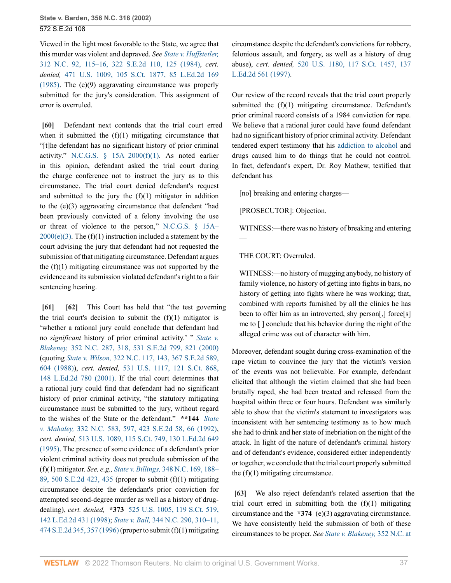Viewed in the light most favorable to the State, we agree that this murder was violent and depraved. *See [State v. Huffstetler,](http://www.westlaw.com/Link/Document/FullText?findType=Y&serNum=1984154330&pubNum=0000711&originatingDoc=Ia3aa668203d211da83e7e9deff98dc6f&refType=RP&fi=co_pp_sp_711_125&originationContext=document&vr=3.0&rs=cblt1.0&transitionType=DocumentItem&contextData=(sc.FindAndPrintPortal)#co_pp_sp_711_125)* [312 N.C. 92, 115–16, 322 S.E.2d 110, 125 \(1984\),](http://www.westlaw.com/Link/Document/FullText?findType=Y&serNum=1984154330&pubNum=0000711&originatingDoc=Ia3aa668203d211da83e7e9deff98dc6f&refType=RP&fi=co_pp_sp_711_125&originationContext=document&vr=3.0&rs=cblt1.0&transitionType=DocumentItem&contextData=(sc.FindAndPrintPortal)#co_pp_sp_711_125) *cert. denied,* [471 U.S. 1009, 105 S.Ct. 1877, 85 L.Ed.2d 169](http://www.westlaw.com/Link/Document/FullText?findType=Y&serNum=1985217803&pubNum=0000708&originatingDoc=Ia3aa668203d211da83e7e9deff98dc6f&refType=RP&originationContext=document&vr=3.0&rs=cblt1.0&transitionType=DocumentItem&contextData=(sc.FindAndPrintPortal)) [\(1985\).](http://www.westlaw.com/Link/Document/FullText?findType=Y&serNum=1985217803&pubNum=0000708&originatingDoc=Ia3aa668203d211da83e7e9deff98dc6f&refType=RP&originationContext=document&vr=3.0&rs=cblt1.0&transitionType=DocumentItem&contextData=(sc.FindAndPrintPortal)) The (e)(9) aggravating circumstance was properly submitted for the jury's consideration. This assignment of error is overruled.

<span id="page-36-0"></span>**[\[60\]](#page-8-3)** Defendant next contends that the trial court erred when it submitted the  $(f)(1)$  mitigating circumstance that "[t]he defendant has no significant history of prior criminal activity." N.C.G.S.  $\S$  15A–2000(f)(1). As noted earlier in this opinion, defendant asked the trial court during the charge conference not to instruct the jury as to this circumstance. The trial court denied defendant's request and submitted to the jury the  $(f)(1)$  mitigator in addition to the (e)(3) aggravating circumstance that defendant "had been previously convicted of a felony involving the use or threat of violence to the person," [N.C.G.S. § 15A–](http://www.westlaw.com/Link/Document/FullText?findType=L&pubNum=1000037&cite=NCSTS15A-2000&originatingDoc=Ia3aa668203d211da83e7e9deff98dc6f&refType=SP&originationContext=document&vr=3.0&rs=cblt1.0&transitionType=DocumentItem&contextData=(sc.FindAndPrintPortal)#co_pp_4b250000f9dd6)  $2000(e)(3)$ . The (f)(1) instruction included a statement by the court advising the jury that defendant had not requested the submission of that mitigating circumstance. Defendant argues the  $(f)(1)$  mitigating circumstance was not supported by the evidence and its submission violated defendant's right to a fair sentencing hearing.

<span id="page-36-2"></span><span id="page-36-1"></span>**[\[61\]](#page-8-4) [\[62\]](#page-8-5)** This Court has held that "the test governing the trial court's decision to submit the  $(f)(1)$  mitigator is 'whether a rational jury could conclude that defendant had no *significant* history of prior criminal activity.' " *[State v.](http://www.westlaw.com/Link/Document/FullText?findType=Y&serNum=2000438076&pubNum=0000711&originatingDoc=Ia3aa668203d211da83e7e9deff98dc6f&refType=RP&fi=co_pp_sp_711_821&originationContext=document&vr=3.0&rs=cblt1.0&transitionType=DocumentItem&contextData=(sc.FindAndPrintPortal)#co_pp_sp_711_821) Blakeney,* [352 N.C. 287, 318, 531 S.E.2d 799, 821 \(2000\)](http://www.westlaw.com/Link/Document/FullText?findType=Y&serNum=2000438076&pubNum=0000711&originatingDoc=Ia3aa668203d211da83e7e9deff98dc6f&refType=RP&fi=co_pp_sp_711_821&originationContext=document&vr=3.0&rs=cblt1.0&transitionType=DocumentItem&contextData=(sc.FindAndPrintPortal)#co_pp_sp_711_821) (quoting *State v. Wilson,* [322 N.C. 117, 143, 367 S.E.2d 589,](http://www.westlaw.com/Link/Document/FullText?findType=Y&serNum=1988060983&pubNum=0000711&originatingDoc=Ia3aa668203d211da83e7e9deff98dc6f&refType=RP&fi=co_pp_sp_711_604&originationContext=document&vr=3.0&rs=cblt1.0&transitionType=DocumentItem&contextData=(sc.FindAndPrintPortal)#co_pp_sp_711_604) [604 \(1988\)](http://www.westlaw.com/Link/Document/FullText?findType=Y&serNum=1988060983&pubNum=0000711&originatingDoc=Ia3aa668203d211da83e7e9deff98dc6f&refType=RP&fi=co_pp_sp_711_604&originationContext=document&vr=3.0&rs=cblt1.0&transitionType=DocumentItem&contextData=(sc.FindAndPrintPortal)#co_pp_sp_711_604)), *cert. denied,* [531 U.S. 1117, 121 S.Ct. 868,](http://www.westlaw.com/Link/Document/FullText?findType=Y&serNum=2000649813&pubNum=0000708&originatingDoc=Ia3aa668203d211da83e7e9deff98dc6f&refType=RP&originationContext=document&vr=3.0&rs=cblt1.0&transitionType=DocumentItem&contextData=(sc.FindAndPrintPortal)) [148 L.Ed.2d 780 \(2001\)](http://www.westlaw.com/Link/Document/FullText?findType=Y&serNum=2000649813&pubNum=0000708&originatingDoc=Ia3aa668203d211da83e7e9deff98dc6f&refType=RP&originationContext=document&vr=3.0&rs=cblt1.0&transitionType=DocumentItem&contextData=(sc.FindAndPrintPortal)). If the trial court determines that a rational jury could find that defendant had no significant history of prior criminal activity, "the statutory mitigating circumstance must be submitted to the jury, without regard to the wishes of the State or the defendant." **\*\*144** *[State](http://www.westlaw.com/Link/Document/FullText?findType=Y&serNum=1992200371&pubNum=0000711&originatingDoc=Ia3aa668203d211da83e7e9deff98dc6f&refType=RP&fi=co_pp_sp_711_66&originationContext=document&vr=3.0&rs=cblt1.0&transitionType=DocumentItem&contextData=(sc.FindAndPrintPortal)#co_pp_sp_711_66) v. Mahaley,* [332 N.C. 583, 597, 423 S.E.2d 58, 66 \(1992\)](http://www.westlaw.com/Link/Document/FullText?findType=Y&serNum=1992200371&pubNum=0000711&originatingDoc=Ia3aa668203d211da83e7e9deff98dc6f&refType=RP&fi=co_pp_sp_711_66&originationContext=document&vr=3.0&rs=cblt1.0&transitionType=DocumentItem&contextData=(sc.FindAndPrintPortal)#co_pp_sp_711_66), *cert. denied,* [513 U.S. 1089, 115 S.Ct. 749, 130 L.Ed.2d 649](http://www.westlaw.com/Link/Document/FullText?findType=Y&serNum=1994230697&pubNum=0000708&originatingDoc=Ia3aa668203d211da83e7e9deff98dc6f&refType=RP&originationContext=document&vr=3.0&rs=cblt1.0&transitionType=DocumentItem&contextData=(sc.FindAndPrintPortal)) [\(1995\).](http://www.westlaw.com/Link/Document/FullText?findType=Y&serNum=1994230697&pubNum=0000708&originatingDoc=Ia3aa668203d211da83e7e9deff98dc6f&refType=RP&originationContext=document&vr=3.0&rs=cblt1.0&transitionType=DocumentItem&contextData=(sc.FindAndPrintPortal)) The presence of some evidence of a defendant's prior violent criminal activity does not preclude submission of the (f)(1) mitigator. *See, e.g., State v. Billings,* [348 N.C. 169, 188–](http://www.westlaw.com/Link/Document/FullText?findType=Y&serNum=1998106444&pubNum=0000711&originatingDoc=Ia3aa668203d211da83e7e9deff98dc6f&refType=RP&fi=co_pp_sp_711_435&originationContext=document&vr=3.0&rs=cblt1.0&transitionType=DocumentItem&contextData=(sc.FindAndPrintPortal)#co_pp_sp_711_435) [89, 500 S.E.2d 423, 435](http://www.westlaw.com/Link/Document/FullText?findType=Y&serNum=1998106444&pubNum=0000711&originatingDoc=Ia3aa668203d211da83e7e9deff98dc6f&refType=RP&fi=co_pp_sp_711_435&originationContext=document&vr=3.0&rs=cblt1.0&transitionType=DocumentItem&contextData=(sc.FindAndPrintPortal)#co_pp_sp_711_435) (proper to submit (f)(1) mitigating circumstance despite the defendant's prior conviction for attempted second-degree murder as well as a history of drugdealing), *cert. denied,* **\*373** [525 U.S. 1005, 119 S.Ct. 519,](http://www.westlaw.com/Link/Document/FullText?findType=Y&serNum=1998196596&pubNum=0000708&originatingDoc=Ia3aa668203d211da83e7e9deff98dc6f&refType=RP&originationContext=document&vr=3.0&rs=cblt1.0&transitionType=DocumentItem&contextData=(sc.FindAndPrintPortal)) [142 L.Ed.2d 431 \(1998\);](http://www.westlaw.com/Link/Document/FullText?findType=Y&serNum=1998196596&pubNum=0000708&originatingDoc=Ia3aa668203d211da83e7e9deff98dc6f&refType=RP&originationContext=document&vr=3.0&rs=cblt1.0&transitionType=DocumentItem&contextData=(sc.FindAndPrintPortal)) *State v. Ball,* [344 N.C. 290, 310–11,](http://www.westlaw.com/Link/Document/FullText?findType=Y&serNum=1996204972&pubNum=0000711&originatingDoc=Ia3aa668203d211da83e7e9deff98dc6f&refType=RP&fi=co_pp_sp_711_357&originationContext=document&vr=3.0&rs=cblt1.0&transitionType=DocumentItem&contextData=(sc.FindAndPrintPortal)#co_pp_sp_711_357) [474 S.E.2d 345, 357 \(1996\)](http://www.westlaw.com/Link/Document/FullText?findType=Y&serNum=1996204972&pubNum=0000711&originatingDoc=Ia3aa668203d211da83e7e9deff98dc6f&refType=RP&fi=co_pp_sp_711_357&originationContext=document&vr=3.0&rs=cblt1.0&transitionType=DocumentItem&contextData=(sc.FindAndPrintPortal)#co_pp_sp_711_357) (proper to submit (f)(1) mitigating

circumstance despite the defendant's convictions for robbery, felonious assault, and forgery, as well as a history of drug abuse), *cert. denied,* [520 U.S. 1180, 117 S.Ct. 1457, 137](http://www.westlaw.com/Link/Document/FullText?findType=Y&serNum=1997072546&pubNum=0000708&originatingDoc=Ia3aa668203d211da83e7e9deff98dc6f&refType=RP&originationContext=document&vr=3.0&rs=cblt1.0&transitionType=DocumentItem&contextData=(sc.FindAndPrintPortal)) [L.Ed.2d 561 \(1997\).](http://www.westlaw.com/Link/Document/FullText?findType=Y&serNum=1997072546&pubNum=0000708&originatingDoc=Ia3aa668203d211da83e7e9deff98dc6f&refType=RP&originationContext=document&vr=3.0&rs=cblt1.0&transitionType=DocumentItem&contextData=(sc.FindAndPrintPortal))

Our review of the record reveals that the trial court properly submitted the (f)(1) mitigating circumstance. Defendant's prior criminal record consists of a 1984 conviction for rape. We believe that a rational juror could have found defendant had no significant history of prior criminal activity. Defendant tendered expert testimony that his [addiction to alcohol](http://www.westlaw.com/Link/Document/FullText?entityType=disease&entityId=Iaa1b9203475411db9765f9243f53508a&originationContext=document&transitionType=DocumentItem&contextData=(sc.Default)&vr=3.0&rs=cblt1.0) and drugs caused him to do things that he could not control. In fact, defendant's expert, Dr. Roy Mathew, testified that defendant has

[no] breaking and entering charges—

[PROSECUTOR]: Objection.

WITNESS:—there was no history of breaking and entering —

## THE COURT: Overruled.

WITNESS:—no history of mugging anybody, no history of family violence, no history of getting into fights in bars, no history of getting into fights where he was working; that, combined with reports furnished by all the clinics he has been to offer him as an introverted, shy person[,] force[s] me to [ ] conclude that his behavior during the night of the alleged crime was out of character with him.

Moreover, defendant sought during cross-examination of the rape victim to convince the jury that the victim's version of the events was not believable. For example, defendant elicited that although the victim claimed that she had been brutally raped, she had been treated and released from the hospital within three or four hours. Defendant was similarly able to show that the victim's statement to investigators was inconsistent with her sentencing testimony as to how much she had to drink and her state of inebriation on the night of the attack. In light of the nature of defendant's criminal history and of defendant's evidence, considered either independently or together, we conclude that the trial court properly submitted the  $(f)(1)$  mitigating circumstance.

<span id="page-36-3"></span>**[\[63\]](#page-8-6)** We also reject defendant's related assertion that the trial court erred in submitting both the  $(f)(1)$  mitigating circumstance and the **\*374** (e)(3) aggravating circumstance. We have consistently held the submission of both of these circumstances to be proper. *See [State v. Blakeney,](http://www.westlaw.com/Link/Document/FullText?findType=Y&serNum=2000438076&pubNum=711&originatingDoc=Ia3aa668203d211da83e7e9deff98dc6f&refType=RP&fi=co_pp_sp_711_821&originationContext=document&vr=3.0&rs=cblt1.0&transitionType=DocumentItem&contextData=(sc.FindAndPrintPortal)#co_pp_sp_711_821)* 352 N.C. at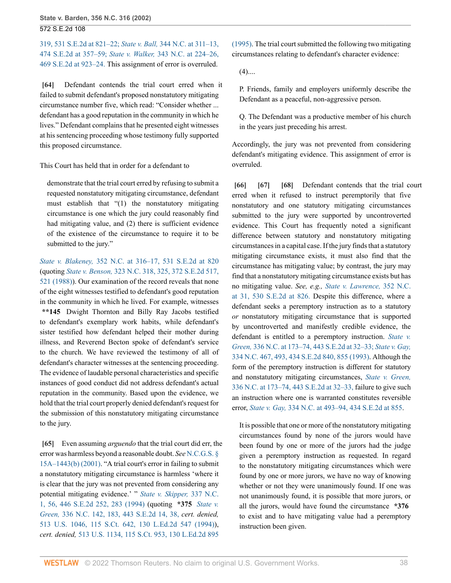[319, 531 S.E.2d at 821–22;](http://www.westlaw.com/Link/Document/FullText?findType=Y&serNum=2000438076&pubNum=711&originatingDoc=Ia3aa668203d211da83e7e9deff98dc6f&refType=RP&fi=co_pp_sp_711_821&originationContext=document&vr=3.0&rs=cblt1.0&transitionType=DocumentItem&contextData=(sc.FindAndPrintPortal)#co_pp_sp_711_821) *State v. Ball,* [344 N.C. at 311–13,](http://www.westlaw.com/Link/Document/FullText?findType=Y&serNum=1996204972&pubNum=711&originatingDoc=Ia3aa668203d211da83e7e9deff98dc6f&refType=RP&fi=co_pp_sp_711_357&originationContext=document&vr=3.0&rs=cblt1.0&transitionType=DocumentItem&contextData=(sc.FindAndPrintPortal)#co_pp_sp_711_357) [474 S.E.2d at 357–59;](http://www.westlaw.com/Link/Document/FullText?findType=Y&serNum=1996204972&pubNum=711&originatingDoc=Ia3aa668203d211da83e7e9deff98dc6f&refType=RP&fi=co_pp_sp_711_357&originationContext=document&vr=3.0&rs=cblt1.0&transitionType=DocumentItem&contextData=(sc.FindAndPrintPortal)#co_pp_sp_711_357) *State v. Walker,* [343 N.C. at 224–26,](http://www.westlaw.com/Link/Document/FullText?findType=Y&serNum=1996112661&pubNum=711&originatingDoc=Ia3aa668203d211da83e7e9deff98dc6f&refType=RP&fi=co_pp_sp_711_923&originationContext=document&vr=3.0&rs=cblt1.0&transitionType=DocumentItem&contextData=(sc.FindAndPrintPortal)#co_pp_sp_711_923) [469 S.E.2d at 923–24.](http://www.westlaw.com/Link/Document/FullText?findType=Y&serNum=1996112661&pubNum=711&originatingDoc=Ia3aa668203d211da83e7e9deff98dc6f&refType=RP&fi=co_pp_sp_711_923&originationContext=document&vr=3.0&rs=cblt1.0&transitionType=DocumentItem&contextData=(sc.FindAndPrintPortal)#co_pp_sp_711_923) This assignment of error is overruled.

<span id="page-37-0"></span>**[\[64\]](#page-9-0)** Defendant contends the trial court erred when it failed to submit defendant's proposed nonstatutory mitigating circumstance number five, which read: "Consider whether ... defendant has a good reputation in the community in which he lives." Defendant complains that he presented eight witnesses at his sentencing proceeding whose testimony fully supported this proposed circumstance.

This Court has held that in order for a defendant to

demonstrate that the trial court erred by refusing to submit a requested nonstatutory mitigating circumstance, defendant must establish that "(1) the nonstatutory mitigating circumstance is one which the jury could reasonably find had mitigating value, and (2) there is sufficient evidence of the existence of the circumstance to require it to be submitted to the jury."

*State v. Blakeney,* [352 N.C. at 316–17, 531 S.E.2d at 820](http://www.westlaw.com/Link/Document/FullText?findType=Y&serNum=2000438076&pubNum=0000711&originatingDoc=Ia3aa668203d211da83e7e9deff98dc6f&refType=RP&fi=co_pp_sp_711_820&originationContext=document&vr=3.0&rs=cblt1.0&transitionType=DocumentItem&contextData=(sc.FindAndPrintPortal)#co_pp_sp_711_820) (quoting *State v. Benson,* [323 N.C. 318, 325, 372 S.E.2d 517,](http://www.westlaw.com/Link/Document/FullText?findType=Y&serNum=1988128247&pubNum=0000711&originatingDoc=Ia3aa668203d211da83e7e9deff98dc6f&refType=RP&fi=co_pp_sp_711_521&originationContext=document&vr=3.0&rs=cblt1.0&transitionType=DocumentItem&contextData=(sc.FindAndPrintPortal)#co_pp_sp_711_521) [521 \(1988\)](http://www.westlaw.com/Link/Document/FullText?findType=Y&serNum=1988128247&pubNum=0000711&originatingDoc=Ia3aa668203d211da83e7e9deff98dc6f&refType=RP&fi=co_pp_sp_711_521&originationContext=document&vr=3.0&rs=cblt1.0&transitionType=DocumentItem&contextData=(sc.FindAndPrintPortal)#co_pp_sp_711_521)). Our examination of the record reveals that none of the eight witnesses testified to defendant's good reputation in the community in which he lived. For example, witnesses **\*\*145** Dwight Thornton and Billy Ray Jacobs testified to defendant's exemplary work habits, while defendant's sister testified how defendant helped their mother during illness, and Reverend Becton spoke of defendant's service to the church. We have reviewed the testimony of all of defendant's character witnesses at the sentencing proceeding. The evidence of laudable personal characteristics and specific instances of good conduct did not address defendant's actual reputation in the community. Based upon the evidence, we hold that the trial court properly denied defendant's request for the submission of this nonstatutory mitigating circumstance to the jury.

<span id="page-37-1"></span>**[\[65\]](#page-9-1)** Even assuming *arguendo* that the trial court did err, the error was harmless beyond a reasonable doubt. *See* [N.C.G.S. §](http://www.westlaw.com/Link/Document/FullText?findType=L&pubNum=1000037&cite=NCSTS15A-1443&originatingDoc=Ia3aa668203d211da83e7e9deff98dc6f&refType=SP&originationContext=document&vr=3.0&rs=cblt1.0&transitionType=DocumentItem&contextData=(sc.FindAndPrintPortal)#co_pp_a83b000018c76) [15A–1443\(b\) \(2001\).](http://www.westlaw.com/Link/Document/FullText?findType=L&pubNum=1000037&cite=NCSTS15A-1443&originatingDoc=Ia3aa668203d211da83e7e9deff98dc6f&refType=SP&originationContext=document&vr=3.0&rs=cblt1.0&transitionType=DocumentItem&contextData=(sc.FindAndPrintPortal)#co_pp_a83b000018c76) "A trial court's error in failing to submit a nonstatutory mitigating circumstance is harmless 'where it is clear that the jury was not prevented from considering any potential mitigating evidence.' " *[State v. Skipper,](http://www.westlaw.com/Link/Document/FullText?findType=Y&serNum=1994158456&pubNum=0000711&originatingDoc=Ia3aa668203d211da83e7e9deff98dc6f&refType=RP&fi=co_pp_sp_711_283&originationContext=document&vr=3.0&rs=cblt1.0&transitionType=DocumentItem&contextData=(sc.FindAndPrintPortal)#co_pp_sp_711_283)* 337 N.C. [1, 56, 446 S.E.2d 252, 283 \(1994\)](http://www.westlaw.com/Link/Document/FullText?findType=Y&serNum=1994158456&pubNum=0000711&originatingDoc=Ia3aa668203d211da83e7e9deff98dc6f&refType=RP&fi=co_pp_sp_711_283&originationContext=document&vr=3.0&rs=cblt1.0&transitionType=DocumentItem&contextData=(sc.FindAndPrintPortal)#co_pp_sp_711_283) (quoting **\*375** *[State v.](http://www.westlaw.com/Link/Document/FullText?findType=Y&serNum=1994103814&pubNum=711&originatingDoc=Ia3aa668203d211da83e7e9deff98dc6f&refType=RP&fi=co_pp_sp_711_38&originationContext=document&vr=3.0&rs=cblt1.0&transitionType=DocumentItem&contextData=(sc.FindAndPrintPortal)#co_pp_sp_711_38) Green,* [336 N.C. 142, 183, 443 S.E.2d 14, 38,](http://www.westlaw.com/Link/Document/FullText?findType=Y&serNum=1994103814&pubNum=711&originatingDoc=Ia3aa668203d211da83e7e9deff98dc6f&refType=RP&fi=co_pp_sp_711_38&originationContext=document&vr=3.0&rs=cblt1.0&transitionType=DocumentItem&contextData=(sc.FindAndPrintPortal)#co_pp_sp_711_38) *cert. denied,* [513 U.S. 1046, 115 S.Ct. 642, 130 L.Ed.2d 547 \(1994\)](http://www.westlaw.com/Link/Document/FullText?findType=Y&serNum=1994205169&pubNum=0000708&originatingDoc=Ia3aa668203d211da83e7e9deff98dc6f&refType=RP&originationContext=document&vr=3.0&rs=cblt1.0&transitionType=DocumentItem&contextData=(sc.FindAndPrintPortal))), *cert. denied,* [513 U.S. 1134, 115 S.Ct. 953, 130 L.Ed.2d 895](http://www.westlaw.com/Link/Document/FullText?findType=Y&serNum=1995026396&pubNum=0000708&originatingDoc=Ia3aa668203d211da83e7e9deff98dc6f&refType=RP&originationContext=document&vr=3.0&rs=cblt1.0&transitionType=DocumentItem&contextData=(sc.FindAndPrintPortal))

[\(1995\).](http://www.westlaw.com/Link/Document/FullText?findType=Y&serNum=1995026396&pubNum=0000708&originatingDoc=Ia3aa668203d211da83e7e9deff98dc6f&refType=RP&originationContext=document&vr=3.0&rs=cblt1.0&transitionType=DocumentItem&contextData=(sc.FindAndPrintPortal)) The trial court submitted the following two mitigating circumstances relating to defendant's character evidence:

 $(4)$ ....

P. Friends, family and employers uniformly describe the Defendant as a peaceful, non-aggressive person.

Q. The Defendant was a productive member of his church in the years just preceding his arrest.

Accordingly, the jury was not prevented from considering defendant's mitigating evidence. This assignment of error is overruled.

<span id="page-37-4"></span><span id="page-37-3"></span><span id="page-37-2"></span>**[\[66\]](#page-9-2) [\[67\]](#page-9-3) [\[68\]](#page-9-4)** Defendant contends that the trial court erred when it refused to instruct peremptorily that five nonstatutory and one statutory mitigating circumstances submitted to the jury were supported by uncontroverted evidence. This Court has frequently noted a significant difference between statutory and nonstatutory mitigating circumstances in a capital case. If the jury finds that a statutory mitigating circumstance exists, it must also find that the circumstance has mitigating value; by contrast, the jury may find that a nonstatutory mitigating circumstance exists but has no mitigating value. *See, e.g., [State v. Lawrence,](http://www.westlaw.com/Link/Document/FullText?findType=Y&serNum=2000385069&pubNum=711&originatingDoc=Ia3aa668203d211da83e7e9deff98dc6f&refType=RP&fi=co_pp_sp_711_826&originationContext=document&vr=3.0&rs=cblt1.0&transitionType=DocumentItem&contextData=(sc.FindAndPrintPortal)#co_pp_sp_711_826)* 352 N.C. [at 31, 530 S.E.2d at 826.](http://www.westlaw.com/Link/Document/FullText?findType=Y&serNum=2000385069&pubNum=711&originatingDoc=Ia3aa668203d211da83e7e9deff98dc6f&refType=RP&fi=co_pp_sp_711_826&originationContext=document&vr=3.0&rs=cblt1.0&transitionType=DocumentItem&contextData=(sc.FindAndPrintPortal)#co_pp_sp_711_826) Despite this difference, where a defendant seeks a peremptory instruction as to a statutory *or* nonstatutory mitigating circumstance that is supported by uncontroverted and manifestly credible evidence, the defendant is entitled to a peremptory instruction. *[State v.](http://www.westlaw.com/Link/Document/FullText?findType=Y&serNum=1994103814&pubNum=711&originatingDoc=Ia3aa668203d211da83e7e9deff98dc6f&refType=RP&fi=co_pp_sp_711_32&originationContext=document&vr=3.0&rs=cblt1.0&transitionType=DocumentItem&contextData=(sc.FindAndPrintPortal)#co_pp_sp_711_32) Green,* [336 N.C. at 173–74, 443 S.E.2d at 32–33;](http://www.westlaw.com/Link/Document/FullText?findType=Y&serNum=1994103814&pubNum=711&originatingDoc=Ia3aa668203d211da83e7e9deff98dc6f&refType=RP&fi=co_pp_sp_711_32&originationContext=document&vr=3.0&rs=cblt1.0&transitionType=DocumentItem&contextData=(sc.FindAndPrintPortal)#co_pp_sp_711_32) *[State v. Gay,](http://www.westlaw.com/Link/Document/FullText?findType=Y&serNum=1993174520&pubNum=0000711&originatingDoc=Ia3aa668203d211da83e7e9deff98dc6f&refType=RP&fi=co_pp_sp_711_855&originationContext=document&vr=3.0&rs=cblt1.0&transitionType=DocumentItem&contextData=(sc.FindAndPrintPortal)#co_pp_sp_711_855)* [334 N.C. 467, 493, 434 S.E.2d 840, 855 \(1993\)](http://www.westlaw.com/Link/Document/FullText?findType=Y&serNum=1993174520&pubNum=0000711&originatingDoc=Ia3aa668203d211da83e7e9deff98dc6f&refType=RP&fi=co_pp_sp_711_855&originationContext=document&vr=3.0&rs=cblt1.0&transitionType=DocumentItem&contextData=(sc.FindAndPrintPortal)#co_pp_sp_711_855). Although the form of the peremptory instruction is different for statutory and nonstatutory mitigating circumstances, *[State v. Green,](http://www.westlaw.com/Link/Document/FullText?findType=Y&serNum=1994103814&pubNum=711&originatingDoc=Ia3aa668203d211da83e7e9deff98dc6f&refType=RP&fi=co_pp_sp_711_32&originationContext=document&vr=3.0&rs=cblt1.0&transitionType=DocumentItem&contextData=(sc.FindAndPrintPortal)#co_pp_sp_711_32)* [336 N.C. at 173–74, 443 S.E.2d at 32–33,](http://www.westlaw.com/Link/Document/FullText?findType=Y&serNum=1994103814&pubNum=711&originatingDoc=Ia3aa668203d211da83e7e9deff98dc6f&refType=RP&fi=co_pp_sp_711_32&originationContext=document&vr=3.0&rs=cblt1.0&transitionType=DocumentItem&contextData=(sc.FindAndPrintPortal)#co_pp_sp_711_32) failure to give such an instruction where one is warranted constitutes reversible error, *State v. Gay,* [334 N.C. at 493–94, 434 S.E.2d at 855](http://www.westlaw.com/Link/Document/FullText?findType=Y&serNum=1993174520&pubNum=0000711&originatingDoc=Ia3aa668203d211da83e7e9deff98dc6f&refType=RP&fi=co_pp_sp_711_855&originationContext=document&vr=3.0&rs=cblt1.0&transitionType=DocumentItem&contextData=(sc.FindAndPrintPortal)#co_pp_sp_711_855).

It is possible that one or more of the nonstatutory mitigating circumstances found by none of the jurors would have been found by one or more of the jurors had the judge given a peremptory instruction as requested. In regard to the nonstatutory mitigating circumstances which were found by one or more jurors, we have no way of knowing whether or not they were unanimously found. If one was not unanimously found, it is possible that more jurors, or all the jurors, would have found the circumstance **\*376** to exist and to have mitigating value had a peremptory instruction been given.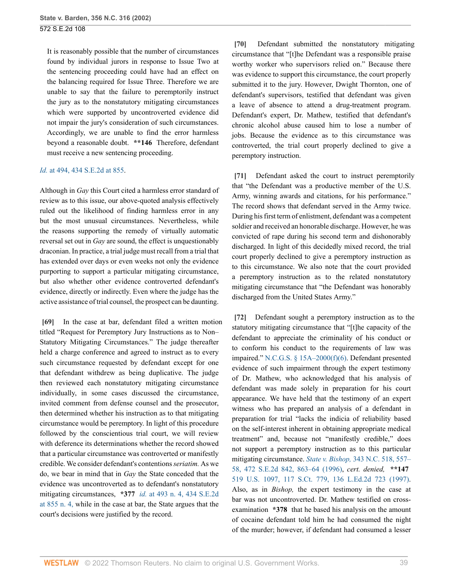It is reasonably possible that the number of circumstances found by individual jurors in response to Issue Two at the sentencing proceeding could have had an effect on the balancing required for Issue Three. Therefore we are unable to say that the failure to peremptorily instruct the jury as to the nonstatutory mitigating circumstances which were supported by uncontroverted evidence did not impair the jury's consideration of such circumstances. Accordingly, we are unable to find the error harmless beyond a reasonable doubt. **\*\*146** Therefore, defendant must receive a new sentencing proceeding.

### *Id.* [at 494, 434 S.E.2d at 855](http://www.westlaw.com/Link/Document/FullText?findType=Y&serNum=1993174520&pubNum=711&originatingDoc=Ia3aa668203d211da83e7e9deff98dc6f&refType=RP&fi=co_pp_sp_711_855&originationContext=document&vr=3.0&rs=cblt1.0&transitionType=DocumentItem&contextData=(sc.FindAndPrintPortal)#co_pp_sp_711_855).

Although in *Gay* this Court cited a harmless error standard of review as to this issue, our above-quoted analysis effectively ruled out the likelihood of finding harmless error in any but the most unusual circumstances. Nevertheless, while the reasons supporting the remedy of virtually automatic reversal set out in *Gay* are sound, the effect is unquestionably draconian. In practice, a trial judge must recall from a trial that has extended over days or even weeks not only the evidence purporting to support a particular mitigating circumstance, but also whether other evidence controverted defendant's evidence, directly or indirectly. Even where the judge has the active assistance of trial counsel, the prospect can be daunting.

<span id="page-38-0"></span>**[\[69\]](#page-9-5)** In the case at bar, defendant filed a written motion titled "Request for Peremptory Jury Instructions as to Non– Statutory Mitigating Circumstances." The judge thereafter held a charge conference and agreed to instruct as to every such circumstance requested by defendant except for one that defendant withdrew as being duplicative. The judge then reviewed each nonstatutory mitigating circumstance individually, in some cases discussed the circumstance, invited comment from defense counsel and the prosecutor, then determined whether his instruction as to that mitigating circumstance would be peremptory. In light of this procedure followed by the conscientious trial court, we will review with deference its determinations whether the record showed that a particular circumstance was controverted or manifestly credible. We consider defendant's contentions *seriatim.* As we do, we bear in mind that in *Gay* the State conceded that the evidence was uncontroverted as to defendant's nonstatutory mitigating circumstances, **\*377** *id.* [at 493 n. 4, 434 S.E.2d](http://www.westlaw.com/Link/Document/FullText?findType=Y&serNum=1993174520&pubNum=711&originatingDoc=Ia3aa668203d211da83e7e9deff98dc6f&refType=RP&fi=co_pp_sp_711_855&originationContext=document&vr=3.0&rs=cblt1.0&transitionType=DocumentItem&contextData=(sc.FindAndPrintPortal)#co_pp_sp_711_855) [at 855 n. 4,](http://www.westlaw.com/Link/Document/FullText?findType=Y&serNum=1993174520&pubNum=711&originatingDoc=Ia3aa668203d211da83e7e9deff98dc6f&refType=RP&fi=co_pp_sp_711_855&originationContext=document&vr=3.0&rs=cblt1.0&transitionType=DocumentItem&contextData=(sc.FindAndPrintPortal)#co_pp_sp_711_855) while in the case at bar, the State argues that the court's decisions were justified by the record.

<span id="page-38-1"></span>**[\[70\]](#page-9-6)** Defendant submitted the nonstatutory mitigating circumstance that "[t]he Defendant was a responsible praise worthy worker who supervisors relied on." Because there was evidence to support this circumstance, the court properly submitted it to the jury. However, Dwight Thornton, one of defendant's supervisors, testified that defendant was given a leave of absence to attend a drug-treatment program. Defendant's expert, Dr. Mathew, testified that defendant's chronic alcohol abuse caused him to lose a number of jobs. Because the evidence as to this circumstance was controverted, the trial court properly declined to give a peremptory instruction.

<span id="page-38-2"></span>**[\[71\]](#page-10-0)** Defendant asked the court to instruct peremptorily that "the Defendant was a productive member of the U.S. Army, winning awards and citations, for his performance." The record shows that defendant served in the Army twice. During his first term of enlistment, defendant was a competent soldier and received an honorable discharge. However, he was convicted of rape during his second term and dishonorably discharged. In light of this decidedly mixed record, the trial court properly declined to give a peremptory instruction as to this circumstance. We also note that the court provided a peremptory instruction as to the related nonstatutory mitigating circumstance that "the Defendant was honorably discharged from the United States Army."

<span id="page-38-3"></span>**[\[72\]](#page-10-1)** Defendant sought a peremptory instruction as to the statutory mitigating circumstance that "[t]he capacity of the defendant to appreciate the criminality of his conduct or to conform his conduct to the requirements of law was impaired." [N.C.G.S. § 15A–2000\(f\)\(6\).](http://www.westlaw.com/Link/Document/FullText?findType=L&pubNum=1000037&cite=NCSTS15A-2000&originatingDoc=Ia3aa668203d211da83e7e9deff98dc6f&refType=SP&originationContext=document&vr=3.0&rs=cblt1.0&transitionType=DocumentItem&contextData=(sc.FindAndPrintPortal)#co_pp_8bf50000573d1) Defendant presented evidence of such impairment through the expert testimony of Dr. Mathew, who acknowledged that his analysis of defendant was made solely in preparation for his court appearance. We have held that the testimony of an expert witness who has prepared an analysis of a defendant in preparation for trial "lacks the indicia of reliability based on the self-interest inherent in obtaining appropriate medical treatment" and, because not "manifestly credible," does not support a peremptory instruction as to this particular mitigating circumstance. *State v. Bishop,* [343 N.C. 518, 557–](http://www.westlaw.com/Link/Document/FullText?findType=Y&serNum=1996171923&pubNum=0000711&originatingDoc=Ia3aa668203d211da83e7e9deff98dc6f&refType=RP&fi=co_pp_sp_711_863&originationContext=document&vr=3.0&rs=cblt1.0&transitionType=DocumentItem&contextData=(sc.FindAndPrintPortal)#co_pp_sp_711_863) [58, 472 S.E.2d 842, 863–64 \(1996\),](http://www.westlaw.com/Link/Document/FullText?findType=Y&serNum=1996171923&pubNum=0000711&originatingDoc=Ia3aa668203d211da83e7e9deff98dc6f&refType=RP&fi=co_pp_sp_711_863&originationContext=document&vr=3.0&rs=cblt1.0&transitionType=DocumentItem&contextData=(sc.FindAndPrintPortal)#co_pp_sp_711_863) *cert. denied,* **\*\*147** [519 U.S. 1097, 117 S.Ct. 779, 136 L.Ed.2d 723 \(1997\).](http://www.westlaw.com/Link/Document/FullText?findType=Y&serNum=1996267814&pubNum=0000708&originatingDoc=Ia3aa668203d211da83e7e9deff98dc6f&refType=RP&originationContext=document&vr=3.0&rs=cblt1.0&transitionType=DocumentItem&contextData=(sc.FindAndPrintPortal)) Also, as in *Bishop,* the expert testimony in the case at bar was not uncontroverted. Dr. Mathew testified on crossexamination **\*378** that he based his analysis on the amount of cocaine defendant told him he had consumed the night of the murder; however, if defendant had consumed a lesser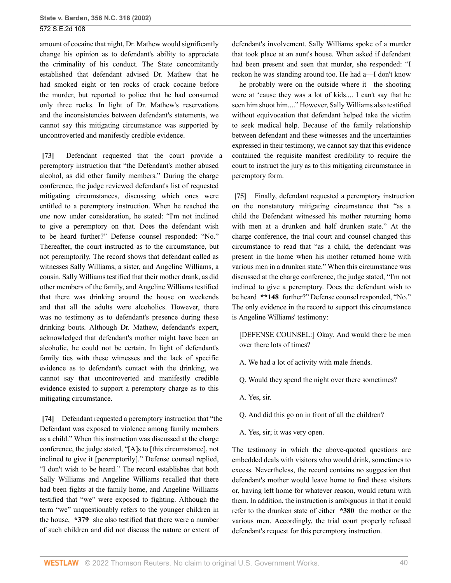amount of cocaine that night, Dr. Mathew would significantly change his opinion as to defendant's ability to appreciate the criminality of his conduct. The State concomitantly established that defendant advised Dr. Mathew that he had smoked eight or ten rocks of crack cocaine before the murder, but reported to police that he had consumed only three rocks. In light of Dr. Mathew's reservations and the inconsistencies between defendant's statements, we cannot say this mitigating circumstance was supported by uncontroverted and manifestly credible evidence.

<span id="page-39-0"></span>**[\[73\]](#page-10-2)** Defendant requested that the court provide a peremptory instruction that "the Defendant's mother abused alcohol, as did other family members." During the charge conference, the judge reviewed defendant's list of requested mitigating circumstances, discussing which ones were entitled to a peremptory instruction. When he reached the one now under consideration, he stated: "I'm not inclined to give a peremptory on that. Does the defendant wish to be heard further?" Defense counsel responded: "No." Thereafter, the court instructed as to the circumstance, but not peremptorily. The record shows that defendant called as witnesses Sally Williams, a sister, and Angeline Williams, a cousin. Sally Williams testified that their mother drank, as did other members of the family, and Angeline Williams testified that there was drinking around the house on weekends and that all the adults were alcoholics. However, there was no testimony as to defendant's presence during these drinking bouts. Although Dr. Mathew, defendant's expert, acknowledged that defendant's mother might have been an alcoholic, he could not be certain. In light of defendant's family ties with these witnesses and the lack of specific evidence as to defendant's contact with the drinking, we cannot say that uncontroverted and manifestly credible evidence existed to support a peremptory charge as to this mitigating circumstance.

<span id="page-39-1"></span>**[\[74\]](#page-10-3)** Defendant requested a peremptory instruction that "the Defendant was exposed to violence among family members as a child." When this instruction was discussed at the charge conference, the judge stated, "[A]s to [this circumstance], not inclined to give it [peremptorily]." Defense counsel replied, "I don't wish to be heard." The record establishes that both Sally Williams and Angeline Williams recalled that there had been fights at the family home, and Angeline Williams testified that "we" were exposed to fighting. Although the term "we" unquestionably refers to the younger children in the house, **\*379** she also testified that there were a number of such children and did not discuss the nature or extent of

defendant's involvement. Sally Williams spoke of a murder that took place at an aunt's house. When asked if defendant had been present and seen that murder, she responded: "I reckon he was standing around too. He had a—I don't know —he probably were on the outside where it—the shooting were at 'cause they was a lot of kids.... I can't say that he seen him shoot him...." However, Sally Williams also testified without equivocation that defendant helped take the victim to seek medical help. Because of the family relationship between defendant and these witnesses and the uncertainties expressed in their testimony, we cannot say that this evidence contained the requisite manifest credibility to require the court to instruct the jury as to this mitigating circumstance in peremptory form.

<span id="page-39-2"></span>**[\[75\]](#page-10-4)** Finally, defendant requested a peremptory instruction on the nonstatutory mitigating circumstance that "as a child the Defendant witnessed his mother returning home with men at a drunken and half drunken state." At the charge conference, the trial court and counsel changed this circumstance to read that "as a child, the defendant was present in the home when his mother returned home with various men in a drunken state." When this circumstance was discussed at the charge conference, the judge stated, "I'm not inclined to give a peremptory. Does the defendant wish to be heard **\*\*148** further?" Defense counsel responded, "No." The only evidence in the record to support this circumstance is Angeline Williams' testimony:

[DEFENSE COUNSEL:] Okay. And would there be men over there lots of times?

- A. We had a lot of activity with male friends.
- Q. Would they spend the night over there sometimes?
- A. Yes, sir.
- Q. And did this go on in front of all the children?
- A. Yes, sir; it was very open.

The testimony in which the above-quoted questions are embedded deals with visitors who would drink, sometimes to excess. Nevertheless, the record contains no suggestion that defendant's mother would leave home to find these visitors or, having left home for whatever reason, would return with them. In addition, the instruction is ambiguous in that it could refer to the drunken state of either **\*380** the mother or the various men. Accordingly, the trial court properly refused defendant's request for this peremptory instruction.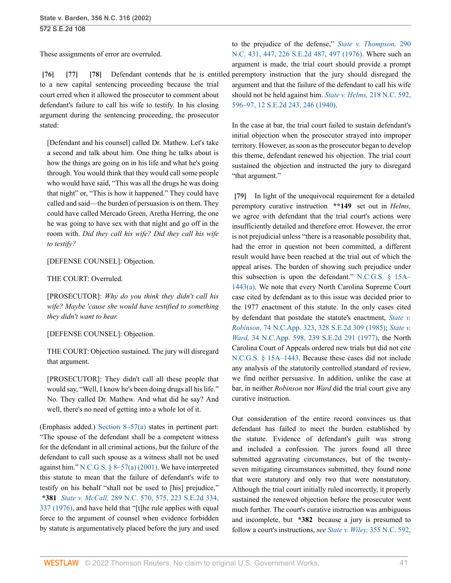These assignments of error are overruled.

<span id="page-40-2"></span><span id="page-40-1"></span><span id="page-40-0"></span>**[\[76\]](#page-10-5) [\[77\]](#page-11-0) [\[78\]](#page-11-1)** Defendant contends that he is entitled to a new capital sentencing proceeding because the trial court erred when it allowed the prosecutor to comment about defendant's failure to call his wife to testify. In his closing argument during the sentencing proceeding, the prosecutor stated:

[Defendant and his counsel] called Dr. Mathew. Let's take a second and talk about him. One thing he talks about is how the things are going on in his life and what he's going through. You would think that they would call some people who would have said, "This was all the drugs he was doing that night" or, "This is how it happened." They could have called and said—the burden of persuasion is on them. They could have called Mercado Green, Aretha Herring, the one he was going to have sex with that night and go off in the room with. *Did they call his wife? Did they call his wife to testify?*

[DEFENSE COUNSEL]: Objection.

THE COURT: Overruled.

[PROSECUTOR]: *Why do you think they didn't call his wife? Maybe 'cause she would have testified to something they didn't want to hear.*

[DEFENSE COUNSEL]: Objection.

THE COURT: Objection sustained. The jury will disregard that argument.

[PROSECUTOR]: They didn't call all these people that would say, "Well, I know he's been doing drugs all his life." No. They called Dr. Mathew. And what did he say? And well, there's no need of getting into a whole lot of it.

(Emphasis added.) [Section 8–57\(a\)](http://www.westlaw.com/Link/Document/FullText?findType=L&pubNum=1000037&cite=NCSTS8-57&originatingDoc=Ia3aa668203d211da83e7e9deff98dc6f&refType=SP&originationContext=document&vr=3.0&rs=cblt1.0&transitionType=DocumentItem&contextData=(sc.FindAndPrintPortal)#co_pp_8b3b0000958a4) states in pertinent part: "The spouse of the defendant shall be a competent witness for the defendant in all criminal actions, but the failure of the defendant to call such spouse as a witness shall not be used against him." N.C.G.S.  $\S 8-57(a) (2001)$ . We have interpreted this statute to mean that the failure of defendant's wife to testify on his behalf "shall not be used to [his] prejudice," **\*381** *State v. McCall,* [289 N.C. 570, 575, 223 S.E.2d 334,](http://www.westlaw.com/Link/Document/FullText?findType=Y&serNum=1976143474&pubNum=0000711&originatingDoc=Ia3aa668203d211da83e7e9deff98dc6f&refType=RP&fi=co_pp_sp_711_337&originationContext=document&vr=3.0&rs=cblt1.0&transitionType=DocumentItem&contextData=(sc.FindAndPrintPortal)#co_pp_sp_711_337) [337 \(1976\)](http://www.westlaw.com/Link/Document/FullText?findType=Y&serNum=1976143474&pubNum=0000711&originatingDoc=Ia3aa668203d211da83e7e9deff98dc6f&refType=RP&fi=co_pp_sp_711_337&originationContext=document&vr=3.0&rs=cblt1.0&transitionType=DocumentItem&contextData=(sc.FindAndPrintPortal)#co_pp_sp_711_337), and have held that "[t]he rule applies with equal force to the argument of counsel when evidence forbidden by statute is argumentatively placed before the jury and used

to the prejudice of the defense," *[State v. Thompson,](http://www.westlaw.com/Link/Document/FullText?findType=Y&serNum=1976144394&pubNum=0000711&originatingDoc=Ia3aa668203d211da83e7e9deff98dc6f&refType=RP&fi=co_pp_sp_711_497&originationContext=document&vr=3.0&rs=cblt1.0&transitionType=DocumentItem&contextData=(sc.FindAndPrintPortal)#co_pp_sp_711_497)* 290 [N.C. 431, 447, 226 S.E.2d 487, 497 \(1976\).](http://www.westlaw.com/Link/Document/FullText?findType=Y&serNum=1976144394&pubNum=0000711&originatingDoc=Ia3aa668203d211da83e7e9deff98dc6f&refType=RP&fi=co_pp_sp_711_497&originationContext=document&vr=3.0&rs=cblt1.0&transitionType=DocumentItem&contextData=(sc.FindAndPrintPortal)#co_pp_sp_711_497) Where such an argument is made, the trial court should provide a prompt peremptory instruction that the jury should disregard the argument and that the failure of the defendant to call his wife should not be held against him. *[State v. Helms,](http://www.westlaw.com/Link/Document/FullText?findType=Y&serNum=1941104197&pubNum=0000711&originatingDoc=Ia3aa668203d211da83e7e9deff98dc6f&refType=RP&fi=co_pp_sp_711_246&originationContext=document&vr=3.0&rs=cblt1.0&transitionType=DocumentItem&contextData=(sc.FindAndPrintPortal)#co_pp_sp_711_246)* 218 N.C. 592, [596–97, 12 S.E.2d 243, 246 \(1940\).](http://www.westlaw.com/Link/Document/FullText?findType=Y&serNum=1941104197&pubNum=0000711&originatingDoc=Ia3aa668203d211da83e7e9deff98dc6f&refType=RP&fi=co_pp_sp_711_246&originationContext=document&vr=3.0&rs=cblt1.0&transitionType=DocumentItem&contextData=(sc.FindAndPrintPortal)#co_pp_sp_711_246)

In the case at bar, the trial court failed to sustain defendant's initial objection when the prosecutor strayed into improper territory. However, as soon as the prosecutor began to develop this theme, defendant renewed his objection. The trial court sustained the objection and instructed the jury to disregard "that argument."

<span id="page-40-3"></span>**[\[79\]](#page-11-2)** In light of the unequivocal requirement for a detailed peremptory curative instruction **\*\*149** set out in *Helms,* we agree with defendant that the trial court's actions were insufficiently detailed and therefore error. However, the error is not prejudicial unless "there is a reasonable possibility that, had the error in question not been committed, a different result would have been reached at the trial out of which the appeal arises. The burden of showing such prejudice under this subsection is upon the defendant." [N.C.G.S. § 15A–](http://www.westlaw.com/Link/Document/FullText?findType=L&pubNum=1000037&cite=NCSTS15A-1443&originatingDoc=Ia3aa668203d211da83e7e9deff98dc6f&refType=SP&originationContext=document&vr=3.0&rs=cblt1.0&transitionType=DocumentItem&contextData=(sc.FindAndPrintPortal)#co_pp_8b3b0000958a4) [1443\(a\)](http://www.westlaw.com/Link/Document/FullText?findType=L&pubNum=1000037&cite=NCSTS15A-1443&originatingDoc=Ia3aa668203d211da83e7e9deff98dc6f&refType=SP&originationContext=document&vr=3.0&rs=cblt1.0&transitionType=DocumentItem&contextData=(sc.FindAndPrintPortal)#co_pp_8b3b0000958a4). We note that every North Carolina Supreme Court case cited by defendant as to this issue was decided prior to the 1977 enactment of this statute. In the only cases cited by defendant that postdate the statute's enactment, *[State v.](http://www.westlaw.com/Link/Document/FullText?findType=Y&serNum=1985119449&pubNum=0000711&originatingDoc=Ia3aa668203d211da83e7e9deff98dc6f&refType=RP&originationContext=document&vr=3.0&rs=cblt1.0&transitionType=DocumentItem&contextData=(sc.FindAndPrintPortal)) Robinson,* [74 N.C.App. 323, 328 S.E.2d 309 \(1985\);](http://www.westlaw.com/Link/Document/FullText?findType=Y&serNum=1985119449&pubNum=0000711&originatingDoc=Ia3aa668203d211da83e7e9deff98dc6f&refType=RP&originationContext=document&vr=3.0&rs=cblt1.0&transitionType=DocumentItem&contextData=(sc.FindAndPrintPortal)) *[State v.](http://www.westlaw.com/Link/Document/FullText?findType=Y&serNum=1977135695&pubNum=0000711&originatingDoc=Ia3aa668203d211da83e7e9deff98dc6f&refType=RP&originationContext=document&vr=3.0&rs=cblt1.0&transitionType=DocumentItem&contextData=(sc.FindAndPrintPortal)) Ward,* [34 N.C.App. 598, 239 S.E.2d 291 \(1977\),](http://www.westlaw.com/Link/Document/FullText?findType=Y&serNum=1977135695&pubNum=0000711&originatingDoc=Ia3aa668203d211da83e7e9deff98dc6f&refType=RP&originationContext=document&vr=3.0&rs=cblt1.0&transitionType=DocumentItem&contextData=(sc.FindAndPrintPortal)) the North Carolina Court of Appeals ordered new trials but did not cite [N.C.G.S. § 15A–1443.](http://www.westlaw.com/Link/Document/FullText?findType=L&pubNum=1000037&cite=NCSTS15A-1443&originatingDoc=Ia3aa668203d211da83e7e9deff98dc6f&refType=LQ&originationContext=document&vr=3.0&rs=cblt1.0&transitionType=DocumentItem&contextData=(sc.FindAndPrintPortal)) Because these cases did not include any analysis of the statutorily controlled standard of review, we find neither persuasive. In addition, unlike the case at bar, in neither *Robinson* nor *Ward* did the trial court give any curative instruction.

Our consideration of the entire record convinces us that defendant has failed to meet the burden established by the statute. Evidence of defendant's guilt was strong and included a confession. The jurors found all three submitted aggravating circumstances, but of the twentyseven mitigating circumstances submitted, they found none that were statutory and only two that were nonstatutory. Although the trial court initially ruled incorrectly, it properly sustained the renewed objection before the prosecutor went much further. The court's curative instruction was ambiguous and incomplete, but **\*382** because a jury is presumed to follow a court's instructions, *see State v. Wiley,* [355 N.C. 592,](http://www.westlaw.com/Link/Document/FullText?findType=Y&serNum=2002415052&pubNum=0000711&originatingDoc=Ia3aa668203d211da83e7e9deff98dc6f&refType=RP&fi=co_pp_sp_711_52&originationContext=document&vr=3.0&rs=cblt1.0&transitionType=DocumentItem&contextData=(sc.FindAndPrintPortal)#co_pp_sp_711_52)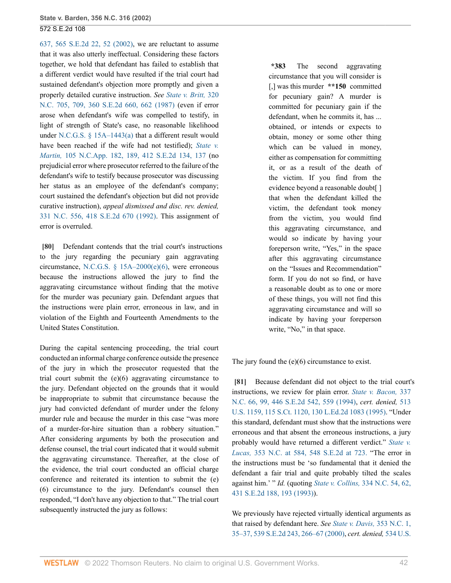[637, 565 S.E.2d 22, 52 \(2002\)](http://www.westlaw.com/Link/Document/FullText?findType=Y&serNum=2002415052&pubNum=0000711&originatingDoc=Ia3aa668203d211da83e7e9deff98dc6f&refType=RP&fi=co_pp_sp_711_52&originationContext=document&vr=3.0&rs=cblt1.0&transitionType=DocumentItem&contextData=(sc.FindAndPrintPortal)#co_pp_sp_711_52), we are reluctant to assume that it was also utterly ineffectual. Considering these factors together, we hold that defendant has failed to establish that a different verdict would have resulted if the trial court had sustained defendant's objection more promptly and given a properly detailed curative instruction. *See [State v. Britt,](http://www.westlaw.com/Link/Document/FullText?findType=Y&serNum=1987123884&pubNum=0000711&originatingDoc=Ia3aa668203d211da83e7e9deff98dc6f&refType=RP&fi=co_pp_sp_711_662&originationContext=document&vr=3.0&rs=cblt1.0&transitionType=DocumentItem&contextData=(sc.FindAndPrintPortal)#co_pp_sp_711_662)* 320 [N.C. 705, 709, 360 S.E.2d 660, 662 \(1987\)](http://www.westlaw.com/Link/Document/FullText?findType=Y&serNum=1987123884&pubNum=0000711&originatingDoc=Ia3aa668203d211da83e7e9deff98dc6f&refType=RP&fi=co_pp_sp_711_662&originationContext=document&vr=3.0&rs=cblt1.0&transitionType=DocumentItem&contextData=(sc.FindAndPrintPortal)#co_pp_sp_711_662) (even if error arose when defendant's wife was compelled to testify, in light of strength of State's case, no reasonable likelihood under [N.C.G.S. § 15A–1443\(a\)](http://www.westlaw.com/Link/Document/FullText?findType=L&pubNum=1000037&cite=NCSTS15A-1443&originatingDoc=Ia3aa668203d211da83e7e9deff98dc6f&refType=SP&originationContext=document&vr=3.0&rs=cblt1.0&transitionType=DocumentItem&contextData=(sc.FindAndPrintPortal)#co_pp_8b3b0000958a4) that a different result would have been reached if the wife had not testified); *[State v.](http://www.westlaw.com/Link/Document/FullText?findType=Y&serNum=1992028084&pubNum=0000711&originatingDoc=Ia3aa668203d211da83e7e9deff98dc6f&refType=RP&fi=co_pp_sp_711_137&originationContext=document&vr=3.0&rs=cblt1.0&transitionType=DocumentItem&contextData=(sc.FindAndPrintPortal)#co_pp_sp_711_137) Martin,* [105 N.C.App. 182, 189, 412 S.E.2d 134, 137](http://www.westlaw.com/Link/Document/FullText?findType=Y&serNum=1992028084&pubNum=0000711&originatingDoc=Ia3aa668203d211da83e7e9deff98dc6f&refType=RP&fi=co_pp_sp_711_137&originationContext=document&vr=3.0&rs=cblt1.0&transitionType=DocumentItem&contextData=(sc.FindAndPrintPortal)#co_pp_sp_711_137) (no prejudicial error where prosecutor referred to the failure of the defendant's wife to testify because prosecutor was discussing her status as an employee of the defendant's company; court sustained the defendant's objection but did not provide curative instruction), *appeal dismissed and disc. rev. denied,* [331 N.C. 556, 418 S.E.2d 670 \(1992\).](http://www.westlaw.com/Link/Document/FullText?findType=Y&serNum=1992122511&pubNum=0000711&originatingDoc=Ia3aa668203d211da83e7e9deff98dc6f&refType=RP&originationContext=document&vr=3.0&rs=cblt1.0&transitionType=DocumentItem&contextData=(sc.FindAndPrintPortal)) This assignment of error is overruled.

<span id="page-41-0"></span>**[\[80\]](#page-11-3)** Defendant contends that the trial court's instructions to the jury regarding the pecuniary gain aggravating circumstance, [N.C.G.S. § 15A–2000\(e\)\(6\),](http://www.westlaw.com/Link/Document/FullText?findType=L&pubNum=1000037&cite=NCSTS15A-2000&originatingDoc=Ia3aa668203d211da83e7e9deff98dc6f&refType=SP&originationContext=document&vr=3.0&rs=cblt1.0&transitionType=DocumentItem&contextData=(sc.FindAndPrintPortal)#co_pp_71db000052462) were erroneous because the instructions allowed the jury to find the aggravating circumstance without finding that the motive for the murder was pecuniary gain. Defendant argues that the instructions were plain error, erroneous in law, and in violation of the Eighth and Fourteenth Amendments to the United States Constitution.

During the capital sentencing proceeding, the trial court conducted an informal charge conference outside the presence of the jury in which the prosecutor requested that the trial court submit the (e)(6) aggravating circumstance to the jury. Defendant objected on the grounds that it would be inappropriate to submit that circumstance because the jury had convicted defendant of murder under the felony murder rule and because the murder in this case "was more of a murder-for-hire situation than a robbery situation." After considering arguments by both the prosecution and defense counsel, the trial court indicated that it would submit the aggravating circumstance. Thereafter, at the close of the evidence, the trial court conducted an official charge conference and reiterated its intention to submit the (e) (6) circumstance to the jury. Defendant's counsel then responded, "I don't have any objection to that." The trial court subsequently instructed the jury as follows:

**\*383** The second aggravating circumstance that you will consider is [,] was this murder **\*\*150** committed for pecuniary gain? A murder is committed for pecuniary gain if the defendant, when he commits it, has ... obtained, or intends or expects to obtain, money or some other thing which can be valued in money, either as compensation for committing it, or as a result of the death of the victim. If you find from the evidence beyond a reasonable doubt[ ] that when the defendant killed the victim, the defendant took money from the victim, you would find this aggravating circumstance, and would so indicate by having your foreperson write, "Yes," in the space after this aggravating circumstance on the "Issues and Recommendation" form. If you do not so find, or have a reasonable doubt as to one or more of these things, you will not find this aggravating circumstance and will so indicate by having your foreperson write, "No," in that space.

The jury found the (e)(6) circumstance to exist.

<span id="page-41-1"></span>**[\[81\]](#page-11-4)** Because defendant did not object to the trial court's instructions, we review for plain error. *[State v. Bacon,](http://www.westlaw.com/Link/Document/FullText?findType=Y&serNum=1994159983&pubNum=0000711&originatingDoc=Ia3aa668203d211da83e7e9deff98dc6f&refType=RP&fi=co_pp_sp_711_559&originationContext=document&vr=3.0&rs=cblt1.0&transitionType=DocumentItem&contextData=(sc.FindAndPrintPortal)#co_pp_sp_711_559)* 337 [N.C. 66, 99, 446 S.E.2d 542, 559 \(1994\)](http://www.westlaw.com/Link/Document/FullText?findType=Y&serNum=1994159983&pubNum=0000711&originatingDoc=Ia3aa668203d211da83e7e9deff98dc6f&refType=RP&fi=co_pp_sp_711_559&originationContext=document&vr=3.0&rs=cblt1.0&transitionType=DocumentItem&contextData=(sc.FindAndPrintPortal)#co_pp_sp_711_559), *cert. denied,* [513](http://www.westlaw.com/Link/Document/FullText?findType=Y&serNum=1994246165&pubNum=0000708&originatingDoc=Ia3aa668203d211da83e7e9deff98dc6f&refType=RP&originationContext=document&vr=3.0&rs=cblt1.0&transitionType=DocumentItem&contextData=(sc.FindAndPrintPortal)) [U.S. 1159, 115 S.Ct. 1120, 130 L.Ed.2d 1083 \(1995\).](http://www.westlaw.com/Link/Document/FullText?findType=Y&serNum=1994246165&pubNum=0000708&originatingDoc=Ia3aa668203d211da83e7e9deff98dc6f&refType=RP&originationContext=document&vr=3.0&rs=cblt1.0&transitionType=DocumentItem&contextData=(sc.FindAndPrintPortal)) "Under this standard, defendant must show that the instructions were erroneous and that absent the erroneous instructions, a jury probably would have returned a different verdict." *[State v.](http://www.westlaw.com/Link/Document/FullText?findType=Y&serNum=2001617348&pubNum=711&originatingDoc=Ia3aa668203d211da83e7e9deff98dc6f&refType=RP&fi=co_pp_sp_711_723&originationContext=document&vr=3.0&rs=cblt1.0&transitionType=DocumentItem&contextData=(sc.FindAndPrintPortal)#co_pp_sp_711_723) Lucas,* [353 N.C. at 584, 548 S.E.2d at 723.](http://www.westlaw.com/Link/Document/FullText?findType=Y&serNum=2001617348&pubNum=711&originatingDoc=Ia3aa668203d211da83e7e9deff98dc6f&refType=RP&fi=co_pp_sp_711_723&originationContext=document&vr=3.0&rs=cblt1.0&transitionType=DocumentItem&contextData=(sc.FindAndPrintPortal)#co_pp_sp_711_723) "The error in the instructions must be 'so fundamental that it denied the defendant a fair trial and quite probably tilted the scales against him.' " *Id.* (quoting *State v. Collins,* [334 N.C. 54, 62,](http://www.westlaw.com/Link/Document/FullText?findType=Y&serNum=1993136188&pubNum=0000711&originatingDoc=Ia3aa668203d211da83e7e9deff98dc6f&refType=RP&fi=co_pp_sp_711_193&originationContext=document&vr=3.0&rs=cblt1.0&transitionType=DocumentItem&contextData=(sc.FindAndPrintPortal)#co_pp_sp_711_193) [431 S.E.2d 188, 193 \(1993\)\)](http://www.westlaw.com/Link/Document/FullText?findType=Y&serNum=1993136188&pubNum=0000711&originatingDoc=Ia3aa668203d211da83e7e9deff98dc6f&refType=RP&fi=co_pp_sp_711_193&originationContext=document&vr=3.0&rs=cblt1.0&transitionType=DocumentItem&contextData=(sc.FindAndPrintPortal)#co_pp_sp_711_193).

We previously have rejected virtually identical arguments as that raised by defendant here. *See [State v. Davis,](http://www.westlaw.com/Link/Document/FullText?findType=Y&serNum=2001031887&pubNum=0000711&originatingDoc=Ia3aa668203d211da83e7e9deff98dc6f&refType=RP&fi=co_pp_sp_711_266&originationContext=document&vr=3.0&rs=cblt1.0&transitionType=DocumentItem&contextData=(sc.FindAndPrintPortal)#co_pp_sp_711_266)* 353 N.C. 1, [35–37, 539 S.E.2d 243, 266–67 \(2000\),](http://www.westlaw.com/Link/Document/FullText?findType=Y&serNum=2001031887&pubNum=0000711&originatingDoc=Ia3aa668203d211da83e7e9deff98dc6f&refType=RP&fi=co_pp_sp_711_266&originationContext=document&vr=3.0&rs=cblt1.0&transitionType=DocumentItem&contextData=(sc.FindAndPrintPortal)#co_pp_sp_711_266) *cert. denied,* [534 U.S.](http://www.westlaw.com/Link/Document/FullText?findType=Y&serNum=2001425888&pubNum=0000708&originatingDoc=Ia3aa668203d211da83e7e9deff98dc6f&refType=RP&originationContext=document&vr=3.0&rs=cblt1.0&transitionType=DocumentItem&contextData=(sc.FindAndPrintPortal))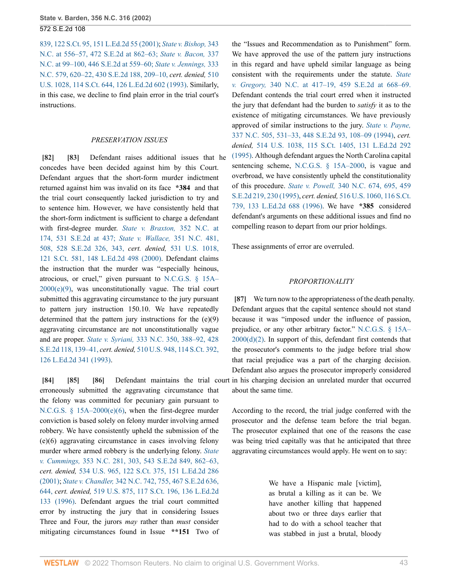[839, 122 S.Ct. 95, 151 L.Ed.2d 55 \(2001\);](http://www.westlaw.com/Link/Document/FullText?findType=Y&serNum=2001425888&pubNum=0000708&originatingDoc=Ia3aa668203d211da83e7e9deff98dc6f&refType=RP&originationContext=document&vr=3.0&rs=cblt1.0&transitionType=DocumentItem&contextData=(sc.FindAndPrintPortal)) *[State v. Bishop,](http://www.westlaw.com/Link/Document/FullText?findType=Y&serNum=1996171923&pubNum=711&originatingDoc=Ia3aa668203d211da83e7e9deff98dc6f&refType=RP&fi=co_pp_sp_711_862&originationContext=document&vr=3.0&rs=cblt1.0&transitionType=DocumentItem&contextData=(sc.FindAndPrintPortal)#co_pp_sp_711_862)* 343 [N.C. at 556–57, 472 S.E.2d at 862–63;](http://www.westlaw.com/Link/Document/FullText?findType=Y&serNum=1996171923&pubNum=711&originatingDoc=Ia3aa668203d211da83e7e9deff98dc6f&refType=RP&fi=co_pp_sp_711_862&originationContext=document&vr=3.0&rs=cblt1.0&transitionType=DocumentItem&contextData=(sc.FindAndPrintPortal)#co_pp_sp_711_862) *[State v. Bacon,](http://www.westlaw.com/Link/Document/FullText?findType=Y&serNum=1994159983&pubNum=711&originatingDoc=Ia3aa668203d211da83e7e9deff98dc6f&refType=RP&fi=co_pp_sp_711_559&originationContext=document&vr=3.0&rs=cblt1.0&transitionType=DocumentItem&contextData=(sc.FindAndPrintPortal)#co_pp_sp_711_559)* 337 [N.C. at 99–100, 446 S.E.2d at 559–60;](http://www.westlaw.com/Link/Document/FullText?findType=Y&serNum=1994159983&pubNum=711&originatingDoc=Ia3aa668203d211da83e7e9deff98dc6f&refType=RP&fi=co_pp_sp_711_559&originationContext=document&vr=3.0&rs=cblt1.0&transitionType=DocumentItem&contextData=(sc.FindAndPrintPortal)#co_pp_sp_711_559) *[State v. Jennings,](http://www.westlaw.com/Link/Document/FullText?findType=Y&serNum=1993117773&pubNum=711&originatingDoc=Ia3aa668203d211da83e7e9deff98dc6f&refType=RP&fi=co_pp_sp_711_209&originationContext=document&vr=3.0&rs=cblt1.0&transitionType=DocumentItem&contextData=(sc.FindAndPrintPortal)#co_pp_sp_711_209)* 333 [N.C. 579, 620–22, 430 S.E.2d 188, 209–10,](http://www.westlaw.com/Link/Document/FullText?findType=Y&serNum=1993117773&pubNum=711&originatingDoc=Ia3aa668203d211da83e7e9deff98dc6f&refType=RP&fi=co_pp_sp_711_209&originationContext=document&vr=3.0&rs=cblt1.0&transitionType=DocumentItem&contextData=(sc.FindAndPrintPortal)#co_pp_sp_711_209) *cert. denied,* [510](http://www.westlaw.com/Link/Document/FullText?findType=Y&serNum=1993209565&pubNum=0000708&originatingDoc=Ia3aa668203d211da83e7e9deff98dc6f&refType=RP&originationContext=document&vr=3.0&rs=cblt1.0&transitionType=DocumentItem&contextData=(sc.FindAndPrintPortal)) [U.S. 1028, 114 S.Ct. 644, 126 L.Ed.2d 602 \(1993\)](http://www.westlaw.com/Link/Document/FullText?findType=Y&serNum=1993209565&pubNum=0000708&originatingDoc=Ia3aa668203d211da83e7e9deff98dc6f&refType=RP&originationContext=document&vr=3.0&rs=cblt1.0&transitionType=DocumentItem&contextData=(sc.FindAndPrintPortal)). Similarly, in this case, we decline to find plain error in the trial court's instructions.

#### <span id="page-42-1"></span>*PRESERVATION ISSUES*

<span id="page-42-0"></span>**[\[82\]](#page-11-5) [\[83\]](#page-11-6)** Defendant raises additional issues that he concedes have been decided against him by this Court. Defendant argues that the short-form murder indictment returned against him was invalid on its face **\*384** and that the trial court consequently lacked jurisdiction to try and to sentence him. However, we have consistently held that the short-form indictment is sufficient to charge a defendant with first-degree murder. *[State v. Braxton,](http://www.westlaw.com/Link/Document/FullText?findType=Y&serNum=2000438061&pubNum=711&originatingDoc=Ia3aa668203d211da83e7e9deff98dc6f&refType=RP&fi=co_pp_sp_711_437&originationContext=document&vr=3.0&rs=cblt1.0&transitionType=DocumentItem&contextData=(sc.FindAndPrintPortal)#co_pp_sp_711_437)* 352 N.C. at [174, 531 S.E.2d at 437;](http://www.westlaw.com/Link/Document/FullText?findType=Y&serNum=2000438061&pubNum=711&originatingDoc=Ia3aa668203d211da83e7e9deff98dc6f&refType=RP&fi=co_pp_sp_711_437&originationContext=document&vr=3.0&rs=cblt1.0&transitionType=DocumentItem&contextData=(sc.FindAndPrintPortal)#co_pp_sp_711_437) *[State v. Wallace,](http://www.westlaw.com/Link/Document/FullText?findType=Y&serNum=2000302336&pubNum=711&originatingDoc=Ia3aa668203d211da83e7e9deff98dc6f&refType=RP&fi=co_pp_sp_711_343&originationContext=document&vr=3.0&rs=cblt1.0&transitionType=DocumentItem&contextData=(sc.FindAndPrintPortal)#co_pp_sp_711_343)* 351 N.C. 481, [508, 528 S.E.2d 326, 343,](http://www.westlaw.com/Link/Document/FullText?findType=Y&serNum=2000302336&pubNum=711&originatingDoc=Ia3aa668203d211da83e7e9deff98dc6f&refType=RP&fi=co_pp_sp_711_343&originationContext=document&vr=3.0&rs=cblt1.0&transitionType=DocumentItem&contextData=(sc.FindAndPrintPortal)#co_pp_sp_711_343) *cert. denied,* [531 U.S. 1018,](http://www.westlaw.com/Link/Document/FullText?findType=Y&serNum=2000559656&pubNum=0000708&originatingDoc=Ia3aa668203d211da83e7e9deff98dc6f&refType=RP&originationContext=document&vr=3.0&rs=cblt1.0&transitionType=DocumentItem&contextData=(sc.FindAndPrintPortal)) [121 S.Ct. 581, 148 L.Ed.2d 498 \(2000\).](http://www.westlaw.com/Link/Document/FullText?findType=Y&serNum=2000559656&pubNum=0000708&originatingDoc=Ia3aa668203d211da83e7e9deff98dc6f&refType=RP&originationContext=document&vr=3.0&rs=cblt1.0&transitionType=DocumentItem&contextData=(sc.FindAndPrintPortal)) Defendant claims the instruction that the murder was "especially heinous, atrocious, or cruel," given pursuant to [N.C.G.S. § 15A–](http://www.westlaw.com/Link/Document/FullText?findType=L&pubNum=1000037&cite=NCSTS15A-2000&originatingDoc=Ia3aa668203d211da83e7e9deff98dc6f&refType=SP&originationContext=document&vr=3.0&rs=cblt1.0&transitionType=DocumentItem&contextData=(sc.FindAndPrintPortal)#co_pp_fab00000b4d46)  $2000(e)(9)$ , was unconstitutionally vague. The trial court submitted this aggravating circumstance to the jury pursuant to pattern jury instruction 150.10. We have repeatedly determined that the pattern jury instructions for the (e)(9) aggravating circumstance are not unconstitutionally vague and are proper. *State v. Syriani,* [333 N.C. 350, 388–92, 428](http://www.westlaw.com/Link/Document/FullText?findType=Y&serNum=1993067160&pubNum=711&originatingDoc=Ia3aa668203d211da83e7e9deff98dc6f&refType=RP&fi=co_pp_sp_711_139&originationContext=document&vr=3.0&rs=cblt1.0&transitionType=DocumentItem&contextData=(sc.FindAndPrintPortal)#co_pp_sp_711_139) [S.E.2d 118, 139–41,](http://www.westlaw.com/Link/Document/FullText?findType=Y&serNum=1993067160&pubNum=711&originatingDoc=Ia3aa668203d211da83e7e9deff98dc6f&refType=RP&fi=co_pp_sp_711_139&originationContext=document&vr=3.0&rs=cblt1.0&transitionType=DocumentItem&contextData=(sc.FindAndPrintPortal)#co_pp_sp_711_139) *cert. denied,* [510 U.S. 948, 114 S.Ct. 392,](http://www.westlaw.com/Link/Document/FullText?findType=Y&serNum=1993140628&pubNum=0000708&originatingDoc=Ia3aa668203d211da83e7e9deff98dc6f&refType=RP&originationContext=document&vr=3.0&rs=cblt1.0&transitionType=DocumentItem&contextData=(sc.FindAndPrintPortal)) [126 L.Ed.2d 341 \(1993\)](http://www.westlaw.com/Link/Document/FullText?findType=Y&serNum=1993140628&pubNum=0000708&originatingDoc=Ia3aa668203d211da83e7e9deff98dc6f&refType=RP&originationContext=document&vr=3.0&rs=cblt1.0&transitionType=DocumentItem&contextData=(sc.FindAndPrintPortal)).

<span id="page-42-4"></span><span id="page-42-3"></span><span id="page-42-2"></span>erroneously submitted the aggravating circumstance that the felony was committed for pecuniary gain pursuant to [N.C.G.S. § 15A–2000\(e\)\(6\)](http://www.westlaw.com/Link/Document/FullText?findType=L&pubNum=1000037&cite=NCSTS15A-2000&originatingDoc=Ia3aa668203d211da83e7e9deff98dc6f&refType=SP&originationContext=document&vr=3.0&rs=cblt1.0&transitionType=DocumentItem&contextData=(sc.FindAndPrintPortal)#co_pp_71db000052462), when the first-degree murder conviction is based solely on felony murder involving armed robbery. We have consistently upheld the submission of the (e)(6) aggravating circumstance in cases involving felony murder where armed robbery is the underlying felony. *[State](http://www.westlaw.com/Link/Document/FullText?findType=Y&serNum=2001291122&pubNum=711&originatingDoc=Ia3aa668203d211da83e7e9deff98dc6f&refType=RP&fi=co_pp_sp_711_862&originationContext=document&vr=3.0&rs=cblt1.0&transitionType=DocumentItem&contextData=(sc.FindAndPrintPortal)#co_pp_sp_711_862) v. Cummings,* [353 N.C. 281, 303, 543 S.E.2d 849, 862–63,](http://www.westlaw.com/Link/Document/FullText?findType=Y&serNum=2001291122&pubNum=711&originatingDoc=Ia3aa668203d211da83e7e9deff98dc6f&refType=RP&fi=co_pp_sp_711_862&originationContext=document&vr=3.0&rs=cblt1.0&transitionType=DocumentItem&contextData=(sc.FindAndPrintPortal)#co_pp_sp_711_862) *cert. denied,* [534 U.S. 965, 122 S.Ct. 375, 151 L.Ed.2d 286](http://www.westlaw.com/Link/Document/FullText?findType=Y&serNum=2001781079&pubNum=0000708&originatingDoc=Ia3aa668203d211da83e7e9deff98dc6f&refType=RP&originationContext=document&vr=3.0&rs=cblt1.0&transitionType=DocumentItem&contextData=(sc.FindAndPrintPortal)) [\(2001\);](http://www.westlaw.com/Link/Document/FullText?findType=Y&serNum=2001781079&pubNum=0000708&originatingDoc=Ia3aa668203d211da83e7e9deff98dc6f&refType=RP&originationContext=document&vr=3.0&rs=cblt1.0&transitionType=DocumentItem&contextData=(sc.FindAndPrintPortal)) *State v. Chandler,* [342 N.C. 742, 755, 467 S.E.2d 636,](http://www.westlaw.com/Link/Document/FullText?findType=Y&serNum=1996066223&pubNum=711&originatingDoc=Ia3aa668203d211da83e7e9deff98dc6f&refType=RP&fi=co_pp_sp_711_644&originationContext=document&vr=3.0&rs=cblt1.0&transitionType=DocumentItem&contextData=(sc.FindAndPrintPortal)#co_pp_sp_711_644) [644,](http://www.westlaw.com/Link/Document/FullText?findType=Y&serNum=1996066223&pubNum=711&originatingDoc=Ia3aa668203d211da83e7e9deff98dc6f&refType=RP&fi=co_pp_sp_711_644&originationContext=document&vr=3.0&rs=cblt1.0&transitionType=DocumentItem&contextData=(sc.FindAndPrintPortal)#co_pp_sp_711_644) *cert. denied,* [519 U.S. 875, 117 S.Ct. 196, 136 L.Ed.2d](http://www.westlaw.com/Link/Document/FullText?findType=Y&serNum=1996161000&pubNum=0000708&originatingDoc=Ia3aa668203d211da83e7e9deff98dc6f&refType=RP&originationContext=document&vr=3.0&rs=cblt1.0&transitionType=DocumentItem&contextData=(sc.FindAndPrintPortal)) [133 \(1996\)](http://www.westlaw.com/Link/Document/FullText?findType=Y&serNum=1996161000&pubNum=0000708&originatingDoc=Ia3aa668203d211da83e7e9deff98dc6f&refType=RP&originationContext=document&vr=3.0&rs=cblt1.0&transitionType=DocumentItem&contextData=(sc.FindAndPrintPortal)). Defendant argues the trial court committed error by instructing the jury that in considering Issues Three and Four, the jurors *may* rather than *must* consider mitigating circumstances found in Issue **\*\*151** Two of

the "Issues and Recommendation as to Punishment" form. We have approved the use of the pattern jury instructions in this regard and have upheld similar language as being consistent with the requirements under the statute. *[State](http://www.westlaw.com/Link/Document/FullText?findType=Y&serNum=1995156522&pubNum=711&originatingDoc=Ia3aa668203d211da83e7e9deff98dc6f&refType=RP&fi=co_pp_sp_711_668&originationContext=document&vr=3.0&rs=cblt1.0&transitionType=DocumentItem&contextData=(sc.FindAndPrintPortal)#co_pp_sp_711_668) v. Gregory,* [340 N.C. at 417–19, 459 S.E.2d at 668–69.](http://www.westlaw.com/Link/Document/FullText?findType=Y&serNum=1995156522&pubNum=711&originatingDoc=Ia3aa668203d211da83e7e9deff98dc6f&refType=RP&fi=co_pp_sp_711_668&originationContext=document&vr=3.0&rs=cblt1.0&transitionType=DocumentItem&contextData=(sc.FindAndPrintPortal)#co_pp_sp_711_668) Defendant contends the trial court erred when it instructed the jury that defendant had the burden to *satisfy* it as to the existence of mitigating circumstances. We have previously approved of similar instructions to the jury. *[State v. Payne,](http://www.westlaw.com/Link/Document/FullText?findType=Y&serNum=1994183310&pubNum=0000711&originatingDoc=Ia3aa668203d211da83e7e9deff98dc6f&refType=RP&fi=co_pp_sp_711_108&originationContext=document&vr=3.0&rs=cblt1.0&transitionType=DocumentItem&contextData=(sc.FindAndPrintPortal)#co_pp_sp_711_108)* [337 N.C. 505, 531–33, 448 S.E.2d 93, 108–09 \(1994\)](http://www.westlaw.com/Link/Document/FullText?findType=Y&serNum=1994183310&pubNum=0000711&originatingDoc=Ia3aa668203d211da83e7e9deff98dc6f&refType=RP&fi=co_pp_sp_711_108&originationContext=document&vr=3.0&rs=cblt1.0&transitionType=DocumentItem&contextData=(sc.FindAndPrintPortal)#co_pp_sp_711_108), *cert. denied,* [514 U.S. 1038, 115 S.Ct. 1405, 131 L.Ed.2d 292](http://www.westlaw.com/Link/Document/FullText?findType=Y&serNum=1995045449&pubNum=0000708&originatingDoc=Ia3aa668203d211da83e7e9deff98dc6f&refType=RP&originationContext=document&vr=3.0&rs=cblt1.0&transitionType=DocumentItem&contextData=(sc.FindAndPrintPortal)) [\(1995\).](http://www.westlaw.com/Link/Document/FullText?findType=Y&serNum=1995045449&pubNum=0000708&originatingDoc=Ia3aa668203d211da83e7e9deff98dc6f&refType=RP&originationContext=document&vr=3.0&rs=cblt1.0&transitionType=DocumentItem&contextData=(sc.FindAndPrintPortal)) Although defendant argues the North Carolina capital sentencing scheme, [N.C.G.S. § 15A–2000,](http://www.westlaw.com/Link/Document/FullText?findType=L&pubNum=1000037&cite=NCSTS15A-2000&originatingDoc=Ia3aa668203d211da83e7e9deff98dc6f&refType=LQ&originationContext=document&vr=3.0&rs=cblt1.0&transitionType=DocumentItem&contextData=(sc.FindAndPrintPortal)) is vague and overbroad, we have consistently upheld the constitutionality of this procedure. *State v. Powell,* [340 N.C. 674, 695, 459](http://www.westlaw.com/Link/Document/FullText?findType=Y&serNum=1995156521&pubNum=0000711&originatingDoc=Ia3aa668203d211da83e7e9deff98dc6f&refType=RP&fi=co_pp_sp_711_230&originationContext=document&vr=3.0&rs=cblt1.0&transitionType=DocumentItem&contextData=(sc.FindAndPrintPortal)#co_pp_sp_711_230) [S.E.2d 219, 230 \(1995\)](http://www.westlaw.com/Link/Document/FullText?findType=Y&serNum=1995156521&pubNum=0000711&originatingDoc=Ia3aa668203d211da83e7e9deff98dc6f&refType=RP&fi=co_pp_sp_711_230&originationContext=document&vr=3.0&rs=cblt1.0&transitionType=DocumentItem&contextData=(sc.FindAndPrintPortal)#co_pp_sp_711_230), *cert. denied,* [516 U.S. 1060, 116 S.Ct.](http://www.westlaw.com/Link/Document/FullText?findType=Y&serNum=1995234451&pubNum=0000708&originatingDoc=Ia3aa668203d211da83e7e9deff98dc6f&refType=RP&originationContext=document&vr=3.0&rs=cblt1.0&transitionType=DocumentItem&contextData=(sc.FindAndPrintPortal)) [739, 133 L.Ed.2d 688 \(1996\).](http://www.westlaw.com/Link/Document/FullText?findType=Y&serNum=1995234451&pubNum=0000708&originatingDoc=Ia3aa668203d211da83e7e9deff98dc6f&refType=RP&originationContext=document&vr=3.0&rs=cblt1.0&transitionType=DocumentItem&contextData=(sc.FindAndPrintPortal)) We have **\*385** considered defendant's arguments on these additional issues and find no compelling reason to depart from our prior holdings.

These assignments of error are overruled.

#### <span id="page-42-5"></span>*PROPORTIONALITY*

**[\[84\]](#page-11-7) [\[85\]](#page-11-8) [\[86\]](#page-11-9)** Defendant maintains the trial court in his charging decision an unrelated murder that occurred **[\[87\]](#page-12-0)** We turn now to the appropriateness of the death penalty. Defendant argues that the capital sentence should not stand because it was "imposed under the influence of passion, prejudice, or any other arbitrary factor." [N.C.G.S. § 15A–](http://www.westlaw.com/Link/Document/FullText?findType=L&pubNum=1000037&cite=NCSTS15A-2000&originatingDoc=Ia3aa668203d211da83e7e9deff98dc6f&refType=SP&originationContext=document&vr=3.0&rs=cblt1.0&transitionType=DocumentItem&contextData=(sc.FindAndPrintPortal)#co_pp_4be3000003be5)  $2000(d)(2)$ . In support of this, defendant first contends that the prosecutor's comments to the judge before trial show that racial prejudice was a part of the charging decision. Defendant also argues the prosecutor improperly considered about the same time.

> According to the record, the trial judge conferred with the prosecutor and the defense team before the trial began. The prosecutor explained that one of the reasons the case was being tried capitally was that he anticipated that three aggravating circumstances would apply. He went on to say:

> > We have a Hispanic male [victim], as brutal a killing as it can be. We have another killing that happened about two or three days earlier that had to do with a school teacher that was stabbed in just a brutal, bloody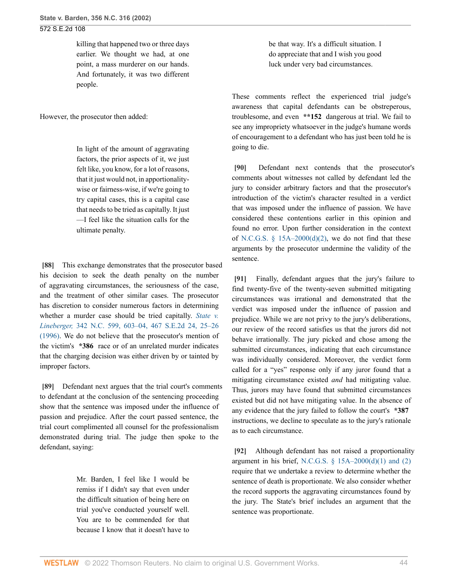killing that happened two or three days earlier. We thought we had, at one point, a mass murderer on our hands. And fortunately, it was two different people.

However, the prosecutor then added:

In light of the amount of aggravating factors, the prior aspects of it, we just felt like, you know, for a lot of reasons, that it just would not, in apportionalitywise or fairness-wise, if we're going to try capital cases, this is a capital case that needs to be tried as capitally. It just —I feel like the situation calls for the ultimate penalty.

<span id="page-43-0"></span>**[\[88\]](#page-12-1)** This exchange demonstrates that the prosecutor based his decision to seek the death penalty on the number of aggravating circumstances, the seriousness of the case, and the treatment of other similar cases. The prosecutor has discretion to consider numerous factors in determining whether a murder case should be tried capitally. *[State v.](http://www.westlaw.com/Link/Document/FullText?findType=Y&serNum=1996048880&pubNum=0000711&originatingDoc=Ia3aa668203d211da83e7e9deff98dc6f&refType=RP&fi=co_pp_sp_711_25&originationContext=document&vr=3.0&rs=cblt1.0&transitionType=DocumentItem&contextData=(sc.FindAndPrintPortal)#co_pp_sp_711_25) Lineberger,* [342 N.C. 599, 603–04, 467 S.E.2d 24, 25–26](http://www.westlaw.com/Link/Document/FullText?findType=Y&serNum=1996048880&pubNum=0000711&originatingDoc=Ia3aa668203d211da83e7e9deff98dc6f&refType=RP&fi=co_pp_sp_711_25&originationContext=document&vr=3.0&rs=cblt1.0&transitionType=DocumentItem&contextData=(sc.FindAndPrintPortal)#co_pp_sp_711_25) [\(1996\).](http://www.westlaw.com/Link/Document/FullText?findType=Y&serNum=1996048880&pubNum=0000711&originatingDoc=Ia3aa668203d211da83e7e9deff98dc6f&refType=RP&fi=co_pp_sp_711_25&originationContext=document&vr=3.0&rs=cblt1.0&transitionType=DocumentItem&contextData=(sc.FindAndPrintPortal)#co_pp_sp_711_25) We do not believe that the prosecutor's mention of the victim's **\*386** race or of an unrelated murder indicates that the charging decision was either driven by or tainted by improper factors.

<span id="page-43-1"></span>**[\[89\]](#page-12-2)** Defendant next argues that the trial court's comments to defendant at the conclusion of the sentencing proceeding show that the sentence was imposed under the influence of passion and prejudice. After the court passed sentence, the trial court complimented all counsel for the professionalism demonstrated during trial. The judge then spoke to the defendant, saying:

> Mr. Barden, I feel like I would be remiss if I didn't say that even under the difficult situation of being here on trial you've conducted yourself well. You are to be commended for that because I know that it doesn't have to

be that way. It's a difficult situation. I do appreciate that and I wish you good luck under very bad circumstances.

These comments reflect the experienced trial judge's awareness that capital defendants can be obstreperous, troublesome, and even **\*\*152** dangerous at trial. We fail to see any impropriety whatsoever in the judge's humane words of encouragement to a defendant who has just been told he is going to die.

<span id="page-43-2"></span>**[\[90\]](#page-12-3)** Defendant next contends that the prosecutor's comments about witnesses not called by defendant led the jury to consider arbitrary factors and that the prosecutor's introduction of the victim's character resulted in a verdict that was imposed under the influence of passion. We have considered these contentions earlier in this opinion and found no error. Upon further consideration in the context of N.C.G.S.  $\S$  15A–2000(d)(2), we do not find that these arguments by the prosecutor undermine the validity of the sentence.

<span id="page-43-3"></span>**[\[91\]](#page-12-4)** Finally, defendant argues that the jury's failure to find twenty-five of the twenty-seven submitted mitigating circumstances was irrational and demonstrated that the verdict was imposed under the influence of passion and prejudice. While we are not privy to the jury's deliberations, our review of the record satisfies us that the jurors did not behave irrationally. The jury picked and chose among the submitted circumstances, indicating that each circumstance was individually considered. Moreover, the verdict form called for a "yes" response only if any juror found that a mitigating circumstance existed *and* had mitigating value. Thus, jurors may have found that submitted circumstances existed but did not have mitigating value. In the absence of any evidence that the jury failed to follow the court's **\*387** instructions, we decline to speculate as to the jury's rationale as to each circumstance.

<span id="page-43-4"></span>**[\[92\]](#page-12-5)** Although defendant has not raised a proportionality argument in his brief, N.C.G.S.  $\S$  15A–2000(d)(1) and (2) require that we undertake a review to determine whether the sentence of death is proportionate. We also consider whether the record supports the aggravating circumstances found by the jury. The State's brief includes an argument that the sentence was proportionate.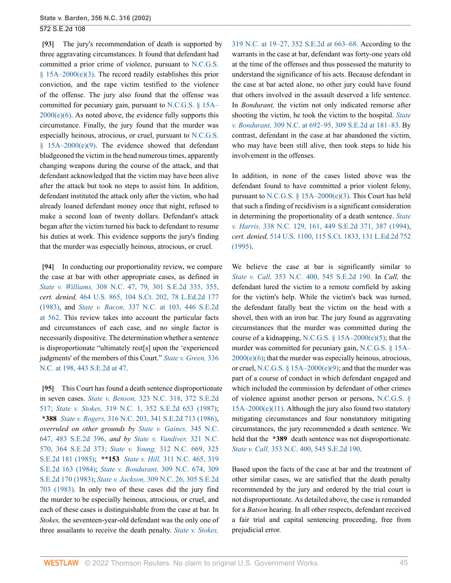<span id="page-44-0"></span>**[\[93\]](#page-12-6)** The jury's recommendation of death is supported by three aggravating circumstances. It found that defendant had committed a prior crime of violence, pursuant to [N.C.G.S.](http://www.westlaw.com/Link/Document/FullText?findType=L&pubNum=1000037&cite=NCSTS15A-2000&originatingDoc=Ia3aa668203d211da83e7e9deff98dc6f&refType=SP&originationContext=document&vr=3.0&rs=cblt1.0&transitionType=DocumentItem&contextData=(sc.FindAndPrintPortal)#co_pp_4b250000f9dd6)  $§$  15A–2000(e)(3). The record readily establishes this prior conviction, and the rape victim testified to the violence of the offense. The jury also found that the offense was committed for pecuniary gain, pursuant to [N.C.G.S. § 15A–](http://www.westlaw.com/Link/Document/FullText?findType=L&pubNum=1000037&cite=NCSTS15A-2000&originatingDoc=Ia3aa668203d211da83e7e9deff98dc6f&refType=SP&originationContext=document&vr=3.0&rs=cblt1.0&transitionType=DocumentItem&contextData=(sc.FindAndPrintPortal)#co_pp_71db000052462)  $2000(e)(6)$ . As noted above, the evidence fully supports this circumstance. Finally, the jury found that the murder was especially heinous, atrocious, or cruel, pursuant to [N.C.G.S.](http://www.westlaw.com/Link/Document/FullText?findType=L&pubNum=1000037&cite=NCSTS15A-2000&originatingDoc=Ia3aa668203d211da83e7e9deff98dc6f&refType=SP&originationContext=document&vr=3.0&rs=cblt1.0&transitionType=DocumentItem&contextData=(sc.FindAndPrintPortal)#co_pp_fab00000b4d46)  $§$  15A–2000(e)(9). The evidence showed that defendant bludgeoned the victim in the head numerous times, apparently changing weapons during the course of the attack, and that defendant acknowledged that the victim may have been alive after the attack but took no steps to assist him. In addition, defendant instituted the attack only after the victim, who had already loaned defendant money once that night, refused to make a second loan of twenty dollars. Defendant's attack began after the victim turned his back to defendant to resume his duties at work. This evidence supports the jury's finding that the murder was especially heinous, atrocious, or cruel.

<span id="page-44-1"></span>**[\[94\]](#page-13-0)** In conducting our proportionality review, we compare the case at bar with other appropriate cases, as defined in *State v. Williams,* [308 N.C. 47, 79, 301 S.E.2d 335, 355,](http://www.westlaw.com/Link/Document/FullText?findType=Y&serNum=1983116662&pubNum=711&originatingDoc=Ia3aa668203d211da83e7e9deff98dc6f&refType=RP&fi=co_pp_sp_711_355&originationContext=document&vr=3.0&rs=cblt1.0&transitionType=DocumentItem&contextData=(sc.FindAndPrintPortal)#co_pp_sp_711_355) *cert. denied,* [464 U.S. 865, 104 S.Ct. 202, 78 L.Ed.2d 177](http://www.westlaw.com/Link/Document/FullText?findType=Y&serNum=1983234900&pubNum=0000708&originatingDoc=Ia3aa668203d211da83e7e9deff98dc6f&refType=RP&originationContext=document&vr=3.0&rs=cblt1.0&transitionType=DocumentItem&contextData=(sc.FindAndPrintPortal)) [\(1983\),](http://www.westlaw.com/Link/Document/FullText?findType=Y&serNum=1983234900&pubNum=0000708&originatingDoc=Ia3aa668203d211da83e7e9deff98dc6f&refType=RP&originationContext=document&vr=3.0&rs=cblt1.0&transitionType=DocumentItem&contextData=(sc.FindAndPrintPortal)) and *State v. Bacon,* [337 N.C. at 103, 446 S.E.2d](http://www.westlaw.com/Link/Document/FullText?findType=Y&serNum=1994159983&pubNum=711&originatingDoc=Ia3aa668203d211da83e7e9deff98dc6f&refType=RP&fi=co_pp_sp_711_562&originationContext=document&vr=3.0&rs=cblt1.0&transitionType=DocumentItem&contextData=(sc.FindAndPrintPortal)#co_pp_sp_711_562) [at 562.](http://www.westlaw.com/Link/Document/FullText?findType=Y&serNum=1994159983&pubNum=711&originatingDoc=Ia3aa668203d211da83e7e9deff98dc6f&refType=RP&fi=co_pp_sp_711_562&originationContext=document&vr=3.0&rs=cblt1.0&transitionType=DocumentItem&contextData=(sc.FindAndPrintPortal)#co_pp_sp_711_562) This review takes into account the particular facts and circumstances of each case, and no single factor is necessarily dispositive. The determination whether a sentence is disproportionate "ultimately rest[s] upon the 'experienced judgments' of the members of this Court." *[State v. Green,](http://www.westlaw.com/Link/Document/FullText?findType=Y&serNum=1994103814&pubNum=0000711&originatingDoc=Ia3aa668203d211da83e7e9deff98dc6f&refType=RP&fi=co_pp_sp_711_47&originationContext=document&vr=3.0&rs=cblt1.0&transitionType=DocumentItem&contextData=(sc.FindAndPrintPortal)#co_pp_sp_711_47)* 336 [N.C. at 198, 443 S.E.2d at 47](http://www.westlaw.com/Link/Document/FullText?findType=Y&serNum=1994103814&pubNum=0000711&originatingDoc=Ia3aa668203d211da83e7e9deff98dc6f&refType=RP&fi=co_pp_sp_711_47&originationContext=document&vr=3.0&rs=cblt1.0&transitionType=DocumentItem&contextData=(sc.FindAndPrintPortal)#co_pp_sp_711_47).

<span id="page-44-2"></span>**[\[95\]](#page-13-1)** This Court has found a death sentence disproportionate in seven cases. *State v. Benson,* [323 N.C. 318, 372 S.E.2d](http://www.westlaw.com/Link/Document/FullText?findType=Y&serNum=1988128247&pubNum=711&originatingDoc=Ia3aa668203d211da83e7e9deff98dc6f&refType=RP&originationContext=document&vr=3.0&rs=cblt1.0&transitionType=DocumentItem&contextData=(sc.FindAndPrintPortal)) [517;](http://www.westlaw.com/Link/Document/FullText?findType=Y&serNum=1988128247&pubNum=711&originatingDoc=Ia3aa668203d211da83e7e9deff98dc6f&refType=RP&originationContext=document&vr=3.0&rs=cblt1.0&transitionType=DocumentItem&contextData=(sc.FindAndPrintPortal)) *State v. Stokes,* [319 N.C. 1, 352 S.E.2d 653 \(1987\)](http://www.westlaw.com/Link/Document/FullText?findType=Y&serNum=1987016096&pubNum=0000711&originatingDoc=Ia3aa668203d211da83e7e9deff98dc6f&refType=RP&originationContext=document&vr=3.0&rs=cblt1.0&transitionType=DocumentItem&contextData=(sc.FindAndPrintPortal)); **\*388** *State v. Rogers,* [316 N.C. 203, 341 S.E.2d 713 \(1986\)](http://www.westlaw.com/Link/Document/FullText?findType=Y&serNum=1986118162&pubNum=0000711&originatingDoc=Ia3aa668203d211da83e7e9deff98dc6f&refType=RP&originationContext=document&vr=3.0&rs=cblt1.0&transitionType=DocumentItem&contextData=(sc.FindAndPrintPortal)), *overruled on other grounds by [State v. Gaines,](http://www.westlaw.com/Link/Document/FullText?findType=Y&serNum=1997089634&pubNum=711&originatingDoc=Ia3aa668203d211da83e7e9deff98dc6f&refType=RP&originationContext=document&vr=3.0&rs=cblt1.0&transitionType=DocumentItem&contextData=(sc.FindAndPrintPortal))* 345 N.C. [647, 483 S.E.2d 396,](http://www.westlaw.com/Link/Document/FullText?findType=Y&serNum=1997089634&pubNum=711&originatingDoc=Ia3aa668203d211da83e7e9deff98dc6f&refType=RP&originationContext=document&vr=3.0&rs=cblt1.0&transitionType=DocumentItem&contextData=(sc.FindAndPrintPortal)) *and by [State v. Vandiver,](http://www.westlaw.com/Link/Document/FullText?findType=Y&serNum=1988019269&pubNum=711&originatingDoc=Ia3aa668203d211da83e7e9deff98dc6f&refType=RP&originationContext=document&vr=3.0&rs=cblt1.0&transitionType=DocumentItem&contextData=(sc.FindAndPrintPortal))* 321 N.C. [570, 364 S.E.2d 373;](http://www.westlaw.com/Link/Document/FullText?findType=Y&serNum=1988019269&pubNum=711&originatingDoc=Ia3aa668203d211da83e7e9deff98dc6f&refType=RP&originationContext=document&vr=3.0&rs=cblt1.0&transitionType=DocumentItem&contextData=(sc.FindAndPrintPortal)) *State v. Young,* [312 N.C. 669, 325](http://www.westlaw.com/Link/Document/FullText?findType=Y&serNum=1985106604&pubNum=0000711&originatingDoc=Ia3aa668203d211da83e7e9deff98dc6f&refType=RP&originationContext=document&vr=3.0&rs=cblt1.0&transitionType=DocumentItem&contextData=(sc.FindAndPrintPortal)) [S.E.2d 181 \(1985\)](http://www.westlaw.com/Link/Document/FullText?findType=Y&serNum=1985106604&pubNum=0000711&originatingDoc=Ia3aa668203d211da83e7e9deff98dc6f&refType=RP&originationContext=document&vr=3.0&rs=cblt1.0&transitionType=DocumentItem&contextData=(sc.FindAndPrintPortal)); **\*\*153** *State v. Hill,* [311 N.C. 465, 319](http://www.westlaw.com/Link/Document/FullText?findType=Y&serNum=1984142305&pubNum=0000711&originatingDoc=Ia3aa668203d211da83e7e9deff98dc6f&refType=RP&originationContext=document&vr=3.0&rs=cblt1.0&transitionType=DocumentItem&contextData=(sc.FindAndPrintPortal)) [S.E.2d 163 \(1984\);](http://www.westlaw.com/Link/Document/FullText?findType=Y&serNum=1984142305&pubNum=0000711&originatingDoc=Ia3aa668203d211da83e7e9deff98dc6f&refType=RP&originationContext=document&vr=3.0&rs=cblt1.0&transitionType=DocumentItem&contextData=(sc.FindAndPrintPortal)) *State v. Bondurant,* [309 N.C. 674, 309](http://www.westlaw.com/Link/Document/FullText?findType=Y&serNum=1983155970&pubNum=0000711&originatingDoc=Ia3aa668203d211da83e7e9deff98dc6f&refType=RP&originationContext=document&vr=3.0&rs=cblt1.0&transitionType=DocumentItem&contextData=(sc.FindAndPrintPortal)) [S.E.2d 170 \(1983\);](http://www.westlaw.com/Link/Document/FullText?findType=Y&serNum=1983155970&pubNum=0000711&originatingDoc=Ia3aa668203d211da83e7e9deff98dc6f&refType=RP&originationContext=document&vr=3.0&rs=cblt1.0&transitionType=DocumentItem&contextData=(sc.FindAndPrintPortal)) *State v. Jackson,* [309 N.C. 26, 305 S.E.2d](http://www.westlaw.com/Link/Document/FullText?findType=Y&serNum=1983139139&pubNum=0000711&originatingDoc=Ia3aa668203d211da83e7e9deff98dc6f&refType=RP&originationContext=document&vr=3.0&rs=cblt1.0&transitionType=DocumentItem&contextData=(sc.FindAndPrintPortal)) [703 \(1983\)](http://www.westlaw.com/Link/Document/FullText?findType=Y&serNum=1983139139&pubNum=0000711&originatingDoc=Ia3aa668203d211da83e7e9deff98dc6f&refType=RP&originationContext=document&vr=3.0&rs=cblt1.0&transitionType=DocumentItem&contextData=(sc.FindAndPrintPortal)). In only two of these cases did the jury find the murder to be especially heinous, atrocious, or cruel, and each of these cases is distinguishable from the case at bar. In *Stokes,* the seventeen-year-old defendant was the only one of three assailants to receive the death penalty. *[State v. Stokes,](http://www.westlaw.com/Link/Document/FullText?findType=Y&serNum=1987016096&pubNum=711&originatingDoc=Ia3aa668203d211da83e7e9deff98dc6f&refType=RP&fi=co_pp_sp_711_663&originationContext=document&vr=3.0&rs=cblt1.0&transitionType=DocumentItem&contextData=(sc.FindAndPrintPortal)#co_pp_sp_711_663)*

[319 N.C. at 19–27, 352 S.E.2d at 663–68.](http://www.westlaw.com/Link/Document/FullText?findType=Y&serNum=1987016096&pubNum=711&originatingDoc=Ia3aa668203d211da83e7e9deff98dc6f&refType=RP&fi=co_pp_sp_711_663&originationContext=document&vr=3.0&rs=cblt1.0&transitionType=DocumentItem&contextData=(sc.FindAndPrintPortal)#co_pp_sp_711_663) According to the warrants in the case at bar, defendant was forty-one years old at the time of the offenses and thus possessed the maturity to understand the significance of his acts. Because defendant in the case at bar acted alone, no other jury could have found that others involved in the assault deserved a life sentence. In *Bondurant,* the victim not only indicated remorse after shooting the victim, he took the victim to the hospital. *[State](http://www.westlaw.com/Link/Document/FullText?findType=Y&serNum=1983155970&pubNum=711&originatingDoc=Ia3aa668203d211da83e7e9deff98dc6f&refType=RP&fi=co_pp_sp_711_181&originationContext=document&vr=3.0&rs=cblt1.0&transitionType=DocumentItem&contextData=(sc.FindAndPrintPortal)#co_pp_sp_711_181) v. Bondurant,* [309 N.C. at 692–95, 309 S.E.2d at 181–83.](http://www.westlaw.com/Link/Document/FullText?findType=Y&serNum=1983155970&pubNum=711&originatingDoc=Ia3aa668203d211da83e7e9deff98dc6f&refType=RP&fi=co_pp_sp_711_181&originationContext=document&vr=3.0&rs=cblt1.0&transitionType=DocumentItem&contextData=(sc.FindAndPrintPortal)#co_pp_sp_711_181) By contrast, defendant in the case at bar abandoned the victim, who may have been still alive, then took steps to hide his involvement in the offenses.

In addition, in none of the cases listed above was the defendant found to have committed a prior violent felony, pursuant to N.C.G.S.  $\S$  15A–2000(e)(3). This Court has held that such a finding of recidivism is a significant consideration in determining the proportionality of a death sentence. *[State](http://www.westlaw.com/Link/Document/FullText?findType=Y&serNum=1994218898&pubNum=0000711&originatingDoc=Ia3aa668203d211da83e7e9deff98dc6f&refType=RP&fi=co_pp_sp_711_387&originationContext=document&vr=3.0&rs=cblt1.0&transitionType=DocumentItem&contextData=(sc.FindAndPrintPortal)#co_pp_sp_711_387) v. Harris,* [338 N.C. 129, 161, 449 S.E.2d 371, 387 \(1994\),](http://www.westlaw.com/Link/Document/FullText?findType=Y&serNum=1994218898&pubNum=0000711&originatingDoc=Ia3aa668203d211da83e7e9deff98dc6f&refType=RP&fi=co_pp_sp_711_387&originationContext=document&vr=3.0&rs=cblt1.0&transitionType=DocumentItem&contextData=(sc.FindAndPrintPortal)#co_pp_sp_711_387) *cert. denied,* [514 U.S. 1100, 115 S.Ct. 1833, 131 L.Ed.2d 752](http://www.westlaw.com/Link/Document/FullText?findType=Y&serNum=1995084813&pubNum=0000708&originatingDoc=Ia3aa668203d211da83e7e9deff98dc6f&refType=RP&originationContext=document&vr=3.0&rs=cblt1.0&transitionType=DocumentItem&contextData=(sc.FindAndPrintPortal)) [\(1995\).](http://www.westlaw.com/Link/Document/FullText?findType=Y&serNum=1995084813&pubNum=0000708&originatingDoc=Ia3aa668203d211da83e7e9deff98dc6f&refType=RP&originationContext=document&vr=3.0&rs=cblt1.0&transitionType=DocumentItem&contextData=(sc.FindAndPrintPortal))

We believe the case at bar is significantly similar to *State v. Call,* [353 N.C. 400, 545 S.E.2d 190.](http://www.westlaw.com/Link/Document/FullText?findType=Y&serNum=2001386399&pubNum=711&originatingDoc=Ia3aa668203d211da83e7e9deff98dc6f&refType=RP&originationContext=document&vr=3.0&rs=cblt1.0&transitionType=DocumentItem&contextData=(sc.FindAndPrintPortal)) In *Call,* the defendant lured the victim to a remote cornfield by asking for the victim's help. While the victim's back was turned, the defendant fatally beat the victim on the head with a shovel, then with an iron bar. The jury found as aggravating circumstances that the murder was committed during the course of a kidnapping, N.C.G.S.  $\S$  15A–2000(e)(5); that the murder was committed for pecuniary gain, [N.C.G.S. § 15A–](http://www.westlaw.com/Link/Document/FullText?findType=L&pubNum=1000037&cite=NCSTS15A-2000&originatingDoc=Ia3aa668203d211da83e7e9deff98dc6f&refType=SP&originationContext=document&vr=3.0&rs=cblt1.0&transitionType=DocumentItem&contextData=(sc.FindAndPrintPortal)#co_pp_71db000052462)  $2000(e)(6)$ ; that the murder was especially heinous, atrocious, or cruel, [N.C.G.S. § 15A–2000\(e\)\(9\);](http://www.westlaw.com/Link/Document/FullText?findType=L&pubNum=1000037&cite=NCSTS15A-2000&originatingDoc=Ia3aa668203d211da83e7e9deff98dc6f&refType=SP&originationContext=document&vr=3.0&rs=cblt1.0&transitionType=DocumentItem&contextData=(sc.FindAndPrintPortal)#co_pp_fab00000b4d46) and that the murder was part of a course of conduct in which defendant engaged and which included the commission by defendant of other crimes of violence against another person or persons, [N.C.G.S. §](http://www.westlaw.com/Link/Document/FullText?findType=L&pubNum=1000037&cite=NCSTS15A-2000&originatingDoc=Ia3aa668203d211da83e7e9deff98dc6f&refType=SP&originationContext=document&vr=3.0&rs=cblt1.0&transitionType=DocumentItem&contextData=(sc.FindAndPrintPortal)#co_pp_935f000049924)  $15A-2000(e)(11)$ . Although the jury also found two statutory mitigating circumstances and four nonstatutory mitigating circumstances, the jury recommended a death sentence. We held that the **\*389** death sentence was not disproportionate. *State v. Call,* [353 N.C. 400, 545 S.E.2d 190.](http://www.westlaw.com/Link/Document/FullText?findType=Y&serNum=2001386399&pubNum=0000711&originatingDoc=Ia3aa668203d211da83e7e9deff98dc6f&refType=RP&originationContext=document&vr=3.0&rs=cblt1.0&transitionType=DocumentItem&contextData=(sc.FindAndPrintPortal))

Based upon the facts of the case at bar and the treatment of other similar cases, we are satisfied that the death penalty recommended by the jury and ordered by the trial court is not disproportionate. As detailed above, the case is remanded for a *Batson* hearing. In all other respects, defendant received a fair trial and capital sentencing proceeding, free from prejudicial error.